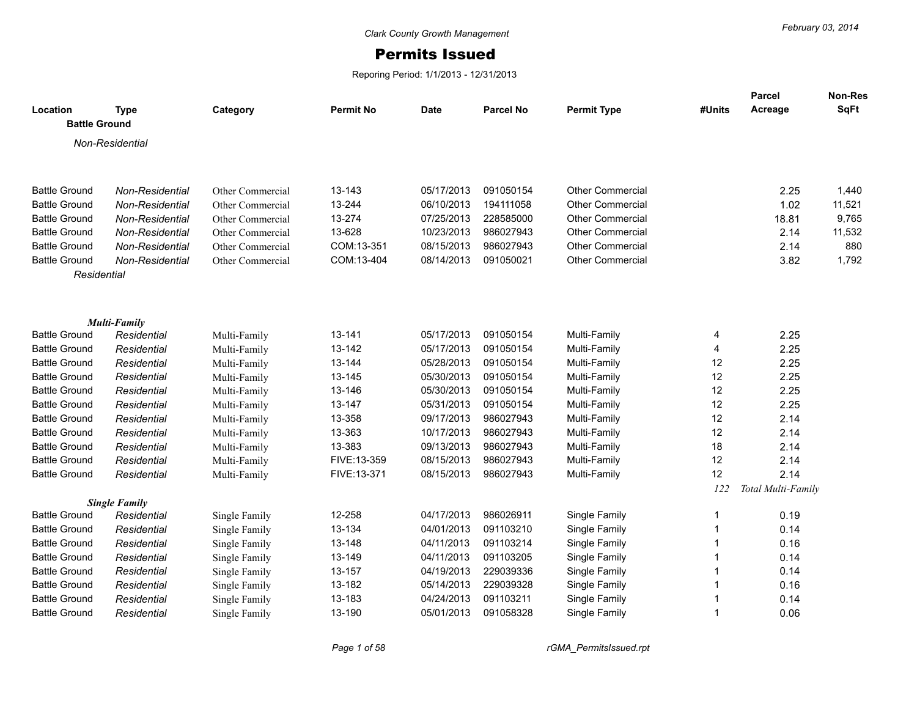## Permits Issued

Reporing Period: 1/1/2013 - 12/31/2013

| Location<br><b>Battle Ground</b>             | <b>Type</b>                        | Category                             | <b>Permit No</b> | <b>Date</b>              | <b>Parcel No</b>       | <b>Permit Type</b>             | #Units           | <b>Parcel</b><br>Acreage | Non-Res<br>SqFt |
|----------------------------------------------|------------------------------------|--------------------------------------|------------------|--------------------------|------------------------|--------------------------------|------------------|--------------------------|-----------------|
|                                              | Non-Residential                    |                                      |                  |                          |                        |                                |                  |                          |                 |
|                                              |                                    |                                      |                  |                          |                        |                                |                  |                          |                 |
| <b>Battle Ground</b>                         |                                    |                                      | 13-143           | 05/17/2013               | 091050154              | <b>Other Commercial</b>        |                  | 2.25                     | 1,440           |
| <b>Battle Ground</b>                         | Non-Residential<br>Non-Residential | Other Commercial<br>Other Commercial | 13-244           | 06/10/2013               | 194111058              | <b>Other Commercial</b>        |                  | 1.02                     | 11,521          |
| <b>Battle Ground</b>                         | Non-Residential                    | Other Commercial                     | 13-274           | 07/25/2013               | 228585000              | <b>Other Commercial</b>        |                  | 18.81                    | 9,765           |
| <b>Battle Ground</b>                         | Non-Residential                    | Other Commercial                     | 13-628           | 10/23/2013               | 986027943              | <b>Other Commercial</b>        |                  | 2.14                     | 11,532          |
| <b>Battle Ground</b>                         | Non-Residential                    | Other Commercial                     | COM:13-351       | 08/15/2013               | 986027943              | <b>Other Commercial</b>        |                  | 2.14                     | 880             |
| <b>Battle Ground</b>                         | Non-Residential                    | Other Commercial                     | COM:13-404       | 08/14/2013               | 091050021              | <b>Other Commercial</b>        |                  | 3.82                     | 1,792           |
| Residential                                  |                                    |                                      |                  |                          |                        |                                |                  |                          |                 |
|                                              |                                    |                                      |                  |                          |                        |                                |                  |                          |                 |
|                                              | <b>Multi-Family</b>                |                                      |                  |                          |                        |                                |                  |                          |                 |
| <b>Battle Ground</b>                         | Residential                        | Multi-Family                         | 13-141           | 05/17/2013               | 091050154              | Multi-Family                   | 4                | 2.25                     |                 |
| <b>Battle Ground</b>                         | Residential                        | Multi-Family                         | 13-142           | 05/17/2013               | 091050154              | Multi-Family                   | 4                | 2.25                     |                 |
| <b>Battle Ground</b>                         | Residential                        | Multi-Family                         | 13-144           | 05/28/2013               | 091050154              | Multi-Family                   | 12               | 2.25                     |                 |
| <b>Battle Ground</b>                         | Residential                        | Multi-Family                         | 13-145           | 05/30/2013               | 091050154              | Multi-Family                   | 12               | 2.25                     |                 |
| <b>Battle Ground</b>                         | Residential                        | Multi-Family                         | 13-146           | 05/30/2013               | 091050154              | Multi-Family                   | 12               | 2.25                     |                 |
| <b>Battle Ground</b>                         | Residential                        | Multi-Family                         | 13-147           | 05/31/2013               | 091050154              | Multi-Family                   | 12               | 2.25                     |                 |
| <b>Battle Ground</b>                         | Residential                        | Multi-Family                         | 13-358           | 09/17/2013               | 986027943              | Multi-Family                   | 12               | 2.14                     |                 |
| <b>Battle Ground</b>                         | Residential                        | Multi-Family                         | 13-363           | 10/17/2013               | 986027943              | Multi-Family                   | 12               | 2.14                     |                 |
| <b>Battle Ground</b>                         | Residential                        | Multi-Family                         | 13-383           | 09/13/2013               | 986027943              | Multi-Family                   | 18               | 2.14                     |                 |
| <b>Battle Ground</b>                         | Residential                        | Multi-Family                         | FIVE:13-359      | 08/15/2013               | 986027943              | Multi-Family                   | 12               | 2.14                     |                 |
| <b>Battle Ground</b>                         | Residential                        | Multi-Family                         | FIVE:13-371      | 08/15/2013               | 986027943              | Multi-Family                   | 12               | 2.14                     |                 |
|                                              |                                    |                                      |                  |                          |                        |                                | 122              | Total Multi-Family       |                 |
|                                              | <b>Single Family</b>               |                                      |                  |                          |                        |                                |                  |                          |                 |
| <b>Battle Ground</b>                         | Residential                        | Single Family                        | 12-258<br>13-134 | 04/17/2013               | 986026911<br>091103210 | Single Family                  | $\mathbf{1}$     | 0.19                     |                 |
| <b>Battle Ground</b><br><b>Battle Ground</b> | Residential                        | Single Family                        | 13-148           | 04/01/2013<br>04/11/2013 | 091103214              | Single Family                  | $\mathbf 1$<br>1 | 0.14                     |                 |
| <b>Battle Ground</b>                         | Residential                        | Single Family                        | 13-149           | 04/11/2013               | 091103205              | Single Family                  | 1                | 0.16                     |                 |
| <b>Battle Ground</b>                         | Residential<br>Residential         | Single Family                        | 13-157           | 04/19/2013               | 229039336              | Single Family<br>Single Family | 1                | 0.14<br>0.14             |                 |
| <b>Battle Ground</b>                         | Residential                        | Single Family                        | 13-182           | 05/14/2013               | 229039328              | Single Family                  | 1                | 0.16                     |                 |
| <b>Battle Ground</b>                         | Residential                        | Single Family<br>Single Family       | 13-183           | 04/24/2013               | 091103211              | Single Family                  | 1                | 0.14                     |                 |
| <b>Battle Ground</b>                         | Residential                        | Single Family                        | 13-190           | 05/01/2013               | 091058328              | Single Family                  | $\mathbf{1}$     | 0.06                     |                 |
|                                              |                                    |                                      |                  |                          |                        |                                |                  |                          |                 |

*Page 1 of 58 rGMA\_PermitsIssued.rpt*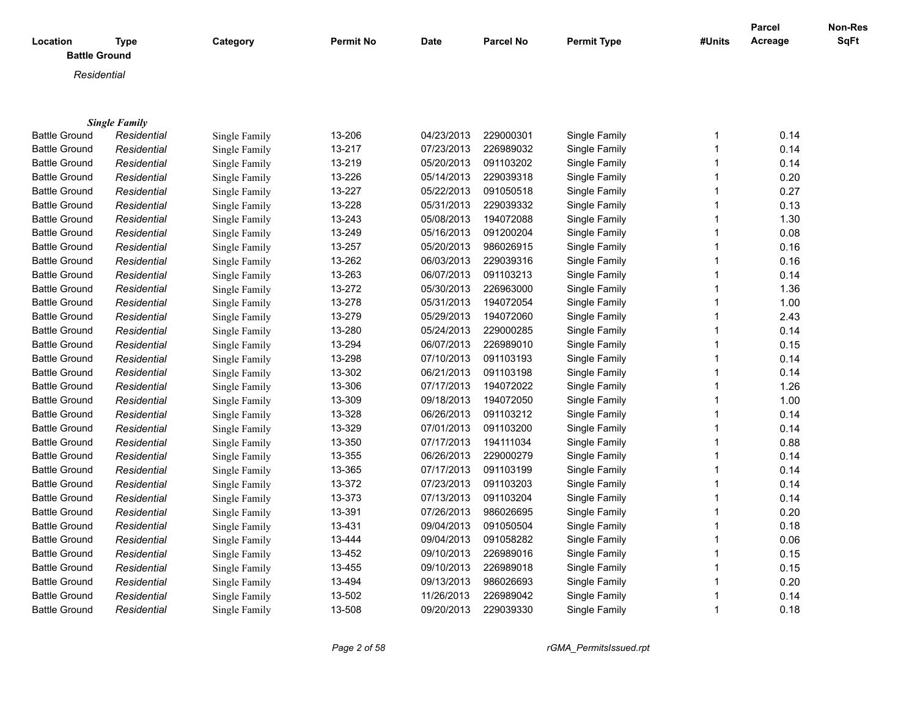| Location<br><b>Battle Ground</b> | <b>Type</b>          | Category      | <b>Permit No</b> | Date       | <b>Parcel No</b> | <b>Permit Type</b> | #Units                  | Parcel<br>Acreage | Non-Res<br><b>SqFt</b> |
|----------------------------------|----------------------|---------------|------------------|------------|------------------|--------------------|-------------------------|-------------------|------------------------|
| Residential                      |                      |               |                  |            |                  |                    |                         |                   |                        |
|                                  |                      |               |                  |            |                  |                    |                         |                   |                        |
|                                  |                      |               |                  |            |                  |                    |                         |                   |                        |
|                                  | <b>Single Family</b> |               |                  |            |                  |                    |                         |                   |                        |
| <b>Battle Ground</b>             | Residential          | Single Family | 13-206           | 04/23/2013 | 229000301        | Single Family      | -1                      | 0.14              |                        |
| <b>Battle Ground</b>             | Residential          | Single Family | 13-217           | 07/23/2013 | 226989032        | Single Family      | $\overline{\mathbf{1}}$ | 0.14              |                        |
| <b>Battle Ground</b>             | Residential          | Single Family | 13-219           | 05/20/2013 | 091103202        | Single Family      | 1                       | 0.14              |                        |
| <b>Battle Ground</b>             | Residential          | Single Family | 13-226           | 05/14/2013 | 229039318        | Single Family      | 1                       | 0.20              |                        |
| <b>Battle Ground</b>             | Residential          | Single Family | 13-227           | 05/22/2013 | 091050518        | Single Family      |                         | 0.27              |                        |
| <b>Battle Ground</b>             | Residential          | Single Family | 13-228           | 05/31/2013 | 229039332        | Single Family      |                         | 0.13              |                        |
| <b>Battle Ground</b>             | Residential          | Single Family | 13-243           | 05/08/2013 | 194072088        | Single Family      |                         | 1.30              |                        |
| <b>Battle Ground</b>             | Residential          | Single Family | 13-249           | 05/16/2013 | 091200204        | Single Family      |                         | 0.08              |                        |
| <b>Battle Ground</b>             | Residential          | Single Family | 13-257           | 05/20/2013 | 986026915        | Single Family      |                         | 0.16              |                        |
| <b>Battle Ground</b>             | Residential          | Single Family | 13-262           | 06/03/2013 | 229039316        | Single Family      |                         | 0.16              |                        |
| <b>Battle Ground</b>             | Residential          | Single Family | 13-263           | 06/07/2013 | 091103213        | Single Family      | 1                       | 0.14              |                        |
| <b>Battle Ground</b>             | Residential          | Single Family | 13-272           | 05/30/2013 | 226963000        | Single Family      | 1                       | 1.36              |                        |
| <b>Battle Ground</b>             | Residential          | Single Family | 13-278           | 05/31/2013 | 194072054        | Single Family      | 1                       | 1.00              |                        |
| <b>Battle Ground</b>             | Residential          | Single Family | 13-279           | 05/29/2013 | 194072060        | Single Family      | -1                      | 2.43              |                        |
| <b>Battle Ground</b>             | Residential          | Single Family | 13-280           | 05/24/2013 | 229000285        | Single Family      | 1                       | 0.14              |                        |
| <b>Battle Ground</b>             | Residential          | Single Family | 13-294           | 06/07/2013 | 226989010        | Single Family      | 1                       | 0.15              |                        |
| <b>Battle Ground</b>             | Residential          | Single Family | 13-298           | 07/10/2013 | 091103193        | Single Family      | 1                       | 0.14              |                        |
| <b>Battle Ground</b>             | Residential          | Single Family | 13-302           | 06/21/2013 | 091103198        | Single Family      | -1                      | 0.14              |                        |
| <b>Battle Ground</b>             | Residential          | Single Family | 13-306           | 07/17/2013 | 194072022        | Single Family      | 1                       | 1.26              |                        |
| <b>Battle Ground</b>             | Residential          | Single Family | 13-309           | 09/18/2013 | 194072050        | Single Family      | 1                       | 1.00              |                        |
| <b>Battle Ground</b>             | Residential          | Single Family | 13-328           | 06/26/2013 | 091103212        | Single Family      | 1                       | 0.14              |                        |
| <b>Battle Ground</b>             | Residential          | Single Family | 13-329           | 07/01/2013 | 091103200        | Single Family      | 1                       | 0.14              |                        |
| <b>Battle Ground</b>             | Residential          | Single Family | 13-350           | 07/17/2013 | 194111034        | Single Family      | 1                       | 0.88              |                        |
| <b>Battle Ground</b>             | Residential          | Single Family | 13-355           | 06/26/2013 | 229000279        | Single Family      | 1                       | 0.14              |                        |
| <b>Battle Ground</b>             | Residential          | Single Family | 13-365           | 07/17/2013 | 091103199        | Single Family      | 1                       | 0.14              |                        |
| <b>Battle Ground</b>             | Residential          | Single Family | 13-372           | 07/23/2013 | 091103203        | Single Family      | $\overline{\mathbf{1}}$ | 0.14              |                        |
| <b>Battle Ground</b>             | Residential          | Single Family | 13-373           | 07/13/2013 | 091103204        | Single Family      | $\overline{\mathbf{1}}$ | 0.14              |                        |
| <b>Battle Ground</b>             | Residential          | Single Family | 13-391           | 07/26/2013 | 986026695        | Single Family      |                         | 0.20              |                        |
| <b>Battle Ground</b>             | Residential          | Single Family | 13-431           | 09/04/2013 | 091050504        | Single Family      |                         | 0.18              |                        |
| <b>Battle Ground</b>             | Residential          | Single Family | 13-444           | 09/04/2013 | 091058282        | Single Family      | -1                      | 0.06              |                        |

Battle Ground *Residential* Single Family 13-452 09/10/2013 226989016 Single Family 1 0.15 Battle Ground *Residential* Single Family 13-455 09/10/2013 226989018 Single Family 1 0.15 Battle Ground *Residential* Single Family 13-494 09/13/2013 986026693 Single Family 1 0.20 Battle Ground *Residential* Single Family 13-502 11/26/2013 226989042 Single Family 1 0.14 Battle Ground *Residential* Single Family 13-508 09/20/2013 229039330 Single Family 1 0.18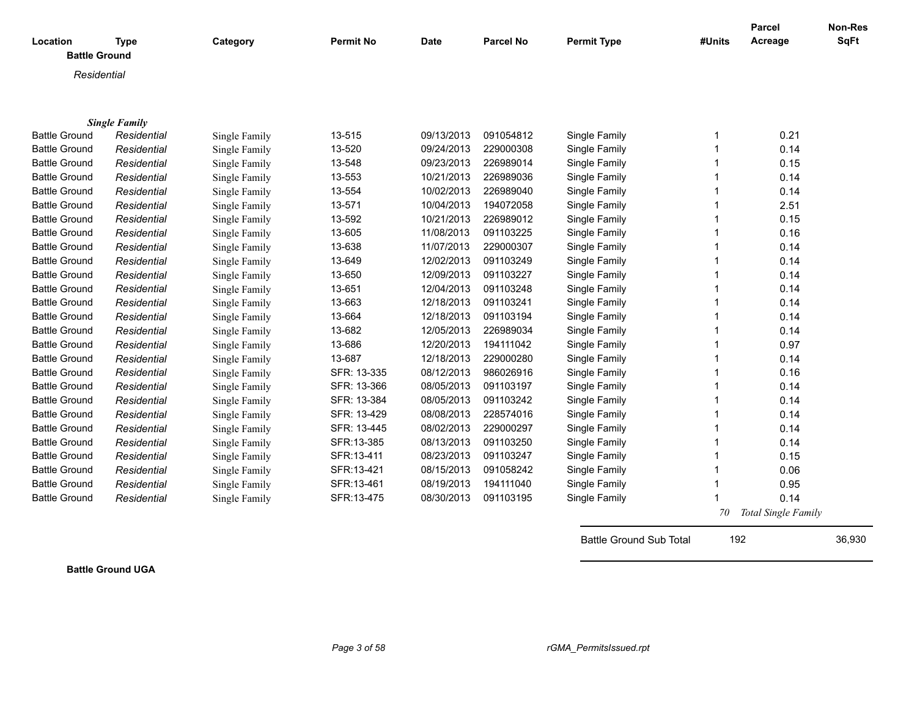| Location             | <b>Type</b>                         | Category      | <b>Permit No</b> | <b>Date</b> | <b>Parcel No</b> | <b>Permit Type</b> | #Units | <b>Parcel</b><br>Acreage | Non-Res<br>SqFt |
|----------------------|-------------------------------------|---------------|------------------|-------------|------------------|--------------------|--------|--------------------------|-----------------|
| <b>Battle Ground</b> |                                     |               |                  |             |                  |                    |        |                          |                 |
|                      |                                     |               |                  |             |                  |                    |        |                          |                 |
| Residential          |                                     |               |                  |             |                  |                    |        |                          |                 |
|                      |                                     |               |                  |             |                  |                    |        |                          |                 |
|                      |                                     |               |                  |             |                  |                    |        |                          |                 |
| <b>Battle Ground</b> | <b>Single Family</b><br>Residential | Single Family | 13-515           | 09/13/2013  | 091054812        | Single Family      | 1      | 0.21                     |                 |
| <b>Battle Ground</b> | Residential                         | Single Family | 13-520           | 09/24/2013  | 229000308        | Single Family      |        | 0.14                     |                 |
| <b>Battle Ground</b> | Residential                         | Single Family | 13-548           | 09/23/2013  | 226989014        | Single Family      |        | 0.15                     |                 |
| <b>Battle Ground</b> | Residential                         | Single Family | 13-553           | 10/21/2013  | 226989036        | Single Family      |        | 0.14                     |                 |
| <b>Battle Ground</b> | Residential                         | Single Family | 13-554           | 10/02/2013  | 226989040        | Single Family      |        | 0.14                     |                 |
| <b>Battle Ground</b> | Residential                         | Single Family | 13-571           | 10/04/2013  | 194072058        | Single Family      |        | 2.51                     |                 |
| <b>Battle Ground</b> | Residential                         | Single Family | 13-592           | 10/21/2013  | 226989012        | Single Family      |        | 0.15                     |                 |
| <b>Battle Ground</b> | Residential                         | Single Family | 13-605           | 11/08/2013  | 091103225        | Single Family      |        | 0.16                     |                 |
| <b>Battle Ground</b> | Residential                         | Single Family | 13-638           | 11/07/2013  | 229000307        | Single Family      |        | 0.14                     |                 |
| <b>Battle Ground</b> | Residential                         | Single Family | 13-649           | 12/02/2013  | 091103249        | Single Family      |        | 0.14                     |                 |
| <b>Battle Ground</b> | Residential                         | Single Family | 13-650           | 12/09/2013  | 091103227        | Single Family      |        | 0.14                     |                 |
| <b>Battle Ground</b> | Residential                         | Single Family | 13-651           | 12/04/2013  | 091103248        | Single Family      |        | 0.14                     |                 |
| <b>Battle Ground</b> | Residential                         | Single Family | 13-663           | 12/18/2013  | 091103241        | Single Family      |        | 0.14                     |                 |
| <b>Battle Ground</b> | Residential                         | Single Family | 13-664           | 12/18/2013  | 091103194        | Single Family      |        | 0.14                     |                 |
| <b>Battle Ground</b> | Residential                         | Single Family | 13-682           | 12/05/2013  | 226989034        | Single Family      |        | 0.14                     |                 |
| <b>Battle Ground</b> | Residential                         | Single Family | 13-686           | 12/20/2013  | 194111042        | Single Family      |        | 0.97                     |                 |
| <b>Battle Ground</b> | Residential                         | Single Family | 13-687           | 12/18/2013  | 229000280        | Single Family      |        | 0.14                     |                 |
| <b>Battle Ground</b> | Residential                         | Single Family | SFR: 13-335      | 08/12/2013  | 986026916        | Single Family      |        | 0.16                     |                 |
| <b>Battle Ground</b> | Residential                         | Single Family | SFR: 13-366      | 08/05/2013  | 091103197        | Single Family      |        | 0.14                     |                 |
| <b>Battle Ground</b> | Residential                         | Single Family | SFR: 13-384      | 08/05/2013  | 091103242        | Single Family      |        | 0.14                     |                 |
| <b>Battle Ground</b> | Residential                         | Single Family | SFR: 13-429      | 08/08/2013  | 228574016        | Single Family      |        | 0.14                     |                 |
| <b>Battle Ground</b> | Residential                         | Single Family | SFR: 13-445      | 08/02/2013  | 229000297        | Single Family      |        | 0.14                     |                 |
| <b>Battle Ground</b> | Residential                         | Single Family | SFR:13-385       | 08/13/2013  | 091103250        | Single Family      |        | 0.14                     |                 |
| <b>Battle Ground</b> | Residential                         | Single Family | SFR:13-411       | 08/23/2013  | 091103247        | Single Family      |        | 0.15                     |                 |
| <b>Battle Ground</b> | Residential                         | Single Family | SFR:13-421       | 08/15/2013  | 091058242        | Single Family      |        | 0.06                     |                 |
| <b>Battle Ground</b> | Residential                         | Single Family | SFR:13-461       | 08/19/2013  | 194111040        | Single Family      |        | 0.95                     |                 |
| <b>Battle Ground</b> | Residential                         | Single Family | SFR:13-475       | 08/30/2013  | 091103195        | Single Family      |        | 0.14                     |                 |
|                      |                                     |               |                  |             |                  |                    |        |                          |                 |

 *70 Total Single Family*

Battle Ground Sub Total 192 36,930

**Battle Ground UGA**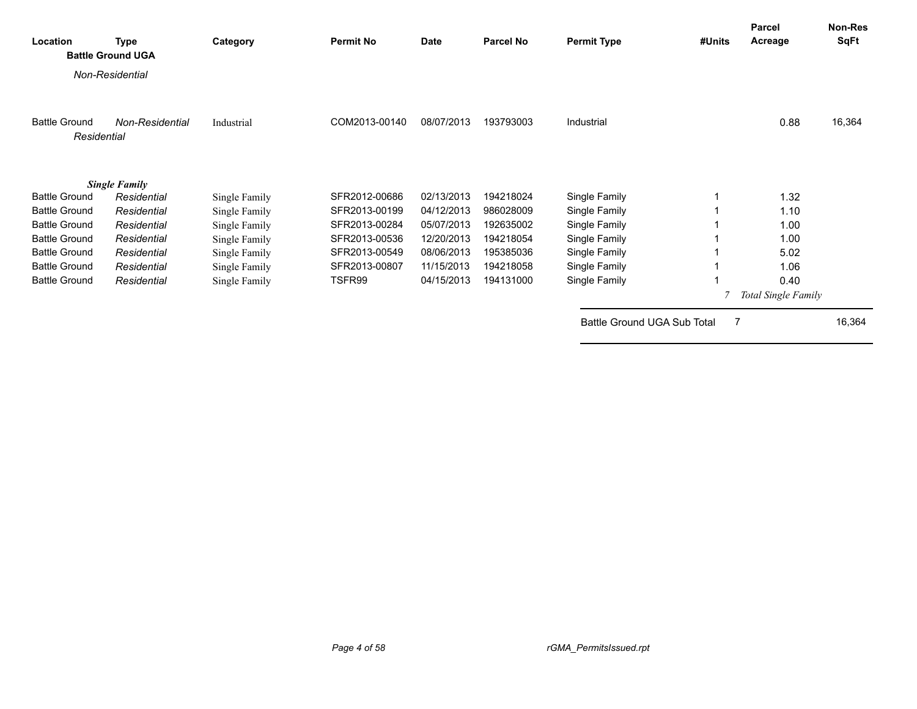| Location                            | <b>Type</b><br><b>Battle Ground UGA</b> | Category      | <b>Permit No</b> | Date       | <b>Parcel No</b> | <b>Permit Type</b>          | #Units         | <b>Parcel</b><br>Acreage | Non-Res<br><b>SqFt</b> |
|-------------------------------------|-----------------------------------------|---------------|------------------|------------|------------------|-----------------------------|----------------|--------------------------|------------------------|
|                                     | Non-Residential                         |               |                  |            |                  |                             |                |                          |                        |
| <b>Battle Ground</b><br>Residential | Non-Residential                         | Industrial    | COM2013-00140    | 08/07/2013 | 193793003        | Industrial                  |                | 0.88                     | 16,364                 |
|                                     | <b>Single Family</b>                    |               |                  |            |                  |                             |                |                          |                        |
| <b>Battle Ground</b>                | Residential                             | Single Family | SFR2012-00686    | 02/13/2013 | 194218024        | Single Family               |                | 1.32                     |                        |
| <b>Battle Ground</b>                | Residential                             | Single Family | SFR2013-00199    | 04/12/2013 | 986028009        | Single Family               |                | 1.10                     |                        |
| <b>Battle Ground</b>                | Residential                             | Single Family | SFR2013-00284    | 05/07/2013 | 192635002        | Single Family               |                | 1.00                     |                        |
| <b>Battle Ground</b>                | Residential                             | Single Family | SFR2013-00536    | 12/20/2013 | 194218054        | Single Family               |                | 1.00                     |                        |
| <b>Battle Ground</b>                | Residential                             | Single Family | SFR2013-00549    | 08/06/2013 | 195385036        | Single Family               |                | 5.02                     |                        |
| <b>Battle Ground</b>                | Residential                             | Single Family | SFR2013-00807    | 11/15/2013 | 194218058        | Single Family               |                | 1.06                     |                        |
| <b>Battle Ground</b>                | Residential                             | Single Family | TSFR99           | 04/15/2013 | 194131000        | Single Family               |                | 0.40                     |                        |
|                                     |                                         |               |                  |            |                  |                             |                | Total Single Family      |                        |
|                                     |                                         |               |                  |            |                  | Battle Ground UGA Sub Total | $\overline{7}$ |                          | 16,364                 |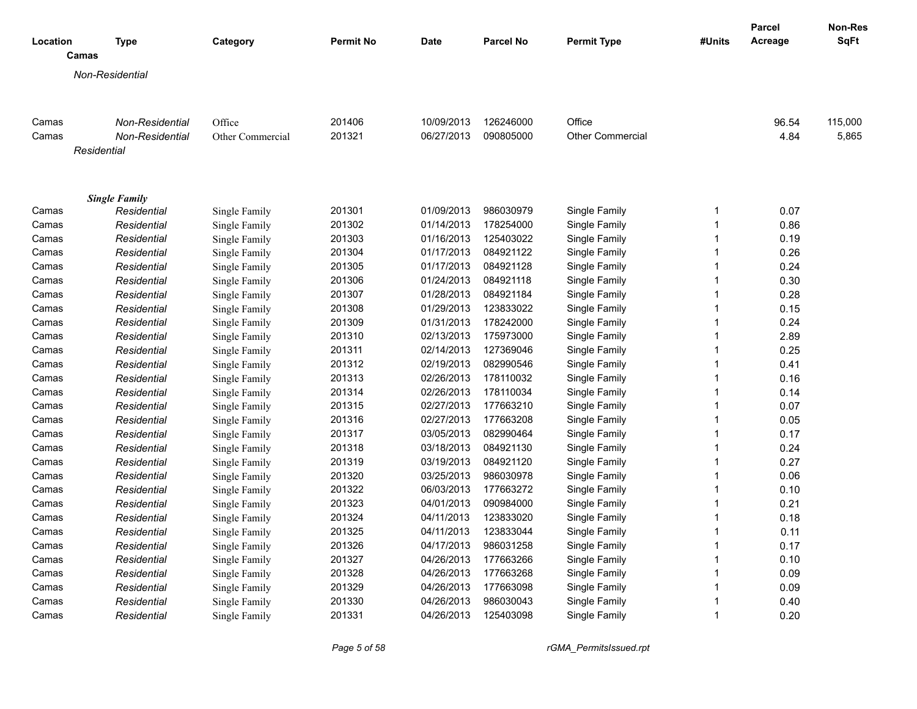|                |                            |                                |                  |                          |                        |                                |                              | <b>Parcel</b> | <b>Non-Res</b> |
|----------------|----------------------------|--------------------------------|------------------|--------------------------|------------------------|--------------------------------|------------------------------|---------------|----------------|
| Location       | <b>Type</b><br>Camas       | Category                       | <b>Permit No</b> | <b>Date</b>              | <b>Parcel No</b>       | <b>Permit Type</b>             | #Units                       | Acreage       | SqFt           |
|                |                            |                                |                  |                          |                        |                                |                              |               |                |
|                | Non-Residential            |                                |                  |                          |                        |                                |                              |               |                |
|                |                            |                                |                  |                          |                        |                                |                              |               |                |
| Camas          | Non-Residential            | Office                         | 201406           | 10/09/2013               | 126246000              | Office                         |                              | 96.54         | 115,000        |
| Camas          | Non-Residential            | Other Commercial               | 201321           | 06/27/2013               | 090805000              | <b>Other Commercial</b>        |                              | 4.84          | 5,865          |
|                | Residential                |                                |                  |                          |                        |                                |                              |               |                |
|                |                            |                                |                  |                          |                        |                                |                              |               |                |
|                | <b>Single Family</b>       |                                |                  |                          |                        |                                |                              |               |                |
| Camas          | Residential                | Single Family                  | 201301<br>201302 | 01/09/2013               | 986030979<br>178254000 | Single Family                  | $\mathbf{1}$<br>$\mathbf{1}$ | 0.07<br>0.86  |                |
| Camas<br>Camas | Residential<br>Residential | Single Family                  | 201303           | 01/14/2013<br>01/16/2013 | 125403022              | Single Family<br>Single Family | $\mathbf{1}$                 | 0.19          |                |
| Camas          | Residential                | Single Family<br>Single Family | 201304           | 01/17/2013               | 084921122              | Single Family                  | 1                            | 0.26          |                |
| Camas          | Residential                | Single Family                  | 201305           | 01/17/2013               | 084921128              | Single Family                  | $\mathbf{1}$                 | 0.24          |                |
| Camas          | Residential                | Single Family                  | 201306           | 01/24/2013               | 084921118              | Single Family                  | 1                            | 0.30          |                |
| Camas          | Residential                | Single Family                  | 201307           | 01/28/2013               | 084921184              | Single Family                  | 1                            | 0.28          |                |
| Camas          | Residential                | Single Family                  | 201308           | 01/29/2013               | 123833022              | Single Family                  | 1                            | 0.15          |                |
| Camas          | Residential                | Single Family                  | 201309           | 01/31/2013               | 178242000              | Single Family                  | 1                            | 0.24          |                |
| Camas          | Residential                | Single Family                  | 201310           | 02/13/2013               | 175973000              | Single Family                  | 1                            | 2.89          |                |
| Camas          | Residential                | Single Family                  | 201311           | 02/14/2013               | 127369046              | Single Family                  | $\mathbf{1}$                 | 0.25          |                |
| Camas          | Residential                | Single Family                  | 201312           | 02/19/2013               | 082990546              | Single Family                  | $\mathbf{1}$                 | 0.41          |                |
| Camas          | Residential                | Single Family                  | 201313           | 02/26/2013               | 178110032              | Single Family                  | $\overline{\mathbf{1}}$      | 0.16          |                |
| Camas          | Residential                | Single Family                  | 201314           | 02/26/2013               | 178110034              | Single Family                  | $\mathbf{1}$                 | 0.14          |                |
| Camas          | Residential                | Single Family                  | 201315           | 02/27/2013               | 177663210              | Single Family                  | 1                            | 0.07          |                |
| Camas          | Residential                | Single Family                  | 201316           | 02/27/2013               | 177663208              | Single Family                  | $\mathbf{1}$                 | 0.05          |                |
| Camas          | Residential                | Single Family                  | 201317           | 03/05/2013               | 082990464              | Single Family                  | 1                            | 0.17          |                |
| Camas          | Residential                | Single Family                  | 201318           | 03/18/2013               | 084921130              | Single Family                  | $\mathbf{1}$                 | 0.24          |                |
| Camas          | Residential                | Single Family                  | 201319           | 03/19/2013               | 084921120              | Single Family                  | 1                            | 0.27          |                |
| Camas          | Residential                | Single Family                  | 201320           | 03/25/2013               | 986030978              | Single Family                  | $\mathbf{1}$                 | 0.06          |                |
| Camas          | Residential                | Single Family                  | 201322           | 06/03/2013               | 177663272              | Single Family                  | 1                            | 0.10          |                |
| Camas          | Residential                | Single Family                  | 201323           | 04/01/2013               | 090984000              | Single Family                  | $\overline{1}$               | 0.21          |                |
| Camas          | Residential                | Single Family                  | 201324           | 04/11/2013               | 123833020              | Single Family                  | $\mathbf{1}$                 | 0.18          |                |
| Camas          | Residential                | Single Family                  | 201325           | 04/11/2013               | 123833044              | Single Family                  | 1                            | 0.11          |                |
| Camas          | Residential                | Single Family                  | 201326           | 04/17/2013               | 986031258              | Single Family                  | 1                            | 0.17          |                |
| Camas          | Residential                | Single Family                  | 201327           | 04/26/2013               | 177663266              | Single Family                  | $\mathbf{1}$                 | 0.10          |                |
| Camas          | Residential                | Single Family                  | 201328           | 04/26/2013               | 177663268              | Single Family                  | $\mathbf{1}$                 | 0.09          |                |
| Camas          | Residential                | Single Family                  | 201329           | 04/26/2013               | 177663098              | Single Family                  | 1                            | 0.09          |                |
| Camas          | Residential                | Single Family                  | 201330           | 04/26/2013               | 986030043              | Single Family                  | 1                            | 0.40          |                |
| Camas          | Residential                | Single Family                  | 201331           | 04/26/2013               | 125403098              | Single Family                  | 1                            | 0.20          |                |
|                |                            |                                |                  |                          |                        |                                |                              |               |                |

*Page 5 of 58 rGMA\_PermitsIssued.rpt*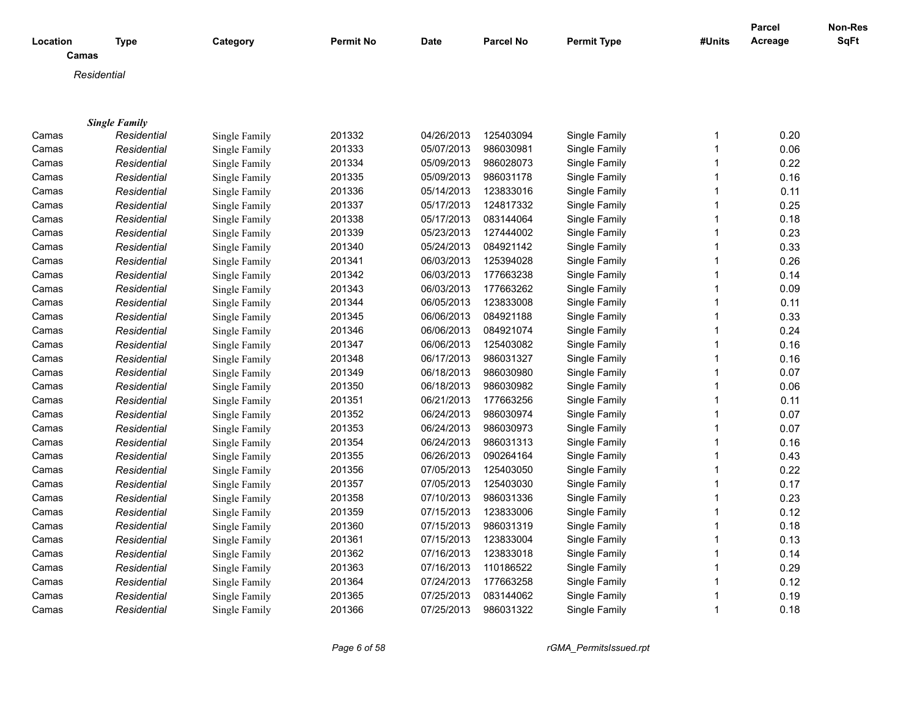|          |                      |               |                  |            |           |                    |              | <b>Parcel</b> | Non-Res |
|----------|----------------------|---------------|------------------|------------|-----------|--------------------|--------------|---------------|---------|
| Location | <b>Type</b><br>Camas | Category      | <b>Permit No</b> | Date       | Parcel No | <b>Permit Type</b> | #Units       | Acreage       | SqFt    |
|          | Residential          |               |                  |            |           |                    |              |               |         |
|          |                      |               |                  |            |           |                    |              |               |         |
|          |                      |               |                  |            |           |                    |              |               |         |
|          | <b>Single Family</b> |               |                  |            |           |                    |              |               |         |
| Camas    | Residential          | Single Family | 201332           | 04/26/2013 | 125403094 | Single Family      | $\mathbf 1$  | 0.20          |         |
| Camas    | Residential          | Single Family | 201333           | 05/07/2013 | 986030981 | Single Family      | $\mathbf{1}$ | 0.06          |         |
| Camas    | Residential          | Single Family | 201334           | 05/09/2013 | 986028073 | Single Family      | $\mathbf{1}$ | 0.22          |         |
| Camas    | Residential          | Single Family | 201335           | 05/09/2013 | 986031178 | Single Family      | 1            | 0.16          |         |
| Camas    | Residential          | Single Family | 201336           | 05/14/2013 | 123833016 | Single Family      | 1            | 0.11          |         |
| Camas    | Residential          | Single Family | 201337           | 05/17/2013 | 124817332 | Single Family      | 1            | 0.25          |         |
| Camas    | Residential          | Single Family | 201338           | 05/17/2013 | 083144064 | Single Family      | 1            | 0.18          |         |
| Camas    | Residential          | Single Family | 201339           | 05/23/2013 | 127444002 | Single Family      | 1            | 0.23          |         |
| Camas    | Residential          | Single Family | 201340           | 05/24/2013 | 084921142 | Single Family      | 1            | 0.33          |         |
| Camas    | Residential          | Single Family | 201341           | 06/03/2013 | 125394028 | Single Family      | 1            | 0.26          |         |
| Camas    | Residential          | Single Family | 201342           | 06/03/2013 | 177663238 | Single Family      | 1            | 0.14          |         |
| Camas    | Residential          | Single Family | 201343           | 06/03/2013 | 177663262 | Single Family      |              | 0.09          |         |
| Camas    | Residential          | Single Family | 201344           | 06/05/2013 | 123833008 | Single Family      | 1            | 0.11          |         |
| Camas    | Residential          | Single Family | 201345           | 06/06/2013 | 084921188 | Single Family      |              | 0.33          |         |
| Camas    | Residential          | Single Family | 201346           | 06/06/2013 | 084921074 | Single Family      | 1            | 0.24          |         |
| Camas    | Residential          | Single Family | 201347           | 06/06/2013 | 125403082 | Single Family      | 1            | 0.16          |         |
| Camas    | Residential          | Single Family | 201348           | 06/17/2013 | 986031327 | Single Family      | $\mathbf{1}$ | 0.16          |         |
| Camas    | Residential          | Single Family | 201349           | 06/18/2013 | 986030980 | Single Family      | $\mathbf{1}$ | 0.07          |         |
| Camas    | Residential          | Single Family | 201350           | 06/18/2013 | 986030982 | Single Family      | $\mathbf{1}$ | 0.06          |         |
| Camas    | Residential          | Single Family | 201351           | 06/21/2013 | 177663256 | Single Family      | 1            | 0.11          |         |
| Camas    | Residential          | Single Family | 201352           | 06/24/2013 | 986030974 | Single Family      | 1            | 0.07          |         |
| Camas    | Residential          | Single Family | 201353           | 06/24/2013 | 986030973 | Single Family      | 1            | 0.07          |         |
| Camas    | Residential          | Single Family | 201354           | 06/24/2013 | 986031313 | Single Family      | 1            | 0.16          |         |
| Camas    | Residential          | Single Family | 201355           | 06/26/2013 | 090264164 | Single Family      | $\mathbf{1}$ | 0.43          |         |
| Camas    | Residential          | Single Family | 201356           | 07/05/2013 | 125403050 | Single Family      | 1            | 0.22          |         |
| Camas    | Residential          | Single Family | 201357           | 07/05/2013 | 125403030 | Single Family      | 1            | 0.17          |         |
| Camas    | Residential          | Single Family | 201358           | 07/10/2013 | 986031336 | Single Family      | 1            | 0.23          |         |
| Camas    | Residential          | Single Family | 201359           | 07/15/2013 | 123833006 | Single Family      | $\mathbf{1}$ | 0.12          |         |
| Camas    | Residential          | Single Family | 201360           | 07/15/2013 | 986031319 | Single Family      | 1            | 0.18          |         |
| Camas    | Residential          | Single Family | 201361           | 07/15/2013 | 123833004 | Single Family      | 1            | 0.13          |         |
| Camas    | Residential          | Single Family | 201362           | 07/16/2013 | 123833018 | Single Family      |              | 0.14          |         |
| Camas    | Residential          | Single Family | 201363           | 07/16/2013 | 110186522 | Single Family      | 1            | 0.29          |         |
| Camas    | Residential          | Single Family | 201364           | 07/24/2013 | 177663258 | Single Family      |              | 0.12          |         |
| Camas    | Residential          | Single Family | 201365           | 07/25/2013 | 083144062 | Single Family      |              | 0.19          |         |
| Camas    | Residential          | Single Family | 201366           | 07/25/2013 | 986031322 | Single Family      | $\mathbf{1}$ | 0.18          |         |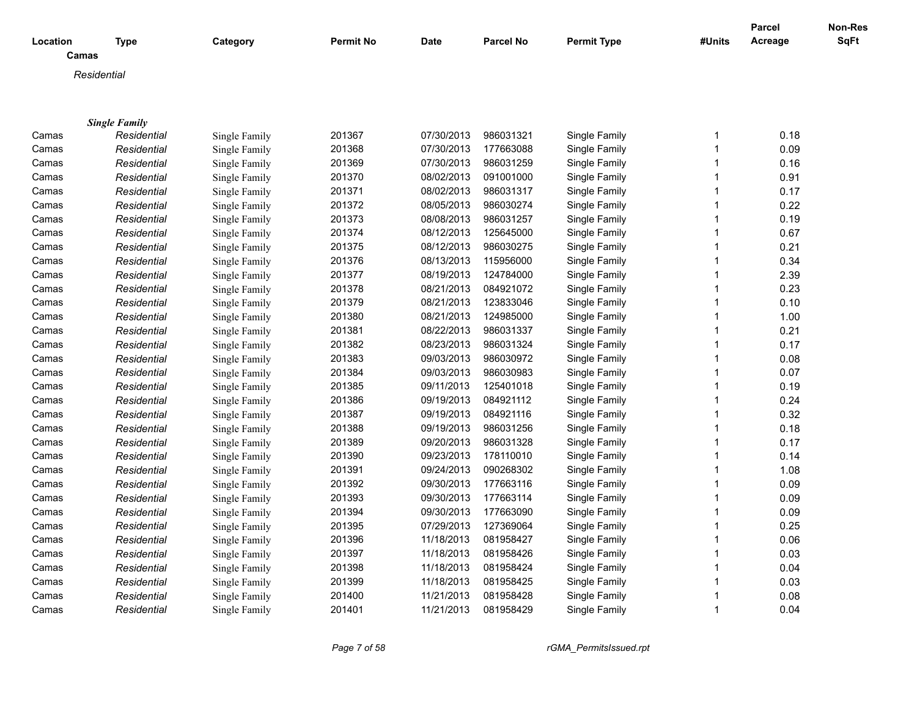| Location | <b>Type</b>          | Category      | <b>Permit No</b> | Date       | Parcel No | <b>Permit Type</b> | #Units       | <b>Parcel</b><br>Acreage | Non-Res<br>SqFt |
|----------|----------------------|---------------|------------------|------------|-----------|--------------------|--------------|--------------------------|-----------------|
| Camas    |                      |               |                  |            |           |                    |              |                          |                 |
|          | Residential          |               |                  |            |           |                    |              |                          |                 |
|          |                      |               |                  |            |           |                    |              |                          |                 |
|          |                      |               |                  |            |           |                    |              |                          |                 |
|          | <b>Single Family</b> |               |                  |            |           |                    |              |                          |                 |
| Camas    | Residential          | Single Family | 201367           | 07/30/2013 | 986031321 | Single Family      | 1            | 0.18                     |                 |
| Camas    | Residential          | Single Family | 201368           | 07/30/2013 | 177663088 | Single Family      | $\mathbf{1}$ | 0.09                     |                 |
| Camas    | Residential          | Single Family | 201369           | 07/30/2013 | 986031259 | Single Family      | $\mathbf{1}$ | 0.16                     |                 |
| Camas    | Residential          | Single Family | 201370           | 08/02/2013 | 091001000 | Single Family      | $\mathbf{1}$ | 0.91                     |                 |
| Camas    | Residential          | Single Family | 201371           | 08/02/2013 | 986031317 | Single Family      | $\mathbf{1}$ | 0.17                     |                 |
| Camas    | Residential          | Single Family | 201372           | 08/05/2013 | 986030274 | Single Family      | 1            | 0.22                     |                 |
| Camas    | Residential          | Single Family | 201373           | 08/08/2013 | 986031257 | Single Family      | 1            | 0.19                     |                 |
| Camas    | Residential          | Single Family | 201374           | 08/12/2013 | 125645000 | Single Family      | $\mathbf{1}$ | 0.67                     |                 |
| Camas    | Residential          | Single Family | 201375           | 08/12/2013 | 986030275 | Single Family      | 1            | 0.21                     |                 |
| Camas    | Residential          | Single Family | 201376           | 08/13/2013 | 115956000 | Single Family      | $\mathbf{1}$ | 0.34                     |                 |
| Camas    | Residential          | Single Family | 201377           | 08/19/2013 | 124784000 | Single Family      | 1            | 2.39                     |                 |
| Camas    | Residential          | Single Family | 201378           | 08/21/2013 | 084921072 | Single Family      | $\mathbf 1$  | 0.23                     |                 |
| Camas    | Residential          | Single Family | 201379           | 08/21/2013 | 123833046 | Single Family      | $\mathbf{1}$ | 0.10                     |                 |
| Camas    | Residential          | Single Family | 201380           | 08/21/2013 | 124985000 | Single Family      | $\mathbf{1}$ | 1.00                     |                 |
| Camas    | Residential          | Single Family | 201381           | 08/22/2013 | 986031337 | Single Family      | $\mathbf 1$  | 0.21                     |                 |
| Camas    | Residential          | Single Family | 201382           | 08/23/2013 | 986031324 | Single Family      | $\mathbf{1}$ | 0.17                     |                 |
| Camas    | Residential          | Single Family | 201383           | 09/03/2013 | 986030972 | Single Family      | $\mathbf{1}$ | 0.08                     |                 |
| Camas    | Residential          | Single Family | 201384           | 09/03/2013 | 986030983 | Single Family      | $\mathbf{1}$ | 0.07                     |                 |
| Camas    | Residential          | Single Family | 201385           | 09/11/2013 | 125401018 | Single Family      | $\mathbf{1}$ | 0.19                     |                 |
| Camas    | Residential          | Single Family | 201386           | 09/19/2013 | 084921112 | Single Family      | $\mathbf{1}$ | 0.24                     |                 |
| Camas    | Residential          | Single Family | 201387           | 09/19/2013 | 084921116 | Single Family      | $\mathbf{1}$ | 0.32                     |                 |
| Camas    | Residential          | Single Family | 201388           | 09/19/2013 | 986031256 | Single Family      | $\mathbf{1}$ | 0.18                     |                 |
| Camas    | Residential          | Single Family | 201389           | 09/20/2013 | 986031328 | Single Family      | $\mathbf{1}$ | 0.17                     |                 |
| Camas    | Residential          | Single Family | 201390           | 09/23/2013 | 178110010 | Single Family      | $\mathbf{1}$ | 0.14                     |                 |
| Camas    | Residential          | Single Family | 201391           | 09/24/2013 | 090268302 | Single Family      | $\mathbf{1}$ | 1.08                     |                 |
| Camas    | Residential          | Single Family | 201392           | 09/30/2013 | 177663116 | Single Family      | $\mathbf{1}$ | 0.09                     |                 |
| Camas    | Residential          | Single Family | 201393           | 09/30/2013 | 177663114 | Single Family      | $\mathbf{1}$ | 0.09                     |                 |
| Camas    | Residential          | Single Family | 201394           | 09/30/2013 | 177663090 | Single Family      | $\mathbf{1}$ | 0.09                     |                 |
| Camas    | Residential          | Single Family | 201395           | 07/29/2013 | 127369064 | Single Family      | $\mathbf 1$  | 0.25                     |                 |
| Camas    | Residential          | Single Family | 201396           | 11/18/2013 | 081958427 | Single Family      | 1            | 0.06                     |                 |
| Camas    | Residential          | Single Family | 201397           | 11/18/2013 | 081958426 | Single Family      | $\mathbf{1}$ | 0.03                     |                 |
| Camas    | Residential          | Single Family | 201398           | 11/18/2013 | 081958424 | Single Family      | $\mathbf 1$  | 0.04                     |                 |
| Camas    | Residential          | Single Family | 201399           | 11/18/2013 | 081958425 | Single Family      | $\mathbf 1$  | 0.03                     |                 |
| Camas    | Residential          | Single Family | 201400           | 11/21/2013 | 081958428 | Single Family      | 1            | 0.08                     |                 |
| Camas    | Residential          | Single Family | 201401           | 11/21/2013 | 081958429 | Single Family      | $\mathbf{1}$ | 0.04                     |                 |
|          |                      |               |                  |            |           |                    |              |                          |                 |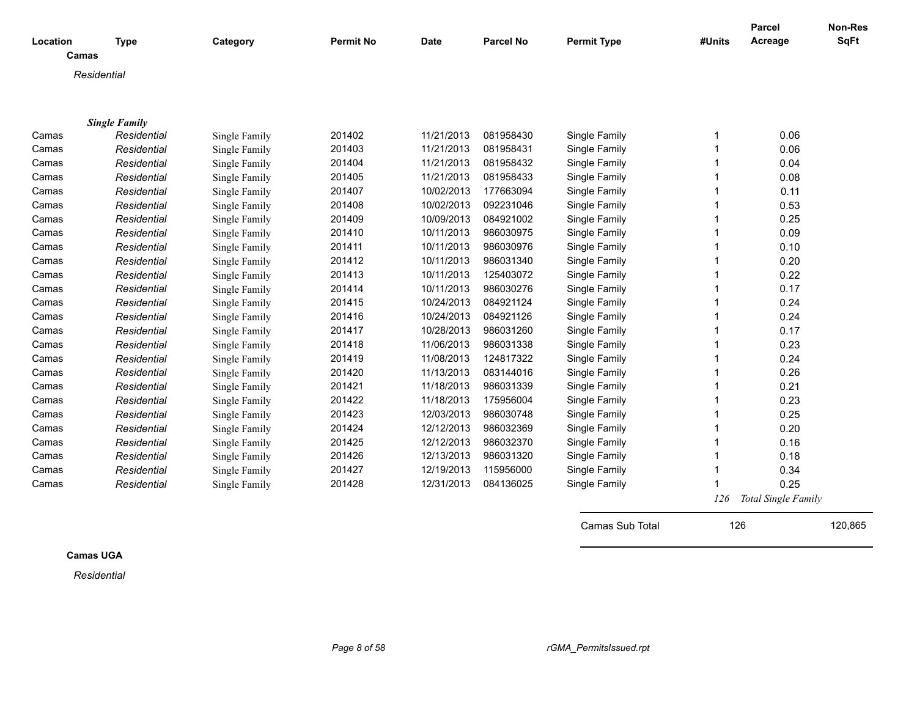|          |                      |               |                  |             |                  |                    |        | <b>Parcel</b>       | Non-Res     |
|----------|----------------------|---------------|------------------|-------------|------------------|--------------------|--------|---------------------|-------------|
| Location | <b>Type</b>          | Category      | <b>Permit No</b> | <b>Date</b> | <b>Parcel No</b> | <b>Permit Type</b> | #Units | Acreage             | <b>SqFt</b> |
| Camas    |                      |               |                  |             |                  |                    |        |                     |             |
|          | Residential          |               |                  |             |                  |                    |        |                     |             |
|          |                      |               |                  |             |                  |                    |        |                     |             |
|          |                      |               |                  |             |                  |                    |        |                     |             |
|          | <b>Single Family</b> |               |                  |             |                  |                    |        |                     |             |
| Camas    | Residential          | Single Family | 201402           | 11/21/2013  | 081958430        | Single Family      | 1      | 0.06                |             |
| Camas    | Residential          | Single Family | 201403           | 11/21/2013  | 081958431        | Single Family      |        | 0.06                |             |
| Camas    | Residential          | Single Family | 201404           | 11/21/2013  | 081958432        | Single Family      | 1      | 0.04                |             |
| Camas    | Residential          | Single Family | 201405           | 11/21/2013  | 081958433        | Single Family      |        | 0.08                |             |
| Camas    | Residential          | Single Family | 201407           | 10/02/2013  | 177663094        | Single Family      | 1      | 0.11                |             |
| Camas    | Residential          | Single Family | 201408           | 10/02/2013  | 092231046        | Single Family      | 1      | 0.53                |             |
| Camas    | Residential          | Single Family | 201409           | 10/09/2013  | 084921002        | Single Family      |        | 0.25                |             |
| Camas    | Residential          | Single Family | 201410           | 10/11/2013  | 986030975        | Single Family      |        | 0.09                |             |
| Camas    | Residential          | Single Family | 201411           | 10/11/2013  | 986030976        | Single Family      |        | 0.10                |             |
| Camas    | Residential          | Single Family | 201412           | 10/11/2013  | 986031340        | Single Family      | 1      | 0.20                |             |
| Camas    | Residential          | Single Family | 201413           | 10/11/2013  | 125403072        | Single Family      | 1      | 0.22                |             |
| Camas    | Residential          | Single Family | 201414           | 10/11/2013  | 986030276        | Single Family      | 1      | 0.17                |             |
| Camas    | Residential          | Single Family | 201415           | 10/24/2013  | 084921124        | Single Family      | 1      | 0.24                |             |
| Camas    | Residential          | Single Family | 201416           | 10/24/2013  | 084921126        | Single Family      | 1      | 0.24                |             |
| Camas    | Residential          | Single Family | 201417           | 10/28/2013  | 986031260        | Single Family      |        | 0.17                |             |
| Camas    | Residential          | Single Family | 201418           | 11/06/2013  | 986031338        | Single Family      |        | 0.23                |             |
| Camas    | Residential          | Single Family | 201419           | 11/08/2013  | 124817322        | Single Family      |        | 0.24                |             |
| Camas    | Residential          | Single Family | 201420           | 11/13/2013  | 083144016        | Single Family      | 1      | 0.26                |             |
| Camas    | Residential          | Single Family | 201421           | 11/18/2013  | 986031339        | Single Family      | 1      | 0.21                |             |
| Camas    | Residential          | Single Family | 201422           | 11/18/2013  | 175956004        | Single Family      |        | 0.23                |             |
| Camas    | Residential          | Single Family | 201423           | 12/03/2013  | 986030748        | Single Family      | 1      | 0.25                |             |
| Camas    | Residential          | Single Family | 201424           | 12/12/2013  | 986032369        | Single Family      | 1      | 0.20                |             |
| Camas    | Residential          | Single Family | 201425           | 12/12/2013  | 986032370        | Single Family      |        | 0.16                |             |
| Camas    | Residential          | Single Family | 201426           | 12/13/2013  | 986031320        | Single Family      |        | 0.18                |             |
| Camas    | Residential          | Single Family | 201427           | 12/19/2013  | 115956000        | Single Family      | 1      | 0.34                |             |
| Camas    | Residential          | Single Family | 201428           | 12/31/2013  | 084136025        | Single Family      |        | 0.25                |             |
|          |                      |               |                  |             |                  |                    | 126    | Total Single Family |             |

**Camas UGA**

*Residential*

Camas Sub Total 126 120,865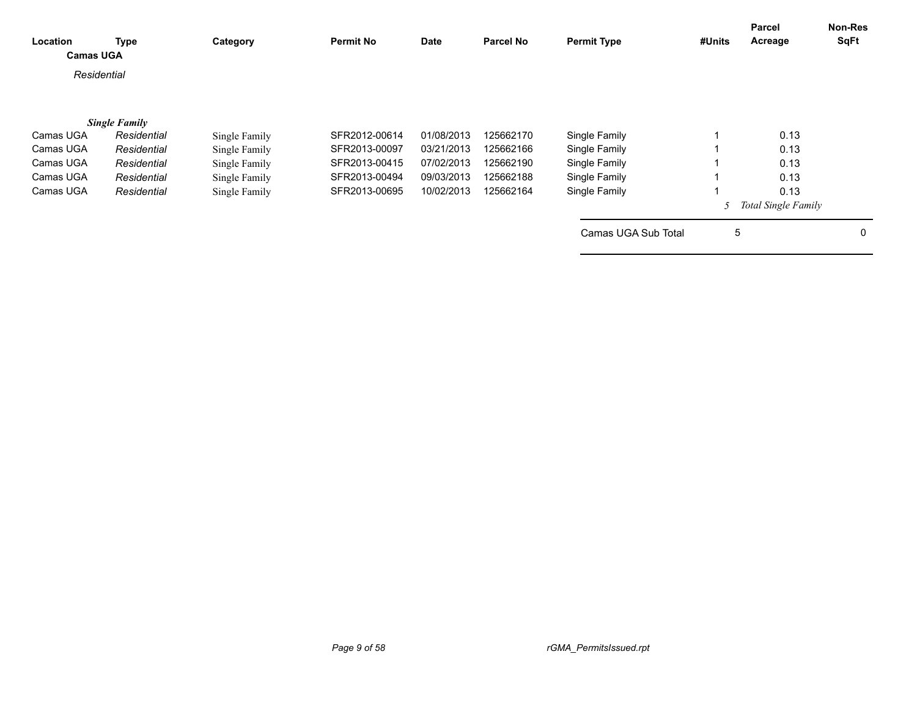| Location<br><b>Camas UGA</b> | <b>Type</b>          | Category      | <b>Permit No</b> | <b>Date</b> | <b>Parcel No</b> | <b>Permit Type</b>  | #Units      | Parcel<br>Acreage          | <b>Non-Res</b><br><b>SqFt</b> |
|------------------------------|----------------------|---------------|------------------|-------------|------------------|---------------------|-------------|----------------------------|-------------------------------|
| Residential                  |                      |               |                  |             |                  |                     |             |                            |                               |
|                              | <b>Single Family</b> |               |                  |             |                  |                     |             |                            |                               |
| Camas UGA                    | Residential          | Single Family | SFR2012-00614    | 01/08/2013  | 125662170        | Single Family       |             | 0.13                       |                               |
| Camas UGA                    | Residential          | Single Family | SFR2013-00097    | 03/21/2013  | 125662166        | Single Family       |             | 0.13                       |                               |
| Camas UGA                    | Residential          | Single Family | SFR2013-00415    | 07/02/2013  | 125662190        | Single Family       |             | 0.13                       |                               |
| Camas UGA                    | Residential          | Single Family | SFR2013-00494    | 09/03/2013  | 125662188        | Single Family       |             | 0.13                       |                               |
| Camas UGA                    | Residential          | Single Family | SFR2013-00695    | 10/02/2013  | 125662164        | Single Family       |             | 0.13                       |                               |
|                              |                      |               |                  |             |                  |                     |             | <b>Total Single Family</b> |                               |
|                              |                      |               |                  |             |                  | Camas UGA Sub Total | $\mathbf 5$ |                            | 0                             |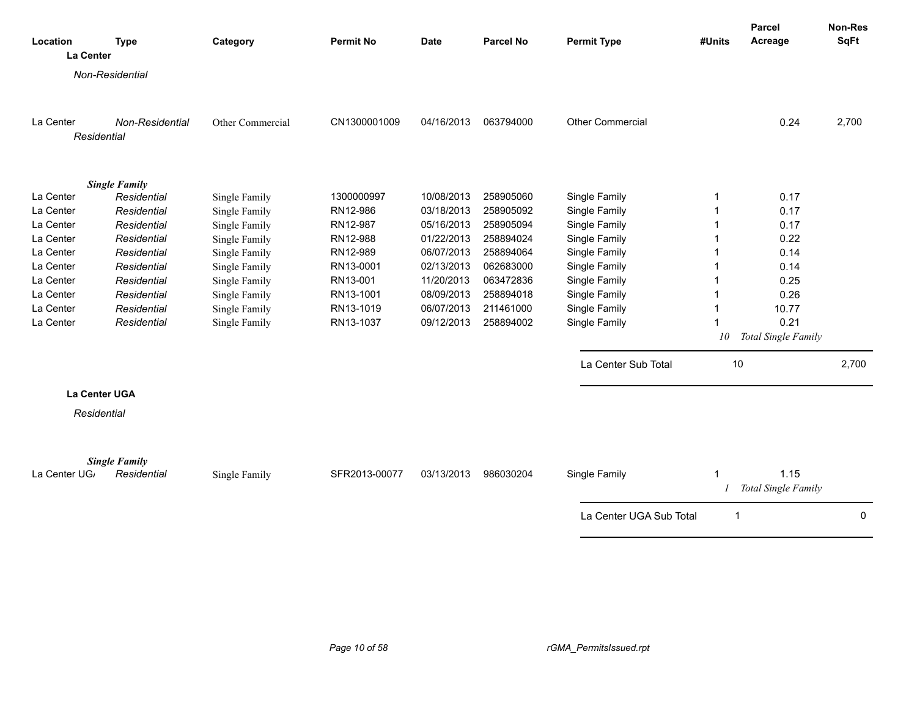| Location     | <b>Type</b>          | Category         | <b>Permit No</b> | <b>Date</b> | <b>Parcel No</b> | <b>Permit Type</b>      | #Units | Parcel<br>Acreage           | Non-Res<br><b>SqFt</b> |
|--------------|----------------------|------------------|------------------|-------------|------------------|-------------------------|--------|-----------------------------|------------------------|
| La Center    |                      |                  |                  |             |                  |                         |        |                             |                        |
|              | Non-Residential      |                  |                  |             |                  |                         |        |                             |                        |
|              |                      |                  |                  |             |                  |                         |        |                             |                        |
|              |                      |                  |                  |             |                  |                         |        |                             |                        |
| La Center    | Non-Residential      | Other Commercial | CN1300001009     | 04/16/2013  | 063794000        | <b>Other Commercial</b> |        | 0.24                        | 2,700                  |
| Residential  |                      |                  |                  |             |                  |                         |        |                             |                        |
|              | <b>Single Family</b> |                  |                  |             |                  |                         |        |                             |                        |
| La Center    | Residential          | Single Family    | 1300000997       | 10/08/2013  | 258905060        | Single Family           | 1      | 0.17                        |                        |
| La Center    | Residential          | Single Family    | RN12-986         | 03/18/2013  | 258905092        | Single Family           | 1      | 0.17                        |                        |
| La Center    | Residential          | Single Family    | RN12-987         | 05/16/2013  | 258905094        | Single Family           | -1     | 0.17                        |                        |
| La Center    | Residential          | Single Family    | RN12-988         | 01/22/2013  | 258894024        | Single Family           | 1      | 0.22                        |                        |
| La Center    | Residential          | Single Family    | RN12-989         | 06/07/2013  | 258894064        | Single Family           |        | 0.14                        |                        |
| La Center    | Residential          | Single Family    | RN13-0001        | 02/13/2013  | 062683000        | Single Family           | 1      | 0.14                        |                        |
| La Center    | Residential          | Single Family    | RN13-001         | 11/20/2013  | 063472836        | Single Family           | 1      | 0.25                        |                        |
| La Center    | Residential          | Single Family    | RN13-1001        | 08/09/2013  | 258894018        | Single Family           | 1      | 0.26                        |                        |
| La Center    | Residential          | Single Family    | RN13-1019        | 06/07/2013  | 211461000        | Single Family           | 1      | 10.77                       |                        |
| La Center    | Residential          | Single Family    | RN13-1037        | 09/12/2013  | 258894002        | Single Family           | 1      | 0.21                        |                        |
|              |                      |                  |                  |             |                  |                         | 10     | Total Single Family         |                        |
|              |                      |                  |                  |             |                  | La Center Sub Total     | 10     |                             | 2,700                  |
|              | <b>La Center UGA</b> |                  |                  |             |                  |                         |        |                             |                        |
| Residential  |                      |                  |                  |             |                  |                         |        |                             |                        |
|              |                      |                  |                  |             |                  |                         |        |                             |                        |
|              | <b>Single Family</b> |                  |                  |             |                  |                         |        |                             |                        |
| La Center UG | Residential          | Single Family    | SFR2013-00077    | 03/13/2013  | 986030204        | Single Family           | 1      | 1.15<br>Total Single Family |                        |
|              |                      |                  |                  |             |                  | La Center UGA Sub Total | 1      |                             | $\Omega$               |
|              |                      |                  |                  |             |                  |                         |        |                             |                        |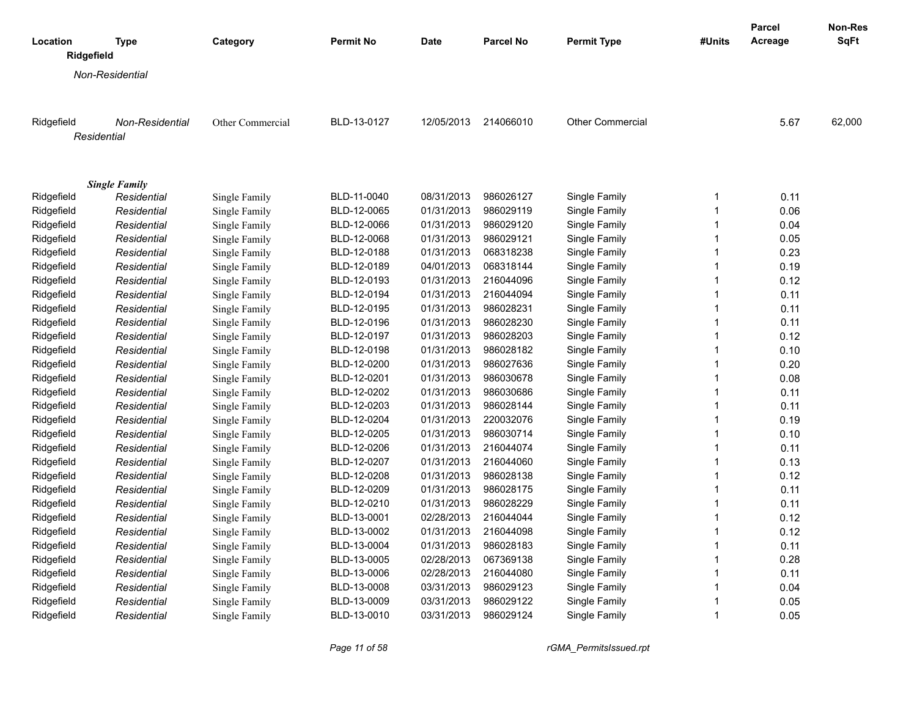|                        |                                     |                  |                  |             |           |                         |              | Parcel  | Non-Res     |
|------------------------|-------------------------------------|------------------|------------------|-------------|-----------|-------------------------|--------------|---------|-------------|
| Location<br>Ridgefield | Type                                | Category         | <b>Permit No</b> | <b>Date</b> | Parcel No | <b>Permit Type</b>      | #Units       | Acreage | <b>SqFt</b> |
|                        | <b>Non-Residential</b>              |                  |                  |             |           |                         |              |         |             |
|                        |                                     |                  |                  |             |           |                         |              |         |             |
| Ridgefield             | <b>Non-Residential</b>              | Other Commercial | BLD-13-0127      | 12/05/2013  | 214066010 | <b>Other Commercial</b> |              | 5.67    | 62,000      |
| Residential            |                                     |                  |                  |             |           |                         |              |         |             |
|                        |                                     |                  |                  |             |           |                         |              |         |             |
| Ridgefield             | <b>Single Family</b><br>Residential | Single Family    | BLD-11-0040      | 08/31/2013  | 986026127 | Single Family           | 1            | 0.11    |             |
| Ridgefield             | Residential                         | Single Family    | BLD-12-0065      | 01/31/2013  | 986029119 | Single Family           | $\mathbf{1}$ | 0.06    |             |
| Ridgefield             | Residential                         | Single Family    | BLD-12-0066      | 01/31/2013  | 986029120 | Single Family           | $\mathbf{1}$ | 0.04    |             |
| Ridgefield             | Residential                         | Single Family    | BLD-12-0068      | 01/31/2013  | 986029121 | Single Family           | $\mathbf{1}$ | 0.05    |             |
| Ridgefield             | Residential                         | Single Family    | BLD-12-0188      | 01/31/2013  | 068318238 | Single Family           | $\mathbf{1}$ | 0.23    |             |
| Ridgefield             | Residential                         | Single Family    | BLD-12-0189      | 04/01/2013  | 068318144 | Single Family           | $\mathbf{1}$ | 0.19    |             |
| Ridgefield             | Residential                         | Single Family    | BLD-12-0193      | 01/31/2013  | 216044096 | Single Family           | $\mathbf{1}$ | 0.12    |             |
| Ridgefield             | Residential                         | Single Family    | BLD-12-0194      | 01/31/2013  | 216044094 | Single Family           | $\mathbf{1}$ | 0.11    |             |
| Ridgefield             | Residential                         | Single Family    | BLD-12-0195      | 01/31/2013  | 986028231 | Single Family           | $\mathbf{1}$ | 0.11    |             |
| Ridgefield             | Residential                         | Single Family    | BLD-12-0196      | 01/31/2013  | 986028230 | Single Family           | $\mathbf{1}$ | 0.11    |             |
| Ridgefield             | Residential                         | Single Family    | BLD-12-0197      | 01/31/2013  | 986028203 | Single Family           | $\mathbf{1}$ | 0.12    |             |
| Ridgefield             | Residential                         | Single Family    | BLD-12-0198      | 01/31/2013  | 986028182 | Single Family           | $\mathbf{1}$ | 0.10    |             |
| Ridgefield             | Residential                         | Single Family    | BLD-12-0200      | 01/31/2013  | 986027636 | Single Family           | $\mathbf{1}$ | 0.20    |             |
| Ridgefield             | Residential                         | Single Family    | BLD-12-0201      | 01/31/2013  | 986030678 | Single Family           | $\mathbf{1}$ | 0.08    |             |
| Ridgefield             | Residential                         | Single Family    | BLD-12-0202      | 01/31/2013  | 986030686 | Single Family           | $\mathbf{1}$ | 0.11    |             |
| Ridgefield             | Residential                         | Single Family    | BLD-12-0203      | 01/31/2013  | 986028144 | Single Family           | $\mathbf{1}$ | 0.11    |             |
| Ridgefield             | Residential                         | Single Family    | BLD-12-0204      | 01/31/2013  | 220032076 | Single Family           | $\mathbf{1}$ | 0.19    |             |
| Ridgefield             | Residential                         | Single Family    | BLD-12-0205      | 01/31/2013  | 986030714 | Single Family           | $\mathbf{1}$ | 0.10    |             |
| Ridgefield             | Residential                         | Single Family    | BLD-12-0206      | 01/31/2013  | 216044074 | Single Family           | $\mathbf{1}$ | 0.11    |             |
| Ridgefield             | Residential                         | Single Family    | BLD-12-0207      | 01/31/2013  | 216044060 | Single Family           | $\mathbf{1}$ | 0.13    |             |
| Ridgefield             | Residential                         | Single Family    | BLD-12-0208      | 01/31/2013  | 986028138 | Single Family           | $\mathbf{1}$ | 0.12    |             |
| Ridgefield             | Residential                         | Single Family    | BLD-12-0209      | 01/31/2013  | 986028175 | Single Family           | $\mathbf{1}$ | 0.11    |             |
| Ridgefield             | Residential                         | Single Family    | BLD-12-0210      | 01/31/2013  | 986028229 | Single Family           | $\mathbf{1}$ | 0.11    |             |
| Ridgefield             | Residential                         | Single Family    | BLD-13-0001      | 02/28/2013  | 216044044 | Single Family           | $\mathbf{1}$ | 0.12    |             |
| Ridgefield             | Residential                         | Single Family    | BLD-13-0002      | 01/31/2013  | 216044098 | Single Family           | $\mathbf{1}$ | 0.12    |             |
| Ridgefield             | Residential                         | Single Family    | BLD-13-0004      | 01/31/2013  | 986028183 | Single Family           | $\mathbf{1}$ | 0.11    |             |
| Ridgefield             | Residential                         | Single Family    | BLD-13-0005      | 02/28/2013  | 067369138 | Single Family           | $\mathbf{1}$ | 0.28    |             |
| Ridgefield             | Residential                         | Single Family    | BLD-13-0006      | 02/28/2013  | 216044080 | Single Family           | $\mathbf{1}$ | 0.11    |             |
| Ridgefield             | Residential                         | Single Family    | BLD-13-0008      | 03/31/2013  | 986029123 | Single Family           | $\mathbf{1}$ | 0.04    |             |
| Ridgefield             | Residential                         | Single Family    | BLD-13-0009      | 03/31/2013  | 986029122 | Single Family           | 1            | 0.05    |             |
| Ridgefield             | Residential                         | Single Family    | BLD-13-0010      | 03/31/2013  | 986029124 | Single Family           | $\mathbf{1}$ | 0.05    |             |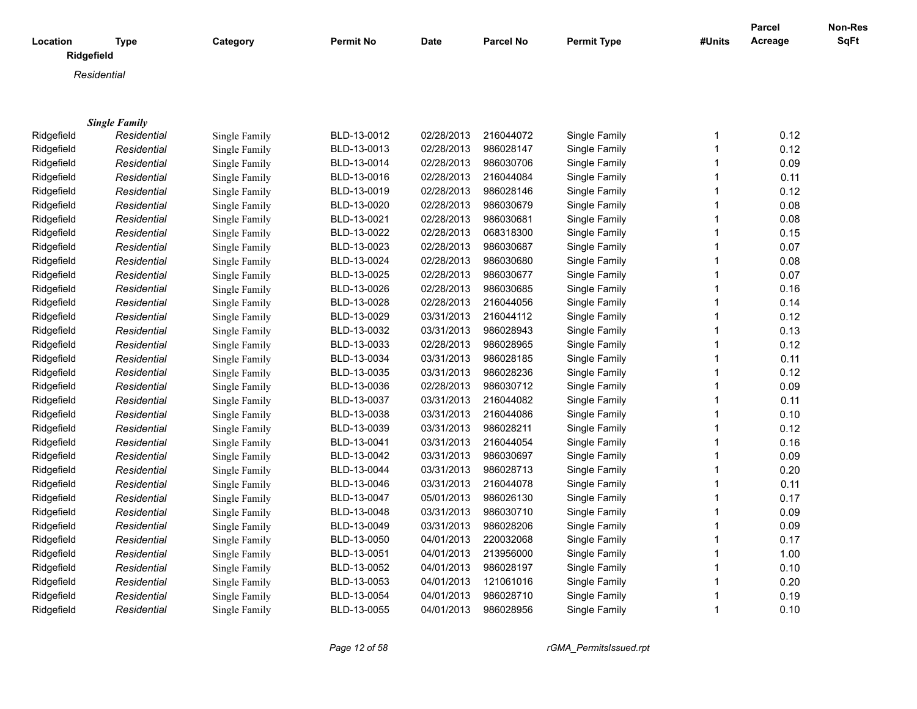| Location   | Type                 | Category      | <b>Permit No</b> | Date       | <b>Parcel No</b> | <b>Permit Type</b> | #Units       | <b>Parcel</b><br>Acreage | Non-Res<br><b>SqFt</b> |
|------------|----------------------|---------------|------------------|------------|------------------|--------------------|--------------|--------------------------|------------------------|
|            | Ridgefield           |               |                  |            |                  |                    |              |                          |                        |
|            | Residential          |               |                  |            |                  |                    |              |                          |                        |
|            |                      |               |                  |            |                  |                    |              |                          |                        |
|            |                      |               |                  |            |                  |                    |              |                          |                        |
|            | <b>Single Family</b> |               |                  |            |                  |                    |              |                          |                        |
| Ridgefield | Residential          | Single Family | BLD-13-0012      | 02/28/2013 | 216044072        | Single Family      | $\mathbf{1}$ | 0.12                     |                        |
| Ridgefield | Residential          | Single Family | BLD-13-0013      | 02/28/2013 | 986028147        | Single Family      | $\mathbf{1}$ | 0.12                     |                        |
| Ridgefield | Residential          | Single Family | BLD-13-0014      | 02/28/2013 | 986030706        | Single Family      | $\mathbf{1}$ | 0.09                     |                        |
| Ridgefield | Residential          | Single Family | BLD-13-0016      | 02/28/2013 | 216044084        | Single Family      | 1            | 0.11                     |                        |
| Ridgefield | Residential          | Single Family | BLD-13-0019      | 02/28/2013 | 986028146        | Single Family      | 1            | 0.12                     |                        |
| Ridgefield | Residential          | Single Family | BLD-13-0020      | 02/28/2013 | 986030679        | Single Family      | 1            | 0.08                     |                        |
| Ridgefield | Residential          | Single Family | BLD-13-0021      | 02/28/2013 | 986030681        | Single Family      | $\mathbf{1}$ | 0.08                     |                        |
| Ridgefield | Residential          | Single Family | BLD-13-0022      | 02/28/2013 | 068318300        | Single Family      | 1            | 0.15                     |                        |
| Ridgefield | Residential          | Single Family | BLD-13-0023      | 02/28/2013 | 986030687        | Single Family      | 1            | 0.07                     |                        |
| Ridgefield | Residential          | Single Family | BLD-13-0024      | 02/28/2013 | 986030680        | Single Family      | $\mathbf 1$  | 0.08                     |                        |
| Ridgefield | Residential          | Single Family | BLD-13-0025      | 02/28/2013 | 986030677        | Single Family      | $\mathbf 1$  | 0.07                     |                        |
| Ridgefield | Residential          | Single Family | BLD-13-0026      | 02/28/2013 | 986030685        | Single Family      | $\mathbf{1}$ | 0.16                     |                        |
| Ridgefield | Residential          | Single Family | BLD-13-0028      | 02/28/2013 | 216044056        | Single Family      | 1            | 0.14                     |                        |
| Ridgefield | Residential          | Single Family | BLD-13-0029      | 03/31/2013 | 216044112        | Single Family      | 1            | 0.12                     |                        |
| Ridgefield | Residential          | Single Family | BLD-13-0032      | 03/31/2013 | 986028943        | Single Family      | 1            | 0.13                     |                        |
| Ridgefield | Residential          | Single Family | BLD-13-0033      | 02/28/2013 | 986028965        | Single Family      | $\mathbf{1}$ | 0.12                     |                        |
| Ridgefield | Residential          | Single Family | BLD-13-0034      | 03/31/2013 | 986028185        | Single Family      | 1            | 0.11                     |                        |
| Ridgefield | Residential          | Single Family | BLD-13-0035      | 03/31/2013 | 986028236        | Single Family      | $\mathbf{1}$ | 0.12                     |                        |
| Ridgefield | Residential          | Single Family | BLD-13-0036      | 02/28/2013 | 986030712        | Single Family      | 1            | 0.09                     |                        |
| Ridgefield | Residential          | Single Family | BLD-13-0037      | 03/31/2013 | 216044082        | Single Family      | $\mathbf{1}$ | 0.11                     |                        |
| Ridgefield | Residential          | Single Family | BLD-13-0038      | 03/31/2013 | 216044086        | Single Family      | $\mathbf{1}$ | 0.10                     |                        |
| Ridgefield | Residential          | Single Family | BLD-13-0039      | 03/31/2013 | 986028211        | Single Family      | 1            | 0.12                     |                        |
| Ridgefield | Residential          | Single Family | BLD-13-0041      | 03/31/2013 | 216044054        | Single Family      | 1            | 0.16                     |                        |
| Ridgefield | Residential          | Single Family | BLD-13-0042      | 03/31/2013 | 986030697        | Single Family      | $\mathbf{1}$ | 0.09                     |                        |
| Ridgefield | Residential          | Single Family | BLD-13-0044      | 03/31/2013 | 986028713        | Single Family      | $\mathbf{1}$ | 0.20                     |                        |
| Ridgefield | Residential          | Single Family | BLD-13-0046      | 03/31/2013 | 216044078        | Single Family      | 1            | 0.11                     |                        |
| Ridgefield | Residential          | Single Family | BLD-13-0047      | 05/01/2013 | 986026130        | Single Family      | 1            | 0.17                     |                        |
| Ridgefield | Residential          | Single Family | BLD-13-0048      | 03/31/2013 | 986030710        | Single Family      | $\mathbf{1}$ | 0.09                     |                        |
| Ridgefield | Residential          | Single Family | BLD-13-0049      | 03/31/2013 | 986028206        | Single Family      | 1            | 0.09                     |                        |
| Ridgefield | Residential          | Single Family | BLD-13-0050      | 04/01/2013 | 220032068        | Single Family      | 1            | 0.17                     |                        |
| Ridgefield | Residential          | Single Family | BLD-13-0051      | 04/01/2013 | 213956000        | Single Family      | 1            | 1.00                     |                        |
| Ridgefield | Residential          | Single Family | BLD-13-0052      | 04/01/2013 | 986028197        | Single Family      | $\mathbf{1}$ | 0.10                     |                        |
| Ridgefield | Residential          | Single Family | BLD-13-0053      | 04/01/2013 | 121061016        | Single Family      | 1            | 0.20                     |                        |
| Ridgefield | Residential          | Single Family | BLD-13-0054      | 04/01/2013 | 986028710        | Single Family      | 1            | 0.19                     |                        |
| Ridgefield | Residential          | Single Family | BLD-13-0055      | 04/01/2013 | 986028956        | Single Family      | 1            | 0.10                     |                        |
|            |                      |               |                  |            |                  |                    |              |                          |                        |

*Page 12 of 58 rGMA\_PermitsIssued.rpt*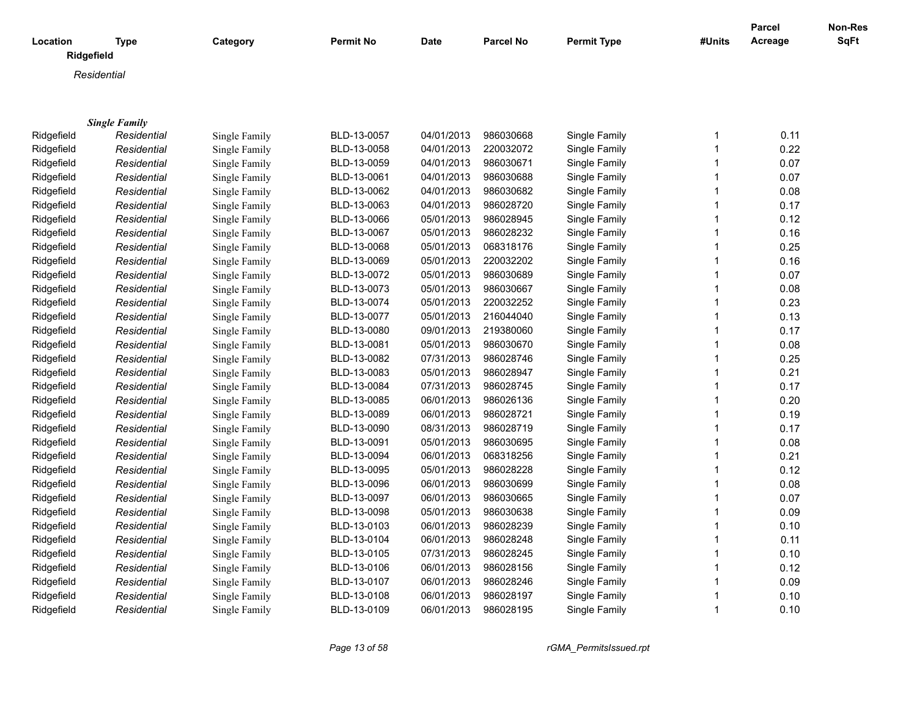|            |                           |               |             |             |                  |                    |        | <b>Parcel</b> | <b>Non-Res</b> |
|------------|---------------------------|---------------|-------------|-------------|------------------|--------------------|--------|---------------|----------------|
| Location   | <b>Type</b><br>Ridgefield | Category      | Permit No   | <b>Date</b> | <b>Parcel No</b> | <b>Permit Type</b> | #Units | Acreage       | <b>SqFt</b>    |
|            | Residential               |               |             |             |                  |                    |        |               |                |
|            |                           |               |             |             |                  |                    |        |               |                |
|            |                           |               |             |             |                  |                    |        |               |                |
|            | <b>Single Family</b>      |               |             |             |                  |                    |        |               |                |
| Ridgefield | Residential               | Single Family | BLD-13-0057 | 04/01/2013  | 986030668        | Single Family      | 1      | 0.11          |                |
| Ridgefield | Residential               | Single Family | BLD-13-0058 | 04/01/2013  | 220032072        | Single Family      | 1      | 0.22          |                |
| Ridgefield | Residential               | Single Family | BLD-13-0059 | 04/01/2013  | 986030671        | Single Family      | 1      | 0.07          |                |
| Ridgefield | Residential               | Single Family | BLD-13-0061 | 04/01/2013  | 986030688        | Single Family      | 1      | 0.07          |                |
| Ridgefield | Residential               | Single Family | BLD-13-0062 | 04/01/2013  | 986030682        | Single Family      | 1      | 0.08          |                |
| Ridgefield | Residential               | Single Family | BLD-13-0063 | 04/01/2013  | 986028720        | Single Family      | 1      | 0.17          |                |
| Ridgefield | Residential               | Single Family | BLD-13-0066 | 05/01/2013  | 986028945        | Single Family      | 1      | 0.12          |                |
| Ridgefield | Residential               | Single Family | BLD-13-0067 | 05/01/2013  | 986028232        | Single Family      | 1      | 0.16          |                |
| Ridgefield | Residential               | Single Family | BLD-13-0068 | 05/01/2013  | 068318176        | Single Family      | 1      | 0.25          |                |
| Ridgefield | Residential               | Single Family | BLD-13-0069 | 05/01/2013  | 220032202        | Single Family      | 1      | 0.16          |                |
| Ridgefield | Residential               | Single Family | BLD-13-0072 | 05/01/2013  | 986030689        | Single Family      | 1      | 0.07          |                |
| Ridgefield | Residential               | Single Family | BLD-13-0073 | 05/01/2013  | 986030667        | Single Family      | 1      | 0.08          |                |
| Ridgefield | Residential               | Single Family | BLD-13-0074 | 05/01/2013  | 220032252        | Single Family      | 1      | 0.23          |                |
| Ridgefield | Residential               | Single Family | BLD-13-0077 | 05/01/2013  | 216044040        | Single Family      | 1      | 0.13          |                |
| Ridgefield | Residential               | Single Family | BLD-13-0080 | 09/01/2013  | 219380060        | Single Family      | 1      | 0.17          |                |
| Ridgefield | Residential               | Single Family | BLD-13-0081 | 05/01/2013  | 986030670        | Single Family      | 1      | 0.08          |                |
| Ridgefield | Residential               | Single Family | BLD-13-0082 | 07/31/2013  | 986028746        | Single Family      | 1      | 0.25          |                |
| Ridgefield | Residential               | Single Family | BLD-13-0083 | 05/01/2013  | 986028947        | Single Family      | 1      | 0.21          |                |
| Ridgefield | Residential               | Single Family | BLD-13-0084 | 07/31/2013  | 986028745        | Single Family      | 1      | 0.17          |                |
| Ridgefield | Residential               | Single Family | BLD-13-0085 | 06/01/2013  | 986026136        | Single Family      | 1      | 0.20          |                |
| Ridgefield | Residential               | Single Family | BLD-13-0089 | 06/01/2013  | 986028721        | Single Family      | 1      | 0.19          |                |
| Ridgefield | Residential               | Single Family | BLD-13-0090 | 08/31/2013  | 986028719        | Single Family      | 1      | 0.17          |                |
| Ridgefield | Residential               | Single Family | BLD-13-0091 | 05/01/2013  | 986030695        | Single Family      | 1      | 0.08          |                |
| Ridgefield | Residential               | Single Family | BLD-13-0094 | 06/01/2013  | 068318256        | Single Family      | 1      | 0.21          |                |
| Ridgefield | Residential               | Single Family | BLD-13-0095 | 05/01/2013  | 986028228        | Single Family      | 1      | 0.12          |                |
| Ridgefield | Residential               | Single Family | BLD-13-0096 | 06/01/2013  | 986030699        | Single Family      | 1      | 0.08          |                |
| Ridgefield | Residential               | Single Family | BLD-13-0097 | 06/01/2013  | 986030665        | Single Family      | 1      | 0.07          |                |
| Ridgefield | Residential               | Single Family | BLD-13-0098 | 05/01/2013  | 986030638        | Single Family      | 1      | 0.09          |                |
| Ridgefield | Residential               | Single Family | BLD-13-0103 | 06/01/2013  | 986028239        | Single Family      | 1      | 0.10          |                |
| Ridgefield | Residential               | Single Family | BLD-13-0104 | 06/01/2013  | 986028248        | Single Family      | 1      | 0.11          |                |
| Ridgefield | Residential               | Single Family | BLD-13-0105 | 07/31/2013  | 986028245        | Single Family      | 1      | 0.10          |                |
| Ridgefield | Residential               | Single Family | BLD-13-0106 | 06/01/2013  | 986028156        | Single Family      | 1      | 0.12          |                |
| Ridgefield | Residential               | Single Family | BLD-13-0107 | 06/01/2013  | 986028246        | Single Family      | 1      | 0.09          |                |
| Ridgefield | Residential               | Single Family | BLD-13-0108 | 06/01/2013  | 986028197        | Single Family      | 1      | 0.10          |                |
| Ridgefield | Residential               | Single Family | BLD-13-0109 | 06/01/2013  | 986028195        | Single Family      | 1      | 0.10          |                |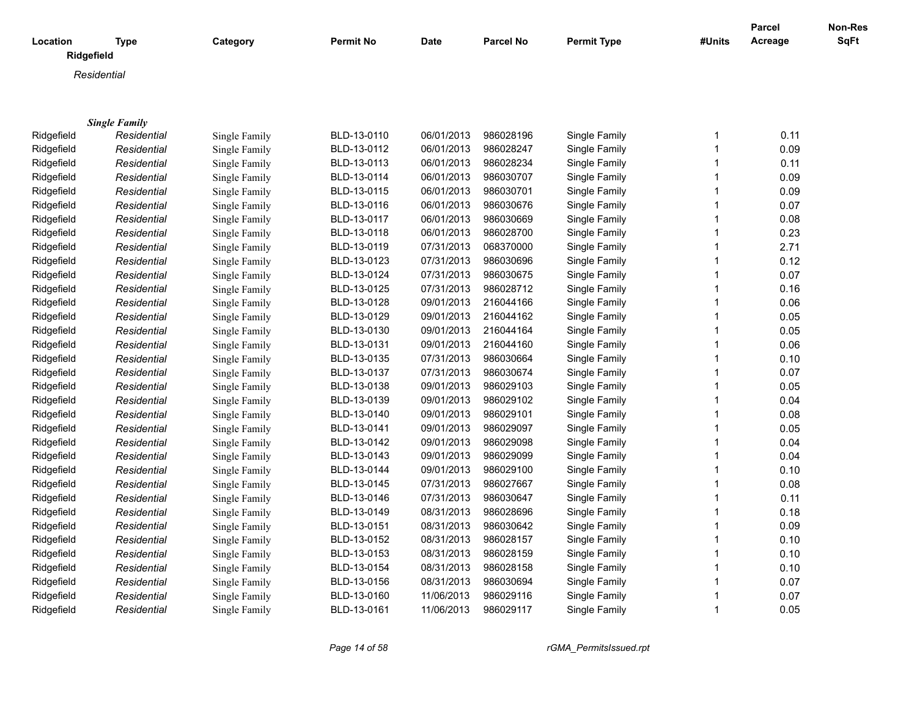| Location   | <b>Type</b>          | Category             | Permit No   | <b>Date</b> | <b>Parcel No</b> | <b>Permit Type</b> | #Units       | Parcel<br>Acreage | Non-Res<br>SqFt |
|------------|----------------------|----------------------|-------------|-------------|------------------|--------------------|--------------|-------------------|-----------------|
| Ridgefield |                      |                      |             |             |                  |                    |              |                   |                 |
|            | Residential          |                      |             |             |                  |                    |              |                   |                 |
|            |                      |                      |             |             |                  |                    |              |                   |                 |
|            |                      |                      |             |             |                  |                    |              |                   |                 |
|            | <b>Single Family</b> |                      |             |             |                  |                    |              |                   |                 |
| Ridgefield | Residential          | Single Family        | BLD-13-0110 | 06/01/2013  | 986028196        | Single Family      | 1            | 0.11              |                 |
| Ridgefield | Residential          | Single Family        | BLD-13-0112 | 06/01/2013  | 986028247        | Single Family      | $\mathbf{1}$ | 0.09              |                 |
| Ridgefield | Residential          | Single Family        | BLD-13-0113 | 06/01/2013  | 986028234        | Single Family      | $\mathbf{1}$ | 0.11              |                 |
| Ridgefield | Residential          | Single Family        | BLD-13-0114 | 06/01/2013  | 986030707        | Single Family      | $\mathbf{1}$ | 0.09              |                 |
| Ridgefield | Residential          | Single Family        | BLD-13-0115 | 06/01/2013  | 986030701        | Single Family      | $\mathbf{1}$ | 0.09              |                 |
| Ridgefield | Residential          | Single Family        | BLD-13-0116 | 06/01/2013  | 986030676        | Single Family      | $\mathbf{1}$ | 0.07              |                 |
| Ridgefield | Residential          | Single Family        | BLD-13-0117 | 06/01/2013  | 986030669        | Single Family      | $\mathbf{1}$ | 0.08              |                 |
| Ridgefield | Residential          | Single Family        | BLD-13-0118 | 06/01/2013  | 986028700        | Single Family      | $\mathbf{1}$ | 0.23              |                 |
| Ridgefield | Residential          | <b>Single Family</b> | BLD-13-0119 | 07/31/2013  | 068370000        | Single Family      | $\mathbf{1}$ | 2.71              |                 |
| Ridgefield | Residential          | Single Family        | BLD-13-0123 | 07/31/2013  | 986030696        | Single Family      | 1            | 0.12              |                 |
| Ridgefield | Residential          | Single Family        | BLD-13-0124 | 07/31/2013  | 986030675        | Single Family      | $\mathbf{1}$ | 0.07              |                 |
| Ridgefield | Residential          | Single Family        | BLD-13-0125 | 07/31/2013  | 986028712        | Single Family      | $\mathbf{1}$ | 0.16              |                 |
| Ridgefield | Residential          | Single Family        | BLD-13-0128 | 09/01/2013  | 216044166        | Single Family      | $\mathbf{1}$ | 0.06              |                 |
| Ridgefield | Residential          | Single Family        | BLD-13-0129 | 09/01/2013  | 216044162        | Single Family      | 1            | 0.05              |                 |
| Ridgefield | Residential          | Single Family        | BLD-13-0130 | 09/01/2013  | 216044164        | Single Family      | $\mathbf 1$  | 0.05              |                 |
| Ridgefield | Residential          | Single Family        | BLD-13-0131 | 09/01/2013  | 216044160        | Single Family      | $\mathbf{1}$ | 0.06              |                 |
| Ridgefield | Residential          | Single Family        | BLD-13-0135 | 07/31/2013  | 986030664        | Single Family      | $\mathbf 1$  | 0.10              |                 |
| Ridgefield | Residential          | Single Family        | BLD-13-0137 | 07/31/2013  | 986030674        | Single Family      | 1            | 0.07              |                 |
| Ridgefield | Residential          | Single Family        | BLD-13-0138 | 09/01/2013  | 986029103        | Single Family      | $\mathbf{1}$ | 0.05              |                 |
| Ridgefield | Residential          | Single Family        | BLD-13-0139 | 09/01/2013  | 986029102        | Single Family      | $\mathbf{1}$ | 0.04              |                 |
| Ridgefield | Residential          | Single Family        | BLD-13-0140 | 09/01/2013  | 986029101        | Single Family      | $\mathbf{1}$ | 0.08              |                 |
| Ridgefield | Residential          | Single Family        | BLD-13-0141 | 09/01/2013  | 986029097        | Single Family      | $\mathbf{1}$ | 0.05              |                 |
| Ridgefield | Residential          | Single Family        | BLD-13-0142 | 09/01/2013  | 986029098        | Single Family      | $\mathbf 1$  | 0.04              |                 |
| Ridgefield | Residential          | Single Family        | BLD-13-0143 | 09/01/2013  | 986029099        | Single Family      | $\mathbf{1}$ | 0.04              |                 |
| Ridgefield | Residential          | Single Family        | BLD-13-0144 | 09/01/2013  | 986029100        | Single Family      | $\mathbf 1$  | 0.10              |                 |
| Ridgefield | Residential          | Single Family        | BLD-13-0145 | 07/31/2013  | 986027667        | Single Family      | $\mathbf 1$  | 0.08              |                 |
| Ridgefield | Residential          | Single Family        | BLD-13-0146 | 07/31/2013  | 986030647        | Single Family      | $\mathbf{1}$ | 0.11              |                 |
| Ridgefield | Residential          | Single Family        | BLD-13-0149 | 08/31/2013  | 986028696        | Single Family      | $\mathbf{1}$ | 0.18              |                 |
| Ridgefield | Residential          | Single Family        | BLD-13-0151 | 08/31/2013  | 986030642        | Single Family      | $\mathbf{1}$ | 0.09              |                 |
| Ridgefield | Residential          | Single Family        | BLD-13-0152 | 08/31/2013  | 986028157        | Single Family      | $\mathbf{1}$ | 0.10              |                 |
| Ridgefield | Residential          | Single Family        | BLD-13-0153 | 08/31/2013  | 986028159        | Single Family      | $\mathbf{1}$ | 0.10              |                 |
| Ridgefield | Residential          | Single Family        | BLD-13-0154 | 08/31/2013  | 986028158        | Single Family      | $\mathbf{1}$ | 0.10              |                 |
| Ridgefield | Residential          | Single Family        | BLD-13-0156 | 08/31/2013  | 986030694        | Single Family      | $\mathbf{1}$ | 0.07              |                 |
| Ridgefield | Residential          | Single Family        | BLD-13-0160 | 11/06/2013  | 986029116        | Single Family      | $\mathbf{1}$ | 0.07              |                 |
| Ridgefield | Residential          | Single Family        | BLD-13-0161 | 11/06/2013  | 986029117        | Single Family      | $\mathbf{1}$ | 0.05              |                 |
|            |                      |                      |             |             |                  |                    |              |                   |                 |

*Page 14 of 58 rGMA\_PermitsIssued.rpt*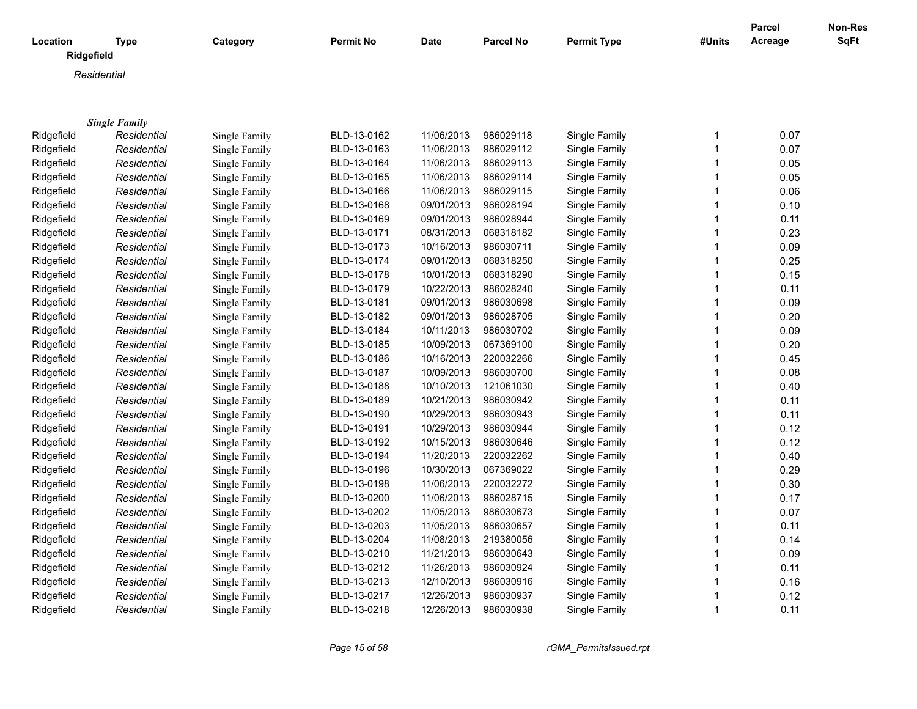|                        |                      |               |                  |             |                  |                    |              | Parcel  | <b>Non-Res</b> |
|------------------------|----------------------|---------------|------------------|-------------|------------------|--------------------|--------------|---------|----------------|
| Location<br>Ridgefield | <b>Type</b>          | Category      | <b>Permit No</b> | <b>Date</b> | <b>Parcel No</b> | <b>Permit Type</b> | #Units       | Acreage | <b>SqFt</b>    |
| Residential            |                      |               |                  |             |                  |                    |              |         |                |
|                        |                      |               |                  |             |                  |                    |              |         |                |
|                        |                      |               |                  |             |                  |                    |              |         |                |
|                        | <b>Single Family</b> |               |                  |             |                  |                    |              |         |                |
| Ridgefield             | Residential          | Single Family | BLD-13-0162      | 11/06/2013  | 986029118        | Single Family      | 1            | 0.07    |                |
| Ridgefield             | Residential          | Single Family | BLD-13-0163      | 11/06/2013  | 986029112        | Single Family      | $\mathbf{1}$ | 0.07    |                |
| Ridgefield             | Residential          | Single Family | BLD-13-0164      | 11/06/2013  | 986029113        | Single Family      | 1            | 0.05    |                |
| Ridgefield             | Residential          | Single Family | BLD-13-0165      | 11/06/2013  | 986029114        | Single Family      | 1            | 0.05    |                |
| Ridgefield             | Residential          | Single Family | BLD-13-0166      | 11/06/2013  | 986029115        | Single Family      | 1            | 0.06    |                |
| Ridgefield             | Residential          | Single Family | BLD-13-0168      | 09/01/2013  | 986028194        | Single Family      | 1            | 0.10    |                |
| Ridgefield             | Residential          | Single Family | BLD-13-0169      | 09/01/2013  | 986028944        | Single Family      | 1            | 0.11    |                |
| Ridgefield             | Residential          | Single Family | BLD-13-0171      | 08/31/2013  | 068318182        | Single Family      | 1            | 0.23    |                |
| Ridgefield             | Residential          | Single Family | BLD-13-0173      | 10/16/2013  | 986030711        | Single Family      | 1            | 0.09    |                |
| Ridgefield             | Residential          | Single Family | BLD-13-0174      | 09/01/2013  | 068318250        | Single Family      | 1            | 0.25    |                |
| Ridgefield             | Residential          | Single Family | BLD-13-0178      | 10/01/2013  | 068318290        | Single Family      | 1            | 0.15    |                |
| Ridgefield             | Residential          | Single Family | BLD-13-0179      | 10/22/2013  | 986028240        | Single Family      | 1            | 0.11    |                |
| Ridgefield             | Residential          | Single Family | BLD-13-0181      | 09/01/2013  | 986030698        | Single Family      | 1            | 0.09    |                |
| Ridgefield             | Residential          | Single Family | BLD-13-0182      | 09/01/2013  | 986028705        | Single Family      | 1            | 0.20    |                |
| Ridgefield             | Residential          | Single Family | BLD-13-0184      | 10/11/2013  | 986030702        | Single Family      | 1            | 0.09    |                |
| Ridgefield             | Residential          | Single Family | BLD-13-0185      | 10/09/2013  | 067369100        | Single Family      | 1            | 0.20    |                |
| Ridgefield             | Residential          | Single Family | BLD-13-0186      | 10/16/2013  | 220032266        | Single Family      | 1            | 0.45    |                |
| Ridgefield             | Residential          | Single Family | BLD-13-0187      | 10/09/2013  | 986030700        | Single Family      | 1            | 0.08    |                |
| Ridgefield             | Residential          | Single Family | BLD-13-0188      | 10/10/2013  | 121061030        | Single Family      | 1            | 0.40    |                |
| Ridgefield             | Residential          | Single Family | BLD-13-0189      | 10/21/2013  | 986030942        | Single Family      | 1            | 0.11    |                |
| Ridgefield             | Residential          | Single Family | BLD-13-0190      | 10/29/2013  | 986030943        | Single Family      | 1            | 0.11    |                |
| Ridgefield             | Residential          | Single Family | BLD-13-0191      | 10/29/2013  | 986030944        | Single Family      | 1            | 0.12    |                |
| Ridgefield             | Residential          | Single Family | BLD-13-0192      | 10/15/2013  | 986030646        | Single Family      | 1            | 0.12    |                |
| Ridgefield             | Residential          | Single Family | BLD-13-0194      | 11/20/2013  | 220032262        | Single Family      | 1            | 0.40    |                |
| Ridgefield             | Residential          | Single Family | BLD-13-0196      | 10/30/2013  | 067369022        | Single Family      | 1            | 0.29    |                |
| Ridgefield             | Residential          | Single Family | BLD-13-0198      | 11/06/2013  | 220032272        | Single Family      | 1            | 0.30    |                |
| Ridgefield             | Residential          | Single Family | BLD-13-0200      | 11/06/2013  | 986028715        | Single Family      | 1            | 0.17    |                |
| Ridgefield             | Residential          | Single Family | BLD-13-0202      | 11/05/2013  | 986030673        | Single Family      | 1            | 0.07    |                |
| Ridgefield             | Residential          | Single Family | BLD-13-0203      | 11/05/2013  | 986030657        | Single Family      | 1            | 0.11    |                |
| Ridgefield             | Residential          | Single Family | BLD-13-0204      | 11/08/2013  | 219380056        | Single Family      | 1            | 0.14    |                |
| Ridgefield             | Residential          | Single Family | BLD-13-0210      | 11/21/2013  | 986030643        | Single Family      | $\mathbf{1}$ | 0.09    |                |
| Ridgefield             | Residential          | Single Family | BLD-13-0212      | 11/26/2013  | 986030924        | Single Family      | 1            | 0.11    |                |
| Ridgefield             | Residential          | Single Family | BLD-13-0213      | 12/10/2013  | 986030916        | Single Family      | 1            | 0.16    |                |
| Ridgefield             | Residential          | Single Family | BLD-13-0217      | 12/26/2013  | 986030937        | Single Family      | 1            | 0.12    |                |
| Ridgefield             | Residential          | Single Family | BLD-13-0218      | 12/26/2013  | 986030938        | Single Family      | 1            | 0.11    |                |

*Page 15 of 58 rGMA\_PermitsIssued.rpt*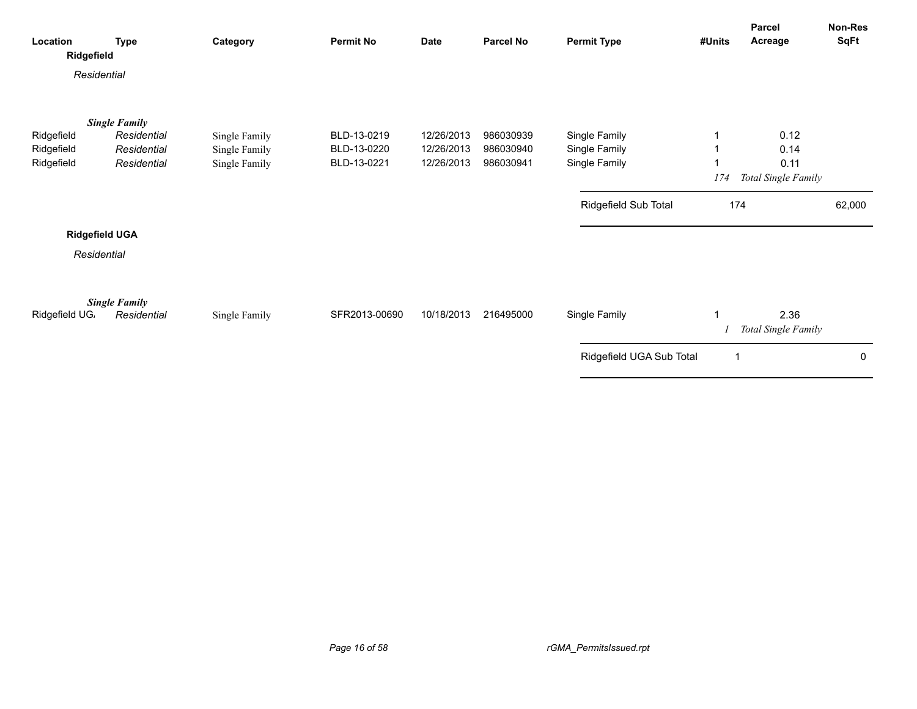| Location<br>Ridgefield   | <b>Type</b>                         | Category                       | <b>Permit No</b> | <b>Date</b> | Parcel No | <b>Permit Type</b>             | #Units | Parcel<br>Acreage           | Non-Res<br>SqFt |
|--------------------------|-------------------------------------|--------------------------------|------------------|-------------|-----------|--------------------------------|--------|-----------------------------|-----------------|
| Residential              |                                     |                                |                  |             |           |                                |        |                             |                 |
|                          | <b>Single Family</b><br>Residential |                                | BLD-13-0219      | 12/26/2013  | 986030939 |                                |        | 0.12                        |                 |
| Ridgefield<br>Ridgefield | Residential                         | Single Family<br>Single Family | BLD-13-0220      | 12/26/2013  | 986030940 | Single Family<br>Single Family |        | 0.14                        |                 |
| Ridgefield               | Residential                         | Single Family                  | BLD-13-0221      | 12/26/2013  | 986030941 | Single Family                  |        | 0.11                        |                 |
|                          |                                     |                                |                  |             |           |                                | 174    | Total Single Family         |                 |
|                          |                                     |                                |                  |             |           | Ridgefield Sub Total           | 174    |                             | 62,000          |
| <b>Ridgefield UGA</b>    |                                     |                                |                  |             |           |                                |        |                             |                 |
| Residential              |                                     |                                |                  |             |           |                                |        |                             |                 |
| Ridgefield UG.           | <b>Single Family</b><br>Residential | Single Family                  | SFR2013-00690    | 10/18/2013  | 216495000 | Single Family                  | 1      | 2.36<br>Total Single Family |                 |
|                          |                                     |                                |                  |             |           | Ridgefield UGA Sub Total       | 1      |                             | 0               |
|                          |                                     |                                |                  |             |           |                                |        |                             |                 |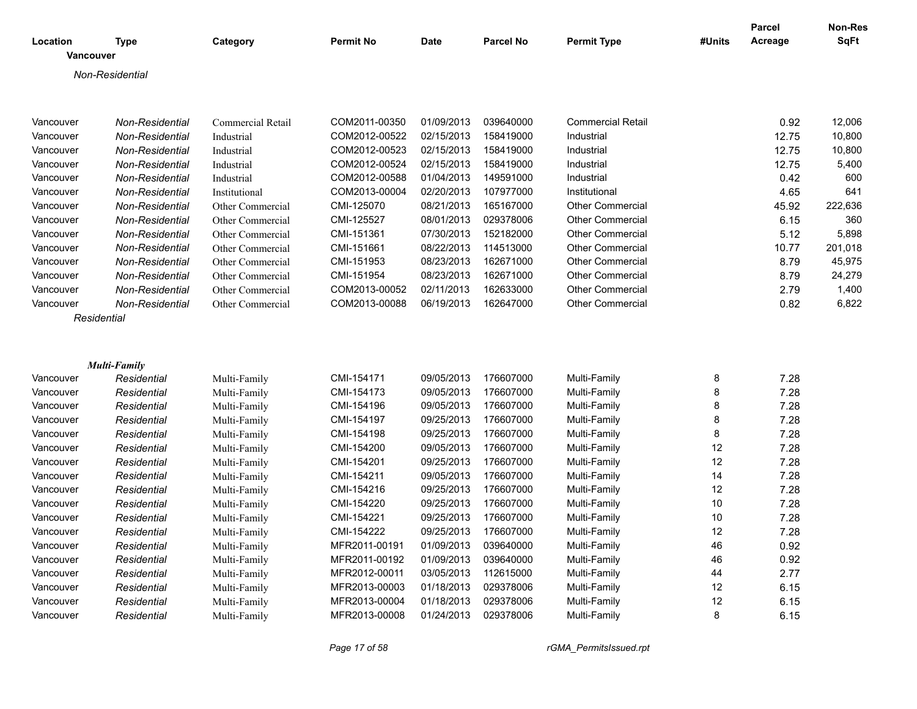| Location         | Type                | Category          | <b>Permit No</b> | <b>Date</b> | <b>Parcel No</b> | <b>Permit Type</b>       | #Units | Parcel<br>Acreage | Non-Res<br><b>SqFt</b> |
|------------------|---------------------|-------------------|------------------|-------------|------------------|--------------------------|--------|-------------------|------------------------|
| <b>Vancouver</b> |                     |                   |                  |             |                  |                          |        |                   |                        |
|                  | Non-Residential     |                   |                  |             |                  |                          |        |                   |                        |
|                  |                     |                   |                  |             |                  |                          |        |                   |                        |
|                  |                     |                   |                  |             |                  |                          |        |                   |                        |
| Vancouver        | Non-Residential     | Commercial Retail | COM2011-00350    | 01/09/2013  | 039640000        | <b>Commercial Retail</b> |        | 0.92              | 12,006                 |
| Vancouver        | Non-Residential     | Industrial        | COM2012-00522    | 02/15/2013  | 158419000        | Industrial               |        | 12.75             | 10,800                 |
| Vancouver        | Non-Residential     | Industrial        | COM2012-00523    | 02/15/2013  | 158419000        | Industrial               |        | 12.75             | 10,800                 |
| Vancouver        | Non-Residential     | Industrial        | COM2012-00524    | 02/15/2013  | 158419000        | Industrial               |        | 12.75             | 5,400                  |
| Vancouver        | Non-Residential     | Industrial        | COM2012-00588    | 01/04/2013  | 149591000        | Industrial               |        | 0.42              | 600                    |
| Vancouver        | Non-Residential     | Institutional     | COM2013-00004    | 02/20/2013  | 107977000        | Institutional            |        | 4.65              | 641                    |
| Vancouver        | Non-Residential     | Other Commercial  | CMI-125070       | 08/21/2013  | 165167000        | <b>Other Commercial</b>  |        | 45.92             | 222,636                |
| Vancouver        | Non-Residential     | Other Commercial  | CMI-125527       | 08/01/2013  | 029378006        | <b>Other Commercial</b>  |        | 6.15              | 360                    |
| Vancouver        | Non-Residential     | Other Commercial  | CMI-151361       | 07/30/2013  | 152182000        | <b>Other Commercial</b>  |        | 5.12              | 5,898                  |
| Vancouver        | Non-Residential     | Other Commercial  | CMI-151661       | 08/22/2013  | 114513000        | <b>Other Commercial</b>  |        | 10.77             | 201,018                |
| Vancouver        | Non-Residential     | Other Commercial  | CMI-151953       | 08/23/2013  | 162671000        | <b>Other Commercial</b>  |        | 8.79              | 45,975                 |
| Vancouver        | Non-Residential     | Other Commercial  | CMI-151954       | 08/23/2013  | 162671000        | <b>Other Commercial</b>  |        | 8.79              | 24,279                 |
| Vancouver        | Non-Residential     | Other Commercial  | COM2013-00052    | 02/11/2013  | 162633000        | <b>Other Commercial</b>  |        | 2.79              | 1,400                  |
| Vancouver        | Non-Residential     | Other Commercial  | COM2013-00088    | 06/19/2013  | 162647000        | <b>Other Commercial</b>  |        | 0.82              | 6,822                  |
|                  | Residential         |                   |                  |             |                  |                          |        |                   |                        |
|                  |                     |                   |                  |             |                  |                          |        |                   |                        |
|                  |                     |                   |                  |             |                  |                          |        |                   |                        |
|                  | <b>Multi-Family</b> |                   |                  |             |                  |                          |        |                   |                        |
| Vancouver        | Residential         | Multi-Family      | CMI-154171       | 09/05/2013  | 176607000        | Multi-Family             | 8      | 7.28              |                        |
| Vancouver        | Residential         | Multi-Family      | CMI-154173       | 09/05/2013  | 176607000        | Multi-Family             | 8      | 7.28              |                        |
| Vancouver        | Residential         | Multi-Family      | CMI-154196       | 09/05/2013  | 176607000        | Multi-Family             | 8      | 7.28              |                        |
| Vancouver        | Residential         | Multi-Family      | CMI-154197       | 09/25/2013  | 176607000        | Multi-Family             | 8      | 7.28              |                        |
| Vancouver        | Residential         | Multi-Family      | CMI-154198       | 09/25/2013  | 176607000        | Multi-Family             | 8      | 7.28              |                        |
| Vancouver        | Residential         | Multi-Family      | CMI-154200       | 09/05/2013  | 176607000        | Multi-Family             | 12     | 7.28              |                        |
| Vancouver        | Residential         | Multi-Family      | CMI-154201       | 09/25/2013  | 176607000        | Multi-Family             | 12     | 7.28              |                        |
| Vancouver        | Residential         | Multi-Family      | CMI-154211       | 09/05/2013  | 176607000        | Multi-Family             | 14     | 7.28              |                        |
| Vancouver        | Residential         | Multi-Family      | CMI-154216       | 09/25/2013  | 176607000        | Multi-Family             | 12     | 7.28              |                        |
| Vancouver        | Residential         | Multi-Family      | CMI-154220       | 09/25/2013  | 176607000        | Multi-Family             | 10     | 7.28              |                        |
| Vancouver        | Residential         | Multi-Family      | CMI-154221       | 09/25/2013  | 176607000        | Multi-Family             | 10     | 7.28              |                        |
| Vancouver        | Residential         | Multi-Family      | CMI-154222       | 09/25/2013  | 176607000        | Multi-Family             | 12     | 7.28              |                        |
| Vancouver        | Residential         | Multi-Family      | MFR2011-00191    | 01/09/2013  | 039640000        | Multi-Family             | 46     | 0.92              |                        |
| Vancouver        | Residential         | Multi-Family      | MFR2011-00192    | 01/09/2013  | 039640000        | Multi-Family             | 46     | 0.92              |                        |
| Vancouver        | Residential         | Multi-Family      | MFR2012-00011    | 03/05/2013  | 112615000        | Multi-Family             | 44     | 2.77              |                        |
| Vancouver        | Residential         | Multi-Family      | MFR2013-00003    | 01/18/2013  | 029378006        | Multi-Family             | 12     | 6.15              |                        |
| Vancouver        | Residential         | Multi-Family      | MFR2013-00004    | 01/18/2013  | 029378006        | Multi-Family             | 12     | 6.15              |                        |
| Vancouver        | Residential         | Multi-Family      | MFR2013-00008    | 01/24/2013  | 029378006        | Multi-Family             | 8      | 6.15              |                        |
|                  |                     |                   |                  |             |                  |                          |        |                   |                        |

*Page 17 of 58 rGMA\_PermitsIssued.rpt*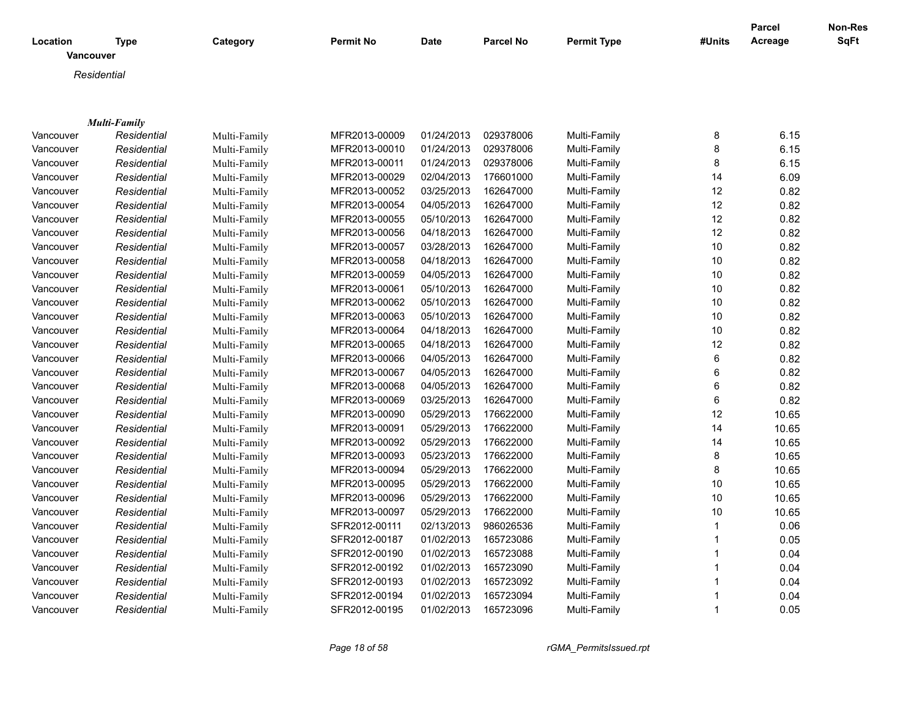| Location  | <b>Type</b>         | Category     | <b>Permit No</b> | <b>Date</b> | <b>Parcel No</b> | <b>Permit Type</b> | #Units       | <b>Parcel</b><br>Acreage | Non-Res<br>SqFt |
|-----------|---------------------|--------------|------------------|-------------|------------------|--------------------|--------------|--------------------------|-----------------|
| Vancouver |                     |              |                  |             |                  |                    |              |                          |                 |
|           | Residential         |              |                  |             |                  |                    |              |                          |                 |
|           |                     |              |                  |             |                  |                    |              |                          |                 |
|           |                     |              |                  |             |                  |                    |              |                          |                 |
|           | <b>Multi-Family</b> |              |                  |             |                  |                    |              |                          |                 |
| Vancouver | Residential         | Multi-Family | MFR2013-00009    | 01/24/2013  | 029378006        | Multi-Family       | 8            | 6.15                     |                 |
| Vancouver | Residential         | Multi-Family | MFR2013-00010    | 01/24/2013  | 029378006        | Multi-Family       | 8            | 6.15                     |                 |
| Vancouver | Residential         | Multi-Family | MFR2013-00011    | 01/24/2013  | 029378006        | Multi-Family       | 8            | 6.15                     |                 |
| Vancouver | Residential         | Multi-Family | MFR2013-00029    | 02/04/2013  | 176601000        | Multi-Family       | 14           | 6.09                     |                 |
| Vancouver | Residential         | Multi-Family | MFR2013-00052    | 03/25/2013  | 162647000        | Multi-Family       | 12           | 0.82                     |                 |
| Vancouver | Residential         | Multi-Family | MFR2013-00054    | 04/05/2013  | 162647000        | Multi-Family       | 12           | 0.82                     |                 |
| Vancouver | Residential         | Multi-Family | MFR2013-00055    | 05/10/2013  | 162647000        | Multi-Family       | 12           | 0.82                     |                 |
| Vancouver | Residential         | Multi-Family | MFR2013-00056    | 04/18/2013  | 162647000        | Multi-Family       | 12           | 0.82                     |                 |
| Vancouver | Residential         | Multi-Family | MFR2013-00057    | 03/28/2013  | 162647000        | Multi-Family       | 10           | 0.82                     |                 |
| Vancouver | Residential         | Multi-Family | MFR2013-00058    | 04/18/2013  | 162647000        | Multi-Family       | 10           | 0.82                     |                 |
| Vancouver | Residential         | Multi-Family | MFR2013-00059    | 04/05/2013  | 162647000        | Multi-Family       | 10           | 0.82                     |                 |
| Vancouver | Residential         | Multi-Family | MFR2013-00061    | 05/10/2013  | 162647000        | Multi-Family       | 10           | 0.82                     |                 |
| Vancouver | Residential         | Multi-Family | MFR2013-00062    | 05/10/2013  | 162647000        | Multi-Family       | 10           | 0.82                     |                 |
| Vancouver | Residential         | Multi-Family | MFR2013-00063    | 05/10/2013  | 162647000        | Multi-Family       | 10           | 0.82                     |                 |
| Vancouver | Residential         | Multi-Family | MFR2013-00064    | 04/18/2013  | 162647000        | Multi-Family       | 10           | 0.82                     |                 |
| Vancouver | Residential         | Multi-Family | MFR2013-00065    | 04/18/2013  | 162647000        | Multi-Family       | 12           | 0.82                     |                 |
| Vancouver | Residential         | Multi-Family | MFR2013-00066    | 04/05/2013  | 162647000        | Multi-Family       | 6            | 0.82                     |                 |
| Vancouver | Residential         | Multi-Family | MFR2013-00067    | 04/05/2013  | 162647000        | Multi-Family       | 6            | 0.82                     |                 |
| Vancouver | Residential         | Multi-Family | MFR2013-00068    | 04/05/2013  | 162647000        | Multi-Family       | 6            | 0.82                     |                 |
| Vancouver | Residential         | Multi-Family | MFR2013-00069    | 03/25/2013  | 162647000        | Multi-Family       | 6            | 0.82                     |                 |
| Vancouver | Residential         | Multi-Family | MFR2013-00090    | 05/29/2013  | 176622000        | Multi-Family       | 12           | 10.65                    |                 |
| Vancouver | Residential         | Multi-Family | MFR2013-00091    | 05/29/2013  | 176622000        | Multi-Family       | 14           | 10.65                    |                 |
| Vancouver | Residential         | Multi-Family | MFR2013-00092    | 05/29/2013  | 176622000        | Multi-Family       | 14           | 10.65                    |                 |
| Vancouver | Residential         | Multi-Family | MFR2013-00093    | 05/23/2013  | 176622000        | Multi-Family       | 8            | 10.65                    |                 |
| Vancouver | Residential         | Multi-Family | MFR2013-00094    | 05/29/2013  | 176622000        | Multi-Family       | 8            | 10.65                    |                 |
| Vancouver | Residential         | Multi-Family | MFR2013-00095    | 05/29/2013  | 176622000        | Multi-Family       | 10           | 10.65                    |                 |
| Vancouver | Residential         | Multi-Family | MFR2013-00096    | 05/29/2013  | 176622000        | Multi-Family       | 10           | 10.65                    |                 |
| Vancouver | Residential         | Multi-Family | MFR2013-00097    | 05/29/2013  | 176622000        | Multi-Family       | 10           | 10.65                    |                 |
| Vancouver | Residential         | Multi-Family | SFR2012-00111    | 02/13/2013  | 986026536        | Multi-Family       | $\mathbf{1}$ | 0.06                     |                 |
| Vancouver | Residential         | Multi-Family | SFR2012-00187    | 01/02/2013  | 165723086        | Multi-Family       | $\mathbf{1}$ | 0.05                     |                 |
| Vancouver | Residential         | Multi-Family | SFR2012-00190    | 01/02/2013  | 165723088        | Multi-Family       | 1            | 0.04                     |                 |
| Vancouver | Residential         | Multi-Family | SFR2012-00192    | 01/02/2013  | 165723090        | Multi-Family       | 1            | 0.04                     |                 |
| Vancouver | Residential         | Multi-Family | SFR2012-00193    | 01/02/2013  | 165723092        | Multi-Family       | 1            | 0.04                     |                 |
| Vancouver | Residential         | Multi-Family | SFR2012-00194    | 01/02/2013  | 165723094        | Multi-Family       | 1            | 0.04                     |                 |
| Vancouver | Residential         | Multi-Family | SFR2012-00195    | 01/02/2013  | 165723096        | Multi-Family       | 1            | 0.05                     |                 |
|           |                     |              |                  |             |                  |                    |              |                          |                 |

*Page 18 of 58 rGMA\_PermitsIssued.rpt*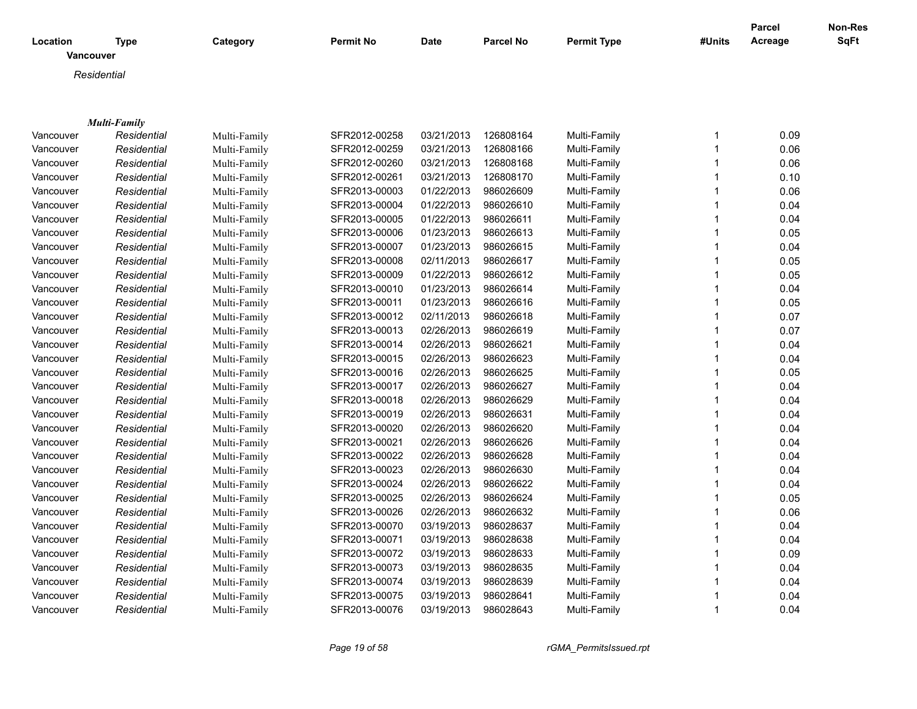|                       |                     |              |                  |             |                  |                    |        | <b>Parcel</b> | <b>Non-Res</b> |
|-----------------------|---------------------|--------------|------------------|-------------|------------------|--------------------|--------|---------------|----------------|
| Location<br>Vancouver | <b>Type</b>         | Category     | <b>Permit No</b> | <b>Date</b> | <b>Parcel No</b> | <b>Permit Type</b> | #Units | Acreage       | <b>SqFt</b>    |
|                       | Residential         |              |                  |             |                  |                    |        |               |                |
|                       |                     |              |                  |             |                  |                    |        |               |                |
|                       |                     |              |                  |             |                  |                    |        |               |                |
|                       | <b>Multi-Family</b> |              |                  |             |                  |                    |        |               |                |
| Vancouver             | Residential         | Multi-Family | SFR2012-00258    | 03/21/2013  | 126808164        | Multi-Family       | 1      | 0.09          |                |
| Vancouver             | Residential         | Multi-Family | SFR2012-00259    | 03/21/2013  | 126808166        | Multi-Family       | 1      | 0.06          |                |
| Vancouver             | Residential         | Multi-Family | SFR2012-00260    | 03/21/2013  | 126808168        | Multi-Family       | 1      | 0.06          |                |
| Vancouver             | Residential         | Multi-Family | SFR2012-00261    | 03/21/2013  | 126808170        | Multi-Family       | 1      | 0.10          |                |
| Vancouver             | Residential         | Multi-Family | SFR2013-00003    | 01/22/2013  | 986026609        | Multi-Family       | 1      | 0.06          |                |
| Vancouver             | Residential         | Multi-Family | SFR2013-00004    | 01/22/2013  | 986026610        | Multi-Family       | 1      | 0.04          |                |
| Vancouver             | Residential         | Multi-Family | SFR2013-00005    | 01/22/2013  | 986026611        | Multi-Family       | 1      | 0.04          |                |
| Vancouver             | Residential         | Multi-Family | SFR2013-00006    | 01/23/2013  | 986026613        | Multi-Family       | 1      | 0.05          |                |
| Vancouver             | Residential         | Multi-Family | SFR2013-00007    | 01/23/2013  | 986026615        | Multi-Family       | 1      | 0.04          |                |
| Vancouver             | Residential         | Multi-Family | SFR2013-00008    | 02/11/2013  | 986026617        | Multi-Family       | 1      | 0.05          |                |
| Vancouver             | Residential         | Multi-Family | SFR2013-00009    | 01/22/2013  | 986026612        | Multi-Family       | 1      | 0.05          |                |
| Vancouver             | Residential         | Multi-Family | SFR2013-00010    | 01/23/2013  | 986026614        | Multi-Family       | 1      | 0.04          |                |
| Vancouver             | Residential         | Multi-Family | SFR2013-00011    | 01/23/2013  | 986026616        | Multi-Family       | 1      | 0.05          |                |
| Vancouver             | Residential         | Multi-Family | SFR2013-00012    | 02/11/2013  | 986026618        | Multi-Family       | 1      | 0.07          |                |
| Vancouver             | Residential         | Multi-Family | SFR2013-00013    | 02/26/2013  | 986026619        | Multi-Family       | 1      | 0.07          |                |
| Vancouver             | Residential         | Multi-Family | SFR2013-00014    | 02/26/2013  | 986026621        | Multi-Family       | 1      | 0.04          |                |
| Vancouver             | Residential         | Multi-Family | SFR2013-00015    | 02/26/2013  | 986026623        | Multi-Family       | 1      | 0.04          |                |
| Vancouver             | Residential         | Multi-Family | SFR2013-00016    | 02/26/2013  | 986026625        | Multi-Family       | 1      | 0.05          |                |
| Vancouver             | Residential         | Multi-Family | SFR2013-00017    | 02/26/2013  | 986026627        | Multi-Family       | 1      | 0.04          |                |
| Vancouver             | Residential         | Multi-Family | SFR2013-00018    | 02/26/2013  | 986026629        | Multi-Family       | 1      | 0.04          |                |
| Vancouver             | Residential         | Multi-Family | SFR2013-00019    | 02/26/2013  | 986026631        | Multi-Family       | 1      | 0.04          |                |
| Vancouver             | Residential         | Multi-Family | SFR2013-00020    | 02/26/2013  | 986026620        | Multi-Family       | 1      | 0.04          |                |
| Vancouver             | Residential         | Multi-Family | SFR2013-00021    | 02/26/2013  | 986026626        | Multi-Family       | 1      | 0.04          |                |
| Vancouver             | Residential         | Multi-Family | SFR2013-00022    | 02/26/2013  | 986026628        | Multi-Family       | 1      | 0.04          |                |
| Vancouver             | Residential         | Multi-Family | SFR2013-00023    | 02/26/2013  | 986026630        | Multi-Family       | 1      | 0.04          |                |
| Vancouver             | Residential         | Multi-Family | SFR2013-00024    | 02/26/2013  | 986026622        | Multi-Family       | 1      | 0.04          |                |
| Vancouver             | Residential         | Multi-Family | SFR2013-00025    | 02/26/2013  | 986026624        | Multi-Family       | 1      | 0.05          |                |
| Vancouver             | Residential         | Multi-Family | SFR2013-00026    | 02/26/2013  | 986026632        | Multi-Family       | 1      | 0.06          |                |
| Vancouver             | Residential         | Multi-Family | SFR2013-00070    | 03/19/2013  | 986028637        | Multi-Family       | 1      | 0.04          |                |
| Vancouver             | Residential         | Multi-Family | SFR2013-00071    | 03/19/2013  | 986028638        | Multi-Family       | 1      | 0.04          |                |
| Vancouver             | Residential         | Multi-Family | SFR2013-00072    | 03/19/2013  | 986028633        | Multi-Family       | 1      | 0.09          |                |
| Vancouver             | Residential         | Multi-Family | SFR2013-00073    | 03/19/2013  | 986028635        | Multi-Family       | 1      | 0.04          |                |
| Vancouver             | Residential         | Multi-Family | SFR2013-00074    | 03/19/2013  | 986028639        | Multi-Family       | 1      | 0.04          |                |
| Vancouver             | Residential         | Multi-Family | SFR2013-00075    | 03/19/2013  | 986028641        | Multi-Family       | 1      | 0.04          |                |
| Vancouver             | Residential         | Multi-Family | SFR2013-00076    | 03/19/2013  | 986028643        | Multi-Family       | 1      | 0.04          |                |

*Page 19 of 58 rGMA\_PermitsIssued.rpt*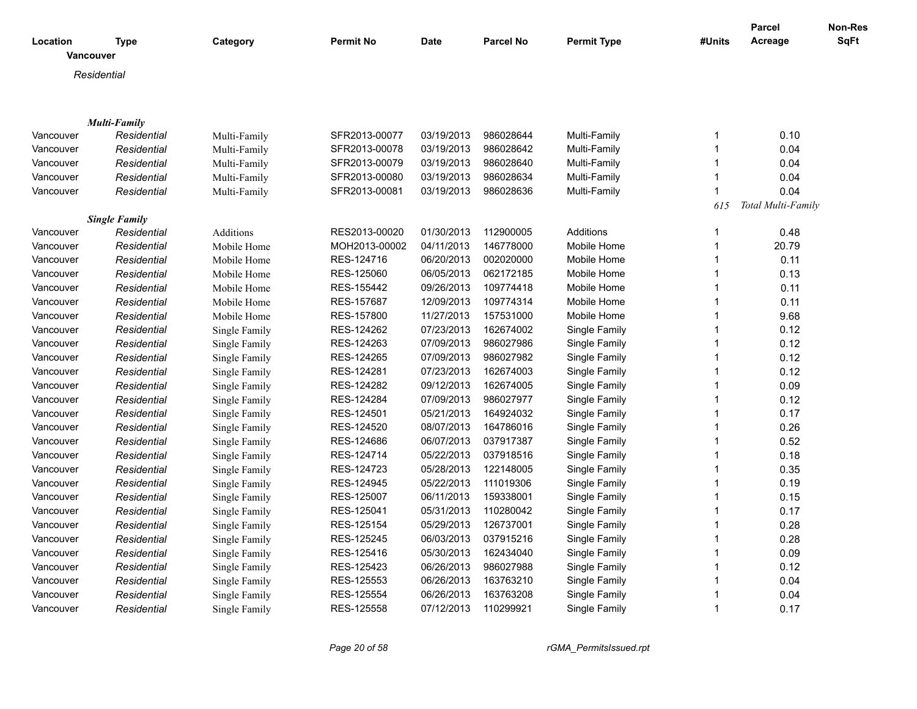| Location  | Type                 | Category      | <b>Permit No</b> | <b>Date</b> | <b>Parcel No</b> | <b>Permit Type</b> | #Units                  | Parcel<br>Acreage  | <b>Non-Res</b><br><b>SqFt</b> |
|-----------|----------------------|---------------|------------------|-------------|------------------|--------------------|-------------------------|--------------------|-------------------------------|
|           | Vancouver            |               |                  |             |                  |                    |                         |                    |                               |
|           | Residential          |               |                  |             |                  |                    |                         |                    |                               |
|           |                      |               |                  |             |                  |                    |                         |                    |                               |
|           |                      |               |                  |             |                  |                    |                         |                    |                               |
|           | <b>Multi-Family</b>  |               |                  |             |                  |                    |                         |                    |                               |
| Vancouver | Residential          | Multi-Family  | SFR2013-00077    | 03/19/2013  | 986028644        | Multi-Family       | $\mathbf 1$             | 0.10               |                               |
| Vancouver | Residential          | Multi-Family  | SFR2013-00078    | 03/19/2013  | 986028642        | Multi-Family       | $\mathbf{1}$            | 0.04               |                               |
| Vancouver | Residential          | Multi-Family  | SFR2013-00079    | 03/19/2013  | 986028640        | Multi-Family       | $\mathbf{1}$            | 0.04               |                               |
| Vancouver | Residential          | Multi-Family  | SFR2013-00080    | 03/19/2013  | 986028634        | Multi-Family       | $\mathbf{1}$            | 0.04               |                               |
| Vancouver | Residential          | Multi-Family  | SFR2013-00081    | 03/19/2013  | 986028636        | Multi-Family       | $\mathbf{1}$            | 0.04               |                               |
|           |                      |               |                  |             |                  |                    | 615                     | Total Multi-Family |                               |
|           | <b>Single Family</b> |               |                  |             |                  |                    |                         |                    |                               |
| Vancouver | Residential          | Additions     | RES2013-00020    | 01/30/2013  | 112900005        | Additions          | $\mathbf 1$             | 0.48               |                               |
| Vancouver | Residential          | Mobile Home   | MOH2013-00002    | 04/11/2013  | 146778000        | Mobile Home        | $\mathbf{1}$            | 20.79              |                               |
| Vancouver | Residential          | Mobile Home   | RES-124716       | 06/20/2013  | 002020000        | Mobile Home        | $\mathbf{1}$            | 0.11               |                               |
| Vancouver | Residential          | Mobile Home   | RES-125060       | 06/05/2013  | 062172185        | Mobile Home        | $\mathbf 1$             | 0.13               |                               |
| Vancouver | Residential          | Mobile Home   | RES-155442       | 09/26/2013  | 109774418        | Mobile Home        | $\overline{1}$          | 0.11               |                               |
| Vancouver | Residential          | Mobile Home   | RES-157687       | 12/09/2013  | 109774314        | Mobile Home        | $\mathbf 1$             | 0.11               |                               |
| Vancouver | Residential          | Mobile Home   | RES-157800       | 11/27/2013  | 157531000        | Mobile Home        | $\mathbf{1}$            | 9.68               |                               |
| Vancouver | Residential          | Single Family | RES-124262       | 07/23/2013  | 162674002        | Single Family      | $\mathbf{1}$            | 0.12               |                               |
| Vancouver | Residential          | Single Family | RES-124263       | 07/09/2013  | 986027986        | Single Family      | $\mathbf{1}$            | 0.12               |                               |
| Vancouver | Residential          | Single Family | RES-124265       | 07/09/2013  | 986027982        | Single Family      | $\mathbf{1}$            | 0.12               |                               |
| Vancouver | Residential          | Single Family | RES-124281       | 07/23/2013  | 162674003        | Single Family      | $\mathbf{1}$            | 0.12               |                               |
| Vancouver | Residential          | Single Family | RES-124282       | 09/12/2013  | 162674005        | Single Family      | $\mathbf{1}$            | 0.09               |                               |
| Vancouver | Residential          | Single Family | RES-124284       | 07/09/2013  | 986027977        | Single Family      | $\mathbf 1$             | 0.12               |                               |
| Vancouver | Residential          | Single Family | RES-124501       | 05/21/2013  | 164924032        | Single Family      | 1                       | 0.17               |                               |
| Vancouver | Residential          | Single Family | RES-124520       | 08/07/2013  | 164786016        | Single Family      | $\mathbf{1}$            | 0.26               |                               |
| Vancouver | Residential          | Single Family | RES-124686       | 06/07/2013  | 037917387        | Single Family      | 1                       | 0.52               |                               |
| Vancouver | Residential          | Single Family | RES-124714       | 05/22/2013  | 037918516        | Single Family      | $\mathbf 1$             | 0.18               |                               |
| Vancouver | Residential          | Single Family | RES-124723       | 05/28/2013  | 122148005        | Single Family      | $\mathbf 1$             | 0.35               |                               |
| Vancouver | Residential          | Single Family | RES-124945       | 05/22/2013  | 111019306        | Single Family      | $\mathbf{1}$            | 0.19               |                               |
| Vancouver | Residential          | Single Family | RES-125007       | 06/11/2013  | 159338001        | Single Family      | 1                       | 0.15               |                               |
| Vancouver | Residential          | Single Family | RES-125041       | 05/31/2013  | 110280042        | Single Family      | $\mathbf{1}$            | 0.17               |                               |
| Vancouver | Residential          | Single Family | RES-125154       | 05/29/2013  | 126737001        | Single Family      | 1                       | 0.28               |                               |
| Vancouver | Residential          | Single Family | RES-125245       | 06/03/2013  | 037915216        | Single Family      | $\mathbf{1}$            | 0.28               |                               |
| Vancouver | Residential          | Single Family | RES-125416       | 05/30/2013  | 162434040        | Single Family      | 1                       | 0.09               |                               |
| Vancouver | Residential          | Single Family | RES-125423       | 06/26/2013  | 986027988        | Single Family      | $\mathbf{1}$            | 0.12               |                               |
| Vancouver | Residential          | Single Family | RES-125553       | 06/26/2013  | 163763210        | Single Family      |                         | 0.04               |                               |
| Vancouver | Residential          | Single Family | RES-125554       | 06/26/2013  | 163763208        | Single Family      | $\overline{\mathbf{1}}$ | 0.04               |                               |
| Vancouver | Residential          | Single Family | RES-125558       | 07/12/2013  | 110299921        | Single Family      | $\mathbf 1$             | 0.17               |                               |
|           |                      |               |                  |             |                  |                    |                         |                    |                               |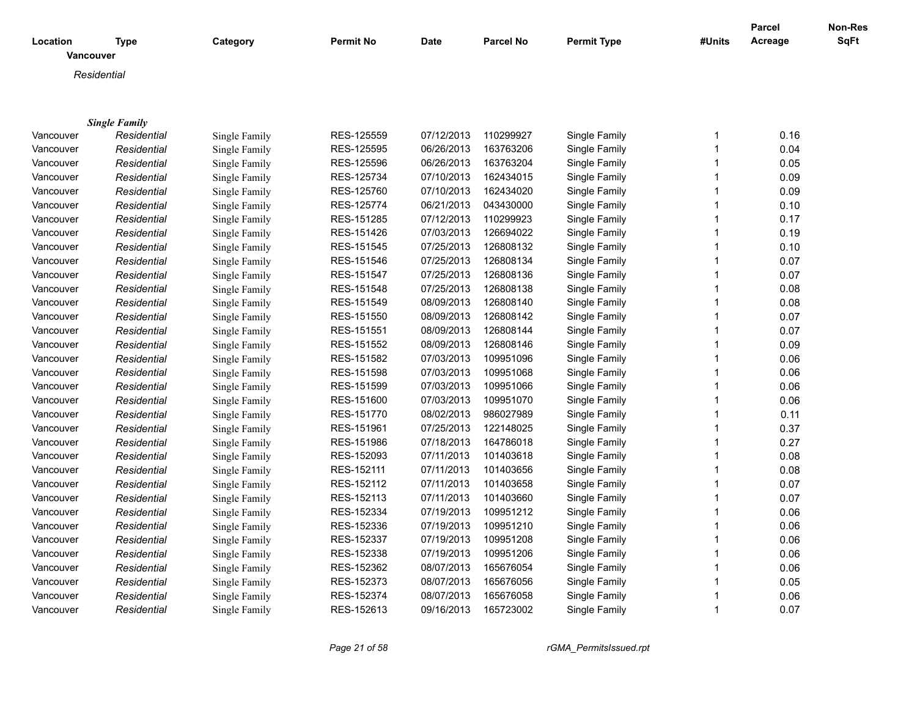|                              |                      |               |                  |             |                  |                    |        | Parcel  | Non-Res |
|------------------------------|----------------------|---------------|------------------|-------------|------------------|--------------------|--------|---------|---------|
| Location<br><b>Vancouver</b> | <b>Type</b>          | Category      | <b>Permit No</b> | <b>Date</b> | <b>Parcel No</b> | <b>Permit Type</b> | #Units | Acreage | SqFt    |
|                              | Residential          |               |                  |             |                  |                    |        |         |         |
|                              |                      |               |                  |             |                  |                    |        |         |         |
|                              |                      |               |                  |             |                  |                    |        |         |         |
|                              | <b>Single Family</b> |               |                  |             |                  |                    |        |         |         |
| Vancouver                    | Residential          | Single Family | RES-125559       | 07/12/2013  | 110299927        | Single Family      | 1      | 0.16    |         |
| Vancouver                    | Residential          | Single Family | RES-125595       | 06/26/2013  | 163763206        | Single Family      | 1      | 0.04    |         |
| Vancouver                    | Residential          | Single Family | RES-125596       | 06/26/2013  | 163763204        | Single Family      | 1      | 0.05    |         |
| Vancouver                    | Residential          | Single Family | RES-125734       | 07/10/2013  | 162434015        | Single Family      | 1      | 0.09    |         |
| Vancouver                    | Residential          | Single Family | RES-125760       | 07/10/2013  | 162434020        | Single Family      | 1      | 0.09    |         |
| Vancouver                    | Residential          | Single Family | RES-125774       | 06/21/2013  | 043430000        | Single Family      | 1      | 0.10    |         |
| Vancouver                    | Residential          | Single Family | RES-151285       | 07/12/2013  | 110299923        | Single Family      | 1      | 0.17    |         |
| Vancouver                    | Residential          | Single Family | RES-151426       | 07/03/2013  | 126694022        | Single Family      | 1      | 0.19    |         |
| Vancouver                    | Residential          | Single Family | RES-151545       | 07/25/2013  | 126808132        | Single Family      | 1      | 0.10    |         |
| Vancouver                    | Residential          | Single Family | RES-151546       | 07/25/2013  | 126808134        | Single Family      | 1      | 0.07    |         |
| Vancouver                    | Residential          | Single Family | RES-151547       | 07/25/2013  | 126808136        | Single Family      | 1      | 0.07    |         |
| Vancouver                    | Residential          | Single Family | RES-151548       | 07/25/2013  | 126808138        | Single Family      | 1      | 0.08    |         |
| Vancouver                    | Residential          | Single Family | RES-151549       | 08/09/2013  | 126808140        | Single Family      | 1      | 0.08    |         |
| Vancouver                    | Residential          | Single Family | RES-151550       | 08/09/2013  | 126808142        | Single Family      | 1      | 0.07    |         |
| Vancouver                    | Residential          | Single Family | RES-151551       | 08/09/2013  | 126808144        | Single Family      | 1      | 0.07    |         |
| Vancouver                    | Residential          | Single Family | RES-151552       | 08/09/2013  | 126808146        | Single Family      | 1      | 0.09    |         |
| Vancouver                    | Residential          | Single Family | RES-151582       | 07/03/2013  | 109951096        | Single Family      | 1      | 0.06    |         |
| Vancouver                    | Residential          | Single Family | RES-151598       | 07/03/2013  | 109951068        | Single Family      | 1      | 0.06    |         |
| Vancouver                    | Residential          | Single Family | RES-151599       | 07/03/2013  | 109951066        | Single Family      | 1      | 0.06    |         |
| Vancouver                    | Residential          | Single Family | RES-151600       | 07/03/2013  | 109951070        | Single Family      | 1      | 0.06    |         |
| Vancouver                    | Residential          | Single Family | RES-151770       | 08/02/2013  | 986027989        | Single Family      | 1      | 0.11    |         |
| Vancouver                    | Residential          | Single Family | RES-151961       | 07/25/2013  | 122148025        | Single Family      | 1      | 0.37    |         |
| Vancouver                    | Residential          | Single Family | RES-151986       | 07/18/2013  | 164786018        | Single Family      | 1      | 0.27    |         |
| Vancouver                    | Residential          | Single Family | RES-152093       | 07/11/2013  | 101403618        | Single Family      | 1      | 0.08    |         |
| Vancouver                    | Residential          | Single Family | RES-152111       | 07/11/2013  | 101403656        | Single Family      | 1      | 0.08    |         |
| Vancouver                    | Residential          | Single Family | RES-152112       | 07/11/2013  | 101403658        | Single Family      | 1      | 0.07    |         |
| Vancouver                    | Residential          | Single Family | RES-152113       | 07/11/2013  | 101403660        | Single Family      | 1      | 0.07    |         |
| Vancouver                    | Residential          | Single Family | RES-152334       | 07/19/2013  | 109951212        | Single Family      | 1      | 0.06    |         |
| Vancouver                    | Residential          | Single Family | RES-152336       | 07/19/2013  | 109951210        | Single Family      | 1      | 0.06    |         |
| Vancouver                    | Residential          | Single Family | RES-152337       | 07/19/2013  | 109951208        | Single Family      | 1      | 0.06    |         |
| Vancouver                    | Residential          | Single Family | RES-152338       | 07/19/2013  | 109951206        | Single Family      | 1      | 0.06    |         |
| Vancouver                    | Residential          | Single Family | RES-152362       | 08/07/2013  | 165676054        | Single Family      | 1      | 0.06    |         |
| Vancouver                    | Residential          | Single Family | RES-152373       | 08/07/2013  | 165676056        | Single Family      | 1      | 0.05    |         |
| Vancouver                    | Residential          | Single Family | RES-152374       | 08/07/2013  | 165676058        | Single Family      | 1      | 0.06    |         |
| Vancouver                    | Residential          | Single Family | RES-152613       | 09/16/2013  | 165723002        | Single Family      | 1      | 0.07    |         |

*Page 21 of 58 rGMA\_PermitsIssued.rpt*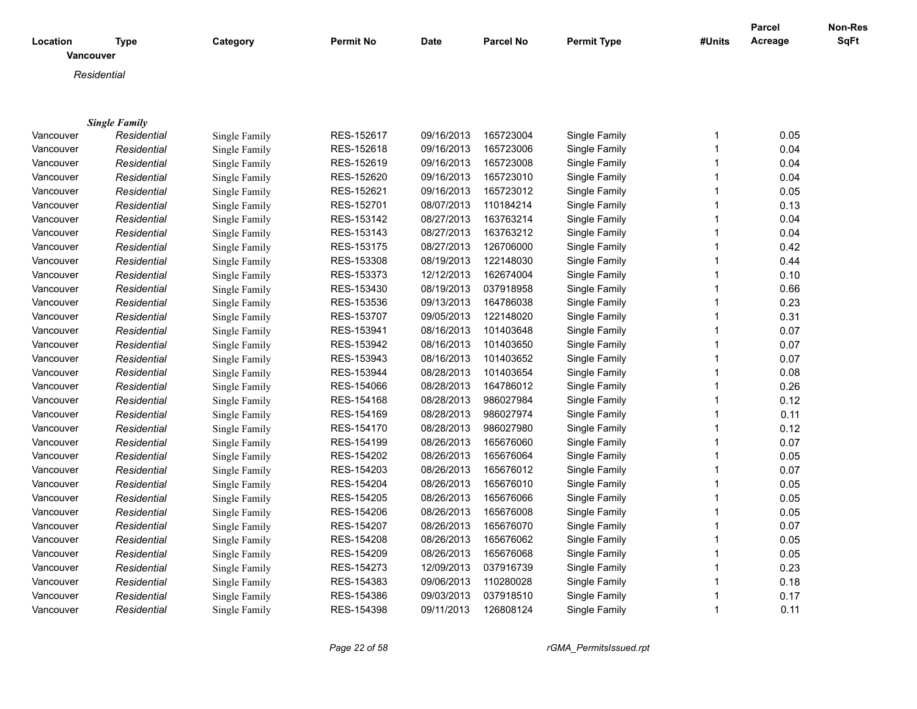|                       |                      |               |                  |            |                  |                    |        | Parcel  | <b>Non-Res</b> |
|-----------------------|----------------------|---------------|------------------|------------|------------------|--------------------|--------|---------|----------------|
| Location<br>Vancouver | <b>Type</b>          | Category      | <b>Permit No</b> | Date       | <b>Parcel No</b> | <b>Permit Type</b> | #Units | Acreage | <b>SqFt</b>    |
|                       | Residential          |               |                  |            |                  |                    |        |         |                |
|                       |                      |               |                  |            |                  |                    |        |         |                |
|                       |                      |               |                  |            |                  |                    |        |         |                |
|                       | <b>Single Family</b> |               |                  |            |                  |                    |        |         |                |
| Vancouver             | Residential          | Single Family | RES-152617       | 09/16/2013 | 165723004        | Single Family      | 1      | 0.05    |                |
| Vancouver             | Residential          | Single Family | RES-152618       | 09/16/2013 | 165723006        | Single Family      | 1      | 0.04    |                |
| Vancouver             | Residential          | Single Family | RES-152619       | 09/16/2013 | 165723008        | Single Family      | 1      | 0.04    |                |
| Vancouver             | Residential          | Single Family | RES-152620       | 09/16/2013 | 165723010        | Single Family      |        | 0.04    |                |
| Vancouver             | Residential          | Single Family | RES-152621       | 09/16/2013 | 165723012        | Single Family      | 1      | 0.05    |                |
| Vancouver             | Residential          | Single Family | RES-152701       | 08/07/2013 | 110184214        | Single Family      | 1      | 0.13    |                |
| Vancouver             | Residential          | Single Family | RES-153142       | 08/27/2013 | 163763214        | Single Family      | 1      | 0.04    |                |
| Vancouver             | Residential          | Single Family | RES-153143       | 08/27/2013 | 163763212        | Single Family      |        | 0.04    |                |
| Vancouver             | Residential          | Single Family | RES-153175       | 08/27/2013 | 126706000        | Single Family      | 1      | 0.42    |                |
| Vancouver             | Residential          | Single Family | RES-153308       | 08/19/2013 | 122148030        | Single Family      | 1      | 0.44    |                |
| Vancouver             | Residential          | Single Family | RES-153373       | 12/12/2013 | 162674004        | Single Family      | 1      | 0.10    |                |
| Vancouver             | Residential          | Single Family | RES-153430       | 08/19/2013 | 037918958        | Single Family      | 1      | 0.66    |                |
| Vancouver             | Residential          | Single Family | RES-153536       | 09/13/2013 | 164786038        | Single Family      | 1      | 0.23    |                |
| Vancouver             | Residential          | Single Family | RES-153707       | 09/05/2013 | 122148020        | Single Family      | 1      | 0.31    |                |
| Vancouver             | Residential          | Single Family | RES-153941       | 08/16/2013 | 101403648        | Single Family      | 1      | 0.07    |                |
| Vancouver             | Residential          | Single Family | RES-153942       | 08/16/2013 | 101403650        | Single Family      | 1      | 0.07    |                |
| Vancouver             | Residential          | Single Family | RES-153943       | 08/16/2013 | 101403652        | Single Family      | 1      | 0.07    |                |
| Vancouver             | Residential          | Single Family | RES-153944       | 08/28/2013 | 101403654        | Single Family      | 1      | 0.08    |                |
| Vancouver             | Residential          | Single Family | RES-154066       | 08/28/2013 | 164786012        | Single Family      | 1      | 0.26    |                |
| Vancouver             | Residential          | Single Family | RES-154168       | 08/28/2013 | 986027984        | Single Family      | 1      | 0.12    |                |
| Vancouver             | Residential          | Single Family | RES-154169       | 08/28/2013 | 986027974        | Single Family      | 1      | 0.11    |                |
| Vancouver             | Residential          | Single Family | RES-154170       | 08/28/2013 | 986027980        | Single Family      | 1      | 0.12    |                |
| Vancouver             | Residential          | Single Family | RES-154199       | 08/26/2013 | 165676060        | Single Family      | 1      | 0.07    |                |
| Vancouver             | Residential          | Single Family | RES-154202       | 08/26/2013 | 165676064        | Single Family      | 1      | 0.05    |                |
| Vancouver             | Residential          | Single Family | RES-154203       | 08/26/2013 | 165676012        | Single Family      | 1      | 0.07    |                |
| Vancouver             | Residential          | Single Family | RES-154204       | 08/26/2013 | 165676010        | Single Family      | 1      | 0.05    |                |
| Vancouver             | Residential          | Single Family | RES-154205       | 08/26/2013 | 165676066        | Single Family      | 1      | 0.05    |                |
| Vancouver             | Residential          | Single Family | RES-154206       | 08/26/2013 | 165676008        | Single Family      |        | 0.05    |                |
| Vancouver             | Residential          | Single Family | RES-154207       | 08/26/2013 | 165676070        | Single Family      | 1      | 0.07    |                |
| Vancouver             | Residential          | Single Family | RES-154208       | 08/26/2013 | 165676062        | Single Family      |        | 0.05    |                |
| Vancouver             | Residential          | Single Family | RES-154209       | 08/26/2013 | 165676068        | Single Family      | 1      | 0.05    |                |
| Vancouver             | Residential          | Single Family | RES-154273       | 12/09/2013 | 037916739        | Single Family      |        | 0.23    |                |
| Vancouver             | Residential          | Single Family | RES-154383       | 09/06/2013 | 110280028        | Single Family      | 1      | 0.18    |                |
| Vancouver             | Residential          | Single Family | RES-154386       | 09/03/2013 | 037918510        | Single Family      |        | 0.17    |                |
| Vancouver             | Residential          | Single Family | RES-154398       | 09/11/2013 | 126808124        | Single Family      | 1      | 0.11    |                |
|                       |                      |               |                  |            |                  |                    |        |         |                |

*Page 22 of 58 rGMA\_PermitsIssued.rpt*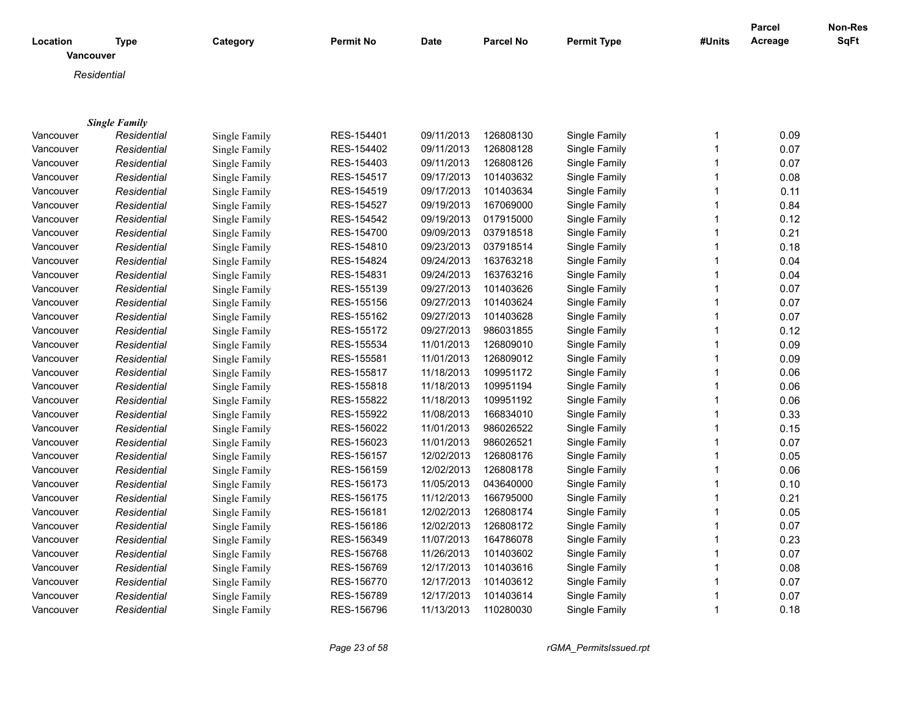| Location  | <b>Type</b>          | Category      | Permit No  | Date       | <b>Parcel No</b> | <b>Permit Type</b> | #Units                      | <b>Parcel</b><br>Acreage | Non-Res<br>SqFt |
|-----------|----------------------|---------------|------------|------------|------------------|--------------------|-----------------------------|--------------------------|-----------------|
|           | Vancouver            |               |            |            |                  |                    |                             |                          |                 |
|           | Residential          |               |            |            |                  |                    |                             |                          |                 |
|           |                      |               |            |            |                  |                    |                             |                          |                 |
|           |                      |               |            |            |                  |                    |                             |                          |                 |
|           | <b>Single Family</b> |               |            |            |                  |                    |                             |                          |                 |
| Vancouver | Residential          | Single Family | RES-154401 | 09/11/2013 | 126808130        | Single Family      | $\mathbf 1$<br>$\mathbf{1}$ | 0.09                     |                 |
| Vancouver | Residential          | Single Family | RES-154402 | 09/11/2013 | 126808128        | Single Family      | $\mathbf{1}$                | 0.07<br>0.07             |                 |
| Vancouver | Residential          | Single Family | RES-154403 | 09/11/2013 | 126808126        | Single Family      |                             |                          |                 |
| Vancouver | Residential          | Single Family | RES-154517 | 09/17/2013 | 101403632        | Single Family      | 1                           | 0.08                     |                 |
| Vancouver | Residential          | Single Family | RES-154519 | 09/17/2013 | 101403634        | Single Family      | $\mathbf 1$                 | 0.11                     |                 |
| Vancouver | Residential          | Single Family | RES-154527 | 09/19/2013 | 167069000        | Single Family      | 1                           | 0.84                     |                 |
| Vancouver | Residential          | Single Family | RES-154542 | 09/19/2013 | 017915000        | Single Family      | 1                           | 0.12                     |                 |
| Vancouver | Residential          | Single Family | RES-154700 | 09/09/2013 | 037918518        | Single Family      | 1                           | 0.21                     |                 |
| Vancouver | Residential          | Single Family | RES-154810 | 09/23/2013 | 037918514        | Single Family      | $\mathbf{1}$                | 0.18                     |                 |
| Vancouver | Residential          | Single Family | RES-154824 | 09/24/2013 | 163763218        | Single Family      | $\mathbf{1}$                | 0.04                     |                 |
| Vancouver | Residential          | Single Family | RES-154831 | 09/24/2013 | 163763216        | Single Family      | $\mathbf{1}$                | 0.04                     |                 |
| Vancouver | Residential          | Single Family | RES-155139 | 09/27/2013 | 101403626        | Single Family      | $\mathbf{1}$                | 0.07                     |                 |
| Vancouver | Residential          | Single Family | RES-155156 | 09/27/2013 | 101403624        | Single Family      | $\mathbf{1}$                | 0.07                     |                 |
| Vancouver | Residential          | Single Family | RES-155162 | 09/27/2013 | 101403628        | Single Family      | $\mathbf{1}$                | 0.07                     |                 |
| Vancouver | Residential          | Single Family | RES-155172 | 09/27/2013 | 986031855        | Single Family      | $\mathbf{1}$                | 0.12                     |                 |
| Vancouver | Residential          | Single Family | RES-155534 | 11/01/2013 | 126809010        | Single Family      | $\mathbf{1}$                | 0.09                     |                 |
| Vancouver | Residential          | Single Family | RES-155581 | 11/01/2013 | 126809012        | Single Family      | $\mathbf{1}$                | 0.09                     |                 |
| Vancouver | Residential          | Single Family | RES-155817 | 11/18/2013 | 109951172        | Single Family      | $\mathbf{1}$                | 0.06                     |                 |
| Vancouver | Residential          | Single Family | RES-155818 | 11/18/2013 | 109951194        | Single Family      | $\mathbf{1}$                | 0.06                     |                 |
| Vancouver | Residential          | Single Family | RES-155822 | 11/18/2013 | 109951192        | Single Family      | $\mathbf{1}$                | 0.06                     |                 |
| Vancouver | Residential          | Single Family | RES-155922 | 11/08/2013 | 166834010        | Single Family      | $\mathbf{1}$                | 0.33                     |                 |
| Vancouver | Residential          | Single Family | RES-156022 | 11/01/2013 | 986026522        | Single Family      | $\mathbf{1}$                | 0.15                     |                 |
| Vancouver | Residential          | Single Family | RES-156023 | 11/01/2013 | 986026521        | Single Family      | $\mathbf{1}$                | 0.07                     |                 |
| Vancouver | Residential          | Single Family | RES-156157 | 12/02/2013 | 126808176        | Single Family      | $\mathbf 1$                 | 0.05                     |                 |
| Vancouver | Residential          | Single Family | RES-156159 | 12/02/2013 | 126808178        | Single Family      | $\mathbf{1}$                | 0.06                     |                 |
| Vancouver | Residential          | Single Family | RES-156173 | 11/05/2013 | 043640000        | Single Family      | $\mathbf{1}$                | 0.10                     |                 |
| Vancouver | Residential          | Single Family | RES-156175 | 11/12/2013 | 166795000        | Single Family      | $\mathbf{1}$                | 0.21                     |                 |
| Vancouver | Residential          | Single Family | RES-156181 | 12/02/2013 | 126808174        | Single Family      | $\mathbf{1}$                | 0.05                     |                 |
| Vancouver | Residential          | Single Family | RES-156186 | 12/02/2013 | 126808172        | Single Family      | 1                           | 0.07                     |                 |
| Vancouver | Residential          | Single Family | RES-156349 | 11/07/2013 | 164786078        | Single Family      | $\mathbf 1$                 | 0.23                     |                 |
| Vancouver | Residential          | Single Family | RES-156768 | 11/26/2013 | 101403602        | Single Family      | $\mathbf{1}$                | 0.07                     |                 |
| Vancouver | Residential          | Single Family | RES-156769 | 12/17/2013 | 101403616        | Single Family      | $\mathbf{1}$                | 0.08                     |                 |
| Vancouver | Residential          | Single Family | RES-156770 | 12/17/2013 | 101403612        | Single Family      | $\mathbf 1$                 | 0.07                     |                 |
| Vancouver | Residential          | Single Family | RES-156789 | 12/17/2013 | 101403614        | Single Family      | $\mathbf 1$                 | 0.07                     |                 |
| Vancouver | Residential          | Single Family | RES-156796 | 11/13/2013 | 110280030        | Single Family      | $\mathbf{1}$                | 0.18                     |                 |
|           |                      |               |            |            |                  |                    |                             |                          |                 |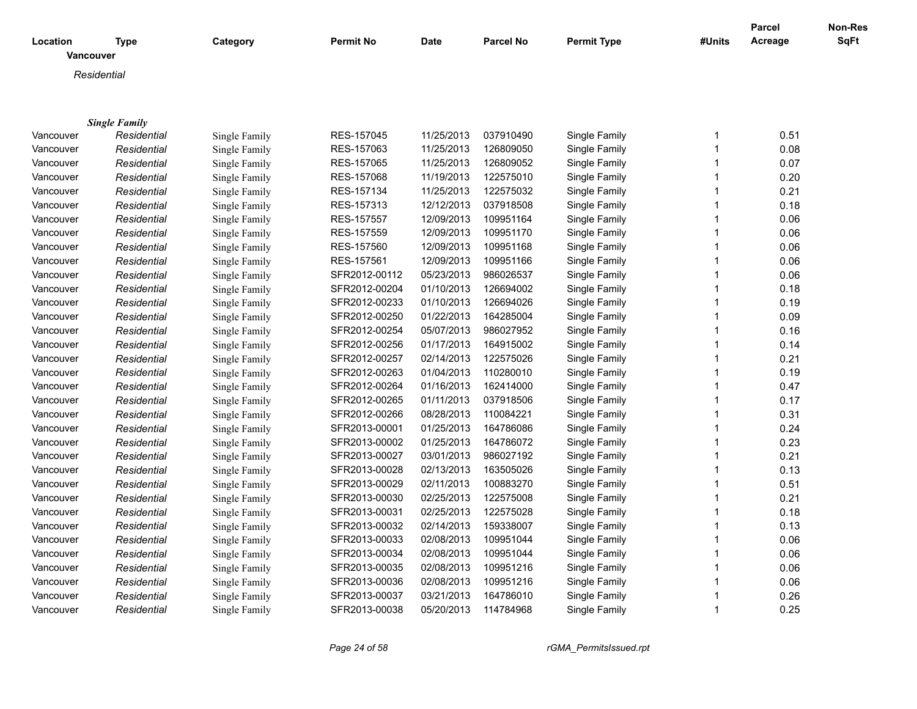| Location  | <b>Type</b>          | Category      | <b>Permit No</b> | Date       | <b>Parcel No</b> | <b>Permit Type</b> | #Units       | <b>Parcel</b><br>Acreage | Non-Res<br>SqFt |
|-----------|----------------------|---------------|------------------|------------|------------------|--------------------|--------------|--------------------------|-----------------|
| Vancouver |                      |               |                  |            |                  |                    |              |                          |                 |
|           | Residential          |               |                  |            |                  |                    |              |                          |                 |
|           |                      |               |                  |            |                  |                    |              |                          |                 |
|           |                      |               |                  |            |                  |                    |              |                          |                 |
|           | <b>Single Family</b> |               |                  |            |                  |                    |              |                          |                 |
| Vancouver | Residential          | Single Family | RES-157045       | 11/25/2013 | 037910490        | Single Family      | 1            | 0.51                     |                 |
| Vancouver | Residential          | Single Family | RES-157063       | 11/25/2013 | 126809050        | Single Family      | $\mathbf{1}$ | 0.08                     |                 |
| Vancouver | Residential          | Single Family | RES-157065       | 11/25/2013 | 126809052        | Single Family      | $\mathbf{1}$ | 0.07                     |                 |
| Vancouver | Residential          | Single Family | RES-157068       | 11/19/2013 | 122575010        | Single Family      |              | 0.20                     |                 |
| Vancouver | Residential          | Single Family | RES-157134       | 11/25/2013 | 122575032        | Single Family      | 1            | 0.21                     |                 |
| Vancouver | Residential          | Single Family | RES-157313       | 12/12/2013 | 037918508        | Single Family      | 1            | 0.18                     |                 |
| Vancouver | Residential          | Single Family | RES-157557       | 12/09/2013 | 109951164        | Single Family      | 1            | 0.06                     |                 |
| Vancouver | Residential          | Single Family | RES-157559       | 12/09/2013 | 109951170        | Single Family      |              | 0.06                     |                 |
| Vancouver | Residential          | Single Family | RES-157560       | 12/09/2013 | 109951168        | Single Family      | $\mathbf{1}$ | 0.06                     |                 |
| Vancouver | Residential          | Single Family | RES-157561       | 12/09/2013 | 109951166        | Single Family      | $\mathbf{1}$ | 0.06                     |                 |
| Vancouver | Residential          | Single Family | SFR2012-00112    | 05/23/2013 | 986026537        | Single Family      | 1            | 0.06                     |                 |
| Vancouver | Residential          | Single Family | SFR2012-00204    | 01/10/2013 | 126694002        | Single Family      | 1            | 0.18                     |                 |
| Vancouver | Residential          | Single Family | SFR2012-00233    | 01/10/2013 | 126694026        | Single Family      | $\mathbf{1}$ | 0.19                     |                 |
| Vancouver | Residential          | Single Family | SFR2012-00250    | 01/22/2013 | 164285004        | Single Family      | 1            | 0.09                     |                 |
| Vancouver | Residential          | Single Family | SFR2012-00254    | 05/07/2013 | 986027952        | Single Family      | 1            | 0.16                     |                 |
| Vancouver | Residential          | Single Family | SFR2012-00256    | 01/17/2013 | 164915002        | Single Family      | 1            | 0.14                     |                 |
| Vancouver | Residential          | Single Family | SFR2012-00257    | 02/14/2013 | 122575026        | Single Family      | $\mathbf{1}$ | 0.21                     |                 |
| Vancouver | Residential          | Single Family | SFR2012-00263    | 01/04/2013 | 110280010        | Single Family      | $\mathbf{1}$ | 0.19                     |                 |
| Vancouver | Residential          | Single Family | SFR2012-00264    | 01/16/2013 | 162414000        | Single Family      | $\mathbf{1}$ | 0.47                     |                 |
| Vancouver | Residential          | Single Family | SFR2012-00265    | 01/11/2013 | 037918506        | Single Family      | 1            | 0.17                     |                 |
| Vancouver | Residential          | Single Family | SFR2012-00266    | 08/28/2013 | 110084221        | Single Family      | 1            | 0.31                     |                 |
| Vancouver | Residential          | Single Family | SFR2013-00001    | 01/25/2013 | 164786086        | Single Family      | $\mathbf{1}$ | 0.24                     |                 |
| Vancouver | Residential          | Single Family | SFR2013-00002    | 01/25/2013 | 164786072        | Single Family      | $\mathbf{1}$ | 0.23                     |                 |
| Vancouver | Residential          | Single Family | SFR2013-00027    | 03/01/2013 | 986027192        | Single Family      | $\mathbf{1}$ | 0.21                     |                 |
| Vancouver | Residential          | Single Family | SFR2013-00028    | 02/13/2013 | 163505026        | Single Family      | 1            | 0.13                     |                 |
| Vancouver | Residential          | Single Family | SFR2013-00029    | 02/11/2013 | 100883270        | Single Family      | $\mathbf{1}$ | 0.51                     |                 |
| Vancouver | Residential          | Single Family | SFR2013-00030    | 02/25/2013 | 122575008        | Single Family      | $\mathbf{1}$ | 0.21                     |                 |
| Vancouver | Residential          | Single Family | SFR2013-00031    | 02/25/2013 | 122575028        | Single Family      | $\mathbf{1}$ | 0.18                     |                 |
| Vancouver | Residential          | Single Family | SFR2013-00032    | 02/14/2013 | 159338007        | Single Family      | $\mathbf{1}$ | 0.13                     |                 |
| Vancouver | Residential          | Single Family | SFR2013-00033    | 02/08/2013 | 109951044        | Single Family      | $\mathbf{1}$ | 0.06                     |                 |
| Vancouver | Residential          | Single Family | SFR2013-00034    | 02/08/2013 | 109951044        | Single Family      | $\mathbf 1$  | 0.06                     |                 |
| Vancouver | Residential          | Single Family | SFR2013-00035    | 02/08/2013 | 109951216        | Single Family      | 1            | 0.06                     |                 |
| Vancouver | Residential          | Single Family | SFR2013-00036    | 02/08/2013 | 109951216        | Single Family      | $\mathbf{1}$ | 0.06                     |                 |
| Vancouver | Residential          | Single Family | SFR2013-00037    | 03/21/2013 | 164786010        | Single Family      | 1            | 0.26                     |                 |
| Vancouver | Residential          | Single Family | SFR2013-00038    | 05/20/2013 | 114784968        | Single Family      | $\mathbf{1}$ | 0.25                     |                 |
|           |                      |               |                  |            |                  |                    |              |                          |                 |

*Page 24 of 58 rGMA\_PermitsIssued.rpt*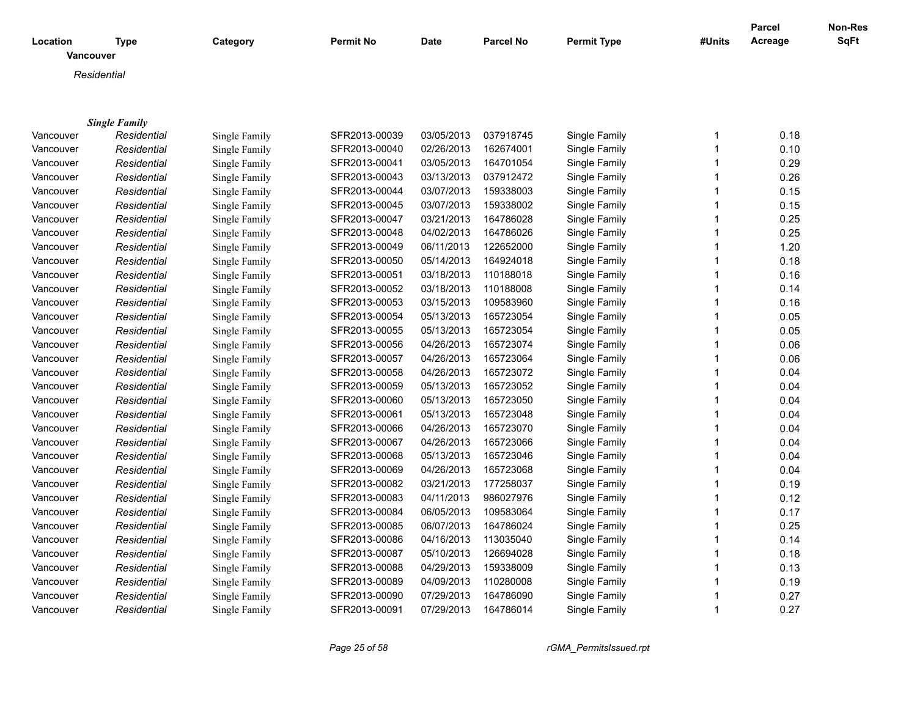|                       |                      |               |                  |             |                  |                    |        | <b>Parcel</b> | Non-Res     |
|-----------------------|----------------------|---------------|------------------|-------------|------------------|--------------------|--------|---------------|-------------|
| Location<br>Vancouver | <b>Type</b>          | Category      | <b>Permit No</b> | <b>Date</b> | <b>Parcel No</b> | <b>Permit Type</b> | #Units | Acreage       | <b>SqFt</b> |
| Residential           |                      |               |                  |             |                  |                    |        |               |             |
|                       |                      |               |                  |             |                  |                    |        |               |             |
|                       |                      |               |                  |             |                  |                    |        |               |             |
|                       | <b>Single Family</b> |               |                  |             |                  |                    |        |               |             |
| Vancouver             | Residential          | Single Family | SFR2013-00039    | 03/05/2013  | 037918745        | Single Family      | 1      | 0.18          |             |
| Vancouver             | Residential          | Single Family | SFR2013-00040    | 02/26/2013  | 162674001        | Single Family      |        | 0.10          |             |
| Vancouver             | Residential          | Single Family | SFR2013-00041    | 03/05/2013  | 164701054        | Single Family      |        | 0.29          |             |
| Vancouver             | Residential          | Single Family | SFR2013-00043    | 03/13/2013  | 037912472        | Single Family      |        | 0.26          |             |
| Vancouver             | Residential          | Single Family | SFR2013-00044    | 03/07/2013  | 159338003        | Single Family      |        | 0.15          |             |
| Vancouver             | Residential          | Single Family | SFR2013-00045    | 03/07/2013  | 159338002        | Single Family      |        | 0.15          |             |
| Vancouver             | Residential          | Single Family | SFR2013-00047    | 03/21/2013  | 164786028        | Single Family      |        | 0.25          |             |
| Vancouver             | Residential          | Single Family | SFR2013-00048    | 04/02/2013  | 164786026        | Single Family      |        | 0.25          |             |
| Vancouver             | Residential          | Single Family | SFR2013-00049    | 06/11/2013  | 122652000        | Single Family      |        | 1.20          |             |
| Vancouver             | Residential          | Single Family | SFR2013-00050    | 05/14/2013  | 164924018        | Single Family      |        | 0.18          |             |
| Vancouver             | Residential          | Single Family | SFR2013-00051    | 03/18/2013  | 110188018        | Single Family      |        | 0.16          |             |
| Vancouver             | Residential          | Single Family | SFR2013-00052    | 03/18/2013  | 110188008        | Single Family      |        | 0.14          |             |
| Vancouver             | Residential          | Single Family | SFR2013-00053    | 03/15/2013  | 109583960        | Single Family      |        | 0.16          |             |
| Vancouver             | Residential          | Single Family | SFR2013-00054    | 05/13/2013  | 165723054        | Single Family      |        | 0.05          |             |
| Vancouver             | Residential          | Single Family | SFR2013-00055    | 05/13/2013  | 165723054        | Single Family      |        | 0.05          |             |
| Vancouver             | Residential          | Single Family | SFR2013-00056    | 04/26/2013  | 165723074        | Single Family      |        | 0.06          |             |
| Vancouver             | Residential          | Single Family | SFR2013-00057    | 04/26/2013  | 165723064        | Single Family      | 1      | 0.06          |             |
| Vancouver             | Residential          | Single Family | SFR2013-00058    | 04/26/2013  | 165723072        | Single Family      |        | 0.04          |             |
| Vancouver             | Residential          | Single Family | SFR2013-00059    | 05/13/2013  | 165723052        | Single Family      | 1      | 0.04          |             |
| Vancouver             | Residential          | Single Family | SFR2013-00060    | 05/13/2013  | 165723050        | Single Family      |        | 0.04          |             |
| Vancouver             | Residential          | Single Family | SFR2013-00061    | 05/13/2013  | 165723048        | Single Family      |        | 0.04          |             |
| Vancouver             | Residential          | Single Family | SFR2013-00066    | 04/26/2013  | 165723070        | Single Family      |        | 0.04          |             |
| Vancouver             | Residential          | Single Family | SFR2013-00067    | 04/26/2013  | 165723066        | Single Family      | 1      | 0.04          |             |
| Vancouver             | Residential          | Single Family | SFR2013-00068    | 05/13/2013  | 165723046        | Single Family      |        | 0.04          |             |
| Vancouver             | Residential          | Single Family | SFR2013-00069    | 04/26/2013  | 165723068        | Single Family      |        | 0.04          |             |
| Vancouver             | Residential          | Single Family | SFR2013-00082    | 03/21/2013  | 177258037        | Single Family      | 1      | 0.19          |             |
| Vancouver             | Residential          | Single Family | SFR2013-00083    | 04/11/2013  | 986027976        | Single Family      |        | 0.12          |             |
| Vancouver             | Residential          | Single Family | SFR2013-00084    | 06/05/2013  | 109583064        | Single Family      | 1      | 0.17          |             |
| Vancouver             | Residential          | Single Family | SFR2013-00085    | 06/07/2013  | 164786024        | Single Family      |        | 0.25          |             |
| Vancouver             | Residential          | Single Family | SFR2013-00086    | 04/16/2013  | 113035040        | Single Family      |        | 0.14          |             |
| Vancouver             | Residential          | Single Family | SFR2013-00087    | 05/10/2013  | 126694028        | Single Family      |        | 0.18          |             |
| Vancouver             | Residential          | Single Family | SFR2013-00088    | 04/29/2013  | 159338009        | Single Family      | 1      | 0.13          |             |
| Vancouver             | Residential          | Single Family | SFR2013-00089    | 04/09/2013  | 110280008        | Single Family      |        | 0.19          |             |
| Vancouver             | Residential          | Single Family | SFR2013-00090    | 07/29/2013  | 164786090        | Single Family      |        | 0.27          |             |
| Vancouver             | Residential          | Single Family | SFR2013-00091    | 07/29/2013  | 164786014        | Single Family      | 1      | 0.27          |             |

*Page 25 of 58 rGMA\_PermitsIssued.rpt*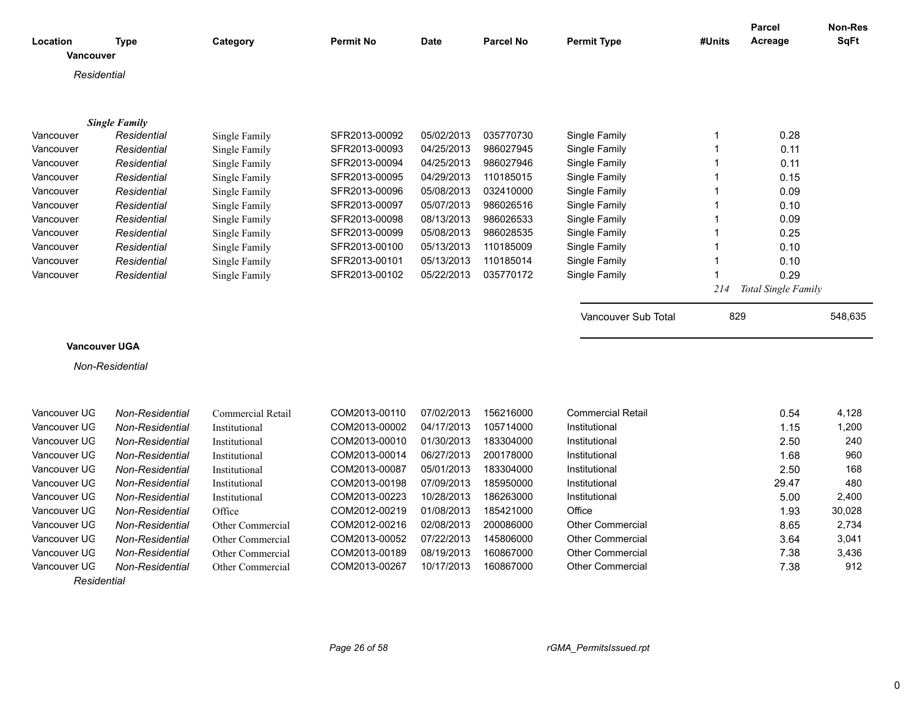|                      |                        |                   |                  |             |                  |                          |                | <b>Parcel</b>       | Non-Res     |
|----------------------|------------------------|-------------------|------------------|-------------|------------------|--------------------------|----------------|---------------------|-------------|
| Location             | Type                   | Category          | <b>Permit No</b> | <b>Date</b> | <b>Parcel No</b> | <b>Permit Type</b>       | #Units         | Acreage             | <b>SqFt</b> |
| Vancouver            |                        |                   |                  |             |                  |                          |                |                     |             |
| Residential          |                        |                   |                  |             |                  |                          |                |                     |             |
|                      |                        |                   |                  |             |                  |                          |                |                     |             |
|                      |                        |                   |                  |             |                  |                          |                |                     |             |
|                      | <b>Single Family</b>   |                   |                  |             |                  |                          |                |                     |             |
| Vancouver            | Residential            | Single Family     | SFR2013-00092    | 05/02/2013  | 035770730        | Single Family            | $\mathbf 1$    | 0.28                |             |
| Vancouver            | Residential            | Single Family     | SFR2013-00093    | 04/25/2013  | 986027945        | Single Family            | $\overline{1}$ | 0.11                |             |
| Vancouver            | Residential            | Single Family     | SFR2013-00094    | 04/25/2013  | 986027946        | Single Family            | $\mathbf 1$    | 0.11                |             |
| Vancouver            | Residential            | Single Family     | SFR2013-00095    | 04/29/2013  | 110185015        | Single Family            | $\mathbf{1}$   | 0.15                |             |
| Vancouver            | Residential            | Single Family     | SFR2013-00096    | 05/08/2013  | 032410000        | Single Family            | $\overline{1}$ | 0.09                |             |
| Vancouver            | Residential            | Single Family     | SFR2013-00097    | 05/07/2013  | 986026516        | Single Family            | $\mathbf 1$    | 0.10                |             |
| Vancouver            | Residential            | Single Family     | SFR2013-00098    | 08/13/2013  | 986026533        | Single Family            | $\overline{1}$ | 0.09                |             |
| Vancouver            | Residential            | Single Family     | SFR2013-00099    | 05/08/2013  | 986028535        | Single Family            | $\overline{1}$ | 0.25                |             |
| Vancouver            | Residential            | Single Family     | SFR2013-00100    | 05/13/2013  | 110185009        | Single Family            | $\overline{1}$ | 0.10                |             |
| Vancouver            | Residential            | Single Family     | SFR2013-00101    | 05/13/2013  | 110185014        | Single Family            | $\mathbf{1}$   | 0.10                |             |
| Vancouver            | Residential            | Single Family     | SFR2013-00102    | 05/22/2013  | 035770172        | Single Family            | $\mathbf 1$    | 0.29                |             |
|                      |                        |                   |                  |             |                  |                          | 214            | Total Single Family |             |
|                      |                        |                   |                  |             |                  |                          |                |                     |             |
|                      |                        |                   |                  |             |                  | Vancouver Sub Total      | 829            |                     | 548,635     |
|                      |                        |                   |                  |             |                  |                          |                |                     |             |
| <b>Vancouver UGA</b> |                        |                   |                  |             |                  |                          |                |                     |             |
|                      | Non-Residential        |                   |                  |             |                  |                          |                |                     |             |
|                      |                        |                   |                  |             |                  |                          |                |                     |             |
|                      |                        |                   |                  |             |                  |                          |                |                     |             |
| Vancouver UG         | <b>Non-Residential</b> | Commercial Retail | COM2013-00110    | 07/02/2013  | 156216000        | <b>Commercial Retail</b> |                | 0.54                | 4,128       |
| Vancouver UG         | Non-Residential        | Institutional     | COM2013-00002    | 04/17/2013  | 105714000        | Institutional            |                | 1.15                | 1,200       |
| Vancouver UG         | Non-Residential        | Institutional     | COM2013-00010    | 01/30/2013  | 183304000        | Institutional            |                | 2.50                | 240         |
| Vancouver UG         | Non-Residential        | Institutional     | COM2013-00014    | 06/27/2013  | 200178000        | Institutional            |                | 1.68                | 960         |
| Vancouver UG         | Non-Residential        | Institutional     | COM2013-00087    | 05/01/2013  | 183304000        | Institutional            |                | 2.50                | 168         |
| Vancouver UG         | Non-Residential        | Institutional     | COM2013-00198    | 07/09/2013  | 185950000        | Institutional            |                | 29.47               | 480         |
| Vancouver UG         | Non-Residential        | Institutional     | COM2013-00223    | 10/28/2013  | 186263000        | Institutional            |                | 5.00                | 2,400       |
| Vancouver UG         | Non-Residential        | Office            | COM2012-00219    | 01/08/2013  | 185421000        | Office                   |                | 1.93                | 30,028      |
| Vancouver UG         | <b>Non-Residential</b> | Other Commercial  | COM2012-00216    | 02/08/2013  | 200086000        | <b>Other Commercial</b>  |                | 8.65                | 2,734       |
| Vancouver UG         | Non-Residential        | Other Commercial  | COM2013-00052    | 07/22/2013  | 145806000        | Other Commercial         |                | 3.64                | 3,041       |
| Vancouver UG         |                        |                   | COM2013-00189    | 08/19/2013  | 160867000        | <b>Other Commercial</b>  |                | 7.38                | 3,436       |
|                      | Non-Residential        | Other Commercial  |                  |             |                  |                          |                |                     |             |
| Vancouver UG         | Non-Residential        | Other Commercial  | COM2013-00267    | 10/17/2013  | 160867000        | <b>Other Commercial</b>  |                | 7.38                | 912         |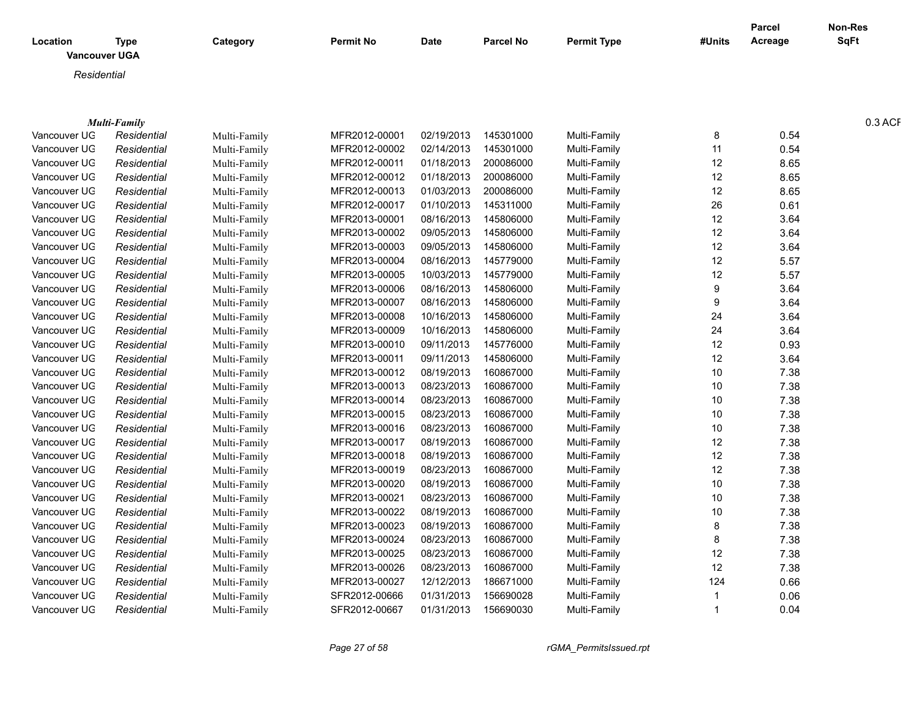|              |                              |              |                  |             |                      |                    |        | <b>Parcel</b> | <b>Non-Res</b> |
|--------------|------------------------------|--------------|------------------|-------------|----------------------|--------------------|--------|---------------|----------------|
| Location     | Type<br><b>Vancouver UGA</b> | Category     | <b>Permit No</b> | <b>Date</b> | <b>Parcel No</b>     | <b>Permit Type</b> | #Units | Acreage       | <b>SqFt</b>    |
| Residential  |                              |              |                  |             |                      |                    |        |               |                |
|              |                              |              |                  |             |                      |                    |        |               |                |
|              |                              |              |                  |             |                      |                    |        |               |                |
|              | <b>Multi-Family</b>          |              |                  |             |                      |                    |        |               | 0.3 ACF        |
| Vancouver UG | Residential                  | Multi-Family | MFR2012-00001    | 02/19/2013  | 145301000            | Multi-Family       |        | 0.54          |                |
| Vancouver UG | Residential                  | Multi-Family | MFR2012-00002    | 02/14/2013  | 145301000            | Multi-Family       | -11    | 0.54          |                |
| Vancouver UG | Residential                  | Multi-Family | MFR2012-00011    | 01/18/2013  | 200086000            | Multi-Family       | 12     | 8.65          |                |
| Vancouver UG | Residential                  | Multi-Family | MFR2012-00012    | 01/18/2013  | 200086000            | Multi-Family       | 12     | 8.65          |                |
| Vancouver UG | Residential                  | Multi-Family | MFR2012-00013    | 01/03/2013  | 200086000            | Multi-Family       | 12     | 8.65          |                |
| Vancouver UG | Residential                  | Multi-Family | MFR2012-00017    | 01/10/2013  | 145311000            | Multi-Family       | 26     | 0.61          |                |
| Vancouver UG | Residential                  | Multi-Family | MFR2013-00001    | 08/16/2013  | 145806000            | Multi-Family       | 12     | 3.64          |                |
| Vancouver UG | Residential                  | Multi-Family | MFR2013-00002    | 09/05/2013  | 145806000            | Multi-Family       | 12     | 3.64          |                |
| Vancouver UG | Residential                  | Multi-Family | MFR2013-00003    | 09/05/2013  | 145806000            | Multi-Family       | 12     | 3.64          |                |
| Vancouver UG | Residential                  | Multi-Family | MFR2013-00004    | 08/16/2013  | 145779000            | Multi-Family       | 12     | 5.57          |                |
| Vancouver UG | Residential                  | Multi-Family | MFR2013-00005    | 10/03/2013  | 145779000            | Multi-Family       | 12     | 5.57          |                |
| Vancouver UG | Residential                  | Multi-Family | MFR2013-00006    | 08/16/2013  | 145806000            | Multi-Family       |        | 3.64          |                |
| Vancouver UG | Residential                  | Multi-Family | MFR2013-00007    | 08/16/2013  | 145806000            | Multi-Family       |        | 3.64          |                |
| Vancouver UG | Residential                  | Multi-Family | MFR2013-00008    | 10/16/2013  | 145806000            | Multi-Family       | 24     | 3.64          |                |
| Vancouver UG | Residential                  | Multi-Family | MFR2013-00009    | 10/16/2013  | 145806000            | Multi-Family       | 24     | 3.64          |                |
| Vancouver UG | Residentia                   | Multi-Family | MFR2013-00010    | 09/11/2013  | 145776000            | Multi-Family       | 12     | 0.93          |                |
| Vancouver UG | Residential                  | Multi-Family | MFR2013-00011    | 09/11/2013  | 145806000            | Multi-Family       | 12     | 3.64          |                |
| Vancouver UG | Residential                  | Multi-Family | MFR2013-00012    | 08/19/2013  | 160867000            | Multi-Family       | 10     | 7.38          |                |
| Vancouver UG | Residential                  | Multi-Family | MFR2013-00013    | 08/23/2013  | 160867000            | Multi-Family       | 10     | 7.38          |                |
| Vancouver UG | Residential                  | Multi-Family | MFR2013-00014    | 08/23/2013  | 160867000            | Multi-Family       | 10     | 7.38          |                |
| Vancouver UG | Residential                  | Multi-Family | MFR2013-00015    | 08/23/2013  | 160867000            | Multi-Family       | 10     | 7.38          |                |
| Vancouver UG | Residential                  | Multi-Family | MFR2013-00016    | 08/23/2013  | 160867000            | Multi-Family       | 10     | 7.38          |                |
| Vancouver UG | Residential                  | Multi-Family | MFR2013-00017    | 08/19/2013  | 160867000            | Multi-Family       | 12     | 7.38          |                |
| Vancouver UG | Residential                  | Multi-Family | MFR2013-00018    | 08/19/2013  | 160867000            | Multi-Family       | 12     | 7.38          |                |
| Vancouver UG | Residential                  | Multi-Family | MFR2013-00019    | 08/23/2013  | 160867000            | Multi-Family       | 12     | 7.38          |                |
| Vancouver UG | Residential                  | Multi-Family | MFR2013-00020    | 08/19/2013  | 160867000            | Multi-Family       | 10     | 7.38          |                |
| Vancouver UG | Residential                  | Multi-Family | MFR2013-00021    | 08/23/2013  | 160867000            | Multi-Family       | 10     | 7.38          |                |
| Vancouver UG | Residential                  | Multi-Family | MFR2013-00022    | 08/19/2013  | 160867000            | Multi-Family       | 10     | 7.38          |                |
| Vancouver UG | Residential                  | Multi-Family | MFR2013-00023    | 08/19/2013  | 160867000            | Multi-Family       |        | 7.38          |                |
| Vancouver UG | Residential                  | Multi-Family | MFR2013-00024    | 08/23/2013  | 160867000            | Multi-Family       |        | 7.38          |                |
| Vancouver UG | Residential                  | Multi-Family | MFR2013-00025    | 08/23/2013  | 160867000            | Multi-Family       | 12     | 7.38          |                |
| Vancouver UG | Residential                  | Multi-Family | MFR2013-00026    | 08/23/2013  | 160867000            | Multi-Family       | 12     | 7.38          |                |
| Vancouver UG | Residentia                   | Multi-Family | MFR2013-00027    | 12/12/2013  | 186671000            | Multi-Family       | 124    | 0.66          |                |
| Vancouver UG | Residentia                   | Multi-Family | SFR2012-00666    | 01/31/2013  | 156690028            | Multi-Family       |        | 0.06          |                |
| Vancouver UG | Residential                  | Multi-Family | SFR2012-00667    |             | 01/31/2013 156690030 | Multi-Family       |        | 0.04          |                |
|              |                              |              |                  |             |                      |                    |        |               |                |

*Page 27 of 58 rGMA\_PermitsIssued.rpt*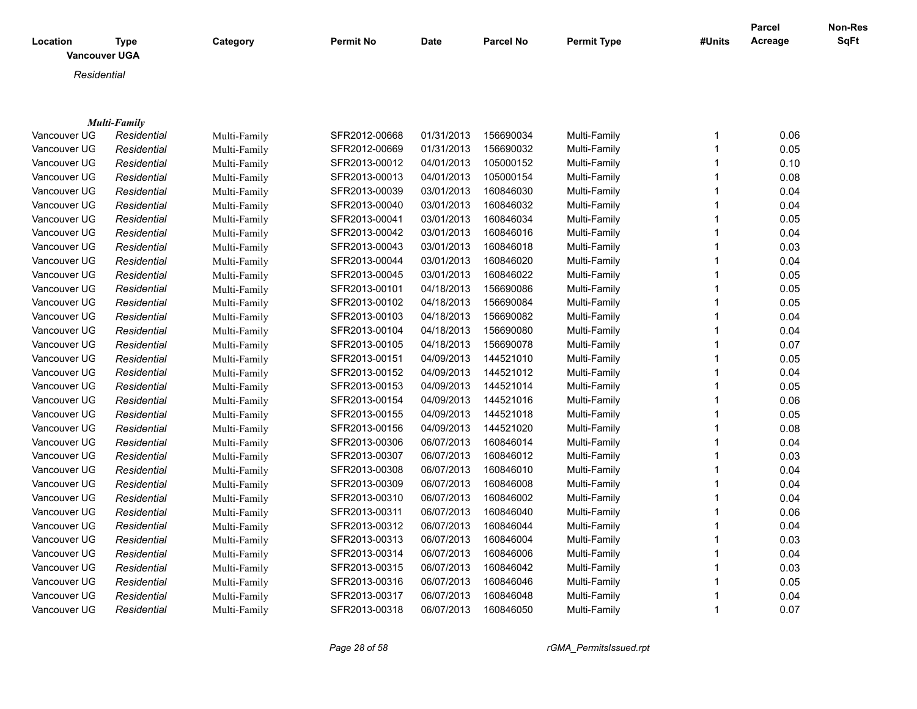| Location     | <b>Type</b><br><b>Vancouver UGA</b> | Category     | <b>Permit No</b> | Date       | <b>Parcel No</b> | <b>Permit Type</b> | #Units | Parcel<br>Acreage | <b>Non-Res</b><br>SqFt |
|--------------|-------------------------------------|--------------|------------------|------------|------------------|--------------------|--------|-------------------|------------------------|
| Residential  |                                     |              |                  |            |                  |                    |        |                   |                        |
|              |                                     |              |                  |            |                  |                    |        |                   |                        |
|              | <b>Multi-Family</b>                 |              |                  |            |                  |                    |        |                   |                        |
| Vancouver UG | Residential                         | Multi-Family | SFR2012-00668    | 01/31/2013 | 156690034        | Multi-Family       |        | 0.06              |                        |
| Vancouver UG | Residential                         | Multi-Family | SFR2012-00669    | 01/31/2013 | 156690032        | Multi-Family       |        | 0.05              |                        |
| Vancouver UG | Residential                         | Multi-Family | SFR2013-00012    | 04/01/2013 | 105000152        | Multi-Family       |        | 0.10              |                        |
| Vancouver UG | Residential                         | Multi-Family | SFR2013-00013    | 04/01/2013 | 105000154        | Multi-Family       |        | 0.08              |                        |
| Vancouver UG | Residential                         | Multi-Family | SFR2013-00039    | 03/01/2013 | 160846030        | Multi-Family       |        | 0.04              |                        |
| Vancouver UG | Residential                         | Multi-Family | SFR2013-00040    | 03/01/2013 | 160846032        | Multi-Family       |        | 0.04              |                        |
| Vancouver UG | Residential                         | Multi-Family | SFR2013-00041    | 03/01/2013 | 160846034        | Multi-Family       |        | 0.05              |                        |
| Vancouver UG | Residential                         | Multi-Family | SFR2013-00042    | 03/01/2013 | 160846016        | Multi-Family       |        | 0.04              |                        |
| Vancouver UG | Residential                         | Multi-Family | SFR2013-00043    | 03/01/2013 | 160846018        | Multi-Family       |        | 0.03              |                        |
| Vancouver UG | Residential                         | Multi-Family | SFR2013-00044    | 03/01/2013 | 160846020        | Multi-Family       |        | 0.04              |                        |
| Vancouver UG | Residential                         | Multi-Family | SFR2013-00045    | 03/01/2013 | 160846022        | Multi-Family       |        | 0.05              |                        |
| Vancouver UG | Residential                         | Multi-Family | SFR2013-00101    | 04/18/2013 | 156690086        | Multi-Family       |        | 0.05              |                        |
| Vancouver UG | Residential                         | Multi-Family | SFR2013-00102    | 04/18/2013 | 156690084        | Multi-Family       |        | 0.05              |                        |
| Vancouver UG | Residential                         | Multi-Family | SFR2013-00103    | 04/18/2013 | 156690082        | Multi-Family       |        | 0.04              |                        |
| Vancouver UG | Residential                         | Multi-Family | SFR2013-00104    | 04/18/2013 | 156690080        | Multi-Family       |        | 0.04              |                        |
| Vancouver UG | Residential                         | Multi-Family | SFR2013-00105    | 04/18/2013 | 156690078        | Multi-Family       |        | 0.07              |                        |
| Vancouver UG | Residential                         | Multi-Family | SFR2013-00151    | 04/09/2013 | 144521010        | Multi-Family       |        | 0.05              |                        |
| Vancouver UG | Residential                         | Multi-Family | SFR2013-00152    | 04/09/2013 | 144521012        | Multi-Family       |        | 0.04              |                        |
| Vancouver UG | Residential                         | Multi-Family | SFR2013-00153    | 04/09/2013 | 144521014        | Multi-Family       |        | 0.05              |                        |

Vancouver UGA *Residential* Multi-Family SFR2013-00154 04/09/2013 144521016 Multi-Family 1 0.06 Vancouver UGA *Residential* Multi-Family SFR2013-00155 04/09/2013 144521018 Multi-Family 1 0.05 Vancouver UGA *Residential* Multi-Family SFR2013-00156 04/09/2013 144521020 Multi-Family 1 0.08 Vancouver UGA *Residential* Multi-Family SFR2013-00306 06/07/2013 160846014 Multi-Family 1 0.04 Vancouver UGA *Residential* Multi-Family SFR2013-00307 06/07/2013 160846012 Multi-Family 1 0.03 Vancouver UGA *Residential* Multi-Family SFR2013-00308 06/07/2013 160846010 Multi-Family 1 0.04 Vancouver UGA *Residential* Multi-Family SFR2013-00309 06/07/2013 160846008 Multi-Family 1 0.04 Vancouver UGA *Residential* Multi-Family SFR2013-00310 06/07/2013 160846002 Multi-Family 1 0.04 Vancouver UGA *Residential* Multi-Family SFR2013-00311 06/07/2013 160846040 Multi-Family 1 0.06 Vancouver UGA *Residential* Multi-Family SFR2013-00312 06/07/2013 160846044 Multi-Family 1 0.04 Vancouver UGA *Residential* Multi-Family SFR2013-00313 06/07/2013 160846004 Multi-Family 1 0.03 Vancouver UGA *Residential* Multi-Family SFR2013-00314 06/07/2013 160846006 Multi-Family 1 0.04 Vancouver UGA *Residential* Multi-Family SFR2013-00315 06/07/2013 160846042 Multi-Family 1 0.03 Vancouver UGA *Residential* Multi-Family SFR2013-00316 06/07/2013 160846046 Multi-Family 1 0.05 Vancouver UGA *Residential* Multi-Family SFR2013-00317 06/07/2013 160846048 Multi-Family 1 0.04 Vancouver UGA *Residential* Multi-Family SFR2013-00318 06/07/2013 160846050 Multi-Family 1 0.07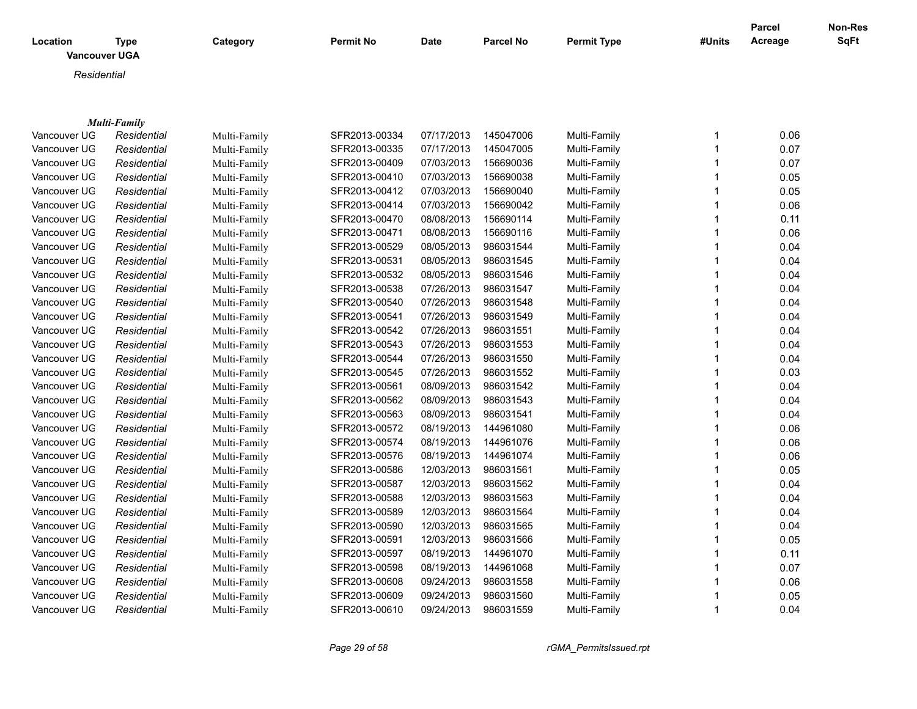|              |                      |              |                  |            |                  |                    |                | Parcel  | Non-Res     |
|--------------|----------------------|--------------|------------------|------------|------------------|--------------------|----------------|---------|-------------|
| Location     | <b>Type</b>          | Category     | <b>Permit No</b> | Date       | <b>Parcel No</b> | <b>Permit Type</b> | #Units         | Acreage | <b>SqFt</b> |
|              | <b>Vancouver UGA</b> |              |                  |            |                  |                    |                |         |             |
| Residential  |                      |              |                  |            |                  |                    |                |         |             |
|              |                      |              |                  |            |                  |                    |                |         |             |
|              |                      |              |                  |            |                  |                    |                |         |             |
|              | <b>Multi-Family</b>  |              |                  |            |                  |                    |                |         |             |
| Vancouver UG | Residential          | Multi-Family | SFR2013-00334    | 07/17/2013 | 145047006        | Multi-Family       | $\mathbf{1}$   | 0.06    |             |
| Vancouver UG | Residential          | Multi-Family | SFR2013-00335    | 07/17/2013 | 145047005        | Multi-Family       | $\overline{1}$ | 0.07    |             |
| Vancouver UG | Residential          | Multi-Family | SFR2013-00409    | 07/03/2013 | 156690036        | Multi-Family       | $\mathbf{1}$   | 0.07    |             |
| Vancouver UG | Residential          | Multi-Family | SFR2013-00410    | 07/03/2013 | 156690038        | Multi-Family       | 1              | 0.05    |             |
| Vancouver UG | Residential          | Multi-Family | SFR2013-00412    | 07/03/2013 | 156690040        | Multi-Family       | $\overline{1}$ | 0.05    |             |
| Vancouver UG | Residential          | Multi-Family | SFR2013-00414    | 07/03/2013 | 156690042        | Multi-Family       | $\overline{1}$ | 0.06    |             |
| Vancouver UG | Residential          | Multi-Family | SFR2013-00470    | 08/08/2013 | 156690114        | Multi-Family       | $\overline{1}$ | 0.11    |             |
| Vancouver UG | Residential          | Multi-Family | SFR2013-00471    | 08/08/2013 | 156690116        | Multi-Family       | $\overline{1}$ | 0.06    |             |
| Vancouver UG | Residential          | Multi-Family | SFR2013-00529    | 08/05/2013 | 986031544        | Multi-Family       | $\mathbf{1}$   | 0.04    |             |
| Vancouver UG | Residential          | Multi-Family | SFR2013-00531    | 08/05/2013 | 986031545        | Multi-Family       | $\mathbf{1}$   | 0.04    |             |
| Vancouver UG | Residential          | Multi-Family | SFR2013-00532    | 08/05/2013 | 986031546        | Multi-Family       | $\mathbf{1}$   | 0.04    |             |
| Vancouver UG | Residential          | Multi-Family | SFR2013-00538    | 07/26/2013 | 986031547        | Multi-Family       | $\overline{1}$ | 0.04    |             |
| Vancouver UG | Residential          | Multi-Family | SFR2013-00540    | 07/26/2013 | 986031548        | Multi-Family       | $\mathbf{1}$   | 0.04    |             |
| Vancouver UG | Residential          | Multi-Family | SFR2013-00541    | 07/26/2013 | 986031549        | Multi-Family       | $\mathbf 1$    | 0.04    |             |
| Vancouver UG | Residential          | Multi-Family | SFR2013-00542    | 07/26/2013 | 986031551        | Multi-Family       | $\mathbf 1$    | 0.04    |             |
| Vancouver UG | Residential          | Multi-Family | SFR2013-00543    | 07/26/2013 | 986031553        | Multi-Family       | 1              | 0.04    |             |
| Vancouver UG | Residential          | Multi-Family | SFR2013-00544    | 07/26/2013 | 986031550        | Multi-Family       | $\overline{1}$ | 0.04    |             |
| Vancouver UG | Residential          | Multi-Family | SFR2013-00545    | 07/26/2013 | 986031552        | Multi-Family       | $\mathbf{1}$   | 0.03    |             |
| Vancouver UG | Residential          | Multi-Family | SFR2013-00561    | 08/09/2013 | 986031542        | Multi-Family       | $\overline{1}$ | 0.04    |             |
| Vancouver UG | Residential          | Multi-Family | SFR2013-00562    | 08/09/2013 | 986031543        | Multi-Family       | $\overline{1}$ | 0.04    |             |
| Vancouver UG | Residential          | Multi-Family | SFR2013-00563    | 08/09/2013 | 986031541        | Multi-Family       | $\overline{1}$ | 0.04    |             |
| Vancouver UG | Residential          | Multi-Family | SFR2013-00572    | 08/19/2013 | 144961080        | Multi-Family       | $\mathbf{1}$   | 0.06    |             |
| Vancouver UG | Residential          | Multi-Family | SFR2013-00574    | 08/19/2013 | 144961076        | Multi-Family       | $\mathbf 1$    | 0.06    |             |
| Vancouver UG | Residential          | Multi-Family | SFR2013-00576    | 08/19/2013 | 144961074        | Multi-Family       | $\overline{1}$ | 0.06    |             |
| Vancouver UG | Residential          | Multi-Family | SFR2013-00586    | 12/03/2013 | 986031561        | Multi-Family       | $\mathbf 1$    | 0.05    |             |
| Vancouver UG | Residential          | Multi-Family | SFR2013-00587    | 12/03/2013 | 986031562        | Multi-Family       | $\overline{1}$ | 0.04    |             |
| Vancouver UG | Residential          | Multi-Family | SFR2013-00588    | 12/03/2013 | 986031563        | Multi-Family       | $\overline{1}$ | 0.04    |             |
| Vancouver UG | Residential          | Multi-Family | SFR2013-00589    | 12/03/2013 | 986031564        | Multi-Family       | $\overline{1}$ | 0.04    |             |
| Vancouver UG | Residential          | Multi-Family | SFR2013-00590    | 12/03/2013 | 986031565        | Multi-Family       | $\overline{1}$ | 0.04    |             |
| Vancouver UG | Residential          | Multi-Family | SFR2013-00591    | 12/03/2013 | 986031566        | Multi-Family       | $\overline{1}$ | 0.05    |             |
| Vancouver UG | Residential          | Multi-Family | SFR2013-00597    | 08/19/2013 | 144961070        | Multi-Family       | 1              | 0.11    |             |
| Vancouver UG | Residential          | Multi-Family | SFR2013-00598    | 08/19/2013 | 144961068        | Multi-Family       |                | 0.07    |             |
| Vancouver UG | Residential          | Multi-Family | SFR2013-00608    | 09/24/2013 | 986031558        | Multi-Family       |                | 0.06    |             |
| Vancouver UG | Residential          | Multi-Family | SFR2013-00609    | 09/24/2013 | 986031560        | Multi-Family       |                | 0.05    |             |
| Vancouver UG | Residential          | Multi-Family | SFR2013-00610    | 09/24/2013 | 986031559        | Multi-Family       | $\mathbf 1$    | 0.04    |             |

*Page 29 of 58 rGMA\_PermitsIssued.rpt*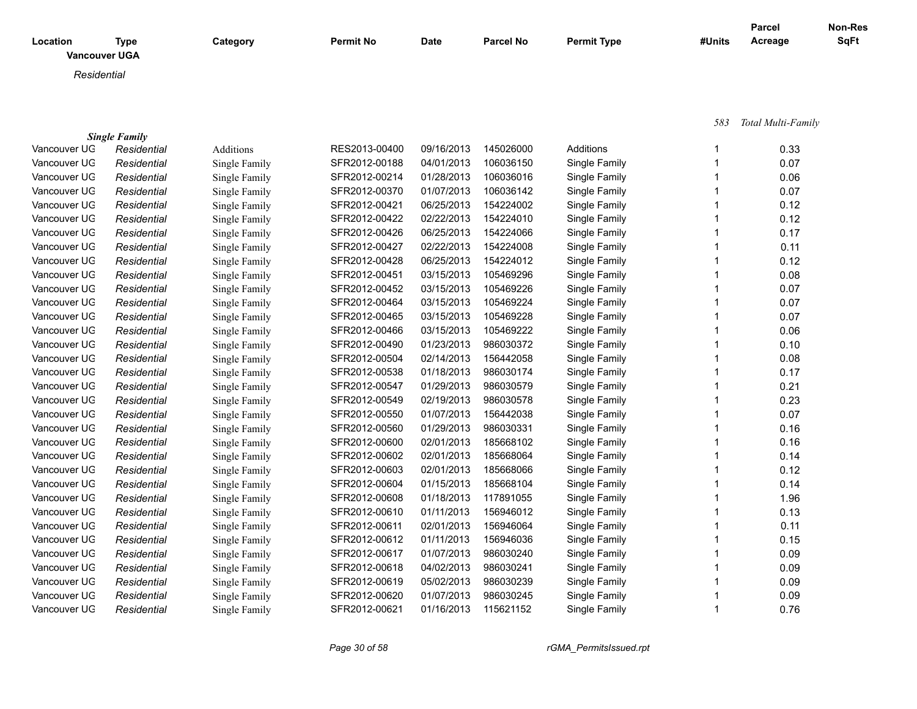| Location | Type                 | Category | <b>Permit No</b> | <b>Date</b> | <b>Parcel No</b> | <b>Permit Type</b> | #Units | <b>Parcel</b><br>Acreage | Non-Res<br><b>SqFt</b> |
|----------|----------------------|----------|------------------|-------------|------------------|--------------------|--------|--------------------------|------------------------|
|          | <b>Vancouver UGA</b> |          |                  |             |                  |                    |        |                          |                        |
|          | Residential          |          |                  |             |                  |                    |        |                          |                        |

 *583 Total Multi-Family*

|              | <b>Single Family</b> |               |               |            |           |               |      |
|--------------|----------------------|---------------|---------------|------------|-----------|---------------|------|
| Vancouver UG | Residential          | Additions     | RES2013-00400 | 09/16/2013 | 145026000 | Additions     | 0.33 |
| Vancouver UG | Residential          | Single Family | SFR2012-00188 | 04/01/2013 | 106036150 | Single Family | 0.07 |
| Vancouver UG | Residential          | Single Family | SFR2012-00214 | 01/28/2013 | 106036016 | Single Family | 0.06 |
| Vancouver UG | Residential          | Single Family | SFR2012-00370 | 01/07/2013 | 106036142 | Single Family | 0.07 |
| Vancouver UG | Residential          | Single Family | SFR2012-00421 | 06/25/2013 | 154224002 | Single Family | 0.12 |
| Vancouver UG | Residential          | Single Family | SFR2012-00422 | 02/22/2013 | 154224010 | Single Family | 0.12 |
| Vancouver UG | Residential          | Single Family | SFR2012-00426 | 06/25/2013 | 154224066 | Single Family | 0.17 |
| Vancouver UG | Residential          | Single Family | SFR2012-00427 | 02/22/2013 | 154224008 | Single Family | 0.11 |
| Vancouver UG | Residential          | Single Family | SFR2012-00428 | 06/25/2013 | 154224012 | Single Family | 0.12 |
| Vancouver UG | Residential          | Single Family | SFR2012-00451 | 03/15/2013 | 105469296 | Single Family | 0.08 |
| Vancouver UG | Residential          | Single Family | SFR2012-00452 | 03/15/2013 | 105469226 | Single Family | 0.07 |
| Vancouver UG | Residential          | Single Family | SFR2012-00464 | 03/15/2013 | 105469224 | Single Family | 0.07 |
| Vancouver UG | Residential          | Single Family | SFR2012-00465 | 03/15/2013 | 105469228 | Single Family | 0.07 |
| Vancouver UG | Residential          | Single Family | SFR2012-00466 | 03/15/2013 | 105469222 | Single Family | 0.06 |
| Vancouver UG | Residential          | Single Family | SFR2012-00490 | 01/23/2013 | 986030372 | Single Family | 0.10 |
| Vancouver UG | Residential          | Single Family | SFR2012-00504 | 02/14/2013 | 156442058 | Single Family | 0.08 |
| Vancouver UG | Residential          | Single Family | SFR2012-00538 | 01/18/2013 | 986030174 | Single Family | 0.17 |
| Vancouver UG | Residential          | Single Family | SFR2012-00547 | 01/29/2013 | 986030579 | Single Family | 0.21 |
| Vancouver UG | Residential          | Single Family | SFR2012-00549 | 02/19/2013 | 986030578 | Single Family | 0.23 |
| Vancouver UG | Residential          | Single Family | SFR2012-00550 | 01/07/2013 | 156442038 | Single Family | 0.07 |
| Vancouver UG | Residential          | Single Family | SFR2012-00560 | 01/29/2013 | 986030331 | Single Family | 0.16 |
| Vancouver UG | Residential          | Single Family | SFR2012-00600 | 02/01/2013 | 185668102 | Single Family | 0.16 |
| Vancouver UG | Residential          | Single Family | SFR2012-00602 | 02/01/2013 | 185668064 | Single Family | 0.14 |
| Vancouver UG | Residential          | Single Family | SFR2012-00603 | 02/01/2013 | 185668066 | Single Family | 0.12 |
| Vancouver UG | Residential          | Single Family | SFR2012-00604 | 01/15/2013 | 185668104 | Single Family | 0.14 |
| Vancouver UG | Residential          | Single Family | SFR2012-00608 | 01/18/2013 | 117891055 | Single Family | 1.96 |
| Vancouver UG | Residential          | Single Family | SFR2012-00610 | 01/11/2013 | 156946012 | Single Family | 0.13 |
| Vancouver UG | Residential          | Single Family | SFR2012-00611 | 02/01/2013 | 156946064 | Single Family | 0.11 |
| Vancouver UG | Residential          | Single Family | SFR2012-00612 | 01/11/2013 | 156946036 | Single Family | 0.15 |
| Vancouver UG | Residential          | Single Family | SFR2012-00617 | 01/07/2013 | 986030240 | Single Family | 0.09 |
| Vancouver UG | Residential          | Single Family | SFR2012-00618 | 04/02/2013 | 986030241 | Single Family | 0.09 |
| Vancouver UG | Residential          | Single Family | SFR2012-00619 | 05/02/2013 | 986030239 | Single Family | 0.09 |
| Vancouver UG | Residential          | Single Family | SFR2012-00620 | 01/07/2013 | 986030245 | Single Family | 0.09 |
| Vancouver UG | Residential          | Single Family | SFR2012-00621 | 01/16/2013 | 115621152 | Single Family | 0.76 |
|              |                      |               |               |            |           |               |      |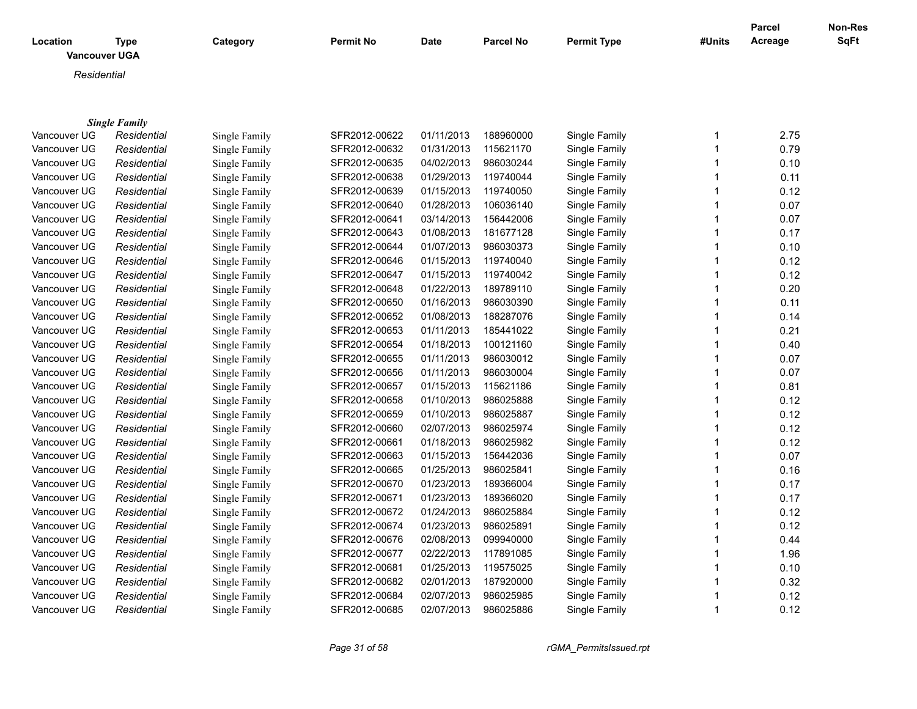| Location<br><b>Vancouver UGA</b> | Type                 | Category      | <b>Permit No</b> | <b>Date</b> | <b>Parcel No</b> | <b>Permit Type</b> | #Units | <b>Parcel</b><br>Acreage | Non-Res<br><b>SqFt</b> |
|----------------------------------|----------------------|---------------|------------------|-------------|------------------|--------------------|--------|--------------------------|------------------------|
| Residential                      |                      |               |                  |             |                  |                    |        |                          |                        |
|                                  | <b>Single Family</b> |               |                  |             |                  |                    |        |                          |                        |
| Vancouver UG                     | Residential          | Single Family | SFR2012-00622    | 01/11/2013  | 188960000        | Single Family      |        | 2.75                     |                        |
| Vancouver UG                     | Residential          | Single Family | SFR2012-00632    | 01/31/2013  | 115621170        | Single Family      |        | 0.79                     |                        |
| Vancouver UG                     | Residential          | Single Family | SFR2012-00635    | 04/02/2013  | 986030244        | Single Family      |        | 0.10                     |                        |
| Vancouver UG                     | Residential          | Single Family | SFR2012-00638    | 01/29/2013  | 119740044        | Single Family      |        | 0.11                     |                        |
| Vancouver UG                     | Residential          | Single Family | SFR2012-00639    | 01/15/2013  | 119740050        | Single Family      |        | 0.12                     |                        |
| Vancouver UG                     | Residential          | Single Family | SFR2012-00640    | 01/28/2013  | 106036140        | Single Family      |        | 0.07                     |                        |

| vancouver UG | Residential | Single Family | SFR2012-00632 | 01/31/2013 | 115621170 | Single Family | 0.79 |
|--------------|-------------|---------------|---------------|------------|-----------|---------------|------|
| Vancouver UG | Residential | Single Family | SFR2012-00635 | 04/02/2013 | 986030244 | Single Family | 0.10 |
| Vancouver UG | Residential | Single Family | SFR2012-00638 | 01/29/2013 | 119740044 | Single Family | 0.11 |
| Vancouver UG | Residential | Single Family | SFR2012-00639 | 01/15/2013 | 119740050 | Single Family | 0.12 |
| Vancouver UG | Residential | Single Family | SFR2012-00640 | 01/28/2013 | 106036140 | Single Family | 0.07 |
| Vancouver UG | Residential | Single Family | SFR2012-00641 | 03/14/2013 | 156442006 | Single Family | 0.07 |
| Vancouver UG | Residential | Single Family | SFR2012-00643 | 01/08/2013 | 181677128 | Single Family | 0.17 |
| Vancouver UG | Residential | Single Family | SFR2012-00644 | 01/07/2013 | 986030373 | Single Family | 0.10 |
| Vancouver UG | Residential | Single Family | SFR2012-00646 | 01/15/2013 | 119740040 | Single Family | 0.12 |
| Vancouver UG | Residential | Single Family | SFR2012-00647 | 01/15/2013 | 119740042 | Single Family | 0.12 |
| Vancouver UG | Residential | Single Family | SFR2012-00648 | 01/22/2013 | 189789110 | Single Family | 0.20 |
| Vancouver UG | Residential | Single Family | SFR2012-00650 | 01/16/2013 | 986030390 | Single Family | 0.11 |
| Vancouver UG | Residential | Single Family | SFR2012-00652 | 01/08/2013 | 188287076 | Single Family | 0.14 |
| Vancouver UG | Residential | Single Family | SFR2012-00653 | 01/11/2013 | 185441022 | Single Family | 0.21 |
| Vancouver UG | Residential | Single Family | SFR2012-00654 | 01/18/2013 | 100121160 | Single Family | 0.40 |
| Vancouver UG | Residential | Single Family | SFR2012-00655 | 01/11/2013 | 986030012 | Single Family | 0.07 |
| Vancouver UG | Residential | Single Family | SFR2012-00656 | 01/11/2013 | 986030004 | Single Family | 0.07 |
| Vancouver UG | Residential | Single Family | SFR2012-00657 | 01/15/2013 | 115621186 | Single Family | 0.81 |
| Vancouver UG | Residential | Single Family | SFR2012-00658 | 01/10/2013 | 986025888 | Single Family | 0.12 |
| Vancouver UG | Residential | Single Family | SFR2012-00659 | 01/10/2013 | 986025887 | Single Family | 0.12 |
| Vancouver UG | Residential | Single Family | SFR2012-00660 | 02/07/2013 | 986025974 | Single Family | 0.12 |
| Vancouver UG | Residential | Single Family | SFR2012-00661 | 01/18/2013 | 986025982 | Single Family | 0.12 |
| Vancouver UG | Residential | Single Family | SFR2012-00663 | 01/15/2013 | 156442036 | Single Family | 0.07 |
| Vancouver UG | Residential | Single Family | SFR2012-00665 | 01/25/2013 | 986025841 | Single Family | 0.16 |
| Vancouver UG | Residential | Single Family | SFR2012-00670 | 01/23/2013 | 189366004 | Single Family | 0.17 |
| Vancouver UG | Residential | Single Family | SFR2012-00671 | 01/23/2013 | 189366020 | Single Family | 0.17 |
| Vancouver UG | Residential | Single Family | SFR2012-00672 | 01/24/2013 | 986025884 | Single Family | 0.12 |
| Vancouver UG | Residential | Single Family | SFR2012-00674 | 01/23/2013 | 986025891 | Single Family | 0.12 |
| Vancouver UG | Residential | Single Family | SFR2012-00676 | 02/08/2013 | 099940000 | Single Family | 0.44 |
| Vancouver UG | Residential | Single Family | SFR2012-00677 | 02/22/2013 | 117891085 | Single Family | 1.96 |
| Vancouver UG | Residential | Single Family | SFR2012-00681 | 01/25/2013 | 119575025 | Single Family | 0.10 |
| Vancouver UG | Residential | Single Family | SFR2012-00682 | 02/01/2013 | 187920000 | Single Family | 0.32 |
| Vancouver UG | Residential | Single Family | SFR2012-00684 | 02/07/2013 | 986025985 | Single Family | 0.12 |
| Vancouver UG | Residential | Single Family | SFR2012-00685 | 02/07/2013 | 986025886 | Single Family | 0.12 |
|              |             |               |               |            |           |               |      |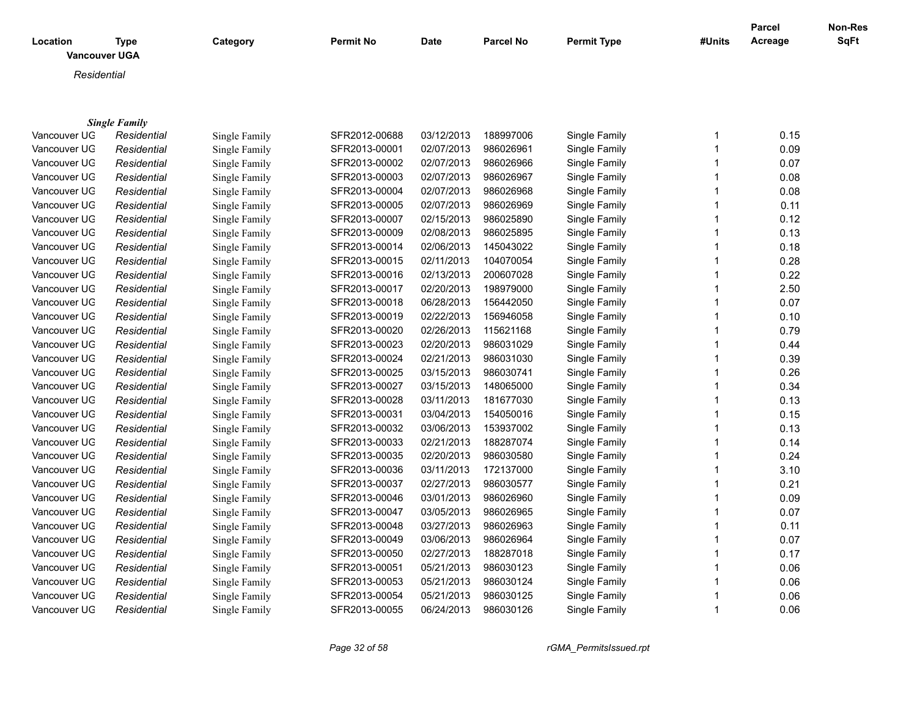| Location     | <b>Type</b><br><b>Vancouver UGA</b> | Category      | <b>Permit No</b> | <b>Date</b> | <b>Parcel No</b> | <b>Permit Type</b> | #Units | Parcel<br>Acreage | <b>Non-Res</b><br><b>SqFt</b> |
|--------------|-------------------------------------|---------------|------------------|-------------|------------------|--------------------|--------|-------------------|-------------------------------|
| Residential  |                                     |               |                  |             |                  |                    |        |                   |                               |
|              |                                     |               |                  |             |                  |                    |        |                   |                               |
|              | <b>Single Family</b>                |               |                  |             |                  |                    |        |                   |                               |
| Vancouver UG | Residential                         | Single Family | SFR2012-00688    | 03/12/2013  | 188997006        | Single Family      |        | 0.15              |                               |
| Vancouver UG | Residential                         | Single Family | SFR2013-00001    | 02/07/2013  | 986026961        | Single Family      |        | 0.09              |                               |
| Vancouver UG | Residential                         | Single Family | SFR2013-00002    | 02/07/2013  | 986026966        | Single Family      |        | 0.07              |                               |
| Vancouver UG | Residential                         | Single Family | SFR2013-00003    | 02/07/2013  | 986026967        | Single Family      |        | 0.08              |                               |
| Vancouver UG | Residential                         | Single Family | SFR2013-00004    | 02/07/2013  | 986026968        | Single Family      |        | 0.08              |                               |
| Vancouver UG | Residential                         | Single Family | SFR2013-00005    | 02/07/2013  | 986026969        | Single Family      |        | 0.11              |                               |
| Vancouver UG | Residential                         | Single Family | SFR2013-00007    | 02/15/2013  | 986025890        | Single Family      |        | 0.12              |                               |
| Vancouver UG | Residential                         | Single Family | SFR2013-00009    | 02/08/2013  | 986025895        | Single Family      |        | 0.13              |                               |
| Vancouver UG | Residential                         | Single Family | SFR2013-00014    | 02/06/2013  | 145043022        | Single Family      |        | 0.18              |                               |
| Vancouver UG | Residential                         | Single Family | SFR2013-00015    | 02/11/2013  | 104070054        | Single Family      |        | 0.28              |                               |
| Vancouver UG | Residential                         | Single Family | SFR2013-00016    | 02/13/2013  | 200607028        | Single Family      |        | 0.22              |                               |
| Vancouver UG | Residential                         | Single Family | SFR2013-00017    | 02/20/2013  | 198979000        | Single Family      |        | 2.50              |                               |
| Vancouver UG | Residential                         | Single Family | SFR2013-00018    | 06/28/2013  | 156442050        | Single Family      |        | 0.07              |                               |
| Vancouver UG | Residential                         | Single Family | SFR2013-00019    | 02/22/2013  | 156946058        | Single Family      |        | 0.10              |                               |
| Vancouver UG | Residential                         | Single Family | SFR2013-00020    | 02/26/2013  | 115621168        | Single Family      |        | 0.79              |                               |
| Vancouver UG | Residential                         | Single Family | SFR2013-00023    | 02/20/2013  | 986031029        | Single Family      |        | 0.44              |                               |
| Vancouver UG | Residential                         | Single Family | SFR2013-00024    | 02/21/2013  | 986031030        | Single Family      |        | 0.39              |                               |
| Vancouver UG | Residential                         | Single Family | SFR2013-00025    | 03/15/2013  | 986030741        | Single Family      |        | 0.26              |                               |

Vancouver UGA *Residential* Single Family SFR2013-00027 03/15/2013 148065000 Single Family 1 0.34 Vancouver UGA *Residential* Single Family SFR2013-00028 03/11/2013 181677030 Single Family 1 0.13 Vancouver UGA *Residential* Single Family SFR2013-00031 03/04/2013 154050016 Single Family 1 0.15 Vancouver UGA *Residential* Single Family SFR2013-00032 03/06/2013 153937002 Single Family 1 0.13 Vancouver UGA *Residential* Single Family SFR2013-00033 02/21/2013 188287074 Single Family 1 0.14 Vancouver UGA *Residential* Single Family SFR2013-00035 02/20/2013 986030580 Single Family 1 0.24 Vancouver UG *Residential* Single Family SFR2013-00036 03/11/2013 172137000 Single Family 1 3.10 Vancouver UGA *Residential* Single Family SFR2013-00037 02/27/2013 986030577 Single Family 1 0.21 Vancouver UGA *Residential* Single Family SFR2013-00046 03/01/2013 986026960 Single Family 1 0.09 Vancouver UGA *Residential* Single Family SFR2013-00047 03/05/2013 986026965 Single Family 1 0.07 Vancouver UGA *Residential* Single Family SFR2013-00048 03/27/2013 986026963 Single Family 1 0.11 Vancouver UGA *Residential* Single Family SFR2013-00049 03/06/2013 986026964 Single Family 1 0.07 Vancouver UGA *Residential* Single Family SFR2013-00050 02/27/2013 188287018 Single Family 1 0.17 Vancouver UGA *Residential* Single Family SFR2013-00051 05/21/2013 986030123 Single Family 1 0.06 Vancouver UGA *Residential* Single Family SFR2013-00053 05/21/2013 986030124 Single Family 1 0.06 Vancouver UGA *Residential* Single Family SFR2013-00054 05/21/2013 986030125 Single Family 1 0.06 Vancouver UGA *Residential* Single Family SFR2013-00055 06/24/2013 986030126 Single Family 1 0.06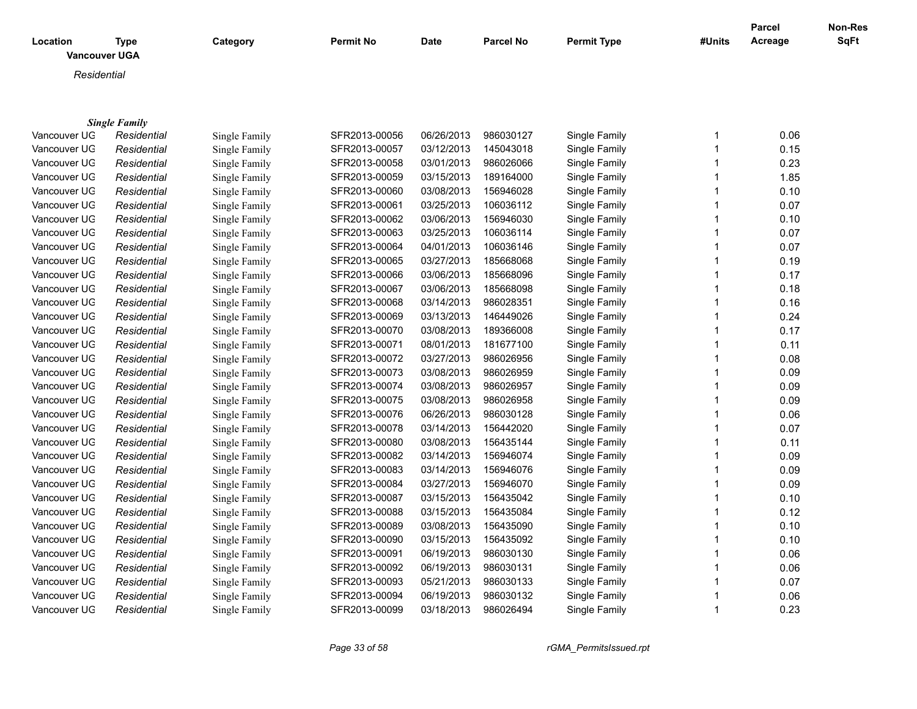| Location<br><b>Vancouver UGA</b> | <b>Type</b>          | Category      | <b>Permit No</b> | <b>Date</b> | <b>Parcel No</b> | <b>Permit Type</b> | #Units | Parcel<br>Acreage | Non-Res<br><b>SqFt</b> |
|----------------------------------|----------------------|---------------|------------------|-------------|------------------|--------------------|--------|-------------------|------------------------|
| Residential                      |                      |               |                  |             |                  |                    |        |                   |                        |
|                                  |                      |               |                  |             |                  |                    |        |                   |                        |
|                                  |                      |               |                  |             |                  |                    |        |                   |                        |
|                                  | <b>Single Family</b> |               |                  |             |                  |                    |        |                   |                        |
| Vancouver UG                     | Residential          | Single Family | SFR2013-00056    | 06/26/2013  | 986030127        | Single Family      | 1      | 0.06              |                        |
| Vancouver UG                     | Residential          | Single Family | SFR2013-00057    | 03/12/2013  | 145043018        | Single Family      |        | 0.15              |                        |
| Vancouver UG                     | Residential          | Single Family | SFR2013-00058    | 03/01/2013  | 986026066        | Single Family      |        | 0.23              |                        |
| Vancouver UG                     | Residential          | Single Family | SFR2013-00059    | 03/15/2013  | 189164000        | Single Family      |        | 1.85              |                        |
| Vancouver UG                     | Residential          | Single Family | SFR2013-00060    | 03/08/2013  | 156946028        | Single Family      |        | 0.10              |                        |
| Vancouver UG                     | Residential          | Single Family | SFR2013-00061    | 03/25/2013  | 106036112        | Single Family      |        | 0.07              |                        |
| Vancouver UG                     | Residential          | Single Family | SFR2013-00062    | 03/06/2013  | 156946030        | Single Family      |        | 0.10              |                        |
| Vancouver UG                     | Residential          | Single Family | SFR2013-00063    | 03/25/2013  | 106036114        | Single Family      |        | 0.07              |                        |
| Vancouver UG                     | Residential          | Single Family | SFR2013-00064    | 04/01/2013  | 106036146        | Single Family      |        | 0.07              |                        |
| Vancouver UG                     | Residential          | Single Family | SFR2013-00065    | 03/27/2013  | 185668068        | Single Family      |        | 0.19              |                        |
| Vancouver UG                     | Residential          | Single Family | SFR2013-00066    | 03/06/2013  | 185668096        | Single Family      |        | 0.17              |                        |
| Vancouver UG                     | Residential          | Single Family | SFR2013-00067    | 03/06/2013  | 185668098        | Single Family      |        | 0.18              |                        |
| Vancouver UG                     | Residential          | Single Family | SFR2013-00068    | 03/14/2013  | 986028351        | Single Family      |        | 0.16              |                        |
| Vancouver UG                     | Residential          | Single Family | SFR2013-00069    | 03/13/2013  | 146449026        | Single Family      |        | 0.24              |                        |
| Vancouver UG                     | Residential          | Single Family | SFR2013-00070    | 03/08/2013  | 189366008        | Single Family      |        | 0.17              |                        |
| Vancouver UG                     | Residential          | Single Family | SFR2013-00071    | 08/01/2013  | 181677100        | Single Family      |        | 0.11              |                        |
| Vancouver UG                     | Residential          | Single Family | SFR2013-00072    | 03/27/2013  | 986026956        | Single Family      |        | 0.08              |                        |
| Vancouver UG                     | Residential          | Single Family | SFR2013-00073    | 03/08/2013  | 986026959        | Single Family      |        | 0.09              |                        |
| Vancouver UG                     | Residential          | Single Family | SFR2013-00074    | 03/08/2013  | 986026957        | Single Family      |        | 0.09              |                        |
| Vancouver UG                     | Residential          | Single Family | SFR2013-00075    | 03/08/2013  | 986026958        | Single Family      |        | 0.09              |                        |
| Vancouver UG                     | Residential          | Single Family | SFR2013-00076    | 06/26/2013  | 986030128        | Single Family      |        | 0.06              |                        |
| Vancouver UG                     | Residential          | Single Family | SFR2013-00078    | 03/14/2013  | 156442020        | Single Family      |        | 0.07              |                        |
| Vancouver UG                     | Residential          | Single Family | SFR2013-00080    | 03/08/2013  | 156435144        | Single Family      |        | 0.11              |                        |
| Vancouver UG                     | Residential          | Single Family | SFR2013-00082    | 03/14/2013  | 156946074        | Single Family      |        | 0.09              |                        |
| Vancouver UG                     | Residential          | Single Family | SFR2013-00083    | 03/14/2013  | 156946076        | Single Family      |        | 0.09              |                        |
| Vancouver UG                     | Residential          | Single Family | SFR2013-00084    | 03/27/2013  | 156946070        | Single Family      |        | 0.09              |                        |
| Vancouver UG                     | Residential          | Single Family | SFR2013-00087    | 03/15/2013  | 156435042        | Single Family      |        | 0.10              |                        |
| Vancouver UG                     | Residential          | Single Family | SFR2013-00088    | 03/15/2013  | 156435084        | Single Family      | 1      | 0.12              |                        |

Vancouver UGA *Residential* Single Family SFR2013-00089 03/08/2013 156435090 Single Family 1 0.10 Vancouver UGA *Residential* Single Family SFR2013-00090 03/15/2013 156435092 Single Family 1 0.10 Vancouver UGA *Residential* Single Family SFR2013-00091 06/19/2013 986030130 Single Family 1 0.06 Vancouver UGA *Residential* Single Family SFR2013-00092 06/19/2013 986030131 Single Family 1 0.06 Vancouver UGA *Residential* Single Family SFR2013-00093 05/21/2013 986030133 Single Family 1 0.07 Vancouver UGA *Residential* Single Family SFR2013-00094 06/19/2013 986030132 Single Family 1 0.06 Vancouver UGA *Residential* Single Family SFR2013-00099 03/18/2013 986026494 Single Family 1 0.23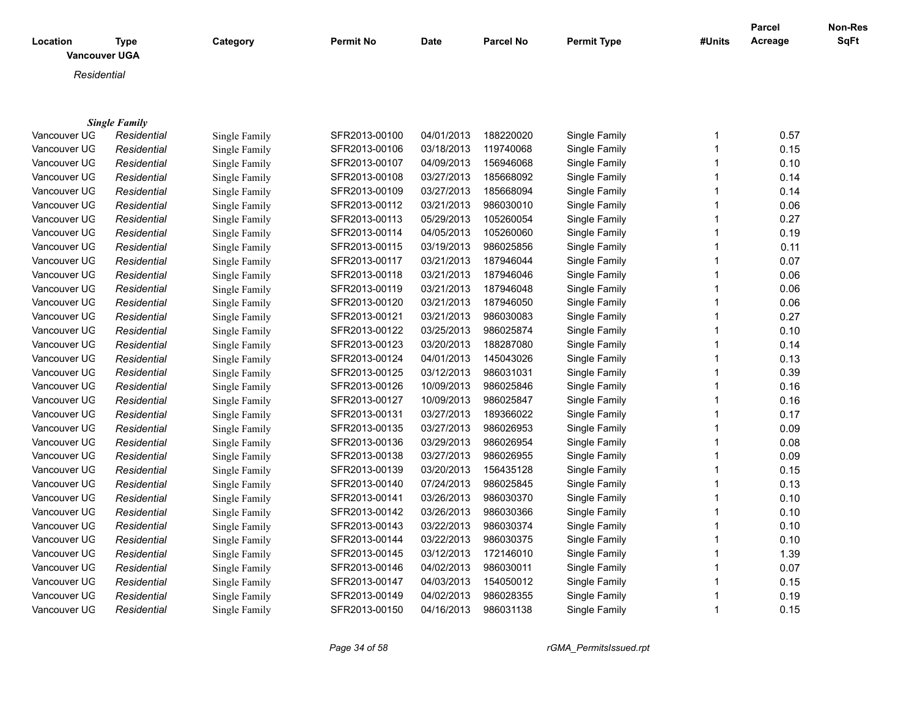| Location     | <b>Type</b><br><b>Vancouver UGA</b> | Category      | <b>Permit No</b> | Date       | <b>Parcel No</b> | <b>Permit Type</b> | #Units | <b>Parcel</b><br>Acreage | <b>Non-Res</b><br><b>SqFt</b> |
|--------------|-------------------------------------|---------------|------------------|------------|------------------|--------------------|--------|--------------------------|-------------------------------|
| Residential  |                                     |               |                  |            |                  |                    |        |                          |                               |
|              |                                     |               |                  |            |                  |                    |        |                          |                               |
|              |                                     |               |                  |            |                  |                    |        |                          |                               |
|              | <b>Single Family</b>                |               |                  |            |                  |                    |        |                          |                               |
| Vancouver UG | Residential                         | Single Family | SFR2013-00100    | 04/01/2013 | 188220020        | Single Family      | 1      | 0.57                     |                               |
| Vancouver UG | Residential                         | Single Family | SFR2013-00106    | 03/18/2013 | 119740068        | Single Family      | 1      | 0.15                     |                               |
| Vancouver UG | Residential                         | Single Family | SFR2013-00107    | 04/09/2013 | 156946068        | Single Family      | 1      | 0.10                     |                               |
| Vancouver UG | Residential                         | Single Family | SFR2013-00108    | 03/27/2013 | 185668092        | Single Family      | 1      | 0.14                     |                               |
| Vancouver UG | Residential                         | Single Family | SFR2013-00109    | 03/27/2013 | 185668094        | Single Family      |        | 0.14                     |                               |
| Vancouver UG | Residential                         | Single Family | SFR2013-00112    | 03/21/2013 | 986030010        | Single Family      | 1      | 0.06                     |                               |
| Vancouver UG | Residential                         | Single Family | SFR2013-00113    | 05/29/2013 | 105260054        | Single Family      |        | 0.27                     |                               |
| Vancouver UG | Residential                         | Single Family | SFR2013-00114    | 04/05/2013 | 105260060        | Single Family      | 1      | 0.19                     |                               |
| Vancouver UG | Residential                         | Single Family | SFR2013-00115    | 03/19/2013 | 986025856        | Single Family      |        | 0.11                     |                               |
| Vancouver UG | Residential                         | Single Family | SFR2013-00117    | 03/21/2013 | 187946044        | Single Family      |        | 0.07                     |                               |
| Vancouver UG | Residential                         | Single Family | SFR2013-00118    | 03/21/2013 | 187946046        | Single Family      |        | 0.06                     |                               |
| Vancouver UG | Residential                         | Single Family | SFR2013-00119    | 03/21/2013 | 187946048        | Single Family      |        | 0.06                     |                               |
| Vancouver UG | Residential                         | Single Family | SFR2013-00120    | 03/21/2013 | 187946050        | Single Family      |        | 0.06                     |                               |
| Vancouver UG | Residential                         | Single Family | SFR2013-00121    | 03/21/2013 | 986030083        | Single Family      | 1      | 0.27                     |                               |
| Vancouver UG | Residential                         | Single Family | SFR2013-00122    | 03/25/2013 | 986025874        | Single Family      | 1      | 0.10                     |                               |
| Vancouver UG | Residential                         | Single Family | SFR2013-00123    | 03/20/2013 | 188287080        | Single Family      | 1      | 0.14                     |                               |
| Vancouver UG | Residential                         | Single Family | SFR2013-00124    | 04/01/2013 | 145043026        | Single Family      | 1      | 0.13                     |                               |
| Vancouver UG | Residential                         | Single Family | SFR2013-00125    | 03/12/2013 | 986031031        | Single Family      | 1      | 0.39                     |                               |
| Vancouver UG | Residential                         | Single Family | SFR2013-00126    | 10/09/2013 | 986025846        | Single Family      | 1      | 0.16                     |                               |
| Vancouver UG | Residential                         | Single Family | SFR2013-00127    | 10/09/2013 | 986025847        | Single Family      |        | 0.16                     |                               |
| Vancouver UG | Residential                         | Single Family | SFR2013-00131    | 03/27/2013 | 189366022        | Single Family      |        | 0.17                     |                               |
| Vancouver UG | Residential                         | Single Family | SFR2013-00135    | 03/27/2013 | 986026953        | Single Family      |        | 0.09                     |                               |
| Vancouver UG | Residential                         | Single Family | SFR2013-00136    | 03/29/2013 | 986026954        | Single Family      |        | 0.08                     |                               |
| Vancouver UG | Residential                         | Single Family | SFR2013-00138    | 03/27/2013 | 986026955        | Single Family      |        | 0.09                     |                               |
| Vancouver UG | Residential                         | Single Family | SFR2013-00139    | 03/20/2013 | 156435128        | Single Family      |        | 0.15                     |                               |
| Vancouver UG | Residential                         | Single Family | SFR2013-00140    | 07/24/2013 | 986025845        | Single Family      |        | 0.13                     |                               |
| Vancouver UG | Residential                         | Single Family | SFR2013-00141    | 03/26/2013 | 986030370        | Single Family      |        | 0.10                     |                               |
| Vancouver UG | Residential                         | Single Family | SFR2013-00142    | 03/26/2013 | 986030366        | Single Family      |        | 0.10                     |                               |
| Vancouver UG | Residential                         | Single Family | SFR2013-00143    | 03/22/2013 | 986030374        | Single Family      |        | 0.10                     |                               |
| Vancouver UG | Residential                         | Single Family | SFR2013-00144    | 03/22/2013 | 986030375        | Single Family      | 1      | 0.10                     |                               |

Vancouver UG *Residential* Single Family SFR2013-00145 03/12/2013 172146010 Single Family 1.39 Vancouver UGA *Residential* Single Family SFR2013-00146 04/02/2013 986030011 Single Family 1 0.07 Vancouver UGA *Residential* Single Family SFR2013-00147 04/03/2013 154050012 Single Family 1 0.15 Vancouver UGA *Residential* Single Family SFR2013-00149 04/02/2013 986028355 Single Family 1 0.19 Vancouver UG *Residential* Single Family SFR2013-00150 04/16/2013 986031138 Single Family 1 0.15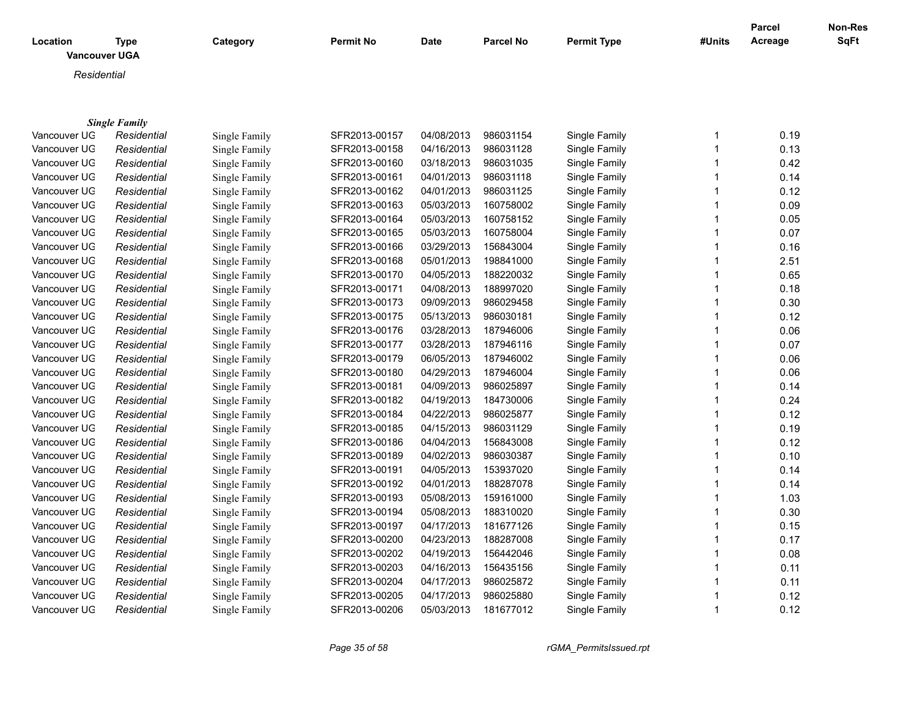| Location<br><b>Vancouver UGA</b> | <b>Type</b>          | Category             | <b>Permit No</b> | <b>Date</b> | <b>Parcel No</b> | <b>Permit Type</b> | #Units                  | <b>Parcel</b><br>Acreage | Non-Res<br>SqFt |
|----------------------------------|----------------------|----------------------|------------------|-------------|------------------|--------------------|-------------------------|--------------------------|-----------------|
| Residential                      |                      |                      |                  |             |                  |                    |                         |                          |                 |
|                                  |                      |                      |                  |             |                  |                    |                         |                          |                 |
|                                  |                      |                      |                  |             |                  |                    |                         |                          |                 |
|                                  | <b>Single Family</b> |                      |                  |             |                  |                    |                         |                          |                 |
| Vancouver UG                     | Residential          | Single Family        | SFR2013-00157    | 04/08/2013  | 986031154        | Single Family      | $\mathbf 1$             | 0.19                     |                 |
| Vancouver UG                     | Residential          | Single Family        | SFR2013-00158    | 04/16/2013  | 986031128        | Single Family      | $\mathbf 1$             | 0.13                     |                 |
| Vancouver UG                     | Residential          | Single Family        | SFR2013-00160    | 03/18/2013  | 986031035        | Single Family      | 1                       | 0.42                     |                 |
| Vancouver UG                     | Residential          | Single Family        | SFR2013-00161    | 04/01/2013  | 986031118        | Single Family      | 1                       | 0.14                     |                 |
| Vancouver UG                     | Residential          | Single Family        | SFR2013-00162    | 04/01/2013  | 986031125        | Single Family      |                         | 0.12                     |                 |
| Vancouver UG                     | Residential          | Single Family        | SFR2013-00163    | 05/03/2013  | 160758002        | Single Family      | $\mathbf 1$             | 0.09                     |                 |
| Vancouver UG                     | Residential          | Single Family        | SFR2013-00164    | 05/03/2013  | 160758152        | Single Family      | $\mathbf 1$             | 0.05                     |                 |
| Vancouver UG                     | Residential          | Single Family        | SFR2013-00165    | 05/03/2013  | 160758004        | Single Family      | $\mathbf 1$             | 0.07                     |                 |
| Vancouver UG                     | Residential          | Single Family        | SFR2013-00166    | 03/29/2013  | 156843004        | Single Family      |                         | 0.16                     |                 |
| Vancouver UG                     | Residential          | Single Family        | SFR2013-00168    | 05/01/2013  | 198841000        | Single Family      | 1                       | 2.51                     |                 |
| Vancouver UG                     | Residential          | Single Family        | SFR2013-00170    | 04/05/2013  | 188220032        | Single Family      | 1                       | 0.65                     |                 |
| Vancouver UG                     | Residential          | Single Family        | SFR2013-00171    | 04/08/2013  | 188997020        | Single Family      |                         | 0.18                     |                 |
| Vancouver UG                     | Residential          | Single Family        | SFR2013-00173    | 09/09/2013  | 986029458        | Single Family      | $\mathbf 1$             | 0.30                     |                 |
| Vancouver UG                     | Residential          | <b>Single Family</b> | SFR2013-00175    | 05/13/2013  | 986030181        | Single Family      |                         | 0.12                     |                 |
| Vancouver UG                     | Residential          | Single Family        | SFR2013-00176    | 03/28/2013  | 187946006        | Single Family      |                         | 0.06                     |                 |
| Vancouver UG                     | Residential          | Single Family        | SFR2013-00177    | 03/28/2013  | 187946116        | Single Family      | $\overline{1}$          | 0.07                     |                 |
| Vancouver UG                     | Residential          | Single Family        | SFR2013-00179    | 06/05/2013  | 187946002        | Single Family      | $\overline{\mathbf{1}}$ | 0.06                     |                 |
| Vancouver UG                     | Residential          | Single Family        | SFR2013-00180    | 04/29/2013  | 187946004        | Single Family      |                         | 0.06                     |                 |
| Vancouver UG                     | Residential          | Single Family        | SFR2013-00181    | 04/09/2013  | 986025897        | Single Family      | $\mathbf 1$             | 0.14                     |                 |
| Vancouver UG                     | Residential          | Single Family        | SFR2013-00182    | 04/19/2013  | 184730006        | Single Family      | $\mathbf 1$             | 0.24                     |                 |
| Vancouver UG                     | Residential          | Single Family        | SFR2013-00184    | 04/22/2013  | 986025877        | Single Family      |                         | 0.12                     |                 |
| Vancouver UG                     | Residential          | Single Family        | SFR2013-00185    | 04/15/2013  | 986031129        | Single Family      | 1                       | 0.19                     |                 |
| Vancouver UG                     | Residential          | Single Family        | SFR2013-00186    | 04/04/2013  | 156843008        | Single Family      | 1                       | 0.12                     |                 |
| Vancouver UG                     | Residential          | Single Family        | SFR2013-00189    | 04/02/2013  | 986030387        | Single Family      |                         | 0.10                     |                 |
| Vancouver UG                     | Residential          | Single Family        | SFR2013-00191    | 04/05/2013  | 153937020        | Single Family      | $\mathbf 1$             | 0.14                     |                 |
| Vancouver UG                     | Residential          | Single Family        | SFR2013-00192    | 04/01/2013  | 188287078        | Single Family      | $\mathbf 1$             | 0.14                     |                 |
| Vancouver UG                     | Residential          | Single Family        | SFR2013-00193    | 05/08/2013  | 159161000        | Single Family      | 1                       | 1.03                     |                 |
| Vancouver UG                     | Residential          | Single Family        | SFR2013-00194    | 05/08/2013  | 188310020        | Single Family      | 1                       | 0.30                     |                 |
| Vancouver UG                     | Residential          | Single Family        | SFR2013-00197    | 04/17/2013  | 181677126        | Single Family      | 1                       | 0.15                     |                 |
| Vancouver UG                     | Residential          | Single Family        | SFR2013-00200    | 04/23/2013  | 188287008        | Single Family      |                         | 0.17                     |                 |
| Vancouver UG                     | Residential          | Single Family        | SFR2013-00202    | 04/19/2013  | 156442046        | Single Family      |                         | 0.08                     |                 |
| Vancouver UG                     | Residential          | Single Family        | SFR2013-00203    | 04/16/2013  | 156435156        | Single Family      |                         | 0.11                     |                 |
| Vancouver UG                     | Residential          | Single Family        | SFR2013-00204    | 04/17/2013  | 986025872        | Single Family      | $\mathbf 1$             | 0.11                     |                 |

Vancouver UGA *Residential* Single Family SFR2013-00205 04/17/2013 986025880 Single Family 1 0.12 Vancouver UG *Residential* Single Family SFR2013-00206 05/03/2013 181677012 Single Family 1 0.12

*Page 35 of 58 rGMA\_PermitsIssued.rpt*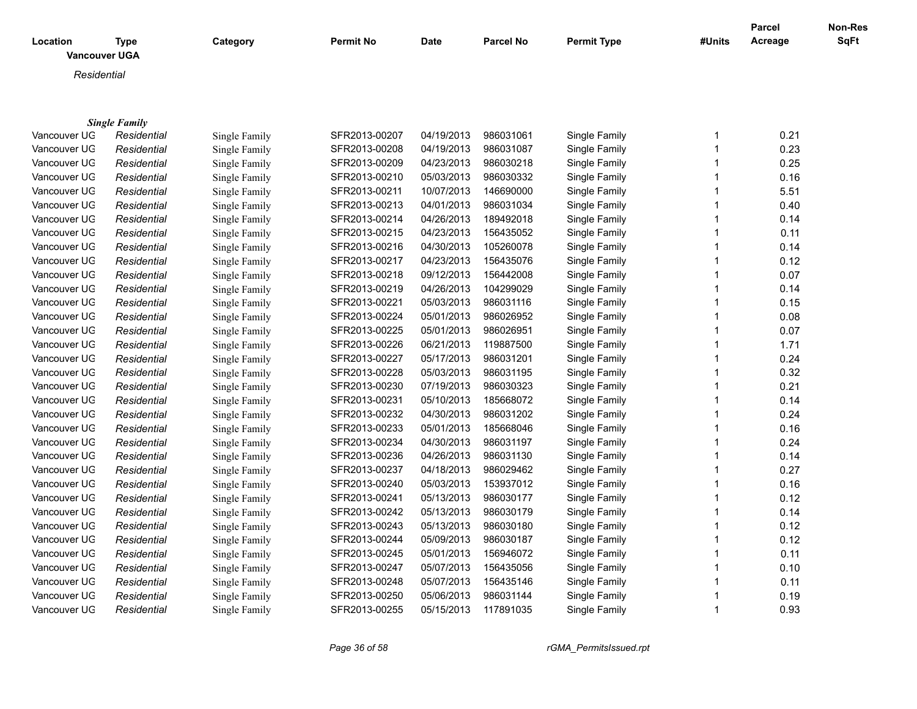| Location     | Type<br><b>Vancouver UGA</b> | Category      | <b>Permit No</b> | <b>Date</b> | <b>Parcel No</b> | <b>Permit Type</b> | #Units | Parcel<br>Acreage | <b>Non-Res</b><br><b>SqFt</b> |
|--------------|------------------------------|---------------|------------------|-------------|------------------|--------------------|--------|-------------------|-------------------------------|
| Residential  |                              |               |                  |             |                  |                    |        |                   |                               |
|              |                              |               |                  |             |                  |                    |        |                   |                               |
|              |                              |               |                  |             |                  |                    |        |                   |                               |
|              | <b>Single Family</b>         |               |                  |             |                  |                    |        |                   |                               |
| Vancouver UG | Residential                  | Single Family | SFR2013-00207    | 04/19/2013  | 986031061        | Single Family      |        | 0.21              |                               |
| Vancouver UG | Residential                  | Single Family | SFR2013-00208    | 04/19/2013  | 986031087        | Single Family      |        | 0.23              |                               |
| Vancouver UG | Residential                  | Single Family | SFR2013-00209    | 04/23/2013  | 986030218        | Single Family      |        | 0.25              |                               |
| Vancouver UG | Residential                  | Single Family | SFR2013-00210    | 05/03/2013  | 986030332        | Single Family      |        | 0.16              |                               |
| Vancouver UG | Residential                  | Single Family | SFR2013-00211    | 10/07/2013  | 146690000        | Single Family      |        | 5.51              |                               |
| Vancouver UG | Residential                  | Single Family | SFR2013-00213    | 04/01/2013  | 986031034        | Single Family      |        | 0.40              |                               |
| Vancouver UG | Residential                  | Single Family | SFR2013-00214    | 04/26/2013  | 189492018        | Single Family      |        | 0.14              |                               |
| Vancouver UG | Residential                  | Single Family | SFR2013-00215    | 04/23/2013  | 156435052        | Single Family      |        | 0.11              |                               |
| Vancouver UG | Residential                  | Single Family | SFR2013-00216    | 04/30/2013  | 105260078        | Single Family      |        | 0.14              |                               |
| Vancouver UG | Residential                  | Single Family | SFR2013-00217    | 04/23/2013  | 156435076        | Single Family      |        | 0.12              |                               |
| Vancouver UG | Residential                  | Single Family | SFR2013-00218    | 09/12/2013  | 156442008        | Single Family      |        | 0.07              |                               |
| Vancouver UG | Residential                  | Single Family | SFR2013-00219    | 04/26/2013  | 104299029        | Single Family      |        | 0.14              |                               |
| Vancouver UG | Residential                  | Single Family | SFR2013-00221    | 05/03/2013  | 986031116        | Single Family      |        | 0.15              |                               |
| Vancouver UG | Residential                  | Single Family | SFR2013-00224    | 05/01/2013  | 986026952        | Single Family      |        | 0.08              |                               |
| Vancouver UG | Residential                  | Single Family | SFR2013-00225    | 05/01/2013  | 986026951        | Single Family      |        | 0.07              |                               |
| Vancouver UG | Residential                  | Single Family | SFR2013-00226    | 06/21/2013  | 119887500        | Single Family      |        | 1.71              |                               |
| Vancouver UG | Residential                  | Single Family | SFR2013-00227    | 05/17/2013  | 986031201        | Single Family      |        | 0.24              |                               |
| Vancouver UG | Residential                  | Single Family | SFR2013-00228    | 05/03/2013  | 986031195        | Single Family      |        | 0.32              |                               |
| Vancouver UG | Residential                  | Single Family | SFR2013-00230    | 07/19/2013  | 986030323        | Single Family      |        | 0.21              |                               |
| Vancouver UG | Residential                  | Single Family | SFR2013-00231    | 05/10/2013  | 185668072        | Single Family      |        | 0.14              |                               |
| Vancouver UG | Residential                  | Single Family | SFR2013-00232    | 04/30/2013  | 986031202        | Single Family      |        | 0.24              |                               |
| Vancouver UG | Residential                  | Single Family | SFR2013-00233    | 05/01/2013  | 185668046        | Single Family      |        | 0.16              |                               |
| Vancouver UG | Residential                  | Single Family | SFR2013-00234    | 04/30/2013  | 986031197        | Single Family      |        | 0.24              |                               |

Vancouver UGA *Residential* Single Family SFR2013-00236 04/26/2013 986031130 Single Family 1 0.14 Vancouver UGA *Residential* Single Family SFR2013-00237 04/18/2013 986029462 Single Family 1 0.27 Vancouver UGA *Residential* Single Family SFR2013-00240 05/03/2013 153937012 Single Family 1 0.16 Vancouver UGA *Residential* Single Family SFR2013-00241 05/13/2013 986030177 Single Family 1 0.12 Vancouver UGA *Residential* Single Family SFR2013-00242 05/13/2013 986030179 Single Family 1 0.14 Vancouver UGA *Residential* Single Family SFR2013-00243 05/13/2013 986030180 Single Family 1 0.12

Vancouver UGA *Residential* Single Family SFR2013-00244 05/09/2013 986030187 Single Family 1 0.12 Vancouver UGA *Residential* Single Family SFR2013-00245 05/01/2013 156946072 Single Family 1 0.11 Vancouver UGA *Residential* Single Family SFR2013-00247 05/07/2013 156435056 Single Family 1 0.10 Vancouver UG *Residential* Single Family SFR2013-00248 05/07/2013 156435146 Single Family 1 1 0.11 Vancouver UGA *Residential* Single Family SFR2013-00250 05/06/2013 986031144 Single Family 1 0.19 Vancouver UGA *Residential* Single Family SFR2013-00255 05/15/2013 117891035 Single Family 1 0.93

*Page 36 of 58 rGMA\_PermitsIssued.rpt*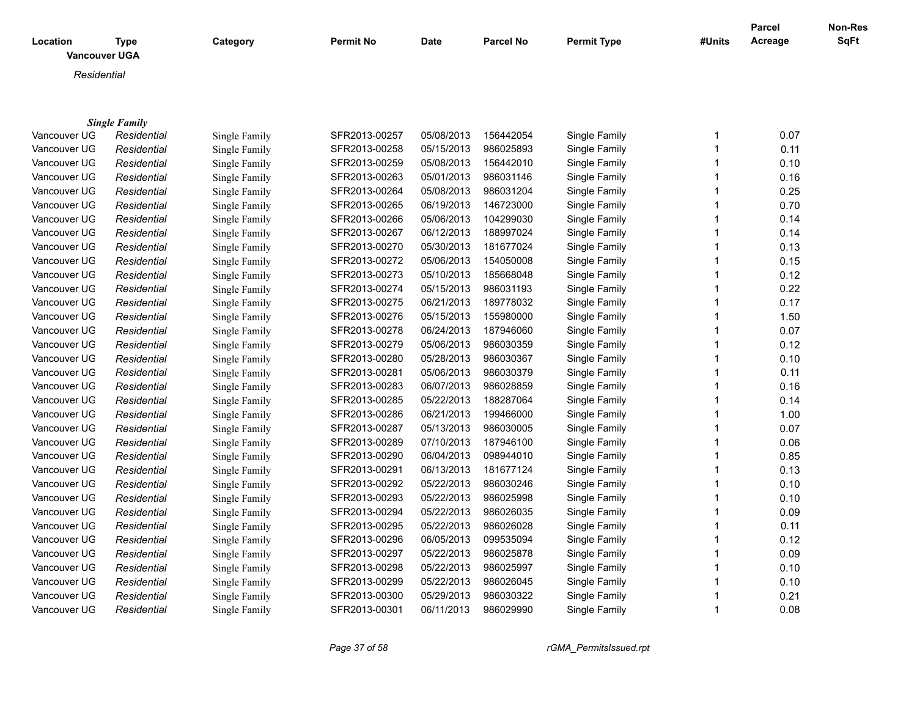| Location               | Type<br><b>Vancouver UGA</b> | Category        | <b>Permit No</b> | <b>Date</b> | <b>Parcel No</b> | <b>Permit Type</b>                            | #Units         | <b>Parcel</b><br>Acreage | Non-Res<br><b>SqFt</b> |
|------------------------|------------------------------|-----------------|------------------|-------------|------------------|-----------------------------------------------|----------------|--------------------------|------------------------|
| Residential            |                              |                 |                  |             |                  |                                               |                |                          |                        |
|                        | <b>Single Family</b>         |                 |                  |             |                  |                                               |                |                          |                        |
| Vancouver UG           | Residential                  | Single Family   | SFR2013-00257    | 05/08/2013  | 156442054        | Single Family                                 |                | 0.07                     |                        |
| Vancouver UG           | Residential                  | Single Family   | SFR2013-00258    | 05/15/2013  | 986025893        | Single Family                                 |                | 0.11                     |                        |
| Vancouver UG           | Residential                  | Single Family   | SFR2013-00259    | 05/08/2013  | 156442010        | Single Family                                 |                | 0.10                     |                        |
| $1/2$ $-2$ $-1$ $-1/2$ | 1.3.4.1.1.1.1.1.1            | $C_1$ 1 $T_2$ 1 | CEDOOLO COOCO    | 0.0010000   | 000004440        | $O(\log n) \approx \Gamma \approx \log \ln n$ | $\overline{a}$ | $\sim$ 40                |                        |

| Vancouver UG | Residential | Single Family | SFR2013-00259 | 05/08/2013 | 156442010 | Single Family | 0.10 |
|--------------|-------------|---------------|---------------|------------|-----------|---------------|------|
| Vancouver UG | Residential | Single Family | SFR2013-00263 | 05/01/2013 | 986031146 | Single Family | 0.16 |
| Vancouver UG | Residential | Single Family | SFR2013-00264 | 05/08/2013 | 986031204 | Single Family | 0.25 |
| Vancouver UG | Residential | Single Family | SFR2013-00265 | 06/19/2013 | 146723000 | Single Family | 0.70 |
| Vancouver UG | Residential | Single Family | SFR2013-00266 | 05/06/2013 | 104299030 | Single Family | 0.14 |
| Vancouver UG | Residential | Single Family | SFR2013-00267 | 06/12/2013 | 188997024 | Single Family | 0.14 |
| Vancouver UG | Residential | Single Family | SFR2013-00270 | 05/30/2013 | 181677024 | Single Family | 0.13 |
| Vancouver UG | Residential | Single Family | SFR2013-00272 | 05/06/2013 | 154050008 | Single Family | 0.15 |
| Vancouver UG | Residential | Single Family | SFR2013-00273 | 05/10/2013 | 185668048 | Single Family | 0.12 |
| Vancouver UG | Residential | Single Family | SFR2013-00274 | 05/15/2013 | 986031193 | Single Family | 0.22 |
| Vancouver UG | Residential | Single Family | SFR2013-00275 | 06/21/2013 | 189778032 | Single Family | 0.17 |
| Vancouver UG | Residential | Single Family | SFR2013-00276 | 05/15/2013 | 155980000 | Single Family | 1.50 |
| Vancouver UG | Residential | Single Family | SFR2013-00278 | 06/24/2013 | 187946060 | Single Family | 0.07 |
| Vancouver UG | Residential | Single Family | SFR2013-00279 | 05/06/2013 | 986030359 | Single Family | 0.12 |
| Vancouver UG | Residential | Single Family | SFR2013-00280 | 05/28/2013 | 986030367 | Single Family | 0.10 |
| Vancouver UG | Residential | Single Family | SFR2013-00281 | 05/06/2013 | 986030379 | Single Family | 0.11 |
| Vancouver UG | Residential | Single Family | SFR2013-00283 | 06/07/2013 | 986028859 | Single Family | 0.16 |
| Vancouver UG | Residential | Single Family | SFR2013-00285 | 05/22/2013 | 188287064 | Single Family | 0.14 |
| Vancouver UG | Residential | Single Family | SFR2013-00286 | 06/21/2013 | 199466000 | Single Family | 1.00 |
| Vancouver UG | Residential | Single Family | SFR2013-00287 | 05/13/2013 | 986030005 | Single Family | 0.07 |
| Vancouver UG | Residential | Single Family | SFR2013-00289 | 07/10/2013 | 187946100 | Single Family | 0.06 |
| Vancouver UG | Residential | Single Family | SFR2013-00290 | 06/04/2013 | 098944010 | Single Family | 0.85 |
| Vancouver UG | Residential | Single Family | SFR2013-00291 | 06/13/2013 | 181677124 | Single Family | 0.13 |
| Vancouver UG | Residential | Single Family | SFR2013-00292 | 05/22/2013 | 986030246 | Single Family | 0.10 |
| Vancouver UG | Residential | Single Family | SFR2013-00293 | 05/22/2013 | 986025998 | Single Family | 0.10 |
| Vancouver UG | Residential | Single Family | SFR2013-00294 | 05/22/2013 | 986026035 | Single Family | 0.09 |
| Vancouver UG | Residential | Single Family | SFR2013-00295 | 05/22/2013 | 986026028 | Single Family | 0.11 |
| Vancouver UG | Residential | Single Family | SFR2013-00296 | 06/05/2013 | 099535094 | Single Family | 0.12 |
| Vancouver UG | Residential | Single Family | SFR2013-00297 | 05/22/2013 | 986025878 | Single Family | 0.09 |
| Vancouver UG | Residential | Single Family | SFR2013-00298 | 05/22/2013 | 986025997 | Single Family | 0.10 |
| Vancouver UG | Residential | Single Family | SFR2013-00299 | 05/22/2013 | 986026045 | Single Family | 0.10 |
| Vancouver UG | Residential | Single Family | SFR2013-00300 | 05/29/2013 | 986030322 | Single Family | 0.21 |
| Vancouver UG | Residential | Single Family | SFR2013-00301 | 06/11/2013 | 986029990 | Single Family | 0.08 |
|              |             |               |               |            |           |               |      |

*Page 37 of 58 rGMA\_PermitsIssued.rpt*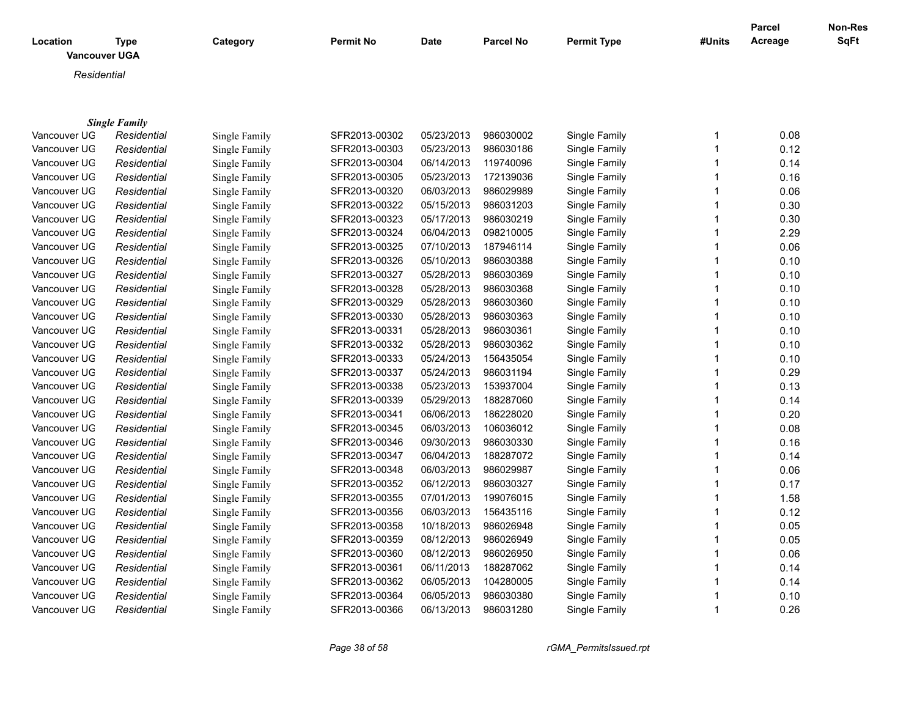| <b>Location</b><br><b>Vancouver UGA</b> | Type                 | Category      | <b>Permit No</b> | <b>Date</b> | Parcel No | <b>Permit Type</b> | #Units | <b>Parcel</b><br>Acreage | <b>Non-Res</b><br><b>SqFt</b> |
|-----------------------------------------|----------------------|---------------|------------------|-------------|-----------|--------------------|--------|--------------------------|-------------------------------|
| Residential                             |                      |               |                  |             |           |                    |        |                          |                               |
|                                         |                      |               |                  |             |           |                    |        |                          |                               |
|                                         | <b>Single Family</b> |               |                  |             |           |                    |        |                          |                               |
| Vancouver UG                            | Residential          | Single Family | SFR2013-00302    | 05/23/2013  | 986030002 | Single Family      |        | 0.08                     |                               |
| Vancouver UG                            | Residential          | Single Family | SFR2013-00303    | 05/23/2013  | 986030186 | Single Family      |        | 0.12                     |                               |
| Vancouver UG                            | Residential          | Single Family | SFR2013-00304    | 06/14/2013  | 119740096 | Single Family      |        | 0.14                     |                               |
| Vancouver UG                            | Residential          | Single Family | SFR2013-00305    | 05/23/2013  | 172139036 | Single Family      |        | 0.16                     |                               |
| Vancouver UG                            | Residential          | Single Family | SFR2013-00320    | 06/03/2013  | 986029989 | Single Family      |        | 0.06                     |                               |
| Vancouver UG                            | Residential          | Single Family | SFR2013-00322    | 05/15/2013  | 986031203 | Single Family      |        | 0.30                     |                               |
| Vancouver UG                            | Residential          | Single Family | SFR2013-00323    | 05/17/2013  | 986030219 | Single Family      |        | 0.30                     |                               |

| Vancouver UG | Residential | Single Family | SFR2013-00304 | 06/14/2013 | 119740096 | Single Family | 0.14 |
|--------------|-------------|---------------|---------------|------------|-----------|---------------|------|
| Vancouver UG | Residential | Single Family | SFR2013-00305 | 05/23/2013 | 172139036 | Single Family | 0.16 |
| Vancouver UG | Residential | Single Family | SFR2013-00320 | 06/03/2013 | 986029989 | Single Family | 0.06 |
| Vancouver UG | Residential | Single Family | SFR2013-00322 | 05/15/2013 | 986031203 | Single Family | 0.30 |
| Vancouver UG | Residential | Single Family | SFR2013-00323 | 05/17/2013 | 986030219 | Single Family | 0.30 |
| Vancouver UG | Residential | Single Family | SFR2013-00324 | 06/04/2013 | 098210005 | Single Family | 2.29 |
| Vancouver UG | Residential | Single Family | SFR2013-00325 | 07/10/2013 | 187946114 | Single Family | 0.06 |
| Vancouver UG | Residential | Single Family | SFR2013-00326 | 05/10/2013 | 986030388 | Single Family | 0.10 |
| Vancouver UG | Residential | Single Family | SFR2013-00327 | 05/28/2013 | 986030369 | Single Family | 0.10 |
| Vancouver UG | Residential | Single Family | SFR2013-00328 | 05/28/2013 | 986030368 | Single Family | 0.10 |
| Vancouver UG | Residential | Single Family | SFR2013-00329 | 05/28/2013 | 986030360 | Single Family | 0.10 |
| Vancouver UG | Residential | Single Family | SFR2013-00330 | 05/28/2013 | 986030363 | Single Family | 0.10 |
| Vancouver UG | Residential | Single Family | SFR2013-00331 | 05/28/2013 | 986030361 | Single Family | 0.10 |
| Vancouver UG | Residential | Single Family | SFR2013-00332 | 05/28/2013 | 986030362 | Single Family | 0.10 |
| Vancouver UG | Residential | Single Family | SFR2013-00333 | 05/24/2013 | 156435054 | Single Family | 0.10 |
| Vancouver UG | Residential | Single Family | SFR2013-00337 | 05/24/2013 | 986031194 | Single Family | 0.29 |
| Vancouver UG | Residential | Single Family | SFR2013-00338 | 05/23/2013 | 153937004 | Single Family | 0.13 |
| Vancouver UG | Residential | Single Family | SFR2013-00339 | 05/29/2013 | 188287060 | Single Family | 0.14 |
| Vancouver UG | Residential | Single Family | SFR2013-00341 | 06/06/2013 | 186228020 | Single Family | 0.20 |
| Vancouver UG | Residential | Single Family | SFR2013-00345 | 06/03/2013 | 106036012 | Single Family | 0.08 |
| Vancouver UG | Residential | Single Family | SFR2013-00346 | 09/30/2013 | 986030330 | Single Family | 0.16 |
| Vancouver UG | Residential | Single Family | SFR2013-00347 | 06/04/2013 | 188287072 | Single Family | 0.14 |
| Vancouver UG | Residential | Single Family | SFR2013-00348 | 06/03/2013 | 986029987 | Single Family | 0.06 |
| Vancouver UG | Residential | Single Family | SFR2013-00352 | 06/12/2013 | 986030327 | Single Family | 0.17 |
| Vancouver UG | Residential | Single Family | SFR2013-00355 | 07/01/2013 | 199076015 | Single Family | 1.58 |
| Vancouver UG | Residential | Single Family | SFR2013-00356 | 06/03/2013 | 156435116 | Single Family | 0.12 |
| Vancouver UG | Residential | Single Family | SFR2013-00358 | 10/18/2013 | 986026948 | Single Family | 0.05 |
| Vancouver UG | Residential | Single Family | SFR2013-00359 | 08/12/2013 | 986026949 | Single Family | 0.05 |
| Vancouver UG | Residential | Single Family | SFR2013-00360 | 08/12/2013 | 986026950 | Single Family | 0.06 |
| Vancouver UG | Residential | Single Family | SFR2013-00361 | 06/11/2013 | 188287062 | Single Family | 0.14 |
| Vancouver UG | Residential | Single Family | SFR2013-00362 | 06/05/2013 | 104280005 | Single Family | 0.14 |
| Vancouver UG | Residential | Single Family | SFR2013-00364 | 06/05/2013 | 986030380 | Single Family | 0.10 |
| Vancouver UG | Residential | Single Family | SFR2013-00366 | 06/13/2013 | 986031280 | Single Family | 0.26 |
|              |             |               |               |            |           |               |      |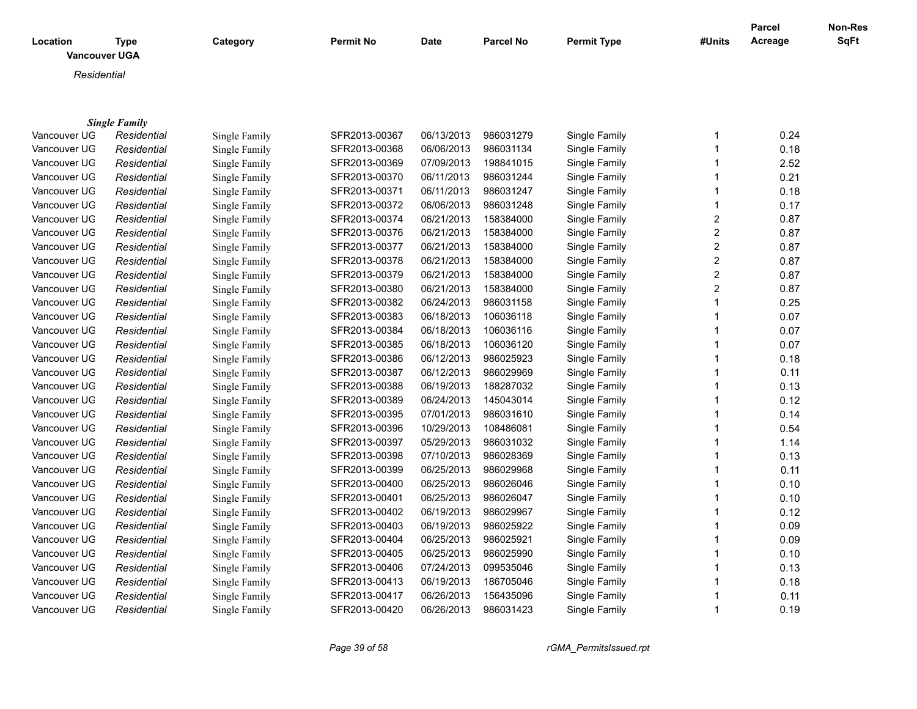| Location     | <b>Type</b><br><b>Vancouver UGA</b> | Category      | <b>Permit No</b> | <b>Date</b> | <b>Parcel No</b> | <b>Permit Type</b> | #Units         | Parcel<br>Acreage | <b>Non-Res</b><br>SqFt |
|--------------|-------------------------------------|---------------|------------------|-------------|------------------|--------------------|----------------|-------------------|------------------------|
|              | Residential                         |               |                  |             |                  |                    |                |                   |                        |
|              |                                     |               |                  |             |                  |                    |                |                   |                        |
|              |                                     |               |                  |             |                  |                    |                |                   |                        |
|              | <b>Single Family</b>                |               |                  |             |                  |                    |                |                   |                        |
| Vancouver UG | Residential                         | Single Family | SFR2013-00367    | 06/13/2013  | 986031279        | Single Family      |                | 0.24              |                        |
| Vancouver UG | Residential                         | Single Family | SFR2013-00368    | 06/06/2013  | 986031134        | Single Family      |                | 0.18              |                        |
| Vancouver UG | Residential                         | Single Family | SFR2013-00369    | 07/09/2013  | 198841015        | Single Family      |                | 2.52              |                        |
| Vancouver UG | Residential                         | Single Family | SFR2013-00370    | 06/11/2013  | 986031244        | Single Family      |                | 0.21              |                        |
| Vancouver UG | Residential                         | Single Family | SFR2013-00371    | 06/11/2013  | 986031247        | Single Family      |                | 0.18              |                        |
| Vancouver UG | Residential                         | Single Family | SFR2013-00372    | 06/06/2013  | 986031248        | Single Family      |                | 0.17              |                        |
| Vancouver UG | Residential                         | Single Family | SFR2013-00374    | 06/21/2013  | 158384000        | Single Family      | $\overline{2}$ | 0.87              |                        |
| Vancouver UG | Residential                         | Single Family | SFR2013-00376    | 06/21/2013  | 158384000        | Single Family      | $\overline{c}$ | 0.87              |                        |
| Vancouver UG | Residential                         | Single Family | SFR2013-00377    | 06/21/2013  | 158384000        | Single Family      | $\overline{c}$ | 0.87              |                        |
| Vancouver UG | Residential                         | Single Family | SFR2013-00378    | 06/21/2013  | 158384000        | Single Family      | $\overline{c}$ | 0.87              |                        |
| Vancouver UG | Residential                         | Single Family | SFR2013-00379    | 06/21/2013  | 158384000        | Single Family      | 2              | 0.87              |                        |
| Vancouver UG | Residential                         | Single Family | SFR2013-00380    | 06/21/2013  | 158384000        | Single Family      | $\overline{2}$ | 0.87              |                        |
| Vancouver UG | Residential                         | Single Family | SFR2013-00382    | 06/24/2013  | 986031158        | Single Family      |                | 0.25              |                        |
| Vancouver UG | Residential                         | Single Family | SFR2013-00383    | 06/18/2013  | 106036118        | Single Family      |                | 0.07              |                        |
| Vancouver UG | Residential                         | Single Family | SFR2013-00384    | 06/18/2013  | 106036116        | Single Family      |                | 0.07              |                        |
| Vancouver UG | Residential                         | Single Family | SFR2013-00385    | 06/18/2013  | 106036120        | Single Family      |                | 0.07              |                        |
| Vancouver UG | Residential                         | Single Family | SFR2013-00386    | 06/12/2013  | 986025923        | Single Family      |                | 0.18              |                        |
| Vancouver UG | Residential                         | Single Family | SFR2013-00387    | 06/12/2013  | 986029969        | Single Family      |                | 0.11              |                        |
| Vancouver UG | Residential                         | Single Family | SFR2013-00388    | 06/19/2013  | 188287032        | Single Family      |                | 0.13              |                        |
| Vancouver UG | Residential                         | Single Family | SFR2013-00389    | 06/24/2013  | 145043014        | Single Family      |                | 0.12              |                        |
| Vancouver UG | Residential                         | Single Family | SFR2013-00395    | 07/01/2013  | 986031610        | Single Family      |                | 0.14              |                        |
| Vancouver UG | Residential                         | Single Family | SFR2013-00396    | 10/29/2013  | 108486081        | Single Family      |                | 0.54              |                        |
| Vancouver UG | Residential                         | Single Family | SFR2013-00397    | 05/29/2013  | 986031032        | Single Family      |                | 1.14              |                        |
| Vancouver UG | Residential                         | Single Family | SFR2013-00398    | 07/10/2013  | 986028369        | Single Family      |                | 0.13              |                        |

Vancouver UGA *Residential* Single Family SFR2013-00399 06/25/2013 986029968 Single Family 1 0.11 Vancouver UGA *Residential* Single Family SFR2013-00400 06/25/2013 986026046 Single Family 1 0.10 Vancouver UGA *Residential* Single Family SFR2013-00401 06/25/2013 986026047 Single Family 1 0.10 Vancouver UGA *Residential* Single Family SFR2013-00402 06/19/2013 986029967 Single Family 1 0.12 Vancouver UGA *Residential* Single Family SFR2013-00403 06/19/2013 986025922 Single Family 1 0.09

Vancouver UGA *Residential* Single Family SFR2013-00404 06/25/2013 986025921 Single Family 1 0.09 Vancouver UGA *Residential* Single Family SFR2013-00405 06/25/2013 986025990 Single Family 1 0.10 Vancouver UGA *Residential* Single Family SFR2013-00406 07/24/2013 099535046 Single Family 1 0.13 Vancouver UG *Residential* Single Family SFR2013-00413 06/19/2013 186705046 Single Family 1 0.18 Vancouver UGA *Residential* Single Family SFR2013-00417 06/26/2013 156435096 Single Family 1 0.11 Vancouver UGA *Residential* Single Family SFR2013-00420 06/26/2013 986031423 Single Family 1 0.19

*Page 39 of 58 rGMA\_PermitsIssued.rpt*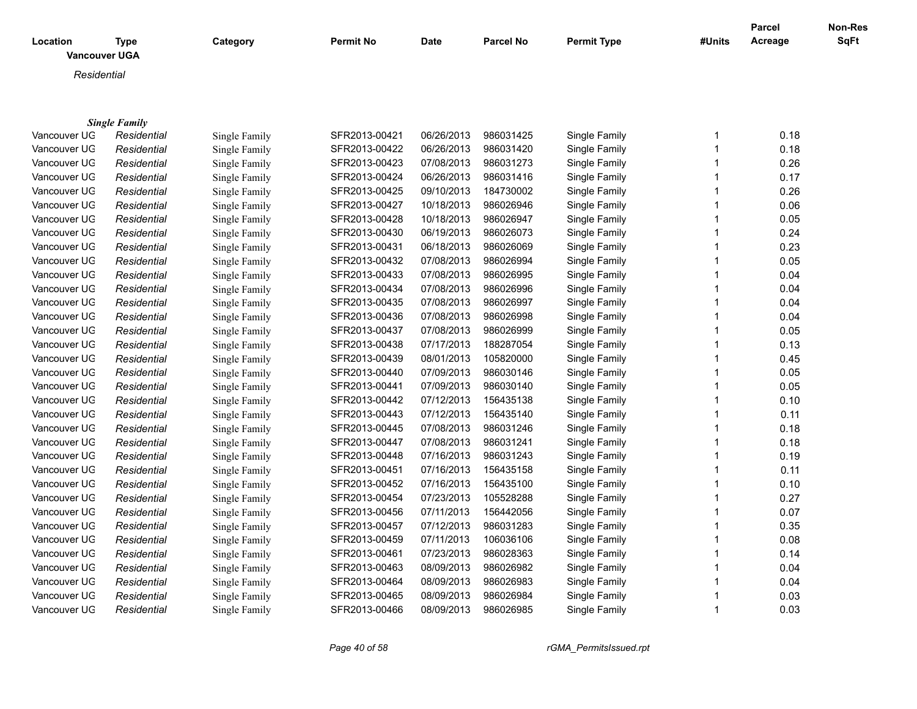| <b>Vancouver UGA</b><br>Residential<br><b>Single Family</b><br>986031425<br>Single Family<br>0.18<br>Vancouver UG<br>SFR2013-00421<br>06/26/2013<br>$\mathbf 1$<br>Residential<br>Single Family<br>SFR2013-00422<br>06/26/2013<br>986031420<br>Single Family<br>$\overline{1}$<br>0.18<br>Vancouver UG<br>Residential<br>Single Family<br>07/08/2013<br>986031273<br>$\overline{1}$<br>0.26<br>Vancouver UG<br>Residential<br>Single Family<br>SFR2013-00423<br>Single Family<br>SFR2013-00424<br>06/26/2013<br>986031416<br>$\overline{1}$<br>0.17<br>Vancouver UG<br>Residential<br>Single Family<br>Single Family<br>09/10/2013<br>184730002<br>$\overline{1}$<br>0.26<br>Vancouver UG<br>SFR2013-00425<br>Single Family<br>Residential<br><b>Single Family</b><br>SFR2013-00427<br>10/18/2013<br>986026946<br>Vancouver UG<br>Single Family<br>$\mathbf 1$<br>0.06<br>Residential<br>Single Family<br>10/18/2013<br>986026947<br>0.05<br>Vancouver UG<br>Residential<br>Single Family<br>SFR2013-00428<br>Single Family<br>1<br>06/19/2013<br>986026073<br>0.24<br>Vancouver UG<br>Residential<br>Single Family<br>SFR2013-00430<br>Single Family<br>1<br>$\overline{1}$<br>0.23<br>Vancouver UG<br>SFR2013-00431<br>06/18/2013<br>986026069<br>Single Family<br>Residential<br>Single Family<br>07/08/2013<br>986026994<br>0.05<br>Vancouver UG<br>SFR2013-00432<br>Single Family<br>$\mathbf 1$<br>Residential<br>Single Family<br>986026995<br>0.04<br>Vancouver UG<br>Single Family<br>SFR2013-00433<br>07/08/2013<br>Single Family<br>$\overline{1}$<br>Residential<br>986026996<br>0.04<br>Vancouver UG<br>Residential<br>SFR2013-00434<br>07/08/2013<br>Single Family<br>$\overline{1}$<br>Single Family<br>$\overline{1}$<br>Vancouver UG<br>SFR2013-00435<br>07/08/2013<br>986026997<br>Single Family<br>0.04<br>Residential<br>Single Family<br>986026998<br>Vancouver UG<br>SFR2013-00436<br>07/08/2013<br>Single Family<br>$\overline{1}$<br>0.04<br>Residential<br>Single Family<br>986026999<br>0.05<br>Vancouver UG<br>Residential<br>Single Family<br>SFR2013-00437<br>07/08/2013<br>Single Family<br>$\overline{1}$<br>07/17/2013<br>188287054<br>0.13<br>Vancouver UG<br>Residential<br>Single Family<br>SFR2013-00438<br>Single Family<br>$\overline{1}$<br>$\mathbf{1}$<br>0.45<br>Vancouver UG<br>Residential<br>Single Family<br>SFR2013-00439<br>08/01/2013<br>105820000<br>Single Family<br>0.05<br>Vancouver UG<br>SFR2013-00440<br>07/09/2013<br>986030146<br>Single Family<br>$\overline{1}$<br>Residential<br>Single Family<br>0.05<br>Vancouver UG<br>SFR2013-00441<br>07/09/2013<br>986030140<br>Single Family<br>$\overline{1}$<br>Residential<br>Single Family<br>0.10<br>Vancouver UG<br>SFR2013-00442<br>07/12/2013<br>156435138<br>Single Family<br>$\overline{1}$<br>Residential<br>Single Family<br>$\overline{1}$<br>Vancouver UG<br>SFR2013-00443<br>07/12/2013<br>156435140<br>Single Family<br>0.11<br>Residential<br>Single Family<br>07/08/2013<br>986031246<br>Single Family<br>0.18<br>Vancouver UG<br>Residential<br>SFR2013-00445<br>$\overline{1}$<br>Single Family<br>07/08/2013<br>986031241<br>0.18<br>Vancouver UG<br>Single Family<br>SFR2013-00447<br>Single Family<br>$\overline{1}$<br>Residential<br>07/16/2013<br>986031243<br>Single Family<br>0.19<br>Vancouver UG<br>Residential<br>Single Family<br>SFR2013-00448<br>$\overline{1}$<br>07/16/2013<br>$\overline{1}$<br>0.11<br>Vancouver UG<br>Residential<br>SFR2013-00451<br>156435158<br>Single Family<br>Single Family<br>$\overline{1}$<br>Vancouver UG<br>SFR2013-00452<br>07/16/2013<br>156435100<br>Single Family<br>0.10<br>Residential<br>Single Family<br>105528288<br>$\overline{1}$<br>0.27<br>Vancouver UG<br>SFR2013-00454<br>07/23/2013<br>Single Family<br>Residential<br>Single Family<br>Vancouver UG<br>SFR2013-00456<br>07/11/2013<br>156442056<br>Single Family<br>$\overline{1}$<br>0.07<br>Single Family<br>Residential<br>986031283<br>$\overline{1}$<br>Vancouver UG<br>SFR2013-00457<br>07/12/2013<br>Single Family<br>0.35<br>Residential<br>Single Family<br>106036106<br>Vancouver UG<br>SFR2013-00459<br>07/11/2013<br>Single Family<br>$\overline{1}$<br>0.08<br>Residential<br>Single Family<br>SFR2013-00461<br>07/23/2013<br>986028363<br>0.14<br>Vancouver UG<br>Single Family<br>1<br>Residential<br>Single Family<br>986026982<br>0.04<br>Vancouver UG<br>SFR2013-00463<br>08/09/2013<br>Single Family<br>$\overline{1}$<br>Residential<br>Single Family<br>986026983<br>0.04<br>Vancouver UG<br>SFR2013-00464<br>08/09/2013<br>Single Family<br>Residential<br>Single Family<br>1<br>0.03<br>Vancouver UG<br>08/09/2013<br>986026984<br>Single Family<br>Residential<br>Single Family<br>SFR2013-00465<br>$\mathbf 1$ |              |             |               |                  |             |                  |                    |                | <b>Parcel</b> | Non-Res |
|--------------------------------------------------------------------------------------------------------------------------------------------------------------------------------------------------------------------------------------------------------------------------------------------------------------------------------------------------------------------------------------------------------------------------------------------------------------------------------------------------------------------------------------------------------------------------------------------------------------------------------------------------------------------------------------------------------------------------------------------------------------------------------------------------------------------------------------------------------------------------------------------------------------------------------------------------------------------------------------------------------------------------------------------------------------------------------------------------------------------------------------------------------------------------------------------------------------------------------------------------------------------------------------------------------------------------------------------------------------------------------------------------------------------------------------------------------------------------------------------------------------------------------------------------------------------------------------------------------------------------------------------------------------------------------------------------------------------------------------------------------------------------------------------------------------------------------------------------------------------------------------------------------------------------------------------------------------------------------------------------------------------------------------------------------------------------------------------------------------------------------------------------------------------------------------------------------------------------------------------------------------------------------------------------------------------------------------------------------------------------------------------------------------------------------------------------------------------------------------------------------------------------------------------------------------------------------------------------------------------------------------------------------------------------------------------------------------------------------------------------------------------------------------------------------------------------------------------------------------------------------------------------------------------------------------------------------------------------------------------------------------------------------------------------------------------------------------------------------------------------------------------------------------------------------------------------------------------------------------------------------------------------------------------------------------------------------------------------------------------------------------------------------------------------------------------------------------------------------------------------------------------------------------------------------------------------------------------------------------------------------------------------------------------------------------------------------------------------------------------------------------------------------------------------------------------------------------------------------------------------------------------------------------------------------------------------------------------------------------------------------------------------------------------------------------------------------------------------------------------------------------------------------------------------------------------------------------------------------------------------------------------------------------------------------------------------------------------------------------------------------------------------------------------------------------------------------------------------------------------------------------------------------------------------------------------------------------------------------------------------------------------------------------------------------------------------------------------------------------------------------------------------------|--------------|-------------|---------------|------------------|-------------|------------------|--------------------|----------------|---------------|---------|
|                                                                                                                                                                                                                                                                                                                                                                                                                                                                                                                                                                                                                                                                                                                                                                                                                                                                                                                                                                                                                                                                                                                                                                                                                                                                                                                                                                                                                                                                                                                                                                                                                                                                                                                                                                                                                                                                                                                                                                                                                                                                                                                                                                                                                                                                                                                                                                                                                                                                                                                                                                                                                                                                                                                                                                                                                                                                                                                                                                                                                                                                                                                                                                                                                                                                                                                                                                                                                                                                                                                                                                                                                                                                                                                                                                                                                                                                                                                                                                                                                                                                                                                                                                                                                                                                                                                                                                                                                                                                                                                                                                                                                                                                                                                                                                                | Location     | <b>Type</b> | Category      | <b>Permit No</b> | <b>Date</b> | <b>Parcel No</b> | <b>Permit Type</b> | #Units         | Acreage       | SqFt    |
|                                                                                                                                                                                                                                                                                                                                                                                                                                                                                                                                                                                                                                                                                                                                                                                                                                                                                                                                                                                                                                                                                                                                                                                                                                                                                                                                                                                                                                                                                                                                                                                                                                                                                                                                                                                                                                                                                                                                                                                                                                                                                                                                                                                                                                                                                                                                                                                                                                                                                                                                                                                                                                                                                                                                                                                                                                                                                                                                                                                                                                                                                                                                                                                                                                                                                                                                                                                                                                                                                                                                                                                                                                                                                                                                                                                                                                                                                                                                                                                                                                                                                                                                                                                                                                                                                                                                                                                                                                                                                                                                                                                                                                                                                                                                                                                |              |             |               |                  |             |                  |                    |                |               |         |
|                                                                                                                                                                                                                                                                                                                                                                                                                                                                                                                                                                                                                                                                                                                                                                                                                                                                                                                                                                                                                                                                                                                                                                                                                                                                                                                                                                                                                                                                                                                                                                                                                                                                                                                                                                                                                                                                                                                                                                                                                                                                                                                                                                                                                                                                                                                                                                                                                                                                                                                                                                                                                                                                                                                                                                                                                                                                                                                                                                                                                                                                                                                                                                                                                                                                                                                                                                                                                                                                                                                                                                                                                                                                                                                                                                                                                                                                                                                                                                                                                                                                                                                                                                                                                                                                                                                                                                                                                                                                                                                                                                                                                                                                                                                                                                                |              |             |               |                  |             |                  |                    |                |               |         |
|                                                                                                                                                                                                                                                                                                                                                                                                                                                                                                                                                                                                                                                                                                                                                                                                                                                                                                                                                                                                                                                                                                                                                                                                                                                                                                                                                                                                                                                                                                                                                                                                                                                                                                                                                                                                                                                                                                                                                                                                                                                                                                                                                                                                                                                                                                                                                                                                                                                                                                                                                                                                                                                                                                                                                                                                                                                                                                                                                                                                                                                                                                                                                                                                                                                                                                                                                                                                                                                                                                                                                                                                                                                                                                                                                                                                                                                                                                                                                                                                                                                                                                                                                                                                                                                                                                                                                                                                                                                                                                                                                                                                                                                                                                                                                                                |              |             |               |                  |             |                  |                    |                |               |         |
|                                                                                                                                                                                                                                                                                                                                                                                                                                                                                                                                                                                                                                                                                                                                                                                                                                                                                                                                                                                                                                                                                                                                                                                                                                                                                                                                                                                                                                                                                                                                                                                                                                                                                                                                                                                                                                                                                                                                                                                                                                                                                                                                                                                                                                                                                                                                                                                                                                                                                                                                                                                                                                                                                                                                                                                                                                                                                                                                                                                                                                                                                                                                                                                                                                                                                                                                                                                                                                                                                                                                                                                                                                                                                                                                                                                                                                                                                                                                                                                                                                                                                                                                                                                                                                                                                                                                                                                                                                                                                                                                                                                                                                                                                                                                                                                |              |             |               |                  |             |                  |                    |                |               |         |
|                                                                                                                                                                                                                                                                                                                                                                                                                                                                                                                                                                                                                                                                                                                                                                                                                                                                                                                                                                                                                                                                                                                                                                                                                                                                                                                                                                                                                                                                                                                                                                                                                                                                                                                                                                                                                                                                                                                                                                                                                                                                                                                                                                                                                                                                                                                                                                                                                                                                                                                                                                                                                                                                                                                                                                                                                                                                                                                                                                                                                                                                                                                                                                                                                                                                                                                                                                                                                                                                                                                                                                                                                                                                                                                                                                                                                                                                                                                                                                                                                                                                                                                                                                                                                                                                                                                                                                                                                                                                                                                                                                                                                                                                                                                                                                                |              |             |               |                  |             |                  |                    |                |               |         |
|                                                                                                                                                                                                                                                                                                                                                                                                                                                                                                                                                                                                                                                                                                                                                                                                                                                                                                                                                                                                                                                                                                                                                                                                                                                                                                                                                                                                                                                                                                                                                                                                                                                                                                                                                                                                                                                                                                                                                                                                                                                                                                                                                                                                                                                                                                                                                                                                                                                                                                                                                                                                                                                                                                                                                                                                                                                                                                                                                                                                                                                                                                                                                                                                                                                                                                                                                                                                                                                                                                                                                                                                                                                                                                                                                                                                                                                                                                                                                                                                                                                                                                                                                                                                                                                                                                                                                                                                                                                                                                                                                                                                                                                                                                                                                                                |              |             |               |                  |             |                  |                    |                |               |         |
|                                                                                                                                                                                                                                                                                                                                                                                                                                                                                                                                                                                                                                                                                                                                                                                                                                                                                                                                                                                                                                                                                                                                                                                                                                                                                                                                                                                                                                                                                                                                                                                                                                                                                                                                                                                                                                                                                                                                                                                                                                                                                                                                                                                                                                                                                                                                                                                                                                                                                                                                                                                                                                                                                                                                                                                                                                                                                                                                                                                                                                                                                                                                                                                                                                                                                                                                                                                                                                                                                                                                                                                                                                                                                                                                                                                                                                                                                                                                                                                                                                                                                                                                                                                                                                                                                                                                                                                                                                                                                                                                                                                                                                                                                                                                                                                |              |             |               |                  |             |                  |                    |                |               |         |
|                                                                                                                                                                                                                                                                                                                                                                                                                                                                                                                                                                                                                                                                                                                                                                                                                                                                                                                                                                                                                                                                                                                                                                                                                                                                                                                                                                                                                                                                                                                                                                                                                                                                                                                                                                                                                                                                                                                                                                                                                                                                                                                                                                                                                                                                                                                                                                                                                                                                                                                                                                                                                                                                                                                                                                                                                                                                                                                                                                                                                                                                                                                                                                                                                                                                                                                                                                                                                                                                                                                                                                                                                                                                                                                                                                                                                                                                                                                                                                                                                                                                                                                                                                                                                                                                                                                                                                                                                                                                                                                                                                                                                                                                                                                                                                                |              |             |               |                  |             |                  |                    |                |               |         |
|                                                                                                                                                                                                                                                                                                                                                                                                                                                                                                                                                                                                                                                                                                                                                                                                                                                                                                                                                                                                                                                                                                                                                                                                                                                                                                                                                                                                                                                                                                                                                                                                                                                                                                                                                                                                                                                                                                                                                                                                                                                                                                                                                                                                                                                                                                                                                                                                                                                                                                                                                                                                                                                                                                                                                                                                                                                                                                                                                                                                                                                                                                                                                                                                                                                                                                                                                                                                                                                                                                                                                                                                                                                                                                                                                                                                                                                                                                                                                                                                                                                                                                                                                                                                                                                                                                                                                                                                                                                                                                                                                                                                                                                                                                                                                                                |              |             |               |                  |             |                  |                    |                |               |         |
|                                                                                                                                                                                                                                                                                                                                                                                                                                                                                                                                                                                                                                                                                                                                                                                                                                                                                                                                                                                                                                                                                                                                                                                                                                                                                                                                                                                                                                                                                                                                                                                                                                                                                                                                                                                                                                                                                                                                                                                                                                                                                                                                                                                                                                                                                                                                                                                                                                                                                                                                                                                                                                                                                                                                                                                                                                                                                                                                                                                                                                                                                                                                                                                                                                                                                                                                                                                                                                                                                                                                                                                                                                                                                                                                                                                                                                                                                                                                                                                                                                                                                                                                                                                                                                                                                                                                                                                                                                                                                                                                                                                                                                                                                                                                                                                |              |             |               |                  |             |                  |                    |                |               |         |
|                                                                                                                                                                                                                                                                                                                                                                                                                                                                                                                                                                                                                                                                                                                                                                                                                                                                                                                                                                                                                                                                                                                                                                                                                                                                                                                                                                                                                                                                                                                                                                                                                                                                                                                                                                                                                                                                                                                                                                                                                                                                                                                                                                                                                                                                                                                                                                                                                                                                                                                                                                                                                                                                                                                                                                                                                                                                                                                                                                                                                                                                                                                                                                                                                                                                                                                                                                                                                                                                                                                                                                                                                                                                                                                                                                                                                                                                                                                                                                                                                                                                                                                                                                                                                                                                                                                                                                                                                                                                                                                                                                                                                                                                                                                                                                                |              |             |               |                  |             |                  |                    |                |               |         |
|                                                                                                                                                                                                                                                                                                                                                                                                                                                                                                                                                                                                                                                                                                                                                                                                                                                                                                                                                                                                                                                                                                                                                                                                                                                                                                                                                                                                                                                                                                                                                                                                                                                                                                                                                                                                                                                                                                                                                                                                                                                                                                                                                                                                                                                                                                                                                                                                                                                                                                                                                                                                                                                                                                                                                                                                                                                                                                                                                                                                                                                                                                                                                                                                                                                                                                                                                                                                                                                                                                                                                                                                                                                                                                                                                                                                                                                                                                                                                                                                                                                                                                                                                                                                                                                                                                                                                                                                                                                                                                                                                                                                                                                                                                                                                                                |              |             |               |                  |             |                  |                    |                |               |         |
|                                                                                                                                                                                                                                                                                                                                                                                                                                                                                                                                                                                                                                                                                                                                                                                                                                                                                                                                                                                                                                                                                                                                                                                                                                                                                                                                                                                                                                                                                                                                                                                                                                                                                                                                                                                                                                                                                                                                                                                                                                                                                                                                                                                                                                                                                                                                                                                                                                                                                                                                                                                                                                                                                                                                                                                                                                                                                                                                                                                                                                                                                                                                                                                                                                                                                                                                                                                                                                                                                                                                                                                                                                                                                                                                                                                                                                                                                                                                                                                                                                                                                                                                                                                                                                                                                                                                                                                                                                                                                                                                                                                                                                                                                                                                                                                |              |             |               |                  |             |                  |                    |                |               |         |
|                                                                                                                                                                                                                                                                                                                                                                                                                                                                                                                                                                                                                                                                                                                                                                                                                                                                                                                                                                                                                                                                                                                                                                                                                                                                                                                                                                                                                                                                                                                                                                                                                                                                                                                                                                                                                                                                                                                                                                                                                                                                                                                                                                                                                                                                                                                                                                                                                                                                                                                                                                                                                                                                                                                                                                                                                                                                                                                                                                                                                                                                                                                                                                                                                                                                                                                                                                                                                                                                                                                                                                                                                                                                                                                                                                                                                                                                                                                                                                                                                                                                                                                                                                                                                                                                                                                                                                                                                                                                                                                                                                                                                                                                                                                                                                                |              |             |               |                  |             |                  |                    |                |               |         |
|                                                                                                                                                                                                                                                                                                                                                                                                                                                                                                                                                                                                                                                                                                                                                                                                                                                                                                                                                                                                                                                                                                                                                                                                                                                                                                                                                                                                                                                                                                                                                                                                                                                                                                                                                                                                                                                                                                                                                                                                                                                                                                                                                                                                                                                                                                                                                                                                                                                                                                                                                                                                                                                                                                                                                                                                                                                                                                                                                                                                                                                                                                                                                                                                                                                                                                                                                                                                                                                                                                                                                                                                                                                                                                                                                                                                                                                                                                                                                                                                                                                                                                                                                                                                                                                                                                                                                                                                                                                                                                                                                                                                                                                                                                                                                                                |              |             |               |                  |             |                  |                    |                |               |         |
|                                                                                                                                                                                                                                                                                                                                                                                                                                                                                                                                                                                                                                                                                                                                                                                                                                                                                                                                                                                                                                                                                                                                                                                                                                                                                                                                                                                                                                                                                                                                                                                                                                                                                                                                                                                                                                                                                                                                                                                                                                                                                                                                                                                                                                                                                                                                                                                                                                                                                                                                                                                                                                                                                                                                                                                                                                                                                                                                                                                                                                                                                                                                                                                                                                                                                                                                                                                                                                                                                                                                                                                                                                                                                                                                                                                                                                                                                                                                                                                                                                                                                                                                                                                                                                                                                                                                                                                                                                                                                                                                                                                                                                                                                                                                                                                |              |             |               |                  |             |                  |                    |                |               |         |
|                                                                                                                                                                                                                                                                                                                                                                                                                                                                                                                                                                                                                                                                                                                                                                                                                                                                                                                                                                                                                                                                                                                                                                                                                                                                                                                                                                                                                                                                                                                                                                                                                                                                                                                                                                                                                                                                                                                                                                                                                                                                                                                                                                                                                                                                                                                                                                                                                                                                                                                                                                                                                                                                                                                                                                                                                                                                                                                                                                                                                                                                                                                                                                                                                                                                                                                                                                                                                                                                                                                                                                                                                                                                                                                                                                                                                                                                                                                                                                                                                                                                                                                                                                                                                                                                                                                                                                                                                                                                                                                                                                                                                                                                                                                                                                                |              |             |               |                  |             |                  |                    |                |               |         |
|                                                                                                                                                                                                                                                                                                                                                                                                                                                                                                                                                                                                                                                                                                                                                                                                                                                                                                                                                                                                                                                                                                                                                                                                                                                                                                                                                                                                                                                                                                                                                                                                                                                                                                                                                                                                                                                                                                                                                                                                                                                                                                                                                                                                                                                                                                                                                                                                                                                                                                                                                                                                                                                                                                                                                                                                                                                                                                                                                                                                                                                                                                                                                                                                                                                                                                                                                                                                                                                                                                                                                                                                                                                                                                                                                                                                                                                                                                                                                                                                                                                                                                                                                                                                                                                                                                                                                                                                                                                                                                                                                                                                                                                                                                                                                                                |              |             |               |                  |             |                  |                    |                |               |         |
|                                                                                                                                                                                                                                                                                                                                                                                                                                                                                                                                                                                                                                                                                                                                                                                                                                                                                                                                                                                                                                                                                                                                                                                                                                                                                                                                                                                                                                                                                                                                                                                                                                                                                                                                                                                                                                                                                                                                                                                                                                                                                                                                                                                                                                                                                                                                                                                                                                                                                                                                                                                                                                                                                                                                                                                                                                                                                                                                                                                                                                                                                                                                                                                                                                                                                                                                                                                                                                                                                                                                                                                                                                                                                                                                                                                                                                                                                                                                                                                                                                                                                                                                                                                                                                                                                                                                                                                                                                                                                                                                                                                                                                                                                                                                                                                |              |             |               |                  |             |                  |                    |                |               |         |
|                                                                                                                                                                                                                                                                                                                                                                                                                                                                                                                                                                                                                                                                                                                                                                                                                                                                                                                                                                                                                                                                                                                                                                                                                                                                                                                                                                                                                                                                                                                                                                                                                                                                                                                                                                                                                                                                                                                                                                                                                                                                                                                                                                                                                                                                                                                                                                                                                                                                                                                                                                                                                                                                                                                                                                                                                                                                                                                                                                                                                                                                                                                                                                                                                                                                                                                                                                                                                                                                                                                                                                                                                                                                                                                                                                                                                                                                                                                                                                                                                                                                                                                                                                                                                                                                                                                                                                                                                                                                                                                                                                                                                                                                                                                                                                                |              |             |               |                  |             |                  |                    |                |               |         |
|                                                                                                                                                                                                                                                                                                                                                                                                                                                                                                                                                                                                                                                                                                                                                                                                                                                                                                                                                                                                                                                                                                                                                                                                                                                                                                                                                                                                                                                                                                                                                                                                                                                                                                                                                                                                                                                                                                                                                                                                                                                                                                                                                                                                                                                                                                                                                                                                                                                                                                                                                                                                                                                                                                                                                                                                                                                                                                                                                                                                                                                                                                                                                                                                                                                                                                                                                                                                                                                                                                                                                                                                                                                                                                                                                                                                                                                                                                                                                                                                                                                                                                                                                                                                                                                                                                                                                                                                                                                                                                                                                                                                                                                                                                                                                                                |              |             |               |                  |             |                  |                    |                |               |         |
|                                                                                                                                                                                                                                                                                                                                                                                                                                                                                                                                                                                                                                                                                                                                                                                                                                                                                                                                                                                                                                                                                                                                                                                                                                                                                                                                                                                                                                                                                                                                                                                                                                                                                                                                                                                                                                                                                                                                                                                                                                                                                                                                                                                                                                                                                                                                                                                                                                                                                                                                                                                                                                                                                                                                                                                                                                                                                                                                                                                                                                                                                                                                                                                                                                                                                                                                                                                                                                                                                                                                                                                                                                                                                                                                                                                                                                                                                                                                                                                                                                                                                                                                                                                                                                                                                                                                                                                                                                                                                                                                                                                                                                                                                                                                                                                |              |             |               |                  |             |                  |                    |                |               |         |
|                                                                                                                                                                                                                                                                                                                                                                                                                                                                                                                                                                                                                                                                                                                                                                                                                                                                                                                                                                                                                                                                                                                                                                                                                                                                                                                                                                                                                                                                                                                                                                                                                                                                                                                                                                                                                                                                                                                                                                                                                                                                                                                                                                                                                                                                                                                                                                                                                                                                                                                                                                                                                                                                                                                                                                                                                                                                                                                                                                                                                                                                                                                                                                                                                                                                                                                                                                                                                                                                                                                                                                                                                                                                                                                                                                                                                                                                                                                                                                                                                                                                                                                                                                                                                                                                                                                                                                                                                                                                                                                                                                                                                                                                                                                                                                                |              |             |               |                  |             |                  |                    |                |               |         |
|                                                                                                                                                                                                                                                                                                                                                                                                                                                                                                                                                                                                                                                                                                                                                                                                                                                                                                                                                                                                                                                                                                                                                                                                                                                                                                                                                                                                                                                                                                                                                                                                                                                                                                                                                                                                                                                                                                                                                                                                                                                                                                                                                                                                                                                                                                                                                                                                                                                                                                                                                                                                                                                                                                                                                                                                                                                                                                                                                                                                                                                                                                                                                                                                                                                                                                                                                                                                                                                                                                                                                                                                                                                                                                                                                                                                                                                                                                                                                                                                                                                                                                                                                                                                                                                                                                                                                                                                                                                                                                                                                                                                                                                                                                                                                                                |              |             |               |                  |             |                  |                    |                |               |         |
|                                                                                                                                                                                                                                                                                                                                                                                                                                                                                                                                                                                                                                                                                                                                                                                                                                                                                                                                                                                                                                                                                                                                                                                                                                                                                                                                                                                                                                                                                                                                                                                                                                                                                                                                                                                                                                                                                                                                                                                                                                                                                                                                                                                                                                                                                                                                                                                                                                                                                                                                                                                                                                                                                                                                                                                                                                                                                                                                                                                                                                                                                                                                                                                                                                                                                                                                                                                                                                                                                                                                                                                                                                                                                                                                                                                                                                                                                                                                                                                                                                                                                                                                                                                                                                                                                                                                                                                                                                                                                                                                                                                                                                                                                                                                                                                |              |             |               |                  |             |                  |                    |                |               |         |
|                                                                                                                                                                                                                                                                                                                                                                                                                                                                                                                                                                                                                                                                                                                                                                                                                                                                                                                                                                                                                                                                                                                                                                                                                                                                                                                                                                                                                                                                                                                                                                                                                                                                                                                                                                                                                                                                                                                                                                                                                                                                                                                                                                                                                                                                                                                                                                                                                                                                                                                                                                                                                                                                                                                                                                                                                                                                                                                                                                                                                                                                                                                                                                                                                                                                                                                                                                                                                                                                                                                                                                                                                                                                                                                                                                                                                                                                                                                                                                                                                                                                                                                                                                                                                                                                                                                                                                                                                                                                                                                                                                                                                                                                                                                                                                                |              |             |               |                  |             |                  |                    |                |               |         |
|                                                                                                                                                                                                                                                                                                                                                                                                                                                                                                                                                                                                                                                                                                                                                                                                                                                                                                                                                                                                                                                                                                                                                                                                                                                                                                                                                                                                                                                                                                                                                                                                                                                                                                                                                                                                                                                                                                                                                                                                                                                                                                                                                                                                                                                                                                                                                                                                                                                                                                                                                                                                                                                                                                                                                                                                                                                                                                                                                                                                                                                                                                                                                                                                                                                                                                                                                                                                                                                                                                                                                                                                                                                                                                                                                                                                                                                                                                                                                                                                                                                                                                                                                                                                                                                                                                                                                                                                                                                                                                                                                                                                                                                                                                                                                                                |              |             |               |                  |             |                  |                    |                |               |         |
|                                                                                                                                                                                                                                                                                                                                                                                                                                                                                                                                                                                                                                                                                                                                                                                                                                                                                                                                                                                                                                                                                                                                                                                                                                                                                                                                                                                                                                                                                                                                                                                                                                                                                                                                                                                                                                                                                                                                                                                                                                                                                                                                                                                                                                                                                                                                                                                                                                                                                                                                                                                                                                                                                                                                                                                                                                                                                                                                                                                                                                                                                                                                                                                                                                                                                                                                                                                                                                                                                                                                                                                                                                                                                                                                                                                                                                                                                                                                                                                                                                                                                                                                                                                                                                                                                                                                                                                                                                                                                                                                                                                                                                                                                                                                                                                |              |             |               |                  |             |                  |                    |                |               |         |
|                                                                                                                                                                                                                                                                                                                                                                                                                                                                                                                                                                                                                                                                                                                                                                                                                                                                                                                                                                                                                                                                                                                                                                                                                                                                                                                                                                                                                                                                                                                                                                                                                                                                                                                                                                                                                                                                                                                                                                                                                                                                                                                                                                                                                                                                                                                                                                                                                                                                                                                                                                                                                                                                                                                                                                                                                                                                                                                                                                                                                                                                                                                                                                                                                                                                                                                                                                                                                                                                                                                                                                                                                                                                                                                                                                                                                                                                                                                                                                                                                                                                                                                                                                                                                                                                                                                                                                                                                                                                                                                                                                                                                                                                                                                                                                                |              |             |               |                  |             |                  |                    |                |               |         |
|                                                                                                                                                                                                                                                                                                                                                                                                                                                                                                                                                                                                                                                                                                                                                                                                                                                                                                                                                                                                                                                                                                                                                                                                                                                                                                                                                                                                                                                                                                                                                                                                                                                                                                                                                                                                                                                                                                                                                                                                                                                                                                                                                                                                                                                                                                                                                                                                                                                                                                                                                                                                                                                                                                                                                                                                                                                                                                                                                                                                                                                                                                                                                                                                                                                                                                                                                                                                                                                                                                                                                                                                                                                                                                                                                                                                                                                                                                                                                                                                                                                                                                                                                                                                                                                                                                                                                                                                                                                                                                                                                                                                                                                                                                                                                                                |              |             |               |                  |             |                  |                    |                |               |         |
|                                                                                                                                                                                                                                                                                                                                                                                                                                                                                                                                                                                                                                                                                                                                                                                                                                                                                                                                                                                                                                                                                                                                                                                                                                                                                                                                                                                                                                                                                                                                                                                                                                                                                                                                                                                                                                                                                                                                                                                                                                                                                                                                                                                                                                                                                                                                                                                                                                                                                                                                                                                                                                                                                                                                                                                                                                                                                                                                                                                                                                                                                                                                                                                                                                                                                                                                                                                                                                                                                                                                                                                                                                                                                                                                                                                                                                                                                                                                                                                                                                                                                                                                                                                                                                                                                                                                                                                                                                                                                                                                                                                                                                                                                                                                                                                |              |             |               |                  |             |                  |                    |                |               |         |
|                                                                                                                                                                                                                                                                                                                                                                                                                                                                                                                                                                                                                                                                                                                                                                                                                                                                                                                                                                                                                                                                                                                                                                                                                                                                                                                                                                                                                                                                                                                                                                                                                                                                                                                                                                                                                                                                                                                                                                                                                                                                                                                                                                                                                                                                                                                                                                                                                                                                                                                                                                                                                                                                                                                                                                                                                                                                                                                                                                                                                                                                                                                                                                                                                                                                                                                                                                                                                                                                                                                                                                                                                                                                                                                                                                                                                                                                                                                                                                                                                                                                                                                                                                                                                                                                                                                                                                                                                                                                                                                                                                                                                                                                                                                                                                                |              |             |               |                  |             |                  |                    |                |               |         |
|                                                                                                                                                                                                                                                                                                                                                                                                                                                                                                                                                                                                                                                                                                                                                                                                                                                                                                                                                                                                                                                                                                                                                                                                                                                                                                                                                                                                                                                                                                                                                                                                                                                                                                                                                                                                                                                                                                                                                                                                                                                                                                                                                                                                                                                                                                                                                                                                                                                                                                                                                                                                                                                                                                                                                                                                                                                                                                                                                                                                                                                                                                                                                                                                                                                                                                                                                                                                                                                                                                                                                                                                                                                                                                                                                                                                                                                                                                                                                                                                                                                                                                                                                                                                                                                                                                                                                                                                                                                                                                                                                                                                                                                                                                                                                                                |              |             |               |                  |             |                  |                    |                |               |         |
|                                                                                                                                                                                                                                                                                                                                                                                                                                                                                                                                                                                                                                                                                                                                                                                                                                                                                                                                                                                                                                                                                                                                                                                                                                                                                                                                                                                                                                                                                                                                                                                                                                                                                                                                                                                                                                                                                                                                                                                                                                                                                                                                                                                                                                                                                                                                                                                                                                                                                                                                                                                                                                                                                                                                                                                                                                                                                                                                                                                                                                                                                                                                                                                                                                                                                                                                                                                                                                                                                                                                                                                                                                                                                                                                                                                                                                                                                                                                                                                                                                                                                                                                                                                                                                                                                                                                                                                                                                                                                                                                                                                                                                                                                                                                                                                |              |             |               |                  |             |                  |                    |                |               |         |
|                                                                                                                                                                                                                                                                                                                                                                                                                                                                                                                                                                                                                                                                                                                                                                                                                                                                                                                                                                                                                                                                                                                                                                                                                                                                                                                                                                                                                                                                                                                                                                                                                                                                                                                                                                                                                                                                                                                                                                                                                                                                                                                                                                                                                                                                                                                                                                                                                                                                                                                                                                                                                                                                                                                                                                                                                                                                                                                                                                                                                                                                                                                                                                                                                                                                                                                                                                                                                                                                                                                                                                                                                                                                                                                                                                                                                                                                                                                                                                                                                                                                                                                                                                                                                                                                                                                                                                                                                                                                                                                                                                                                                                                                                                                                                                                |              |             |               |                  |             |                  |                    |                |               |         |
|                                                                                                                                                                                                                                                                                                                                                                                                                                                                                                                                                                                                                                                                                                                                                                                                                                                                                                                                                                                                                                                                                                                                                                                                                                                                                                                                                                                                                                                                                                                                                                                                                                                                                                                                                                                                                                                                                                                                                                                                                                                                                                                                                                                                                                                                                                                                                                                                                                                                                                                                                                                                                                                                                                                                                                                                                                                                                                                                                                                                                                                                                                                                                                                                                                                                                                                                                                                                                                                                                                                                                                                                                                                                                                                                                                                                                                                                                                                                                                                                                                                                                                                                                                                                                                                                                                                                                                                                                                                                                                                                                                                                                                                                                                                                                                                |              |             |               |                  |             |                  |                    |                |               |         |
|                                                                                                                                                                                                                                                                                                                                                                                                                                                                                                                                                                                                                                                                                                                                                                                                                                                                                                                                                                                                                                                                                                                                                                                                                                                                                                                                                                                                                                                                                                                                                                                                                                                                                                                                                                                                                                                                                                                                                                                                                                                                                                                                                                                                                                                                                                                                                                                                                                                                                                                                                                                                                                                                                                                                                                                                                                                                                                                                                                                                                                                                                                                                                                                                                                                                                                                                                                                                                                                                                                                                                                                                                                                                                                                                                                                                                                                                                                                                                                                                                                                                                                                                                                                                                                                                                                                                                                                                                                                                                                                                                                                                                                                                                                                                                                                |              |             |               |                  |             |                  |                    |                |               |         |
|                                                                                                                                                                                                                                                                                                                                                                                                                                                                                                                                                                                                                                                                                                                                                                                                                                                                                                                                                                                                                                                                                                                                                                                                                                                                                                                                                                                                                                                                                                                                                                                                                                                                                                                                                                                                                                                                                                                                                                                                                                                                                                                                                                                                                                                                                                                                                                                                                                                                                                                                                                                                                                                                                                                                                                                                                                                                                                                                                                                                                                                                                                                                                                                                                                                                                                                                                                                                                                                                                                                                                                                                                                                                                                                                                                                                                                                                                                                                                                                                                                                                                                                                                                                                                                                                                                                                                                                                                                                                                                                                                                                                                                                                                                                                                                                |              |             |               |                  |             |                  |                    |                |               |         |
|                                                                                                                                                                                                                                                                                                                                                                                                                                                                                                                                                                                                                                                                                                                                                                                                                                                                                                                                                                                                                                                                                                                                                                                                                                                                                                                                                                                                                                                                                                                                                                                                                                                                                                                                                                                                                                                                                                                                                                                                                                                                                                                                                                                                                                                                                                                                                                                                                                                                                                                                                                                                                                                                                                                                                                                                                                                                                                                                                                                                                                                                                                                                                                                                                                                                                                                                                                                                                                                                                                                                                                                                                                                                                                                                                                                                                                                                                                                                                                                                                                                                                                                                                                                                                                                                                                                                                                                                                                                                                                                                                                                                                                                                                                                                                                                |              |             |               |                  |             |                  |                    |                |               |         |
|                                                                                                                                                                                                                                                                                                                                                                                                                                                                                                                                                                                                                                                                                                                                                                                                                                                                                                                                                                                                                                                                                                                                                                                                                                                                                                                                                                                                                                                                                                                                                                                                                                                                                                                                                                                                                                                                                                                                                                                                                                                                                                                                                                                                                                                                                                                                                                                                                                                                                                                                                                                                                                                                                                                                                                                                                                                                                                                                                                                                                                                                                                                                                                                                                                                                                                                                                                                                                                                                                                                                                                                                                                                                                                                                                                                                                                                                                                                                                                                                                                                                                                                                                                                                                                                                                                                                                                                                                                                                                                                                                                                                                                                                                                                                                                                | Vancouver UG | Residential | Single Family | SFR2013-00466    | 08/09/2013  | 986026985        | Single Family      | $\overline{1}$ | 0.03          |         |

*Page 40 of 58 rGMA\_PermitsIssued.rpt*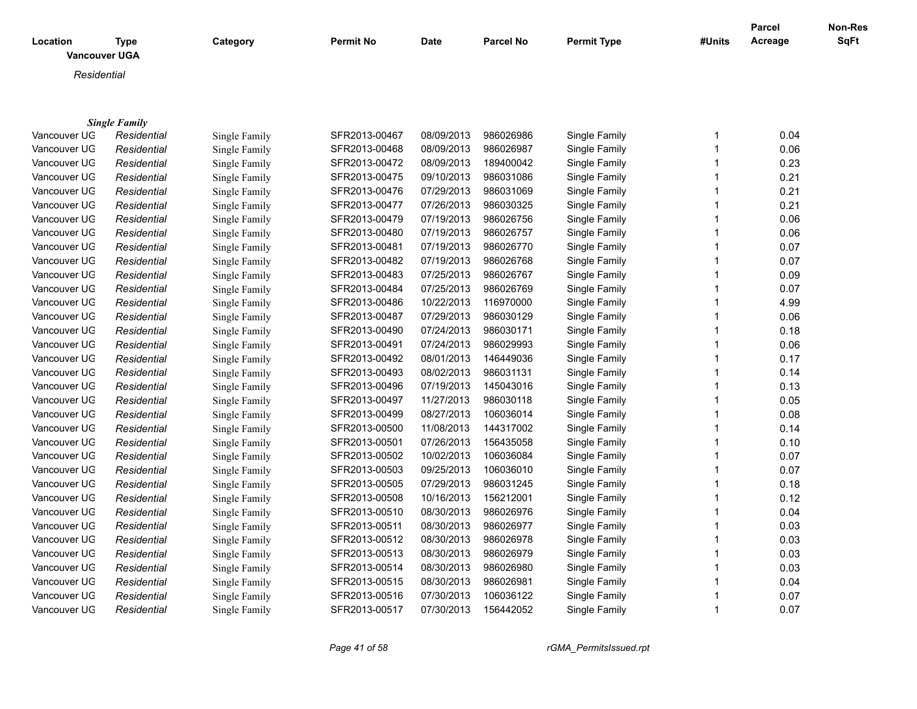| Location     | Type<br><b>Vancouver UGA</b> | Category      | <b>Permit No</b> | Date       | <b>Parcel No</b> | <b>Permit Type</b> | #Units | Parcel<br>Acreage | Non-Res<br>SqFt |
|--------------|------------------------------|---------------|------------------|------------|------------------|--------------------|--------|-------------------|-----------------|
| Residential  |                              |               |                  |            |                  |                    |        |                   |                 |
|              |                              |               |                  |            |                  |                    |        |                   |                 |
|              | <b>Single Family</b>         |               |                  |            |                  |                    |        |                   |                 |
| Vancouver UG | Residential                  | Single Family | SFR2013-00467    | 08/09/2013 | 986026986        | Single Family      |        | 0.04              |                 |
| Vancouver UG | Residential                  | Single Family | SFR2013-00468    | 08/09/2013 | 986026987        | Single Family      |        | 0.06              |                 |
| Vancouver UG | Residential                  | Single Family | SFR2013-00472    | 08/09/2013 | 189400042        | Single Family      |        | 0.23              |                 |
| Vancouver UG | Residential                  | Single Family | SFR2013-00475    | 09/10/2013 | 986031086        | Single Family      |        | 0.21              |                 |
| Vancouver UG | Residential                  | Single Family | SFR2013-00476    | 07/29/2013 | 986031069        | Single Family      |        | 0.21              |                 |
| Vancouver UG | Residential                  | Single Family | SFR2013-00477    | 07/26/2013 | 986030325        | Single Family      |        | 0.21              |                 |
| Vancouver UG | Residential                  | Single Family | SFR2013-00479    | 07/19/2013 | 986026756        | Single Family      |        | 0.06              |                 |
| Vancouver UG | Residential                  | Single Family | SFR2013-00480    | 07/19/2013 | 986026757        | Single Family      |        | 0.06              |                 |
| Vancouver UG | Residential                  | Single Family | SFR2013-00481    | 07/19/2013 | 986026770        | Single Family      |        | 0.07              |                 |
| Vancouver UG | Residential                  | Single Family | SFR2013-00482    | 07/19/2013 | 986026768        | Single Family      |        | 0.07              |                 |
| Vancouver UG | Residential                  | Single Family | SFR2013-00483    | 07/25/2013 | 986026767        | Single Family      |        | 0.09              |                 |
| Vancouver UG | Residential                  | Single Family | SFR2013-00484    | 07/25/2013 | 986026769        | Single Family      |        | 0.07              |                 |
| Vancouver UG | Residential                  | Single Family | SFR2013-00486    | 10/22/2013 | 116970000        | Single Family      |        | 4.99              |                 |
| Vancouver UG | Residential                  | Single Family | SFR2013-00487    | 07/29/2013 | 986030129        | Single Family      |        | 0.06              |                 |

| vancouver ∪G | Residential | Single Family | 5 - 13-004 2  | <u>09/09/2013</u> | 109400042 | Single Family | U.ZJ |
|--------------|-------------|---------------|---------------|-------------------|-----------|---------------|------|
| Vancouver UG | Residential | Single Family | SFR2013-00475 | 09/10/2013        | 986031086 | Single Family | 0.21 |
| Vancouver UG | Residential | Single Family | SFR2013-00476 | 07/29/2013        | 986031069 | Single Family | 0.21 |
| Vancouver UG | Residential | Single Family | SFR2013-00477 | 07/26/2013        | 986030325 | Single Family | 0.21 |
| Vancouver UG | Residential | Single Family | SFR2013-00479 | 07/19/2013        | 986026756 | Single Family | 0.06 |
| Vancouver UG | Residential | Single Family | SFR2013-00480 | 07/19/2013        | 986026757 | Single Family | 0.06 |
| Vancouver UG | Residential | Single Family | SFR2013-00481 | 07/19/2013        | 986026770 | Single Family | 0.07 |
| Vancouver UG | Residential | Single Family | SFR2013-00482 | 07/19/2013        | 986026768 | Single Family | 0.07 |
| Vancouver UG | Residential | Single Family | SFR2013-00483 | 07/25/2013        | 986026767 | Single Family | 0.09 |
| Vancouver UG | Residential | Single Family | SFR2013-00484 | 07/25/2013        | 986026769 | Single Family | 0.07 |
| Vancouver UG | Residential | Single Family | SFR2013-00486 | 10/22/2013        | 116970000 | Single Family | 4.99 |
| Vancouver UG | Residential | Single Family | SFR2013-00487 | 07/29/2013        | 986030129 | Single Family | 0.06 |
| Vancouver UG | Residential | Single Family | SFR2013-00490 | 07/24/2013        | 986030171 | Single Family | 0.18 |
| Vancouver UG | Residential | Single Family | SFR2013-00491 | 07/24/2013        | 986029993 | Single Family | 0.06 |
| Vancouver UG | Residential | Single Family | SFR2013-00492 | 08/01/2013        | 146449036 | Single Family | 0.17 |
| Vancouver UG | Residential | Single Family | SFR2013-00493 | 08/02/2013        | 986031131 | Single Family | 0.14 |
| Vancouver UG | Residential | Single Family | SFR2013-00496 | 07/19/2013        | 145043016 | Single Family | 0.13 |
| Vancouver UG | Residential | Single Family | SFR2013-00497 | 11/27/2013        | 986030118 | Single Family | 0.05 |
| Vancouver UG | Residential | Single Family | SFR2013-00499 | 08/27/2013        | 106036014 | Single Family | 0.08 |
| Vancouver UG | Residential | Single Family | SFR2013-00500 | 11/08/2013        | 144317002 | Single Family | 0.14 |
| Vancouver UG | Residential | Single Family | SFR2013-00501 | 07/26/2013        | 156435058 | Single Family | 0.10 |
| Vancouver UG | Residential | Single Family | SFR2013-00502 | 10/02/2013        | 106036084 | Single Family | 0.07 |
| Vancouver UG | Residential | Single Family | SFR2013-00503 | 09/25/2013        | 106036010 | Single Family | 0.07 |
| Vancouver UG | Residential | Single Family | SFR2013-00505 | 07/29/2013        | 986031245 | Single Family | 0.18 |
| Vancouver UG | Residential | Single Family | SFR2013-00508 | 10/16/2013        | 156212001 | Single Family | 0.12 |
| Vancouver UG | Residential | Single Family | SFR2013-00510 | 08/30/2013        | 986026976 | Single Family | 0.04 |
| Vancouver UG | Residential | Single Family | SFR2013-00511 | 08/30/2013        | 986026977 | Single Family | 0.03 |
| Vancouver UG | Residential | Single Family | SFR2013-00512 | 08/30/2013        | 986026978 | Single Family | 0.03 |
| Vancouver UG | Residential | Single Family | SFR2013-00513 | 08/30/2013        | 986026979 | Single Family | 0.03 |
| Vancouver UG | Residential | Single Family | SFR2013-00514 | 08/30/2013        | 986026980 | Single Family | 0.03 |
| Vancouver UG | Residential | Single Family | SFR2013-00515 | 08/30/2013        | 986026981 | Single Family | 0.04 |
| Vancouver UG | Residential | Single Family | SFR2013-00516 | 07/30/2013        | 106036122 | Single Family | 0.07 |
| Vancouver UG | Residential | Single Family | SFR2013-00517 | 07/30/2013        | 156442052 | Single Family | 0.07 |
|              |             |               |               |                   |           |               |      |

*Page 41 of 58 rGMA\_PermitsIssued.rpt*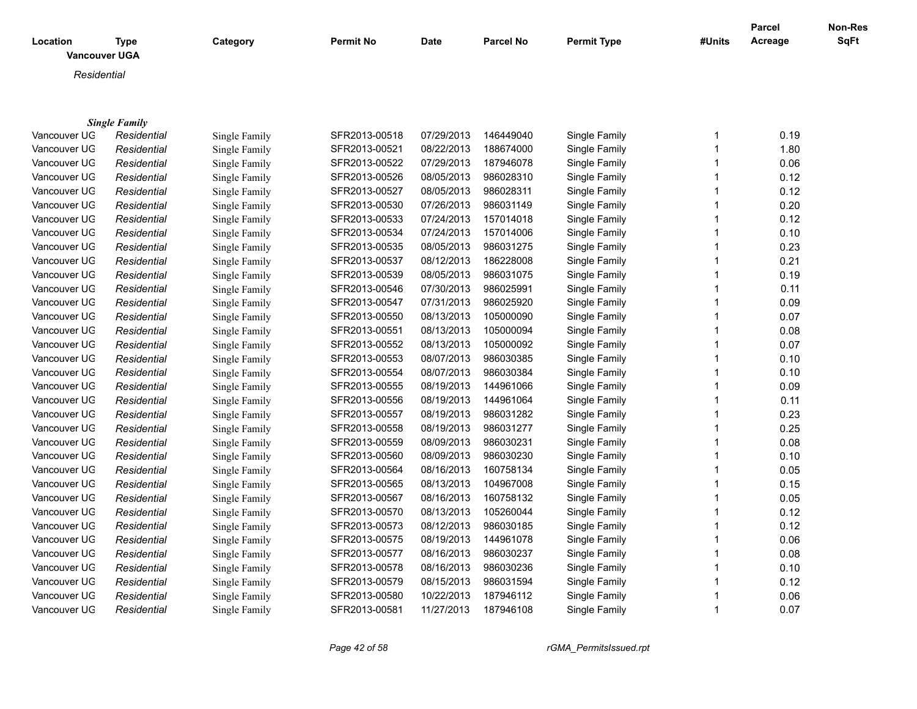| Location     | <b>Type</b>          | Category      | <b>Permit No</b> | Date       | <b>Parcel No</b> | <b>Permit Type</b> | #Units         | <b>Parcel</b><br>Acreage | Non-Res<br>SqFt |
|--------------|----------------------|---------------|------------------|------------|------------------|--------------------|----------------|--------------------------|-----------------|
|              | <b>Vancouver UGA</b> |               |                  |            |                  |                    |                |                          |                 |
| Residential  |                      |               |                  |            |                  |                    |                |                          |                 |
|              |                      |               |                  |            |                  |                    |                |                          |                 |
|              |                      |               |                  |            |                  |                    |                |                          |                 |
|              | <b>Single Family</b> |               |                  |            |                  |                    |                |                          |                 |
| Vancouver UG | Residential          | Single Family | SFR2013-00518    | 07/29/2013 | 146449040        | Single Family      | 1              | 0.19                     |                 |
| Vancouver UG | Residential          | Single Family | SFR2013-00521    | 08/22/2013 | 188674000        | Single Family      | 1              | 1.80                     |                 |
| Vancouver UG | Residential          | Single Family | SFR2013-00522    | 07/29/2013 | 187946078        | Single Family      | 1              | 0.06                     |                 |
| Vancouver UG | Residential          | Single Family | SFR2013-00526    | 08/05/2013 | 986028310        | Single Family      | 1              | 0.12                     |                 |
| Vancouver UG | Residential          | Single Family | SFR2013-00527    | 08/05/2013 | 986028311        | Single Family      | 1              | 0.12                     |                 |
| Vancouver UG | Residential          | Single Family | SFR2013-00530    | 07/26/2013 | 986031149        | Single Family      | 1              | 0.20                     |                 |
| Vancouver UG | Residential          | Single Family | SFR2013-00533    | 07/24/2013 | 157014018        | Single Family      | $\mathbf 1$    | 0.12                     |                 |
| Vancouver UG | Residential          | Single Family | SFR2013-00534    | 07/24/2013 | 157014006        | Single Family      | 1              | 0.10                     |                 |
| Vancouver UG | Residential          | Single Family | SFR2013-00535    | 08/05/2013 | 986031275        | Single Family      | $\mathbf 1$    | 0.23                     |                 |
| Vancouver UG | Residential          | Single Family | SFR2013-00537    | 08/12/2013 | 186228008        | Single Family      | 1              | 0.21                     |                 |
| Vancouver UG | Residential          | Single Family | SFR2013-00539    | 08/05/2013 | 986031075        | Single Family      | $\mathbf 1$    | 0.19                     |                 |
| Vancouver UG | Residential          | Single Family | SFR2013-00546    | 07/30/2013 | 986025991        | Single Family      | 1              | 0.11                     |                 |
| Vancouver UG | Residential          | Single Family | SFR2013-00547    | 07/31/2013 | 986025920        | Single Family      | $\mathbf 1$    | 0.09                     |                 |
| Vancouver UG | Residential          | Single Family | SFR2013-00550    | 08/13/2013 | 105000090        | Single Family      | 1              | 0.07                     |                 |
| Vancouver UG | Residential          | Single Family | SFR2013-00551    | 08/13/2013 | 105000094        | Single Family      | 1              | 0.08                     |                 |
| Vancouver UG | Residential          | Single Family | SFR2013-00552    | 08/13/2013 | 105000092        | Single Family      | 1              | 0.07                     |                 |
| Vancouver UG | Residential          | Single Family | SFR2013-00553    | 08/07/2013 | 986030385        | Single Family      | 1              | 0.10                     |                 |
| Vancouver UG | Residential          | Single Family | SFR2013-00554    | 08/07/2013 | 986030384        | Single Family      | $\mathbf 1$    | 0.10                     |                 |
| Vancouver UG | Residential          | Single Family | SFR2013-00555    | 08/19/2013 | 144961066        | Single Family      | 1              | 0.09                     |                 |
| Vancouver UG | Residential          | Single Family | SFR2013-00556    | 08/19/2013 | 144961064        | Single Family      | $\mathbf 1$    | 0.11                     |                 |
| Vancouver UG | Residential          | Single Family | SFR2013-00557    | 08/19/2013 | 986031282        | Single Family      | 1              | 0.23                     |                 |
| Vancouver UG | Residential          | Single Family | SFR2013-00558    | 08/19/2013 | 986031277        | Single Family      | 1              | 0.25                     |                 |
| Vancouver UG | Residential          | Single Family | SFR2013-00559    | 08/09/2013 | 986030231        | Single Family      | 1              | 0.08                     |                 |
| Vancouver UG | Residential          | Single Family | SFR2013-00560    | 08/09/2013 | 986030230        | Single Family      | 1              | 0.10                     |                 |
| Vancouver UG | Residential          | Single Family | SFR2013-00564    | 08/16/2013 | 160758134        | Single Family      | 1              | 0.05                     |                 |
| Vancouver UG | Residential          | Single Family | SFR2013-00565    | 08/13/2013 | 104967008        | Single Family      | $\overline{1}$ | 0.15                     |                 |
| Vancouver UG | Residential          | Single Family | SFR2013-00567    | 08/16/2013 | 160758132        | Single Family      | 1              | 0.05                     |                 |
| Vancouver UG | Residential          | Single Family | SFR2013-00570    | 08/13/2013 | 105260044        | Single Family      | $\mathbf 1$    | 0.12                     |                 |
| Vancouver UG | Residential          | Single Family | SFR2013-00573    | 08/12/2013 | 986030185        | Single Family      | $\mathbf 1$    | 0.12                     |                 |
| Vancouver UG | Residential          | Single Family | SFR2013-00575    | 08/19/2013 | 144961078        | Single Family      | $\mathbf 1$    | 0.06                     |                 |
| Vancouver UG | Residential          | Single Family | SFR2013-00577    | 08/16/2013 | 986030237        | Single Family      | 1              | 0.08                     |                 |
| Vancouver UG | Residential          | Single Family | SFR2013-00578    | 08/16/2013 | 986030236        | Single Family      | 1              | 0.10                     |                 |
| Vancouver UG | Residential          | Single Family | SFR2013-00579    | 08/15/2013 | 986031594        | Single Family      | $\mathbf 1$    | 0.12                     |                 |
| Vancouver UG | Residential          | Single Family | SFR2013-00580    | 10/22/2013 | 187946112        | Single Family      | 1              | 0.06                     |                 |
| Vancouver UG | Residential          | Single Family | SFR2013-00581    | 11/27/2013 | 187946108        | Single Family      | 1              | 0.07                     |                 |

*Page 42 of 58 rGMA\_PermitsIssued.rpt*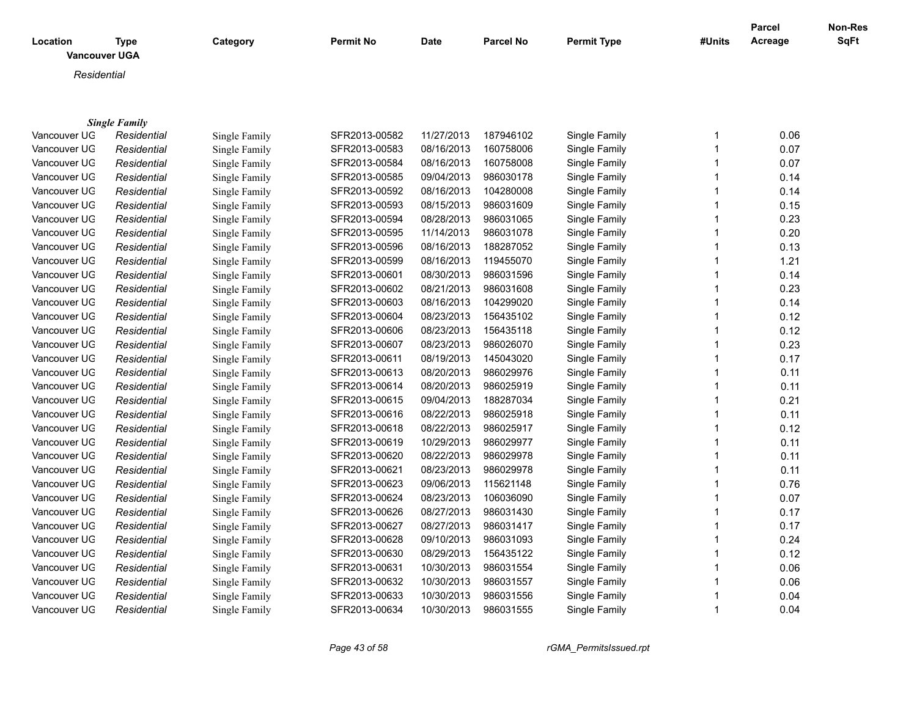|              |                      |               |                  |            |                  |                    |              | <b>Parcel</b> | Non-Res     |
|--------------|----------------------|---------------|------------------|------------|------------------|--------------------|--------------|---------------|-------------|
| Location     | <b>Type</b>          | Category      | <b>Permit No</b> | Date       | <b>Parcel No</b> | <b>Permit Type</b> | #Units       | Acreage       | <b>SqFt</b> |
|              | Vancouver UGA        |               |                  |            |                  |                    |              |               |             |
| Residential  |                      |               |                  |            |                  |                    |              |               |             |
|              |                      |               |                  |            |                  |                    |              |               |             |
|              |                      |               |                  |            |                  |                    |              |               |             |
|              | <b>Single Family</b> |               |                  |            |                  |                    |              |               |             |
| Vancouver UG | Residential          | Single Family | SFR2013-00582    | 11/27/2013 | 187946102        | Single Family      | $\mathbf{1}$ | 0.06          |             |
| Vancouver UG | Residential          | Single Family | SFR2013-00583    | 08/16/2013 | 160758006        | Single Family      | $\mathbf{1}$ | 0.07          |             |
| Vancouver UG | Residential          | Single Family | SFR2013-00584    | 08/16/2013 | 160758008        | Single Family      | $\mathbf 1$  | 0.07          |             |
| Vancouver UG | Residential          | Single Family | SFR2013-00585    | 09/04/2013 | 986030178        | Single Family      | $\mathbf 1$  | 0.14          |             |
| Vancouver UG | Residential          | Single Family | SFR2013-00592    | 08/16/2013 | 104280008        | Single Family      | $\mathbf 1$  | 0.14          |             |
| Vancouver UG | Residential          | Single Family | SFR2013-00593    | 08/15/2013 | 986031609        | Single Family      | $\mathbf{1}$ | 0.15          |             |
| Vancouver UG | Residential          | Single Family | SFR2013-00594    | 08/28/2013 | 986031065        | Single Family      | $\mathbf{1}$ | 0.23          |             |
| Vancouver UG | Residential          | Single Family | SFR2013-00595    | 11/14/2013 | 986031078        | Single Family      | $\mathbf 1$  | 0.20          |             |
| Vancouver UG | Residential          | Single Family | SFR2013-00596    | 08/16/2013 | 188287052        | Single Family      | $\mathbf{1}$ | 0.13          |             |
| Vancouver UG | Residential          | Single Family | SFR2013-00599    | 08/16/2013 | 119455070        | Single Family      | $\mathbf{1}$ | 1.21          |             |
| Vancouver UG | Residential          | Single Family | SFR2013-00601    | 08/30/2013 | 986031596        | Single Family      | $\mathbf{1}$ | 0.14          |             |
| Vancouver UG | Residential          | Single Family | SFR2013-00602    | 08/21/2013 | 986031608        | Single Family      | 1            | 0.23          |             |
| Vancouver UG | Residential          | Single Family | SFR2013-00603    | 08/16/2013 | 104299020        | Single Family      | $\mathbf{1}$ | 0.14          |             |
| Vancouver UG | Residential          | Single Family | SFR2013-00604    | 08/23/2013 | 156435102        | Single Family      | 1            | 0.12          |             |
| Vancouver UG | Residential          | Single Family | SFR2013-00606    | 08/23/2013 | 156435118        | Single Family      | $\mathbf{1}$ | 0.12          |             |
| Vancouver UG | Residential          | Single Family | SFR2013-00607    | 08/23/2013 | 986026070        | Single Family      | $\mathbf{1}$ | 0.23          |             |
| Vancouver UG | Residential          | Single Family | SFR2013-00611    | 08/19/2013 | 145043020        | Single Family      | $\mathbf{1}$ | 0.17          |             |
| Vancouver UG | Residential          | Single Family | SFR2013-00613    | 08/20/2013 | 986029976        | Single Family      | $\mathbf{1}$ | 0.11          |             |
| Vancouver UG | Residential          | Single Family | SFR2013-00614    | 08/20/2013 | 986025919        | Single Family      | $\mathbf{1}$ | 0.11          |             |
| Vancouver UG | Residential          | Single Family | SFR2013-00615    | 09/04/2013 | 188287034        | Single Family      | $\mathbf 1$  | 0.21          |             |
| Vancouver UG | Residential          | Single Family | SFR2013-00616    | 08/22/2013 | 986025918        | Single Family      | $\mathbf{1}$ | 0.11          |             |
| Vancouver UG | Residential          | Single Family | SFR2013-00618    | 08/22/2013 | 986025917        | Single Family      | $\mathbf{1}$ | 0.12          |             |
| Vancouver UG | Residential          | Single Family | SFR2013-00619    | 10/29/2013 | 986029977        | Single Family      | 1            | 0.11          |             |
| Vancouver UG | Residential          | Single Family | SFR2013-00620    | 08/22/2013 | 986029978        | Single Family      | $\mathbf 1$  | 0.11          |             |
| Vancouver UG | Residential          | Single Family | SFR2013-00621    | 08/23/2013 | 986029978        | Single Family      | $\mathbf 1$  | 0.11          |             |
| Vancouver UG | Residential          | Single Family | SFR2013-00623    | 09/06/2013 | 115621148        | Single Family      | $\mathbf{1}$ | 0.76          |             |
| Vancouver UG | Residential          | Single Family | SFR2013-00624    | 08/23/2013 | 106036090        | Single Family      | $\mathbf{1}$ | 0.07          |             |
| Vancouver UG | Residential          | Single Family | SFR2013-00626    | 08/27/2013 | 986031430        | Single Family      | $\mathbf{1}$ | 0.17          |             |
| Vancouver UG | Residential          | Single Family | SFR2013-00627    | 08/27/2013 | 986031417        | Single Family      | $\mathbf{1}$ | 0.17          |             |
| Vancouver UG | Residential          | Single Family | SFR2013-00628    | 09/10/2013 | 986031093        | Single Family      | $\mathbf{1}$ | 0.24          |             |
| Vancouver UG | Residential          | Single Family | SFR2013-00630    | 08/29/2013 | 156435122        | Single Family      | 1            | 0.12          |             |
| Vancouver UG | Residential          | Single Family | SFR2013-00631    | 10/30/2013 | 986031554        | Single Family      | 1            | 0.06          |             |
| Vancouver UG | Residential          | Single Family | SFR2013-00632    | 10/30/2013 | 986031557        | Single Family      | 1            | 0.06          |             |
| Vancouver UG | Residential          | Single Family | SFR2013-00633    | 10/30/2013 | 986031556        | Single Family      | 1            | 0.04          |             |
| Vancouver UG | Residential          | Single Family | SFR2013-00634    | 10/30/2013 | 986031555        | Single Family      | $\mathbf 1$  | 0.04          |             |

*Page 43 of 58 rGMA\_PermitsIssued.rpt*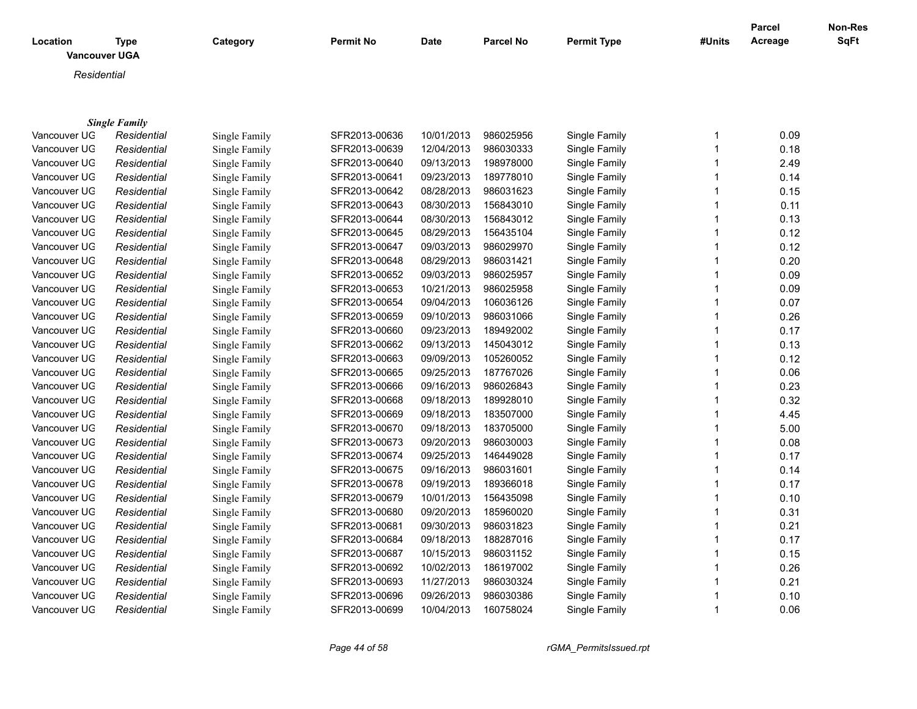| <b>Location</b><br><b>Vancouver UGA</b> | Type                 | Category      | <b>Permit No</b> | <b>Date</b> | <b>Parcel No</b> | <b>Permit Type</b> | #Units | <b>Parcel</b><br>Acreage | Non-Res<br><b>SqFt</b> |
|-----------------------------------------|----------------------|---------------|------------------|-------------|------------------|--------------------|--------|--------------------------|------------------------|
| Residential                             |                      |               |                  |             |                  |                    |        |                          |                        |
|                                         |                      |               |                  |             |                  |                    |        |                          |                        |
|                                         | <b>Single Family</b> |               |                  |             |                  |                    |        |                          |                        |
| Vancouver UG                            | Residential          | Single Family | SFR2013-00636    | 10/01/2013  | 986025956        | Single Family      |        | 0.09                     |                        |
| Vancouver UG                            | Residential          | Single Family | SFR2013-00639    | 12/04/2013  | 986030333        | Single Family      |        | 0.18                     |                        |
| Vancouver UG                            | Residential          | Single Family | SFR2013-00640    | 09/13/2013  | 198978000        | Single Family      |        | 2.49                     |                        |
| Vancouver UG                            | Residential          | Single Family | SFR2013-00641    | 09/23/2013  | 189778010        | Single Family      |        | 0.14                     |                        |
| Vancouver UG                            | Residential          | Single Family | SFR2013-00642    | 08/28/2013  | 986031623        | Single Family      |        | 0.15                     |                        |
| Vancouver UG                            | Residential          | Single Family | SFR2013-00643    | 08/30/2013  | 156843010        | Single Family      |        | 0.11                     |                        |
| Vancouver UG                            | Residential          | Single Family | SFR2013-00644    | 08/30/2013  | 156843012        | Single Family      |        | 0.13                     |                        |

| Vancouver UG | Residential | Single Family | SFR2013-00640 | 09/13/2013 | 198978000 | Single Family | 2.49 |
|--------------|-------------|---------------|---------------|------------|-----------|---------------|------|
| Vancouver UG | Residential | Single Family | SFR2013-00641 | 09/23/2013 | 189778010 | Single Family | 0.14 |
| Vancouver UG | Residential | Single Family | SFR2013-00642 | 08/28/2013 | 986031623 | Single Family | 0.15 |
| Vancouver UG | Residential | Single Family | SFR2013-00643 | 08/30/2013 | 156843010 | Single Family | 0.11 |
| Vancouver UG | Residential | Single Family | SFR2013-00644 | 08/30/2013 | 156843012 | Single Family | 0.13 |
| Vancouver UG | Residential | Single Family | SFR2013-00645 | 08/29/2013 | 156435104 | Single Family | 0.12 |
| Vancouver UG | Residential | Single Family | SFR2013-00647 | 09/03/2013 | 986029970 | Single Family | 0.12 |
| Vancouver UG | Residential | Single Family | SFR2013-00648 | 08/29/2013 | 986031421 | Single Family | 0.20 |
| Vancouver UG | Residential | Single Family | SFR2013-00652 | 09/03/2013 | 986025957 | Single Family | 0.09 |
| Vancouver UG | Residential | Single Family | SFR2013-00653 | 10/21/2013 | 986025958 | Single Family | 0.09 |
| Vancouver UG | Residential | Single Family | SFR2013-00654 | 09/04/2013 | 106036126 | Single Family | 0.07 |
| Vancouver UG | Residential | Single Family | SFR2013-00659 | 09/10/2013 | 986031066 | Single Family | 0.26 |
| Vancouver UG | Residential | Single Family | SFR2013-00660 | 09/23/2013 | 189492002 | Single Family | 0.17 |
| Vancouver UG | Residential | Single Family | SFR2013-00662 | 09/13/2013 | 145043012 | Single Family | 0.13 |
| Vancouver UG | Residential | Single Family | SFR2013-00663 | 09/09/2013 | 105260052 | Single Family | 0.12 |
| Vancouver UG | Residential | Single Family | SFR2013-00665 | 09/25/2013 | 187767026 | Single Family | 0.06 |
| Vancouver UG | Residential | Single Family | SFR2013-00666 | 09/16/2013 | 986026843 | Single Family | 0.23 |
| Vancouver UG | Residential | Single Family | SFR2013-00668 | 09/18/2013 | 189928010 | Single Family | 0.32 |
| Vancouver UG | Residential | Single Family | SFR2013-00669 | 09/18/2013 | 183507000 | Single Family | 4.45 |
| Vancouver UG | Residential | Single Family | SFR2013-00670 | 09/18/2013 | 183705000 | Single Family | 5.00 |
| Vancouver UG | Residential | Single Family | SFR2013-00673 | 09/20/2013 | 986030003 | Single Family | 0.08 |
| Vancouver UG | Residential | Single Family | SFR2013-00674 | 09/25/2013 | 146449028 | Single Family | 0.17 |
| Vancouver UG | Residential | Single Family | SFR2013-00675 | 09/16/2013 | 986031601 | Single Family | 0.14 |
| Vancouver UG | Residential | Single Family | SFR2013-00678 | 09/19/2013 | 189366018 | Single Family | 0.17 |
| Vancouver UG | Residential | Single Family | SFR2013-00679 | 10/01/2013 | 156435098 | Single Family | 0.10 |
| Vancouver UG | Residential | Single Family | SFR2013-00680 | 09/20/2013 | 185960020 | Single Family | 0.31 |
| Vancouver UG | Residential | Single Family | SFR2013-00681 | 09/30/2013 | 986031823 | Single Family | 0.21 |
| Vancouver UG | Residential | Single Family | SFR2013-00684 | 09/18/2013 | 188287016 | Single Family | 0.17 |
| Vancouver UG | Residential | Single Family | SFR2013-00687 | 10/15/2013 | 986031152 | Single Family | 0.15 |
| Vancouver UG | Residential | Single Family | SFR2013-00692 | 10/02/2013 | 186197002 | Single Family | 0.26 |
| Vancouver UG | Residential | Single Family | SFR2013-00693 | 11/27/2013 | 986030324 | Single Family | 0.21 |
| Vancouver UG | Residential | Single Family | SFR2013-00696 | 09/26/2013 | 986030386 | Single Family | 0.10 |
| Vancouver UG | Residential | Single Family | SFR2013-00699 | 10/04/2013 | 160758024 | Single Family | 0.06 |
|              |             |               |               |            |           |               |      |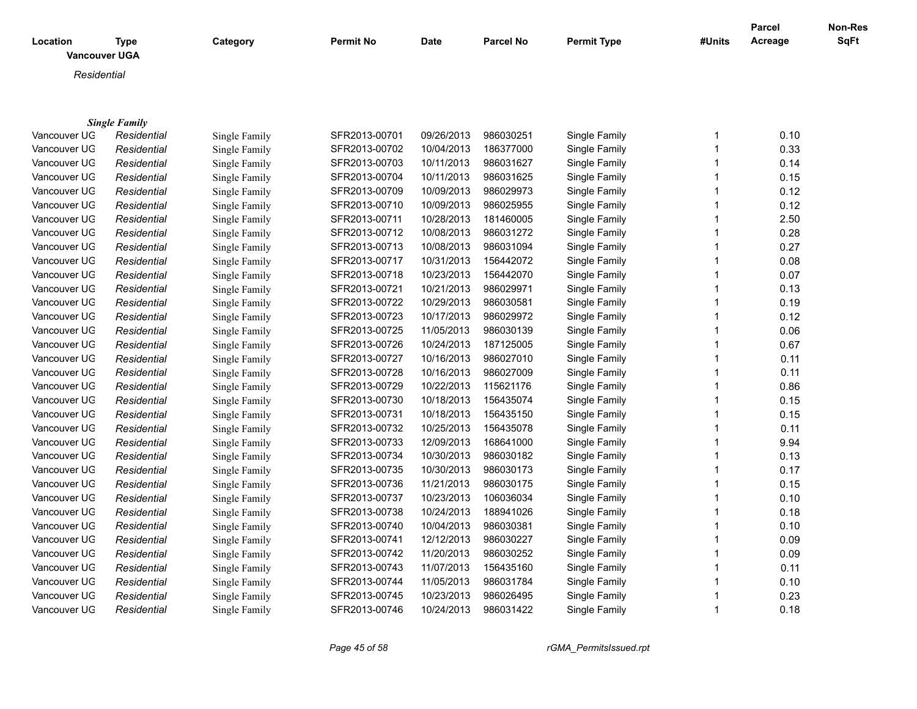| Location      | <b>Type</b><br><b>Vancouver UGA</b> | Category                                | <b>Permit No</b> | <b>Date</b> | <b>Parcel No</b> | <b>Permit Type</b> | #Units | Parcel<br>Acreage | Non-Res<br>SqFt |
|---------------|-------------------------------------|-----------------------------------------|------------------|-------------|------------------|--------------------|--------|-------------------|-----------------|
| Residential   |                                     |                                         |                  |             |                  |                    |        |                   |                 |
|               |                                     |                                         |                  |             |                  |                    |        |                   |                 |
|               | <b>Single Family</b>                |                                         |                  |             |                  |                    |        |                   |                 |
| Vancouver UG  | Residential                         | Single Family                           | SFR2013-00701    | 09/26/2013  | 986030251        | Single Family      |        | 0.10              |                 |
| Vancouver UG  | Residential                         | Single Family                           | SFR2013-00702    | 10/04/2013  | 186377000        | Single Family      |        | 0.33              |                 |
| Vancouver UG  | Residential                         | Single Family                           | SFR2013-00703    | 10/11/2013  | 986031627        | Single Family      |        | 0.14              |                 |
| Vancouver UG  | Residential                         | Single Family                           | SFR2013-00704    | 10/11/2013  | 986031625        | Single Family      |        | 0.15              |                 |
| Vancouver UG  | Residential                         | Single Family                           | SFR2013-00709    | 10/09/2013  | 986029973        | Single Family      |        | 0.12              |                 |
| Vancouver UG  | Residential                         | Single Family                           | SFR2013-00710    | 10/09/2013  | 986025955        | Single Family      |        | 0.12              |                 |
| Vancouver UG  | Residential                         | Single Family                           | SFR2013-00711    | 10/28/2013  | 181460005        | Single Family      |        | 2.50              |                 |
| Vancouver UG  | Residential                         | Single Family                           | SFR2013-00712    | 10/08/2013  | 986031272        | Single Family      |        | 0.28              |                 |
| Vancouver UG  | Residential                         | Single Family                           | SFR2013-00713    | 10/08/2013  | 986031094        | Single Family      |        | 0.27              |                 |
| Vancouver UG  | Residential                         | Single Family                           | SFR2013-00717    | 10/31/2013  | 156442072        | Single Family      |        | 0.08              |                 |
| Vancouver UG  | Residential                         | Single Family                           | SFR2013-00718    | 10/23/2013  | 156442070        | Single Family      |        | 0.07              |                 |
| Vancouver UG  | Residential                         | Single Family                           | SFR2013-00721    | 10/21/2013  | 986029971        | Single Family      |        | 0.13              |                 |
| Vancouver UG  | Residential                         | Single Family                           | SFR2013-00722    | 10/29/2013  | 986030581        | Single Family      |        | 0.19              |                 |
| Vancouver UG  | Residential                         | Single Family                           | SFR2013-00723    | 10/17/2013  | 986029972        | Single Family      |        | 0.12              |                 |
| Vancouver UG  | Residential                         | Single Family                           | SFR2013-00725    | 11/05/2013  | 986030139        | Single Family      |        | 0.06              |                 |
| Vancouver UG  | Residential                         | Single Family                           | SFR2013-00726    | 10/24/2013  | 187125005        | Single Family      |        | 0.67              |                 |
| Vancouver UG  | Residential                         | Single Family                           | SFR2013-00727    | 10/16/2013  | 986027010        | Single Family      |        | 0.11              |                 |
| Vancouver UG  | Residential                         | Single Family                           | SFR2013-00728    | 10/16/2013  | 986027009        | Single Family      |        | 0.11              |                 |
| $\frac{1}{2}$ | <b>Decidential</b>                  | $\mathcal{C}$ ingle $\mathcal{C}$ omily | REDON13 NO7OQ    | 10/22/2013  | 115621176        | Single Family      |        | 0.9G              |                 |

| Vancouver UG | Residential | Single Family | SFR2013-00729 | 10/22/2013 | 115621176 | Single Family | 0.86 |
|--------------|-------------|---------------|---------------|------------|-----------|---------------|------|
| Vancouver UG | Residential | Single Family | SFR2013-00730 | 10/18/2013 | 156435074 | Single Family | 0.15 |
| Vancouver UG | Residential | Single Family | SFR2013-00731 | 10/18/2013 | 156435150 | Single Family | 0.15 |
| Vancouver UG | Residential | Single Family | SFR2013-00732 | 10/25/2013 | 156435078 | Single Family | 0.11 |
| Vancouver UG | Residential | Single Family | SFR2013-00733 | 12/09/2013 | 168641000 | Single Family | 9.94 |
| Vancouver UG | Residential | Single Family | SFR2013-00734 | 10/30/2013 | 986030182 | Single Family | 0.13 |
| Vancouver UG | Residential | Single Family | SFR2013-00735 | 10/30/2013 | 986030173 | Single Family | 0.17 |
| Vancouver UG | Residential | Single Family | SFR2013-00736 | 11/21/2013 | 986030175 | Single Family | 0.15 |
| Vancouver UG | Residential | Single Family | SFR2013-00737 | 10/23/2013 | 106036034 | Single Family | 0.10 |
| Vancouver UG | Residential | Single Family | SFR2013-00738 | 10/24/2013 | 188941026 | Single Family | 0.18 |
| Vancouver UG | Residential | Single Family | SFR2013-00740 | 10/04/2013 | 986030381 | Single Family | 0.10 |
| Vancouver UG | Residential | Single Family | SFR2013-00741 | 12/12/2013 | 986030227 | Single Family | 0.09 |
| Vancouver UG | Residential | Single Family | SFR2013-00742 | 11/20/2013 | 986030252 | Single Family | 0.09 |
| Vancouver UG | Residential | Single Family | SFR2013-00743 | 11/07/2013 | 156435160 | Single Family | 0.11 |
| Vancouver UG | Residential | Single Family | SFR2013-00744 | 11/05/2013 | 986031784 | Single Family | 0.10 |
| Vancouver UG | Residential | Single Family | SFR2013-00745 | 10/23/2013 | 986026495 | Single Family | 0.23 |
| Vancouver UG | Residential | Single Family | SFR2013-00746 | 10/24/2013 | 986031422 | Single Family | 0.18 |
|              |             |               |               |            |           |               |      |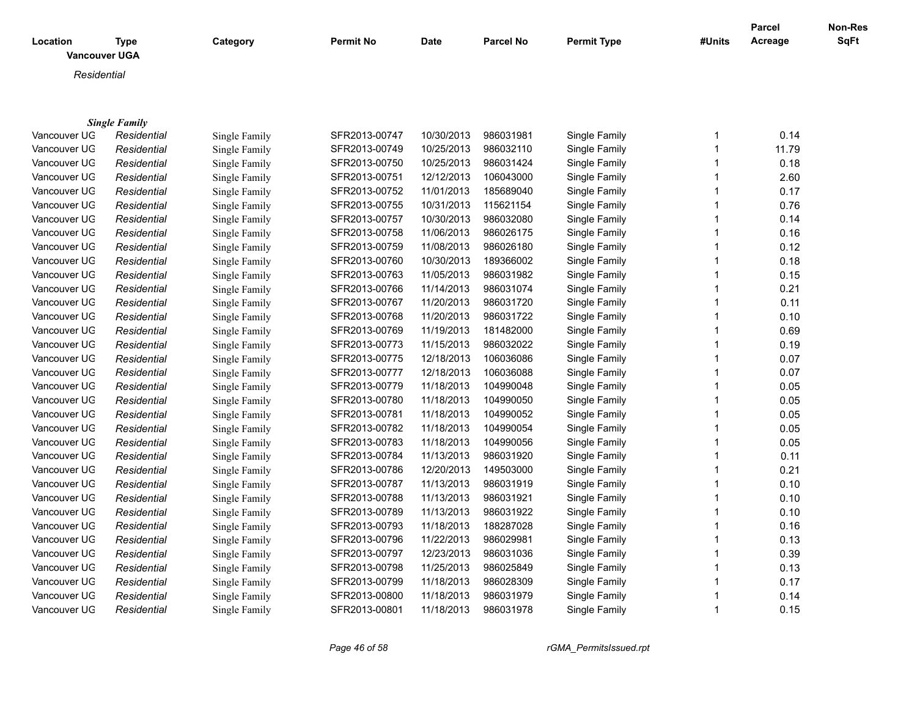| Location<br><b>Vancouver UGA</b> | <b>Type</b>          | Category      | <b>Permit No</b> | <b>Date</b> | <b>Parcel No</b> | <b>Permit Type</b> | #Units | Parcel<br>Acreage | Non-Res<br>SqFt |
|----------------------------------|----------------------|---------------|------------------|-------------|------------------|--------------------|--------|-------------------|-----------------|
| Residential                      |                      |               |                  |             |                  |                    |        |                   |                 |
|                                  |                      |               |                  |             |                  |                    |        |                   |                 |
|                                  |                      |               |                  |             |                  |                    |        |                   |                 |
|                                  | <b>Single Family</b> |               |                  |             |                  |                    |        |                   |                 |
| Vancouver UG                     | Residential          | Single Family | SFR2013-00747    | 10/30/2013  | 986031981        | Single Family      |        | 0.14              |                 |
| Vancouver UG                     | Residential          | Single Family | SFR2013-00749    | 10/25/2013  | 986032110        | Single Family      |        | 11.79             |                 |
| Vancouver UG                     | Residential          | Single Family | SFR2013-00750    | 10/25/2013  | 986031424        | Single Family      |        | 0.18              |                 |
| Vancouver UG                     | Residential          | Single Family | SFR2013-00751    | 12/12/2013  | 106043000        | Single Family      |        | 2.60              |                 |
| Vancouver UG                     | Residential          | Single Family | SFR2013-00752    | 11/01/2013  | 185689040        | Single Family      |        | 0.17              |                 |
| Vancouver UG                     | Residential          | Single Family | SFR2013-00755    | 10/31/2013  | 115621154        | Single Family      |        | 0.76              |                 |
| Vancouver UG                     | Residential          | Single Family | SFR2013-00757    | 10/30/2013  | 986032080        | Single Family      |        | 0.14              |                 |
| Vancouver UG                     | Residential          | Single Family | SFR2013-00758    | 11/06/2013  | 986026175        | Single Family      |        | 0.16              |                 |
| Vancouver UG                     | Residential          | Single Family | SFR2013-00759    | 11/08/2013  | 986026180        | Single Family      |        | 0.12              |                 |
| Vancouver UG                     | Residential          | Single Family | SFR2013-00760    | 10/30/2013  | 189366002        | Single Family      |        | 0.18              |                 |
| Vancouver UG                     | Residential          | Single Family | SFR2013-00763    | 11/05/2013  | 986031982        | Single Family      |        | 0.15              |                 |
| Vancouver UG                     | Residential          | Single Family | SFR2013-00766    | 11/14/2013  | 986031074        | Single Family      |        | 0.21              |                 |
| Vancouver UG                     | Residential          | Single Family | SFR2013-00767    | 11/20/2013  | 986031720        | Single Family      |        | 0.11              |                 |
| Vancouver UG                     | Residential          | Single Family | SFR2013-00768    | 11/20/2013  | 986031722        | Single Family      |        | 0.10              |                 |
| Vancouver UG                     | Residential          | Single Family | SFR2013-00769    | 11/19/2013  | 181482000        | Single Family      |        | 0.69              |                 |
| Vancouver UG                     | Residential          | Single Family | SFR2013-00773    | 11/15/2013  | 986032022        | Single Family      |        | 0.19              |                 |
| Vancouver UG                     | Residential          | Single Family | SFR2013-00775    | 12/18/2013  | 106036086        | Single Family      |        | 0.07              |                 |
| Vancouver UG                     | Residential          | Single Family | SFR2013-00777    | 12/18/2013  | 106036088        | Single Family      |        | 0.07              |                 |
| Vancouver UG                     | Residential          | Single Family | SFR2013-00779    | 11/18/2013  | 104990048        | Single Family      |        | 0.05              |                 |
| Vancouver UG                     | Residential          | Single Family | SFR2013-00780    | 11/18/2013  | 104990050        | Single Family      |        | 0.05              |                 |
| Vancouver UG                     | Residential          | Single Family | SFR2013-00781    | 11/18/2013  | 104990052        | Single Family      |        | 0.05              |                 |
| Vancouver UG                     | Residential          | Single Family | SFR2013-00782    | 11/18/2013  | 104990054        | Single Family      |        | 0.05              |                 |
| Vancouver UG                     | Residential          | Single Family | SFR2013-00783    | 11/18/2013  | 104990056        | Single Family      |        | 0.05              |                 |
| Vancouver UG                     | Residential          | Single Family | SFR2013-00784    | 11/13/2013  | 986031920        | Single Family      |        | 0.11              |                 |

Vancouver UGA *Residential* Single Family SFR2013-00786 12/20/2013 149503000 Single Family 1 0.21 Vancouver UGA *Residential* Single Family SFR2013-00787 11/13/2013 986031919 Single Family 1 0.10 Vancouver UG *Residential* Single Family SFR2013-00788 11/13/2013 986031921 Single Family 1 0.10 Vancouver UGA *Residential* Single Family SFR2013-00789 11/13/2013 986031922 Single Family 1 0.10 Vancouver UG *Residential* Single Family SFR2013-00793 11/18/2013 188287028 Single Family 1 0.16

Vancouver UG *Residential* Single Family SFR2013-00796 11/22/2013 986029981 Single Family 1 0.13 Vancouver UGA *Residential* Single Family SFR2013-00797 12/23/2013 986031036 Single Family 1 0.39 Vancouver UGA *Residential* Single Family SFR2013-00798 11/25/2013 986025849 Single Family 1 0.13 Vancouver UGA *Residential* Single Family SFR2013-00799 11/18/2013 986028309 Single Family 1 0.17 Vancouver UGA *Residential* Single Family SFR2013-00800 11/18/2013 986031979 Single Family 1 0.14 Vancouver UGA *Residential* Single Family SFR2013-00801 11/18/2013 986031978 Single Family 1 0.15

*Page 46 of 58 rGMA\_PermitsIssued.rpt*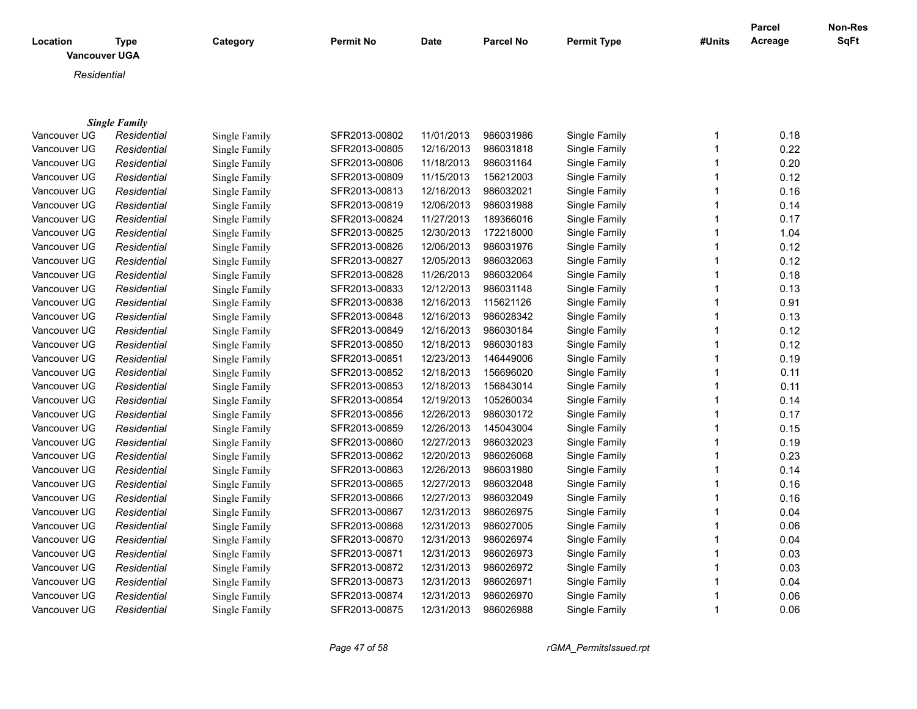| Location<br><b>Vancouver UGA</b> | <b>Type</b>          | Category      | <b>Permit No</b> | <b>Date</b> | <b>Parcel No</b> | <b>Permit Type</b> | #Units | <b>Parcel</b><br>Acreage | Non-Res<br><b>SqFt</b> |
|----------------------------------|----------------------|---------------|------------------|-------------|------------------|--------------------|--------|--------------------------|------------------------|
| Residential                      |                      |               |                  |             |                  |                    |        |                          |                        |
|                                  |                      |               |                  |             |                  |                    |        |                          |                        |
|                                  |                      |               |                  |             |                  |                    |        |                          |                        |
|                                  | <b>Single Family</b> |               |                  |             |                  |                    |        |                          |                        |
| Vancouver UG                     | Residential          | Single Family | SFR2013-00802    | 11/01/2013  | 986031986        | Single Family      | 1      | 0.18                     |                        |
| Vancouver UG                     | Residential          | Single Family | SFR2013-00805    | 12/16/2013  | 986031818        | Single Family      | 1      | 0.22                     |                        |
| Vancouver UG                     | Residential          | Single Family | SFR2013-00806    | 11/18/2013  | 986031164        | Single Family      |        | 0.20                     |                        |
| Vancouver UG                     | Residential          | Single Family | SFR2013-00809    | 11/15/2013  | 156212003        | Single Family      |        | 0.12                     |                        |
| Vancouver UG                     | Residential          | Single Family | SFR2013-00813    | 12/16/2013  | 986032021        | Single Family      |        | 0.16                     |                        |
| Vancouver UG                     | Residential          | Single Family | SFR2013-00819    | 12/06/2013  | 986031988        | Single Family      | 1      | 0.14                     |                        |
| Vancouver UG                     | Residential          | Single Family | SFR2013-00824    | 11/27/2013  | 189366016        | Single Family      | 1      | 0.17                     |                        |
| Vancouver UG                     | Residential          | Single Family | SFR2013-00825    | 12/30/2013  | 172218000        | Single Family      |        | 1.04                     |                        |
| Vancouver UG                     | Residential          | Single Family | SFR2013-00826    | 12/06/2013  | 986031976        | Single Family      |        | 0.12                     |                        |
| Vancouver UG                     | Residential          | Single Family | SFR2013-00827    | 12/05/2013  | 986032063        | Single Family      |        | 0.12                     |                        |
| Vancouver UG                     | Residential          | Single Family | SFR2013-00828    | 11/26/2013  | 986032064        | Single Family      |        | 0.18                     |                        |
| Vancouver UG                     | Residential          | Single Family | SFR2013-00833    | 12/12/2013  | 986031148        | Single Family      |        | 0.13                     |                        |
| Vancouver UG                     | Residential          | Single Family | SFR2013-00838    | 12/16/2013  | 115621126        | Single Family      |        | 0.91                     |                        |
| Vancouver UG                     | Residential          | Single Family | SFR2013-00848    | 12/16/2013  | 986028342        | Single Family      |        | 0.13                     |                        |
| Vancouver UG                     | Residential          | Single Family | SFR2013-00849    | 12/16/2013  | 986030184        | Single Family      |        | 0.12                     |                        |
| Vancouver UG                     | Residential          | Single Family | SFR2013-00850    | 12/18/2013  | 986030183        | Single Family      |        | 0.12                     |                        |
| Vancouver UG                     | Residential          | Single Family | SFR2013-00851    | 12/23/2013  | 146449006        | Single Family      |        | 0.19                     |                        |
| Vancouver UG                     | Residential          | Single Family | SFR2013-00852    | 12/18/2013  | 156696020        | Single Family      |        | 0.11                     |                        |
| Vancouver UG                     | Residential          | Single Family | SFR2013-00853    | 12/18/2013  | 156843014        | Single Family      |        | 0.11                     |                        |
| Vancouver UG                     | Residential          | Single Family | SFR2013-00854    | 12/19/2013  | 105260034        | Single Family      | 1      | 0.14                     |                        |
| Vancouver UG                     | Residential          | Single Family | SFR2013-00856    | 12/26/2013  | 986030172        | Single Family      | 1      | 0.17                     |                        |
| Vancouver UG                     | Residential          | Single Family | SFR2013-00859    | 12/26/2013  | 145043004        | Single Family      | 1      | 0.15                     |                        |
| Vancouver UG                     | Residential          | Single Family | SFR2013-00860    | 12/27/2013  | 986032023        | Single Family      |        | 0.19                     |                        |
| Vancouver UG                     | Residential          | Single Family | SFR2013-00862    | 12/20/2013  | 986026068        | Single Family      | 1      | 0.23                     |                        |
| Vancouver UG                     | Residential          | Single Family | SFR2013-00863    | 12/26/2013  | 986031980        | Single Family      |        | 0.14                     |                        |
| Vancouver UG                     | Residential          | Single Family | SFR2013-00865    | 12/27/2013  | 986032048        | Single Family      |        | 0.16                     |                        |
| Vancouver UG                     | Residential          | Single Family | SFR2013-00866    | 12/27/2013  | 986032049        | Single Family      | 1      | 0.16                     |                        |
| Vancouver UG                     | Residential          | Single Family | SFR2013-00867    | 12/31/2013  | 986026975        | Single Family      |        | 0.04                     |                        |
| Vancouver UG                     | Residential          | Single Family | SFR2013-00868    | 12/31/2013  | 986027005        | Single Family      |        | 0.06                     |                        |
| Vancouver UG                     | Residential          | Single Family | SFR2013-00870    | 12/31/2013  | 986026974        | Single Family      |        | 0.04                     |                        |
| Vancouver UG                     | Residential          | Single Family | SFR2013-00871    | 12/31/2013  | 986026973        | Single Family      |        | 0.03                     |                        |

Vancouver UGA *Residential* Single Family SFR2013-00872 12/31/2013 986026972 Single Family 1 0.03 Vancouver UGA *Residential* Single Family SFR2013-00873 12/31/2013 986026971 Single Family 1 0.04 Vancouver UGA *Residential* Single Family SFR2013-00874 12/31/2013 986026970 Single Family 1 0.06 Vancouver UG *Residential* Single Family SFR2013-00875 12/31/2013 986026988 Single Family 1 0.06

*Page 47 of 58 rGMA\_PermitsIssued.rpt*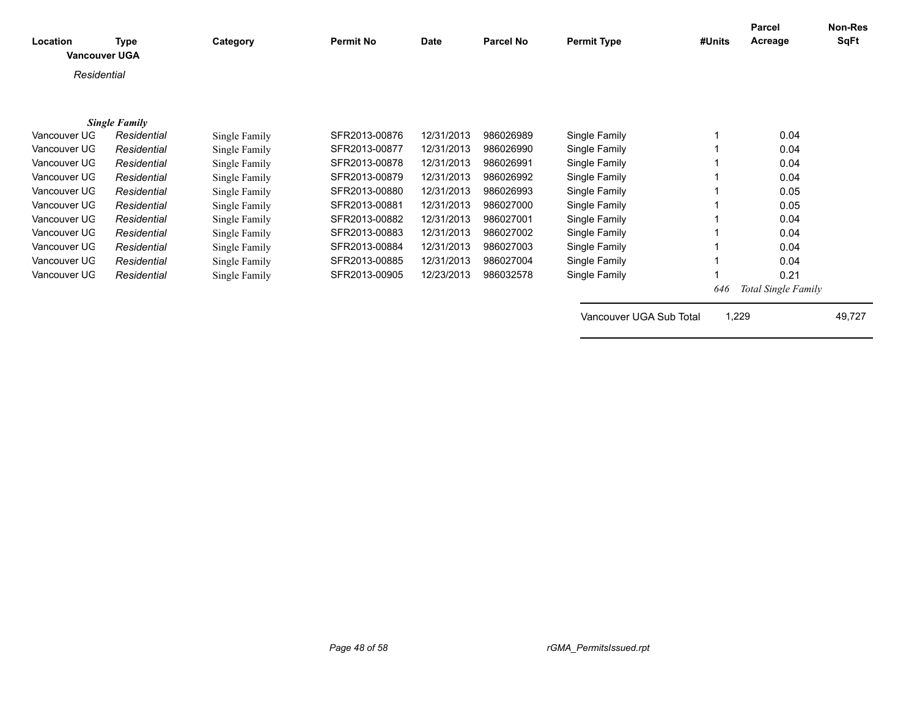| Location<br><b>Vancouver UGA</b> | Type                 | Category      | <b>Permit No</b> | Date       | <b>Parcel No</b> | <b>Permit Type</b>      | #Units | Parcel<br>Acreage          | Non-Res<br><b>SqFt</b> |
|----------------------------------|----------------------|---------------|------------------|------------|------------------|-------------------------|--------|----------------------------|------------------------|
| Residential                      |                      |               |                  |            |                  |                         |        |                            |                        |
|                                  |                      |               |                  |            |                  |                         |        |                            |                        |
|                                  | <b>Single Family</b> |               |                  |            |                  |                         |        |                            |                        |
| Vancouver UG                     | Residential          | Single Family | SFR2013-00876    | 12/31/2013 | 986026989        | Single Family           |        | 0.04                       |                        |
| Vancouver UG                     | Residential          | Single Family | SFR2013-00877    | 12/31/2013 | 986026990        | Single Family           |        | 0.04                       |                        |
| Vancouver UG                     | Residential          | Single Family | SFR2013-00878    | 12/31/2013 | 986026991        | Single Family           |        | 0.04                       |                        |
| Vancouver UG                     | Residential          | Single Family | SFR2013-00879    | 12/31/2013 | 986026992        | Single Family           |        | 0.04                       |                        |
| Vancouver UG                     | Residential          | Single Family | SFR2013-00880    | 12/31/2013 | 986026993        | Single Family           |        | 0.05                       |                        |
| Vancouver UG                     | Residential          | Single Family | SFR2013-00881    | 12/31/2013 | 986027000        | Single Family           |        | 0.05                       |                        |
| Vancouver UG                     | Residential          | Single Family | SFR2013-00882    | 12/31/2013 | 986027001        | Single Family           |        | 0.04                       |                        |
| Vancouver UG                     | Residential          | Single Family | SFR2013-00883    | 12/31/2013 | 986027002        | Single Family           |        | 0.04                       |                        |
| Vancouver UG                     | Residential          | Single Family | SFR2013-00884    | 12/31/2013 | 986027003        | Single Family           |        | 0.04                       |                        |
| Vancouver UG                     | Residential          | Single Family | SFR2013-00885    | 12/31/2013 | 986027004        | Single Family           |        | 0.04                       |                        |
| Vancouver UG                     | Residential          | Single Family | SFR2013-00905    | 12/23/2013 | 986032578        | Single Family           |        | 0.21                       |                        |
|                                  |                      |               |                  |            |                  |                         | 646    | <b>Total Single Family</b> |                        |
|                                  |                      |               |                  |            |                  | Vancouver UGA Sub Total |        | 1,229                      | 49,727                 |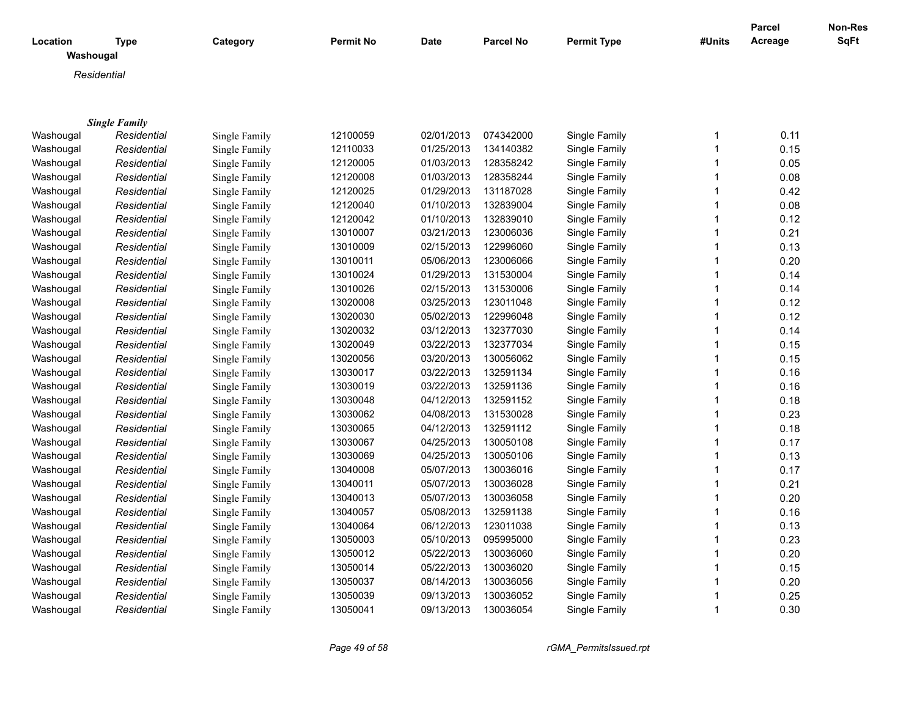|                       |                      |               |                  |             |                  |                    |        | <b>Parcel</b> | Non-Res     |
|-----------------------|----------------------|---------------|------------------|-------------|------------------|--------------------|--------|---------------|-------------|
| Location<br>Washougal | <b>Type</b>          | Category      | <b>Permit No</b> | <b>Date</b> | <b>Parcel No</b> | <b>Permit Type</b> | #Units | Acreage       | <b>SqFt</b> |
|                       | Residential          |               |                  |             |                  |                    |        |               |             |
|                       |                      |               |                  |             |                  |                    |        |               |             |
|                       |                      |               |                  |             |                  |                    |        |               |             |
|                       | <b>Single Family</b> |               |                  |             |                  |                    |        |               |             |
| Washougal             | Residential          | Single Family | 12100059         | 02/01/2013  | 074342000        | Single Family      | 1      | 0.11          |             |
| Washougal             | Residential          | Single Family | 12110033         | 01/25/2013  | 134140382        | Single Family      | 1      | 0.15          |             |
| Washougal             | Residential          | Single Family | 12120005         | 01/03/2013  | 128358242        | Single Family      | 1      | 0.05          |             |
| Washougal             | Residential          | Single Family | 12120008         | 01/03/2013  | 128358244        | Single Family      | 1      | 0.08          |             |
| Washougal             | Residential          | Single Family | 12120025         | 01/29/2013  | 131187028        | Single Family      | 1      | 0.42          |             |
| Washougal             | Residential          | Single Family | 12120040         | 01/10/2013  | 132839004        | Single Family      | 1      | 0.08          |             |
| Washougal             | Residential          | Single Family | 12120042         | 01/10/2013  | 132839010        | Single Family      | 1      | 0.12          |             |
| Washougal             | Residential          | Single Family | 13010007         | 03/21/2013  | 123006036        | Single Family      | 1      | 0.21          |             |
| Washougal             | Residential          | Single Family | 13010009         | 02/15/2013  | 122996060        | Single Family      | 1      | 0.13          |             |
| Washougal             | Residential          | Single Family | 13010011         | 05/06/2013  | 123006066        | Single Family      | 1      | 0.20          |             |
| Washougal             | Residential          | Single Family | 13010024         | 01/29/2013  | 131530004        | Single Family      | 1      | 0.14          |             |
| Washougal             | Residential          | Single Family | 13010026         | 02/15/2013  | 131530006        | Single Family      | 1      | 0.14          |             |
| Washougal             | Residential          | Single Family | 13020008         | 03/25/2013  | 123011048        | Single Family      | 1      | 0.12          |             |
| Washougal             | Residential          | Single Family | 13020030         | 05/02/2013  | 122996048        | Single Family      | 1      | 0.12          |             |
| Washougal             | Residential          | Single Family | 13020032         | 03/12/2013  | 132377030        | Single Family      | 1      | 0.14          |             |
| Washougal             | Residential          | Single Family | 13020049         | 03/22/2013  | 132377034        | Single Family      | 1      | 0.15          |             |
| Washougal             | Residential          | Single Family | 13020056         | 03/20/2013  | 130056062        | Single Family      | 1      | 0.15          |             |
| Washougal             | Residential          | Single Family | 13030017         | 03/22/2013  | 132591134        | Single Family      | 1      | 0.16          |             |
| Washougal             | Residential          | Single Family | 13030019         | 03/22/2013  | 132591136        | Single Family      | 1      | 0.16          |             |
| Washougal             | Residential          | Single Family | 13030048         | 04/12/2013  | 132591152        | Single Family      | 1      | 0.18          |             |
| Washougal             | Residential          | Single Family | 13030062         | 04/08/2013  | 131530028        | Single Family      | 1      | 0.23          |             |
| Washougal             | Residential          | Single Family | 13030065         | 04/12/2013  | 132591112        | Single Family      | 1      | 0.18          |             |
| Washougal             | Residential          | Single Family | 13030067         | 04/25/2013  | 130050108        | Single Family      | 1      | 0.17          |             |
| Washougal             | Residential          | Single Family | 13030069         | 04/25/2013  | 130050106        | Single Family      | 1      | 0.13          |             |
| Washougal             | Residential          | Single Family | 13040008         | 05/07/2013  | 130036016        | Single Family      | 1      | 0.17          |             |
| Washougal             | Residential          | Single Family | 13040011         | 05/07/2013  | 130036028        | Single Family      | 1      | 0.21          |             |
| Washougal             | Residential          | Single Family | 13040013         | 05/07/2013  | 130036058        | Single Family      | 1      | 0.20          |             |
| Washougal             | Residential          | Single Family | 13040057         | 05/08/2013  | 132591138        | Single Family      | 1      | 0.16          |             |
| Washougal             | Residential          | Single Family | 13040064         | 06/12/2013  | 123011038        | Single Family      | 1      | 0.13          |             |
| Washougal             | Residential          | Single Family | 13050003         | 05/10/2013  | 095995000        | Single Family      | 1      | 0.23          |             |
| Washougal             | Residential          | Single Family | 13050012         | 05/22/2013  | 130036060        | Single Family      | 1      | 0.20          |             |
| Washougal             | Residential          | Single Family | 13050014         | 05/22/2013  | 130036020        | Single Family      | 1      | 0.15          |             |
| Washougal             | Residential          | Single Family | 13050037         | 08/14/2013  | 130036056        | Single Family      | 1      | 0.20          |             |
| Washougal             | Residential          | Single Family | 13050039         | 09/13/2013  | 130036052        | Single Family      | 1      | 0.25          |             |
| Washougal             | Residential          | Single Family | 13050041         | 09/13/2013  | 130036054        | Single Family      | 1      | 0.30          |             |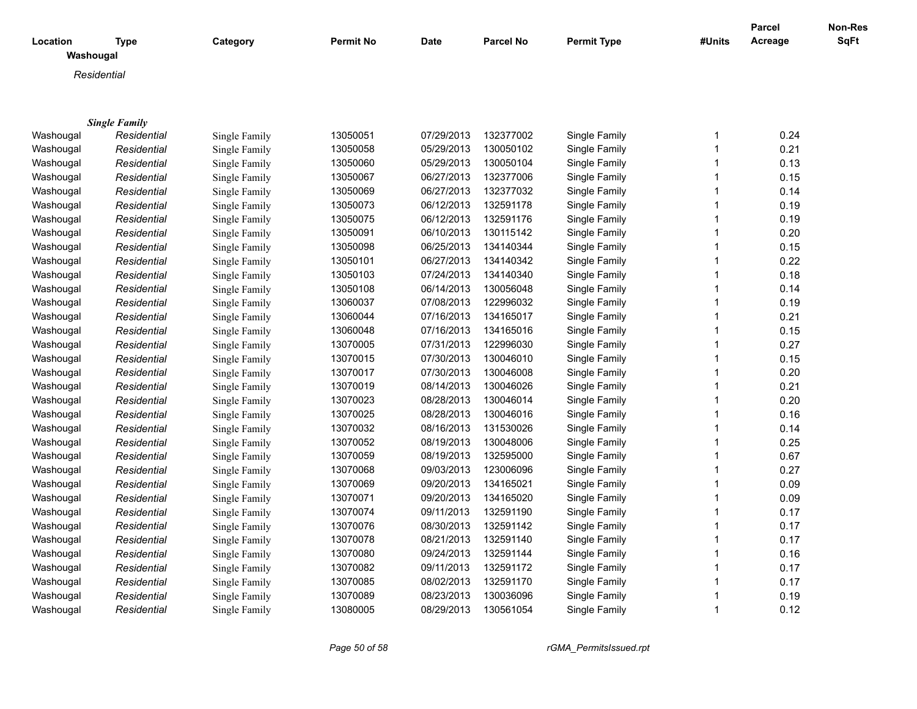| Location  | <b>Type</b>          | Category      | <b>Permit No</b> | <b>Date</b> | <b>Parcel No</b> | <b>Permit Type</b> | #Units       | <b>Parcel</b><br>Acreage | Non-Res<br>SqFt |
|-----------|----------------------|---------------|------------------|-------------|------------------|--------------------|--------------|--------------------------|-----------------|
| Washougal |                      |               |                  |             |                  |                    |              |                          |                 |
|           | Residential          |               |                  |             |                  |                    |              |                          |                 |
|           |                      |               |                  |             |                  |                    |              |                          |                 |
|           |                      |               |                  |             |                  |                    |              |                          |                 |
|           | <b>Single Family</b> |               |                  |             |                  | Single Family      |              | 0.24                     |                 |
| Washougal | Residential          | Single Family | 13050051         | 07/29/2013  | 132377002        |                    | 1            | 0.21                     |                 |
| Washougal | Residential          | Single Family | 13050058         | 05/29/2013  | 130050102        | Single Family      | 1            | 0.13                     |                 |
| Washougal | Residential          | Single Family | 13050060         | 05/29/2013  | 130050104        | Single Family      | 1            |                          |                 |
| Washougal | Residential          | Single Family | 13050067         | 06/27/2013  | 132377006        | Single Family      | $\mathbf 1$  | 0.15                     |                 |
| Washougal | Residential          | Single Family | 13050069         | 06/27/2013  | 132377032        | Single Family      | $\mathbf 1$  | 0.14                     |                 |
| Washougal | Residential          | Single Family | 13050073         | 06/12/2013  | 132591178        | Single Family      | $\mathbf{1}$ | 0.19                     |                 |
| Washougal | Residential          | Single Family | 13050075         | 06/12/2013  | 132591176        | Single Family      | $\mathbf{1}$ | 0.19                     |                 |
| Washougal | Residential          | Single Family | 13050091         | 06/10/2013  | 130115142        | Single Family      | $\mathbf 1$  | 0.20                     |                 |
| Washougal | Residential          | Single Family | 13050098         | 06/25/2013  | 134140344        | Single Family      | $\mathbf 1$  | 0.15                     |                 |
| Washougal | Residential          | Single Family | 13050101         | 06/27/2013  | 134140342        | Single Family      | $\mathbf 1$  | 0.22                     |                 |
| Washougal | Residential          | Single Family | 13050103         | 07/24/2013  | 134140340        | Single Family      | $\mathbf 1$  | 0.18                     |                 |
| Washougal | Residential          | Single Family | 13050108         | 06/14/2013  | 130056048        | Single Family      | $\mathbf{1}$ | 0.14                     |                 |
| Washougal | Residential          | Single Family | 13060037         | 07/08/2013  | 122996032        | Single Family      | $\mathbf{1}$ | 0.19                     |                 |
| Washougal | Residential          | Single Family | 13060044         | 07/16/2013  | 134165017        | Single Family      | $\mathbf{1}$ | 0.21                     |                 |
| Washougal | Residential          | Single Family | 13060048         | 07/16/2013  | 134165016        | Single Family      | $\mathbf 1$  | 0.15                     |                 |
| Washougal | Residential          | Single Family | 13070005         | 07/31/2013  | 122996030        | Single Family      | $\mathbf 1$  | 0.27                     |                 |
| Washougal | Residential          | Single Family | 13070015         | 07/30/2013  | 130046010        | Single Family      | $\mathbf 1$  | 0.15                     |                 |
| Washougal | Residential          | Single Family | 13070017         | 07/30/2013  | 130046008        | Single Family      | $\mathbf{1}$ | 0.20                     |                 |
| Washougal | Residential          | Single Family | 13070019         | 08/14/2013  | 130046026        | Single Family      | $\mathbf 1$  | 0.21                     |                 |
| Washougal | Residential          | Single Family | 13070023         | 08/28/2013  | 130046014        | Single Family      | $\mathbf{1}$ | 0.20                     |                 |
| Washougal | Residential          | Single Family | 13070025         | 08/28/2013  | 130046016        | Single Family      | $\mathbf{1}$ | 0.16                     |                 |
| Washougal | Residential          | Single Family | 13070032         | 08/16/2013  | 131530026        | Single Family      | $\mathbf 1$  | 0.14                     |                 |
| Washougal | Residential          | Single Family | 13070052         | 08/19/2013  | 130048006        | Single Family      | $\mathbf 1$  | 0.25                     |                 |
| Washougal | Residential          | Single Family | 13070059         | 08/19/2013  | 132595000        | Single Family      | $\mathbf 1$  | 0.67                     |                 |
| Washougal | Residential          | Single Family | 13070068         | 09/03/2013  | 123006096        | Single Family      | $\mathbf 1$  | 0.27                     |                 |
| Washougal | Residential          | Single Family | 13070069         | 09/20/2013  | 134165021        | Single Family      | $\mathbf{1}$ | 0.09                     |                 |
| Washougal | Residential          | Single Family | 13070071         | 09/20/2013  | 134165020        | Single Family      | $\mathbf{1}$ | 0.09                     |                 |
| Washougal | Residential          | Single Family | 13070074         | 09/11/2013  | 132591190        | Single Family      | 1            | 0.17                     |                 |
| Washougal | Residential          | Single Family | 13070076         | 08/30/2013  | 132591142        | Single Family      | $\mathbf 1$  | 0.17                     |                 |
| Washougal | Residential          | Single Family | 13070078         | 08/21/2013  | 132591140        | Single Family      | $\mathbf 1$  | 0.17                     |                 |
| Washougal | Residential          | Single Family | 13070080         | 09/24/2013  | 132591144        | Single Family      | $\mathbf 1$  | 0.16                     |                 |
| Washougal | Residential          | Single Family | 13070082         | 09/11/2013  | 132591172        | Single Family      | $\mathbf{1}$ | 0.17                     |                 |
| Washougal | Residential          | Single Family | 13070085         | 08/02/2013  | 132591170        | Single Family      | $\mathbf{1}$ | 0.17                     |                 |
| Washougal | Residential          | Single Family | 13070089         | 08/23/2013  | 130036096        | Single Family      | 1            | 0.19                     |                 |
| Washougal | Residential          | Single Family | 13080005         | 08/29/2013  | 130561054        | Single Family      | $\mathbf{1}$ | 0.12                     |                 |
|           |                      |               |                  |             |                  |                    |              |                          |                 |

*Page 50 of 58 rGMA\_PermitsIssued.rpt*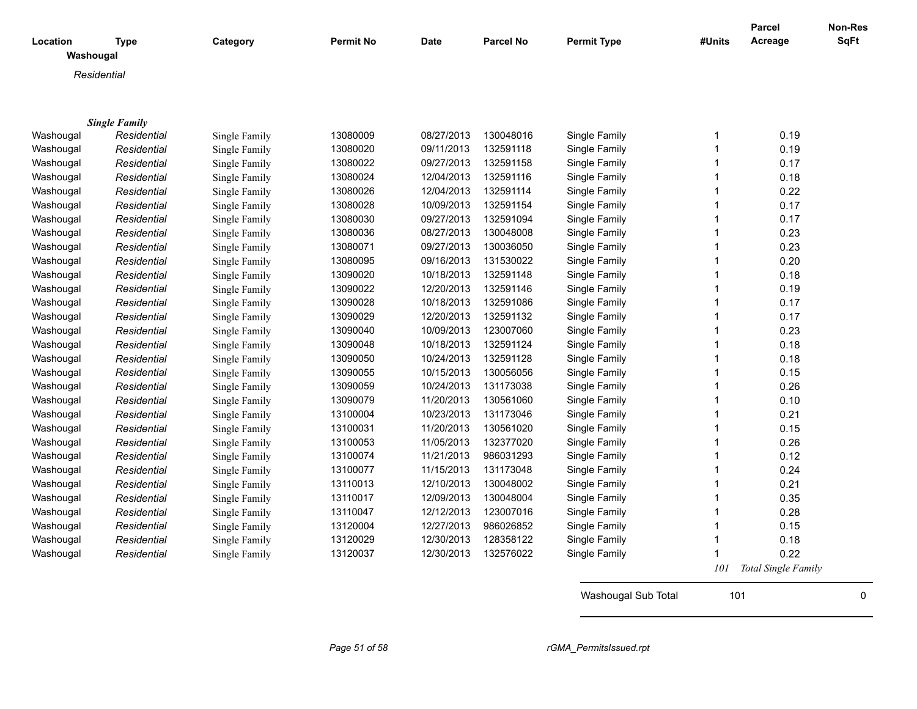| Location<br>Washougal | <b>Type</b>          | Category      | <b>Permit No</b> | <b>Date</b> | <b>Parcel No</b> | <b>Permit Type</b> | #Units       | Parcel<br>Acreage   | Non-Res<br><b>SqFt</b> |
|-----------------------|----------------------|---------------|------------------|-------------|------------------|--------------------|--------------|---------------------|------------------------|
| Residential           |                      |               |                  |             |                  |                    |              |                     |                        |
|                       |                      |               |                  |             |                  |                    |              |                     |                        |
|                       |                      |               |                  |             |                  |                    |              |                     |                        |
|                       | <b>Single Family</b> |               |                  |             |                  |                    |              |                     |                        |
| Washougal             | Residential          | Single Family | 13080009         | 08/27/2013  | 130048016        | Single Family      | $\mathbf 1$  | 0.19                |                        |
| Washougal             | Residential          | Single Family | 13080020         | 09/11/2013  | 132591118        | Single Family      | $\mathbf{1}$ | 0.19                |                        |
| Washougal             | Residential          | Single Family | 13080022         | 09/27/2013  | 132591158        | Single Family      | $\mathbf{1}$ | 0.17                |                        |
| Washougal             | Residential          | Single Family | 13080024         | 12/04/2013  | 132591116        | Single Family      | $\mathbf{1}$ | 0.18                |                        |
| Washougal             | Residential          | Single Family | 13080026         | 12/04/2013  | 132591114        | Single Family      | $\mathbf 1$  | 0.22                |                        |
| Washougal             | Residential          | Single Family | 13080028         | 10/09/2013  | 132591154        | Single Family      | $\mathbf 1$  | 0.17                |                        |
| Washougal             | Residential          | Single Family | 13080030         | 09/27/2013  | 132591094        | Single Family      | $\mathbf{1}$ | 0.17                |                        |
| Washougal             | Residential          | Single Family | 13080036         | 08/27/2013  | 130048008        | Single Family      | $\mathbf 1$  | 0.23                |                        |
| Washougal             | Residential          | Single Family | 13080071         | 09/27/2013  | 130036050        | Single Family      | $\mathbf{1}$ | 0.23                |                        |
| Washougal             | Residential          | Single Family | 13080095         | 09/16/2013  | 131530022        | Single Family      | $\mathbf{1}$ | 0.20                |                        |
| Washougal             | Residential          | Single Family | 13090020         | 10/18/2013  | 132591148        | Single Family      | $\mathbf{1}$ | 0.18                |                        |
| Washougal             | Residential          | Single Family | 13090022         | 12/20/2013  | 132591146        | Single Family      | $\mathbf{1}$ | 0.19                |                        |
| Washougal             | Residential          | Single Family | 13090028         | 10/18/2013  | 132591086        | Single Family      | $\mathbf{1}$ | 0.17                |                        |
| Washougal             | Residential          | Single Family | 13090029         | 12/20/2013  | 132591132        | Single Family      | $\mathbf{1}$ | 0.17                |                        |
| Washougal             | Residential          | Single Family | 13090040         | 10/09/2013  | 123007060        | Single Family      | $\mathbf{1}$ | 0.23                |                        |
| Washougal             | Residential          | Single Family | 13090048         | 10/18/2013  | 132591124        | Single Family      | $\mathbf{1}$ | 0.18                |                        |
| Washougal             | Residential          | Single Family | 13090050         | 10/24/2013  | 132591128        | Single Family      | $\mathbf{1}$ | 0.18                |                        |
| Washougal             | Residential          | Single Family | 13090055         | 10/15/2013  | 130056056        | Single Family      | $\mathbf{1}$ | 0.15                |                        |
| Washougal             | Residential          | Single Family | 13090059         | 10/24/2013  | 131173038        | Single Family      | $\mathbf{1}$ | 0.26                |                        |
| Washougal             | Residential          | Single Family | 13090079         | 11/20/2013  | 130561060        | Single Family      | $\mathbf{1}$ | 0.10                |                        |
| Washougal             | Residential          | Single Family | 13100004         | 10/23/2013  | 131173046        | Single Family      | $\mathbf{1}$ | 0.21                |                        |
| Washougal             | Residential          | Single Family | 13100031         | 11/20/2013  | 130561020        | Single Family      | $\mathbf{1}$ | 0.15                |                        |
| Washougal             | Residential          | Single Family | 13100053         | 11/05/2013  | 132377020        | Single Family      | $\mathbf 1$  | 0.26                |                        |
| Washougal             | Residential          | Single Family | 13100074         | 11/21/2013  | 986031293        | Single Family      | $\mathbf 1$  | 0.12                |                        |
| Washougal             | Residential          | Single Family | 13100077         | 11/15/2013  | 131173048        | Single Family      | $\mathbf 1$  | 0.24                |                        |
| Washougal             | Residential          | Single Family | 13110013         | 12/10/2013  | 130048002        | Single Family      | $\mathbf{1}$ | 0.21                |                        |
| Washougal             | Residential          | Single Family | 13110017         | 12/09/2013  | 130048004        | Single Family      | $\mathbf{1}$ | 0.35                |                        |
| Washougal             | Residential          | Single Family | 13110047         | 12/12/2013  | 123007016        | Single Family      | $\mathbf{1}$ | 0.28                |                        |
| Washougal             | Residential          | Single Family | 13120004         | 12/27/2013  | 986026852        | Single Family      | $\mathbf{1}$ | 0.15                |                        |
| Washougal             | Residential          | Single Family | 13120029         | 12/30/2013  | 128358122        | Single Family      | $\mathbf{1}$ | 0.18                |                        |
| Washougal             | Residential          | Single Family | 13120037         | 12/30/2013  | 132576022        | Single Family      | 1            | 0.22                |                        |
|                       |                      |               |                  |             |                  |                    | 101          | Total Single Family |                        |

Washougal Sub Total 101 0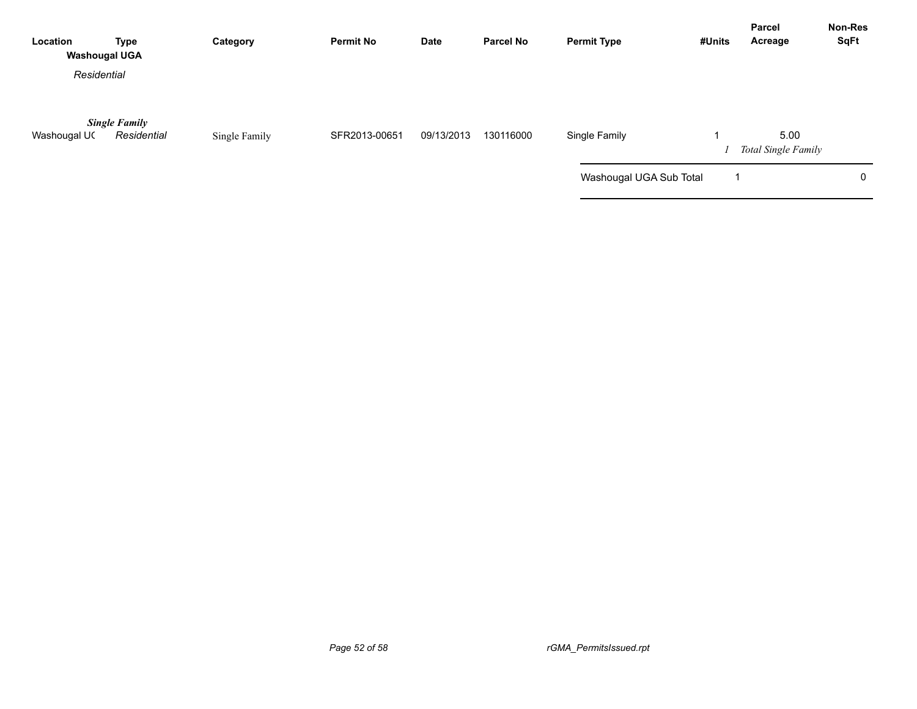| Location<br><b>Washougal UGA</b> | <b>Type</b>                         | Category      | <b>Permit No</b> | Date       | <b>Parcel No</b> | <b>Permit Type</b>      | #Units | Parcel<br>Acreage           | <b>Non-Res</b><br><b>SqFt</b> |
|----------------------------------|-------------------------------------|---------------|------------------|------------|------------------|-------------------------|--------|-----------------------------|-------------------------------|
| Residential                      |                                     |               |                  |            |                  |                         |        |                             |                               |
| Washougal UC                     | <b>Single Family</b><br>Residential | Single Family | SFR2013-00651    | 09/13/2013 | 130116000        | Single Family           |        | 5.00<br>Total Single Family |                               |
|                                  |                                     |               |                  |            |                  | Washougal UGA Sub Total |        |                             | 0                             |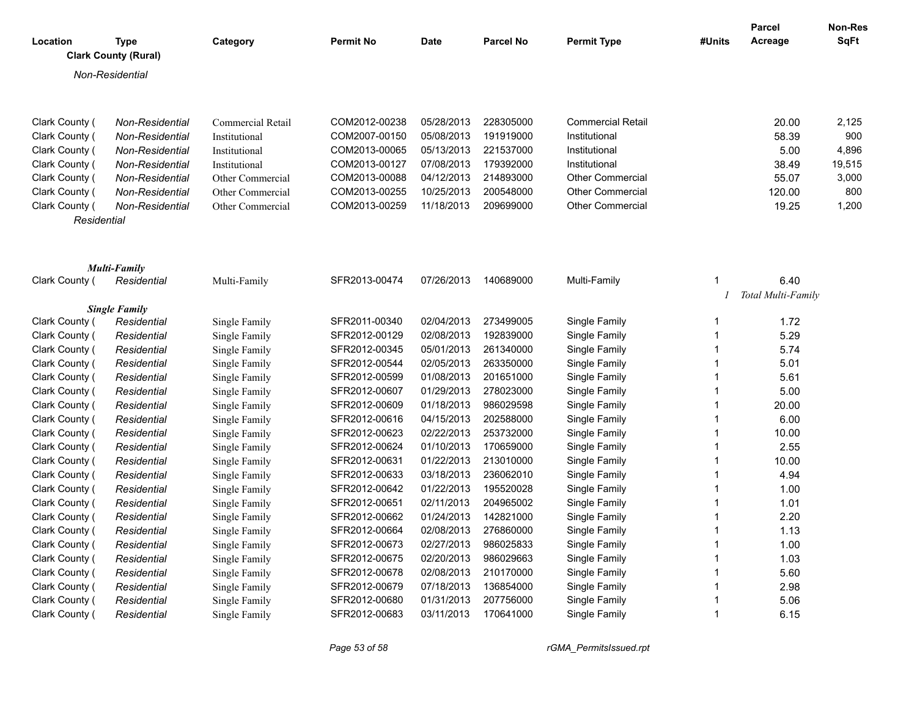| Location                         | Type                        | Category                       | <b>Permit No</b>               | <b>Date</b>              | <b>Parcel No</b>       | <b>Permit Type</b>             | #Units                       | Parcel<br>Acreage  | <b>Non-Res</b><br><b>SqFt</b> |
|----------------------------------|-----------------------------|--------------------------------|--------------------------------|--------------------------|------------------------|--------------------------------|------------------------------|--------------------|-------------------------------|
|                                  | <b>Clark County (Rural)</b> |                                |                                |                          |                        |                                |                              |                    |                               |
|                                  | Non-Residential             |                                |                                |                          |                        |                                |                              |                    |                               |
| Clark County (                   | Non-Residential             | Commercial Retail              | COM2012-00238                  | 05/28/2013               | 228305000              | <b>Commercial Retail</b>       |                              | 20.00              | 2,125                         |
| Clark County (                   | Non-Residential             | Institutional                  | COM2007-00150                  | 05/08/2013               | 191919000              | Institutional                  |                              | 58.39              | 900                           |
| Clark County (                   | Non-Residential             | Institutional                  | COM2013-00065                  | 05/13/2013               | 221537000              | Institutional                  |                              | 5.00               | 4,896                         |
| Clark County (                   | Non-Residential             | Institutional                  | COM2013-00127                  | 07/08/2013               | 179392000              | Institutional                  |                              | 38.49              | 19,515                        |
| Clark County (                   | Non-Residential             | Other Commercial               | COM2013-00088                  | 04/12/2013               | 214893000              | <b>Other Commercial</b>        |                              | 55.07              | 3,000                         |
| Clark County (                   | Non-Residential             | Other Commercial               | COM2013-00255                  | 10/25/2013               | 200548000              | <b>Other Commercial</b>        |                              | 120.00             | 800                           |
| Clark County (                   | Non-Residential             | Other Commercial               | COM2013-00259                  | 11/18/2013               | 209699000              | <b>Other Commercial</b>        |                              | 19.25              | 1,200                         |
| Residential                      |                             |                                |                                |                          |                        |                                |                              |                    |                               |
|                                  | Multi-Family                |                                |                                |                          |                        |                                |                              |                    |                               |
| Clark County (                   | Residential                 | Multi-Family                   | SFR2013-00474                  | 07/26/2013               | 140689000              | Multi-Family                   | $\mathbf{1}$                 | 6.40               |                               |
|                                  |                             |                                |                                |                          |                        |                                |                              | Total Multi-Family |                               |
|                                  | <b>Single Family</b>        |                                |                                |                          |                        |                                |                              |                    |                               |
| Clark County (                   | Residential                 | Single Family                  | SFR2011-00340                  | 02/04/2013               | 273499005              | Single Family                  | $\mathbf{1}$<br>$\mathbf{1}$ | 1.72               |                               |
| Clark County (                   | Residential                 | Single Family                  | SFR2012-00129                  | 02/08/2013               | 192839000              | Single Family                  | $\mathbf{1}$                 | 5.29               |                               |
| Clark County (                   | Residential                 | Single Family                  | SFR2012-00345<br>SFR2012-00544 | 05/01/2013<br>02/05/2013 | 261340000<br>263350000 | Single Family                  | $\mathbf{1}$                 | 5.74<br>5.01       |                               |
| Clark County (<br>Clark County ( | Residential<br>Residential  | Single Family<br>Single Family | SFR2012-00599                  | 01/08/2013               | 201651000              | Single Family<br>Single Family | $\mathbf{1}$                 | 5.61               |                               |
|                                  | Residential                 | Single Family                  | SFR2012-00607                  | 01/29/2013               | 278023000              |                                | $\mathbf{1}$                 | 5.00               |                               |
| Clark County (<br>Clark County ( | Residential                 | Single Family                  | SFR2012-00609                  | 01/18/2013               | 986029598              | Single Family<br>Single Family | $\mathbf{1}$                 | 20.00              |                               |
| Clark County (                   | Residential                 | Single Family                  | SFR2012-00616                  | 04/15/2013               | 202588000              | Single Family                  | $\mathbf{1}$                 | 6.00               |                               |
| Clark County (                   | Residential                 | Single Family                  | SFR2012-00623                  | 02/22/2013               | 253732000              | Single Family                  | $\mathbf{1}$                 | 10.00              |                               |
| Clark County (                   | Residential                 | Single Family                  | SFR2012-00624                  | 01/10/2013               | 170659000              | Single Family                  | $\mathbf{1}$                 | 2.55               |                               |
| Clark County (                   | Residential                 | Single Family                  | SFR2012-00631                  | 01/22/2013               | 213010000              | Single Family                  | $\mathbf{1}$                 | 10.00              |                               |
| Clark County (                   | Residential                 | Single Family                  | SFR2012-00633                  | 03/18/2013               | 236062010              | Single Family                  | $\mathbf{1}$                 | 4.94               |                               |
| Clark County (                   | Residential                 | Single Family                  | SFR2012-00642                  | 01/22/2013               | 195520028              | Single Family                  | $\mathbf{1}$                 | 1.00               |                               |
| Clark County (                   | Residential                 | Single Family                  | SFR2012-00651                  | 02/11/2013               | 204965002              | Single Family                  | $\mathbf{1}$                 | 1.01               |                               |
| Clark County (                   | Residential                 | Single Family                  | SFR2012-00662                  | 01/24/2013               | 142821000              | Single Family                  | $\mathbf{1}$                 | 2.20               |                               |
| Clark County (                   | Residential                 | Single Family                  | SFR2012-00664                  | 02/08/2013               | 276860000              | Single Family                  | $\mathbf{1}$                 | 1.13               |                               |
| Clark County (                   | Residential                 | Single Family                  | SFR2012-00673                  | 02/27/2013               | 986025833              | Single Family                  | $\mathbf{1}$                 | 1.00               |                               |
| Clark County (                   | Residential                 | Single Family                  | SFR2012-00675                  | 02/20/2013               | 986029663              | Single Family                  | $\mathbf{1}$                 | 1.03               |                               |
| Clark County (                   | Residential                 | Single Family                  | SFR2012-00678                  | 02/08/2013               | 210170000              | Single Family                  | $\mathbf{1}$                 | 5.60               |                               |
| Clark County (                   | Residential                 | Single Family                  | SFR2012-00679                  | 07/18/2013               | 136854000              | Single Family                  | $\mathbf{1}$                 | 2.98               |                               |
| Clark County (                   | Residential                 | Single Family                  | SFR2012-00680                  | 01/31/2013               | 207756000              | Single Family                  | $\mathbf 1$                  | 5.06               |                               |
| Clark County (                   | Residential                 | Single Family                  | SFR2012-00683                  | 03/11/2013               | 170641000              | Single Family                  | $\mathbf{1}$                 | 6.15               |                               |
|                                  |                             |                                |                                |                          |                        |                                |                              |                    |                               |

*Page 53 of 58 rGMA\_PermitsIssued.rpt*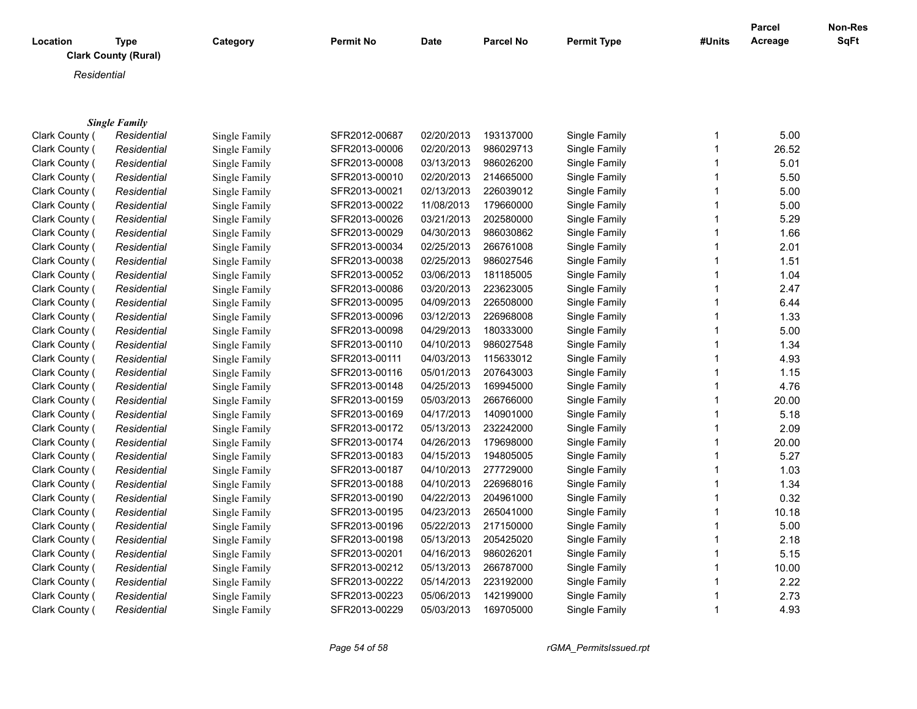| Location | Type<br><b>Clark County (Rural)</b> | Category | <b>Permit No</b> | <b>Date</b> | <b>Parcel No</b> | <b>Permit Type</b> | #Units | <b>Parcel</b><br>Acreage | <b>Non-Res</b><br><b>SqFt</b> |
|----------|-------------------------------------|----------|------------------|-------------|------------------|--------------------|--------|--------------------------|-------------------------------|
|          | Residential                         |          |                  |             |                  |                    |        |                          |                               |
|          |                                     |          |                  |             |                  |                    |        |                          |                               |

|                | <b>Single Family</b> |               |               |            |           |               |   |       |
|----------------|----------------------|---------------|---------------|------------|-----------|---------------|---|-------|
| Clark County ( | Residential          | Single Family | SFR2012-00687 | 02/20/2013 | 193137000 | Single Family | 1 | 5.00  |
| Clark County ( | Residential          | Single Family | SFR2013-00006 | 02/20/2013 | 986029713 | Single Family |   | 26.52 |
| Clark County ( | Residential          | Single Family | SFR2013-00008 | 03/13/2013 | 986026200 | Single Family |   | 5.01  |
| Clark County ( | Residential          | Single Family | SFR2013-00010 | 02/20/2013 | 214665000 | Single Family |   | 5.50  |
| Clark County ( | Residential          | Single Family | SFR2013-00021 | 02/13/2013 | 226039012 | Single Family |   | 5.00  |
| Clark County ( | Residential          | Single Family | SFR2013-00022 | 11/08/2013 | 179660000 | Single Family | 1 | 5.00  |
| Clark County ( | Residential          | Single Family | SFR2013-00026 | 03/21/2013 | 202580000 | Single Family | 1 | 5.29  |
| Clark County ( | Residential          | Single Family | SFR2013-00029 | 04/30/2013 | 986030862 | Single Family |   | 1.66  |
| Clark County ( | Residential          | Single Family | SFR2013-00034 | 02/25/2013 | 266761008 | Single Family | 1 | 2.01  |
| Clark County ( | Residential          | Single Family | SFR2013-00038 | 02/25/2013 | 986027546 | Single Family |   | 1.51  |
| Clark County ( | Residential          | Single Family | SFR2013-00052 | 03/06/2013 | 181185005 | Single Family |   | 1.04  |
| Clark County ( | Residential          | Single Family | SFR2013-00086 | 03/20/2013 | 223623005 | Single Family | 1 | 2.47  |
| Clark County ( | Residential          | Single Family | SFR2013-00095 | 04/09/2013 | 226508000 | Single Family | 1 | 6.44  |
| Clark County ( | Residential          | Single Family | SFR2013-00096 | 03/12/2013 | 226968008 | Single Family | 1 | 1.33  |
| Clark County ( | Residential          | Single Family | SFR2013-00098 | 04/29/2013 | 180333000 | Single Family | 1 | 5.00  |
| Clark County ( | Residential          | Single Family | SFR2013-00110 | 04/10/2013 | 986027548 | Single Family |   | 1.34  |
| Clark County ( | Residential          | Single Family | SFR2013-00111 | 04/03/2013 | 115633012 | Single Family |   | 4.93  |
| Clark County ( | Residential          | Single Family | SFR2013-00116 | 05/01/2013 | 207643003 | Single Family |   | 1.15  |
| Clark County ( | Residential          | Single Family | SFR2013-00148 | 04/25/2013 | 169945000 | Single Family |   | 4.76  |
| Clark County ( | Residential          | Single Family | SFR2013-00159 | 05/03/2013 | 266766000 | Single Family | 1 | 20.00 |
| Clark County ( | Residential          | Single Family | SFR2013-00169 | 04/17/2013 | 140901000 | Single Family |   | 5.18  |
| Clark County ( | Residential          | Single Family | SFR2013-00172 | 05/13/2013 | 232242000 | Single Family |   | 2.09  |
| Clark County ( | Residential          | Single Family | SFR2013-00174 | 04/26/2013 | 179698000 | Single Family |   | 20.00 |
| Clark County ( | Residential          | Single Family | SFR2013-00183 | 04/15/2013 | 194805005 | Single Family |   | 5.27  |
| Clark County ( | Residential          | Single Family | SFR2013-00187 | 04/10/2013 | 277729000 | Single Family | 1 | 1.03  |
| Clark County ( | Residential          | Single Family | SFR2013-00188 | 04/10/2013 | 226968016 | Single Family | 1 | 1.34  |
| Clark County ( | Residential          | Single Family | SFR2013-00190 | 04/22/2013 | 204961000 | Single Family | 1 | 0.32  |
| Clark County ( | Residential          | Single Family | SFR2013-00195 | 04/23/2013 | 265041000 | Single Family | 1 | 10.18 |
| Clark County ( | Residential          | Single Family | SFR2013-00196 | 05/22/2013 | 217150000 | Single Family | 1 | 5.00  |
| Clark County ( | Residential          | Single Family | SFR2013-00198 | 05/13/2013 | 205425020 | Single Family |   | 2.18  |
| Clark County ( | Residential          | Single Family | SFR2013-00201 | 04/16/2013 | 986026201 | Single Family |   | 5.15  |
| Clark County ( | Residential          | Single Family | SFR2013-00212 | 05/13/2013 | 266787000 | Single Family |   | 10.00 |
| Clark County ( | Residential          | Single Family | SFR2013-00222 | 05/14/2013 | 223192000 | Single Family | 1 | 2.22  |
| Clark County ( | Residential          | Single Family | SFR2013-00223 | 05/06/2013 | 142199000 | Single Family |   | 2.73  |
| Clark County ( | Residential          | Single Family | SFR2013-00229 | 05/03/2013 | 169705000 | Single Family | 1 | 4.93  |
|                |                      |               |               |            |           |               |   |       |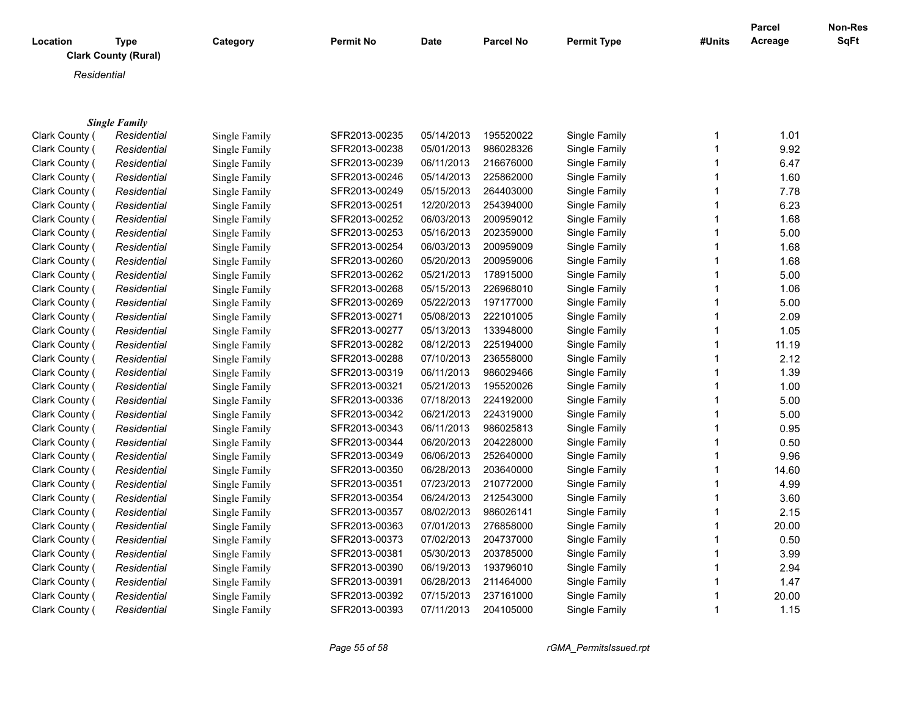| Location | Type<br><b>Clark County (Rural)</b> | Category | <b>Permit No</b> | <b>Date</b> | <b>Parcel No</b> | <b>Permit Type</b> | #Units | <b>Parcel</b><br>Acreage | <b>Non-Res</b><br><b>SqFt</b> |
|----------|-------------------------------------|----------|------------------|-------------|------------------|--------------------|--------|--------------------------|-------------------------------|
|          | Residential                         |          |                  |             |                  |                    |        |                          |                               |
|          |                                     |          |                  |             |                  |                    |        |                          |                               |

|                | <b>Single Family</b> |               |               |            |           |               |       |
|----------------|----------------------|---------------|---------------|------------|-----------|---------------|-------|
| Clark County ( | Residential          | Single Family | SFR2013-00235 | 05/14/2013 | 195520022 | Single Family | 1.01  |
| Clark County ( | Residential          | Single Family | SFR2013-00238 | 05/01/2013 | 986028326 | Single Family | 9.92  |
| Clark County ( | Residential          | Single Family | SFR2013-00239 | 06/11/2013 | 216676000 | Single Family | 6.47  |
| Clark County ( | Residential          | Single Family | SFR2013-00246 | 05/14/2013 | 225862000 | Single Family | 1.60  |
| Clark County ( | Residential          | Single Family | SFR2013-00249 | 05/15/2013 | 264403000 | Single Family | 7.78  |
| Clark County ( | Residential          | Single Family | SFR2013-00251 | 12/20/2013 | 254394000 | Single Family | 6.23  |
| Clark County ( | Residential          | Single Family | SFR2013-00252 | 06/03/2013 | 200959012 | Single Family | 1.68  |
| Clark County ( | Residential          | Single Family | SFR2013-00253 | 05/16/2013 | 202359000 | Single Family | 5.00  |
| Clark County ( | Residential          | Single Family | SFR2013-00254 | 06/03/2013 | 200959009 | Single Family | 1.68  |
| Clark County ( | Residential          | Single Family | SFR2013-00260 | 05/20/2013 | 200959006 | Single Family | 1.68  |
| Clark County ( | Residential          | Single Family | SFR2013-00262 | 05/21/2013 | 178915000 | Single Family | 5.00  |
| Clark County ( | Residential          | Single Family | SFR2013-00268 | 05/15/2013 | 226968010 | Single Family | 1.06  |
| Clark County ( | Residential          | Single Family | SFR2013-00269 | 05/22/2013 | 197177000 | Single Family | 5.00  |
| Clark County ( | Residential          | Single Family | SFR2013-00271 | 05/08/2013 | 222101005 | Single Family | 2.09  |
| Clark County ( | Residential          | Single Family | SFR2013-00277 | 05/13/2013 | 133948000 | Single Family | 1.05  |
| Clark County ( | Residential          | Single Family | SFR2013-00282 | 08/12/2013 | 225194000 | Single Family | 11.19 |
| Clark County ( | Residential          | Single Family | SFR2013-00288 | 07/10/2013 | 236558000 | Single Family | 2.12  |
| Clark County ( | Residential          | Single Family | SFR2013-00319 | 06/11/2013 | 986029466 | Single Family | 1.39  |
| Clark County ( | Residential          | Single Family | SFR2013-00321 | 05/21/2013 | 195520026 | Single Family | 1.00  |
| Clark County ( | Residential          | Single Family | SFR2013-00336 | 07/18/2013 | 224192000 | Single Family | 5.00  |
| Clark County ( | Residential          | Single Family | SFR2013-00342 | 06/21/2013 | 224319000 | Single Family | 5.00  |
| Clark County ( | Residential          | Single Family | SFR2013-00343 | 06/11/2013 | 986025813 | Single Family | 0.95  |
| Clark County ( | Residential          | Single Family | SFR2013-00344 | 06/20/2013 | 204228000 | Single Family | 0.50  |
| Clark County ( | Residential          | Single Family | SFR2013-00349 | 06/06/2013 | 252640000 | Single Family | 9.96  |
| Clark County ( | Residential          | Single Family | SFR2013-00350 | 06/28/2013 | 203640000 | Single Family | 14.60 |
| Clark County ( | Residential          | Single Family | SFR2013-00351 | 07/23/2013 | 210772000 | Single Family | 4.99  |
| Clark County ( | Residential          | Single Family | SFR2013-00354 | 06/24/2013 | 212543000 | Single Family | 3.60  |
| Clark County ( | Residential          | Single Family | SFR2013-00357 | 08/02/2013 | 986026141 | Single Family | 2.15  |
| Clark County ( | Residential          | Single Family | SFR2013-00363 | 07/01/2013 | 276858000 | Single Family | 20.00 |
| Clark County ( | Residential          | Single Family | SFR2013-00373 | 07/02/2013 | 204737000 | Single Family | 0.50  |
| Clark County ( | Residential          | Single Family | SFR2013-00381 | 05/30/2013 | 203785000 | Single Family | 3.99  |
| Clark County ( | Residential          | Single Family | SFR2013-00390 | 06/19/2013 | 193796010 | Single Family | 2.94  |
| Clark County ( | Residential          | Single Family | SFR2013-00391 | 06/28/2013 | 211464000 | Single Family | 1.47  |
| Clark County ( | Residential          | Single Family | SFR2013-00392 | 07/15/2013 | 237161000 | Single Family | 20.00 |
| Clark County ( | Residential          | Single Family | SFR2013-00393 | 07/11/2013 | 204105000 | Single Family | 1.15  |
|                |                      |               |               |            |           |               |       |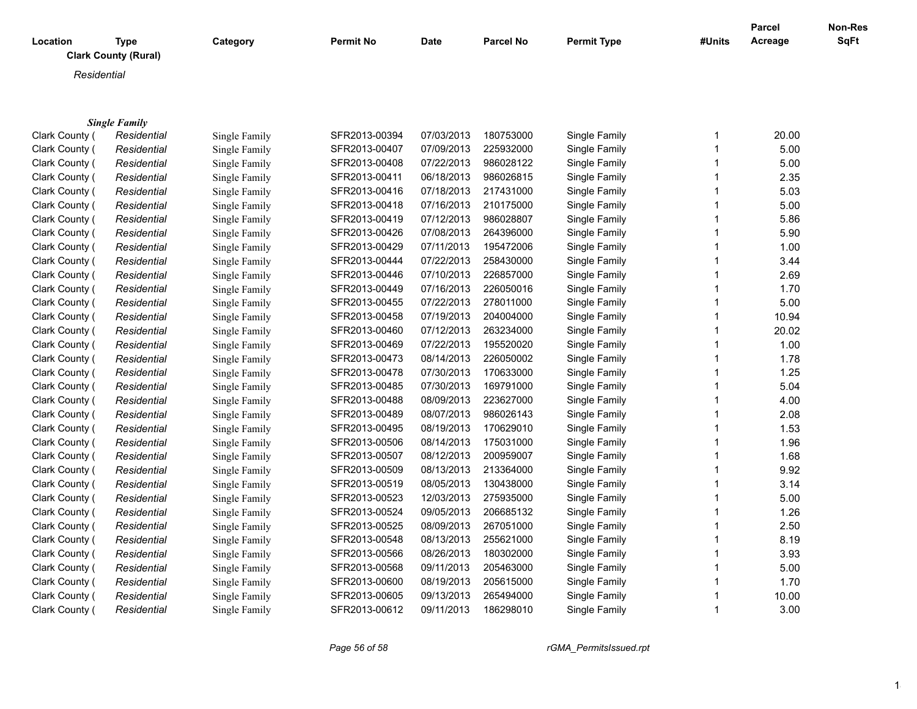| Location | <b>Type</b><br><b>Clark County (Rural)</b> | Category | <b>Permit No</b> | <b>Date</b> | <b>Parcel No</b> | <b>Permit Type</b> | #Units | Parcel<br>Acreage | Non-Res<br><b>SqFt</b> |
|----------|--------------------------------------------|----------|------------------|-------------|------------------|--------------------|--------|-------------------|------------------------|
|          | Residential                                |          |                  |             |                  |                    |        |                   |                        |
|          |                                            |          |                  |             |                  |                    |        |                   |                        |
|          |                                            |          |                  |             |                  |                    |        |                   |                        |
|          | <b>Single Family</b>                       |          |                  |             |                  |                    |        |                   |                        |

| Clark County ( | Residential | Single Family | SFR2013-00394 | 07/03/2013 | 180753000 | Single Family | 20.00 |
|----------------|-------------|---------------|---------------|------------|-----------|---------------|-------|
| Clark County ( | Residential | Single Family | SFR2013-00407 | 07/09/2013 | 225932000 | Single Family | 5.00  |
| Clark County ( | Residential | Single Family | SFR2013-00408 | 07/22/2013 | 986028122 | Single Family | 5.00  |
| Clark County ( | Residential | Single Family | SFR2013-00411 | 06/18/2013 | 986026815 | Single Family | 2.35  |
| Clark County ( | Residential | Single Family | SFR2013-00416 | 07/18/2013 | 217431000 | Single Family | 5.03  |
| Clark County ( | Residential | Single Family | SFR2013-00418 | 07/16/2013 | 210175000 | Single Family | 5.00  |
| Clark County ( | Residential | Single Family | SFR2013-00419 | 07/12/2013 | 986028807 | Single Family | 5.86  |
| Clark County ( | Residential | Single Family | SFR2013-00426 | 07/08/2013 | 264396000 | Single Family | 5.90  |
| Clark County ( | Residential | Single Family | SFR2013-00429 | 07/11/2013 | 195472006 | Single Family | 1.00  |
| Clark County ( | Residential | Single Family | SFR2013-00444 | 07/22/2013 | 258430000 | Single Family | 3.44  |
| Clark County ( | Residential | Single Family | SFR2013-00446 | 07/10/2013 | 226857000 | Single Family | 2.69  |
| Clark County ( | Residential | Single Family | SFR2013-00449 | 07/16/2013 | 226050016 | Single Family | 1.70  |
| Clark County ( | Residential | Single Family | SFR2013-00455 | 07/22/2013 | 278011000 | Single Family | 5.00  |
| Clark County ( | Residential | Single Family | SFR2013-00458 | 07/19/2013 | 204004000 | Single Family | 10.94 |
| Clark County ( | Residential | Single Family | SFR2013-00460 | 07/12/2013 | 263234000 | Single Family | 20.02 |
| Clark County ( | Residential | Single Family | SFR2013-00469 | 07/22/2013 | 195520020 | Single Family | 1.00  |
| Clark County ( | Residential | Single Family | SFR2013-00473 | 08/14/2013 | 226050002 | Single Family | 1.78  |
| Clark County ( | Residential | Single Family | SFR2013-00478 | 07/30/2013 | 170633000 | Single Family | 1.25  |
| Clark County ( | Residential | Single Family | SFR2013-00485 | 07/30/2013 | 169791000 | Single Family | 5.04  |
| Clark County ( | Residential | Single Family | SFR2013-00488 | 08/09/2013 | 223627000 | Single Family | 4.00  |
| Clark County ( | Residential | Single Family | SFR2013-00489 | 08/07/2013 | 986026143 | Single Family | 2.08  |
| Clark County ( | Residential | Single Family | SFR2013-00495 | 08/19/2013 | 170629010 | Single Family | 1.53  |
| Clark County ( | Residential | Single Family | SFR2013-00506 | 08/14/2013 | 175031000 | Single Family | 1.96  |
| Clark County ( | Residential | Single Family | SFR2013-00507 | 08/12/2013 | 200959007 | Single Family | 1.68  |
| Clark County ( | Residential | Single Family | SFR2013-00509 | 08/13/2013 | 213364000 | Single Family | 9.92  |
| Clark County ( | Residential | Single Family | SFR2013-00519 | 08/05/2013 | 130438000 | Single Family | 3.14  |
| Clark County ( | Residential | Single Family | SFR2013-00523 | 12/03/2013 | 275935000 | Single Family | 5.00  |
| Clark County ( | Residential | Single Family | SFR2013-00524 | 09/05/2013 | 206685132 | Single Family | 1.26  |
| Clark County ( | Residential | Single Family | SFR2013-00525 | 08/09/2013 | 267051000 | Single Family | 2.50  |
| Clark County ( | Residential | Single Family | SFR2013-00548 | 08/13/2013 | 255621000 | Single Family | 8.19  |
| Clark County ( | Residential | Single Family | SFR2013-00566 | 08/26/2013 | 180302000 | Single Family | 3.93  |
| Clark County ( | Residential | Single Family | SFR2013-00568 | 09/11/2013 | 205463000 | Single Family | 5.00  |
| Clark County ( | Residential | Single Family | SFR2013-00600 | 08/19/2013 | 205615000 | Single Family | 1.70  |
| Clark County ( | Residential | Single Family | SFR2013-00605 | 09/13/2013 | 265494000 | Single Family | 10.00 |
| Clark County ( | Residential | Single Family | SFR2013-00612 | 09/11/2013 | 186298010 | Single Family | 3.00  |
|                |             |               |               |            |           |               |       |

*Page 56 of 58 rGMA\_PermitsIssued.rpt*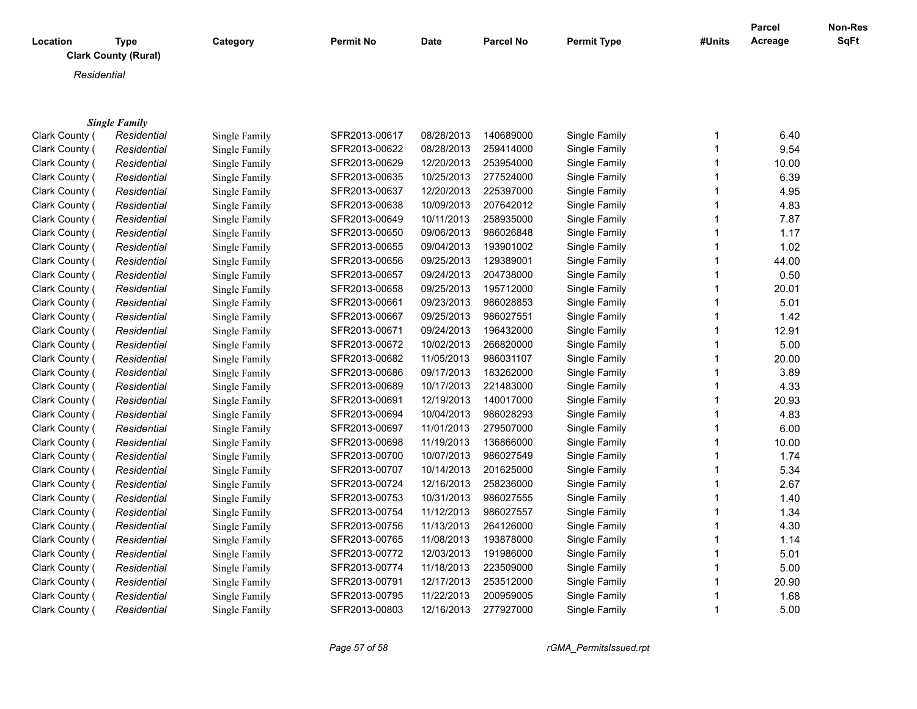| Location       | Type<br><b>Clark County (Rural)</b> | Category      | Permit No     | Date       | Parcel No | <b>Permit Type</b> | #Units | <b>Parcel</b><br>Acreage | Non-Res<br><b>SqFt</b> |
|----------------|-------------------------------------|---------------|---------------|------------|-----------|--------------------|--------|--------------------------|------------------------|
| Residential    |                                     |               |               |            |           |                    |        |                          |                        |
|                | <b>Single Family</b>                |               |               |            |           |                    |        |                          |                        |
| Clark County ( | Residential                         | Single Family | SFR2013-00617 | 08/28/2013 | 140689000 | Single Family      |        | 6.40                     |                        |
| Clark County ( | Residential                         | Single Family | SFR2013-00622 | 08/28/2013 | 259414000 | Single Family      |        | 9.54                     |                        |
| Clark County ( | Residential                         | Single Family | SFR2013-00629 | 12/20/2013 | 253954000 | Single Family      |        | 10.00                    |                        |
| Clark County ( | Residential                         | Single Family | SFR2013-00635 | 10/25/2013 | 277524000 | Single Family      |        | 6.39                     |                        |
| Clark County ( | Residential                         | Single Family | SFR2013-00637 | 12/20/2013 | 225397000 | Single Family      |        | 4.95                     |                        |
|                |                                     |               |               | . <i>.</i> |           |                    |        |                          |                        |

| Oldin Oodiny ( |             | omgic i anniy | <u>UITEU IU UUULL</u> | 0012012010 | $-00717000$ | omyno i aminy | ד ש. ש |
|----------------|-------------|---------------|-----------------------|------------|-------------|---------------|--------|
| Clark County ( | Residential | Single Family | SFR2013-00629         | 12/20/2013 | 253954000   | Single Family | 10.00  |
| Clark County ( | Residential | Single Family | SFR2013-00635         | 10/25/2013 | 277524000   | Single Family | 6.39   |
| Clark County ( | Residential | Single Family | SFR2013-00637         | 12/20/2013 | 225397000   | Single Family | 4.95   |
| Clark County ( | Residential | Single Family | SFR2013-00638         | 10/09/2013 | 207642012   | Single Family | 4.83   |
| Clark County ( | Residential | Single Family | SFR2013-00649         | 10/11/2013 | 258935000   | Single Family | 7.87   |
| Clark County ( | Residential | Single Family | SFR2013-00650         | 09/06/2013 | 986026848   | Single Family | 1.17   |
| Clark County ( | Residential | Single Family | SFR2013-00655         | 09/04/2013 | 193901002   | Single Family | 1.02   |
| Clark County ( | Residential | Single Family | SFR2013-00656         | 09/25/2013 | 129389001   | Single Family | 44.00  |
| Clark County ( | Residential | Single Family | SFR2013-00657         | 09/24/2013 | 204738000   | Single Family | 0.50   |
| Clark County ( | Residential | Single Family | SFR2013-00658         | 09/25/2013 | 195712000   | Single Family | 20.01  |
| Clark County ( | Residential | Single Family | SFR2013-00661         | 09/23/2013 | 986028853   | Single Family | 5.01   |
| Clark County ( | Residential | Single Family | SFR2013-00667         | 09/25/2013 | 986027551   | Single Family | 1.42   |
| Clark County ( | Residential | Single Family | SFR2013-00671         | 09/24/2013 | 196432000   | Single Family | 12.91  |
| Clark County ( | Residential | Single Family | SFR2013-00672         | 10/02/2013 | 266820000   | Single Family | 5.00   |
| Clark County ( | Residential | Single Family | SFR2013-00682         | 11/05/2013 | 986031107   | Single Family | 20.00  |
| Clark County ( | Residential | Single Family | SFR2013-00686         | 09/17/2013 | 183262000   | Single Family | 3.89   |
| Clark County ( | Residential | Single Family | SFR2013-00689         | 10/17/2013 | 221483000   | Single Family | 4.33   |
| Clark County ( | Residential | Single Family | SFR2013-00691         | 12/19/2013 | 140017000   | Single Family | 20.93  |
| Clark County ( | Residential | Single Family | SFR2013-00694         | 10/04/2013 | 986028293   | Single Family | 4.83   |
| Clark County ( | Residential | Single Family | SFR2013-00697         | 11/01/2013 | 279507000   | Single Family | 6.00   |
| Clark County ( | Residential | Single Family | SFR2013-00698         | 11/19/2013 | 136866000   | Single Family | 10.00  |
| Clark County ( | Residential | Single Family | SFR2013-00700         | 10/07/2013 | 986027549   | Single Family | 1.74   |
| Clark County ( | Residential | Single Family | SFR2013-00707         | 10/14/2013 | 201625000   | Single Family | 5.34   |
| Clark County ( | Residential | Single Family | SFR2013-00724         | 12/16/2013 | 258236000   | Single Family | 2.67   |
| Clark County ( | Residential | Single Family | SFR2013-00753         | 10/31/2013 | 986027555   | Single Family | 1.40   |
| Clark County ( | Residential | Single Family | SFR2013-00754         | 11/12/2013 | 986027557   | Single Family | 1.34   |
| Clark County ( | Residential | Single Family | SFR2013-00756         | 11/13/2013 | 264126000   | Single Family | 4.30   |
| Clark County ( | Residential | Single Family | SFR2013-00765         | 11/08/2013 | 193878000   | Single Family | 1.14   |
| Clark County ( | Residential | Single Family | SFR2013-00772         | 12/03/2013 | 191986000   | Single Family | 5.01   |
| Clark County ( | Residential | Single Family | SFR2013-00774         | 11/18/2013 | 223509000   | Single Family | 5.00   |
| Clark County ( | Residential | Single Family | SFR2013-00791         | 12/17/2013 | 253512000   | Single Family | 20.90  |
| Clark County ( | Residential | Single Family | SFR2013-00795         | 11/22/2013 | 200959005   | Single Family | 1.68   |
| Clark County ( | Residential | Single Family | SFR2013-00803         | 12/16/2013 | 277927000   | Single Family | 5.00   |
|                |             |               |                       |            |             |               |        |

*Page 57 of 58 rGMA\_PermitsIssued.rpt*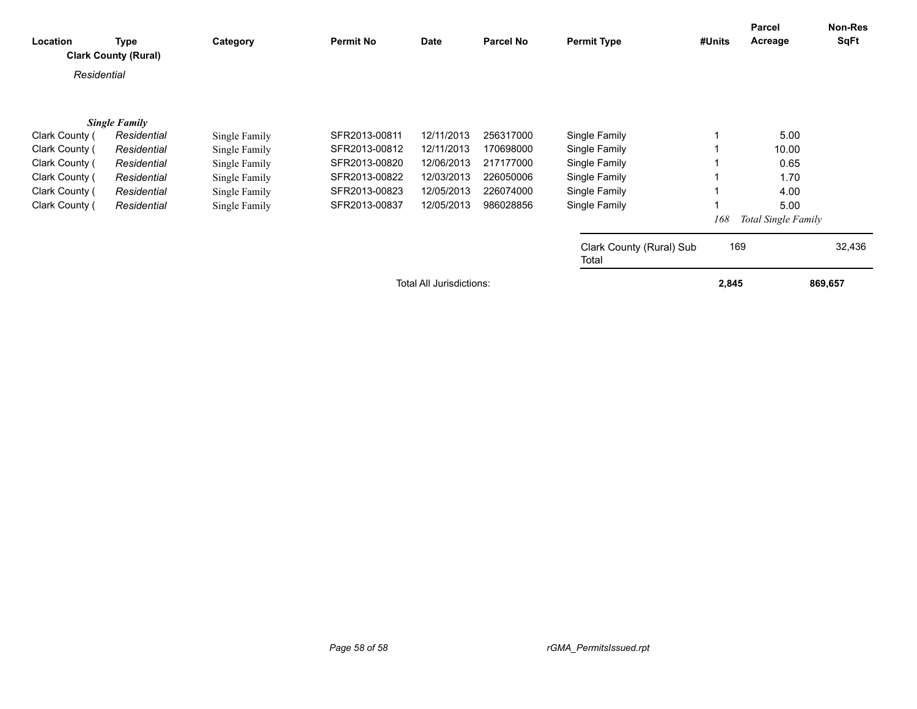| Location                 | <b>Type</b><br><b>Clark County (Rural)</b> | Category      | <b>Permit No</b> | Date       | <b>Parcel No</b> | <b>Permit Type</b>                | #Units | Parcel<br>Acreage   | Non-Res<br><b>SqFt</b> |
|--------------------------|--------------------------------------------|---------------|------------------|------------|------------------|-----------------------------------|--------|---------------------|------------------------|
| Residential              |                                            |               |                  |            |                  |                                   |        |                     |                        |
|                          | <b>Single Family</b>                       |               |                  |            |                  |                                   |        |                     |                        |
| Clark County (           | Residential                                | Single Family | SFR2013-00811    | 12/11/2013 | 256317000        | Single Family                     |        | 5.00                |                        |
| Clark County (           | Residential                                | Single Family | SFR2013-00812    | 12/11/2013 | 170698000        | Single Family                     |        | 10.00               |                        |
| Clark County (           | Residential                                | Single Family | SFR2013-00820    | 12/06/2013 | 217177000        | Single Family                     |        | 0.65                |                        |
| Clark County (           | Residential                                | Single Family | SFR2013-00822    | 12/03/2013 | 226050006        | Single Family                     |        | 1.70                |                        |
| Clark County (           | Residential                                | Single Family | SFR2013-00823    | 12/05/2013 | 226074000        | Single Family                     |        | 4.00                |                        |
| Clark County (           | Residential                                | Single Family | SFR2013-00837    | 12/05/2013 | 986028856        | Single Family                     |        | 5.00                |                        |
|                          |                                            |               |                  |            |                  |                                   | 168    | Total Single Family |                        |
|                          |                                            |               |                  |            |                  | Clark County (Rural) Sub<br>Total |        | 169                 | 32,436                 |
| Total All Jurisdictions: |                                            |               |                  |            |                  | 2,845                             |        | 869,657             |                        |